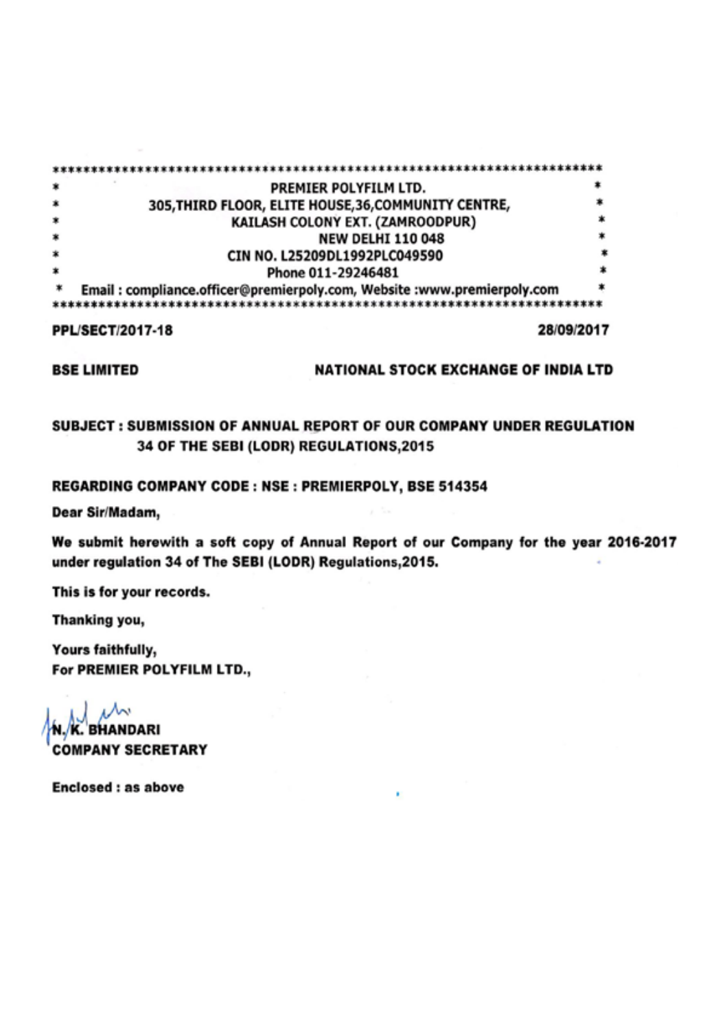| ×.      | PREMIER POLYFILM LTD.                                                  |   |
|---------|------------------------------------------------------------------------|---|
| ×       | 305, THIRD FLOOR, ELITE HOUSE, 36, COMMUNITY CENTRE,                   |   |
| $\ast$  | KAILASH COLONY EXT. (ZAMROODPUR)                                       |   |
| $\ast$  | <b>NEW DELHI 110 048</b>                                               |   |
| $\ast$  | CIN NO. L25209DL1992PLC049590                                          |   |
| $\star$ | Phone 011-29246481                                                     |   |
| $\ast$  | Email: compliance.officer@premierpoly.com, Website:www.premierpoly.com | * |
|         |                                                                        |   |

**PPL/SECT/2017-18** 

28/09/2017

**BSE LIMITED** 

## NATIONAL STOCK EXCHANGE OF INDIA LTD

## SUBJECT: SUBMISSION OF ANNUAL REPORT OF OUR COMPANY UNDER REGULATION 34 OF THE SEBI (LODR) REGULATIONS, 2015

## REGARDING COMPANY CODE: NSE: PREMIERPOLY, BSE 514354

Dear Sir/Madam,

We submit herewith a soft copy of Annual Report of our Company for the year 2016-2017 under regulation 34 of The SEBI (LODR) Regulations, 2015.

This is for your records.

Thanking you,

Yours faithfully, For PREMIER POLYFILM LTD.,

N.K. BHANDARI **COMPANY SECRETARY** 

**Enclosed: as above**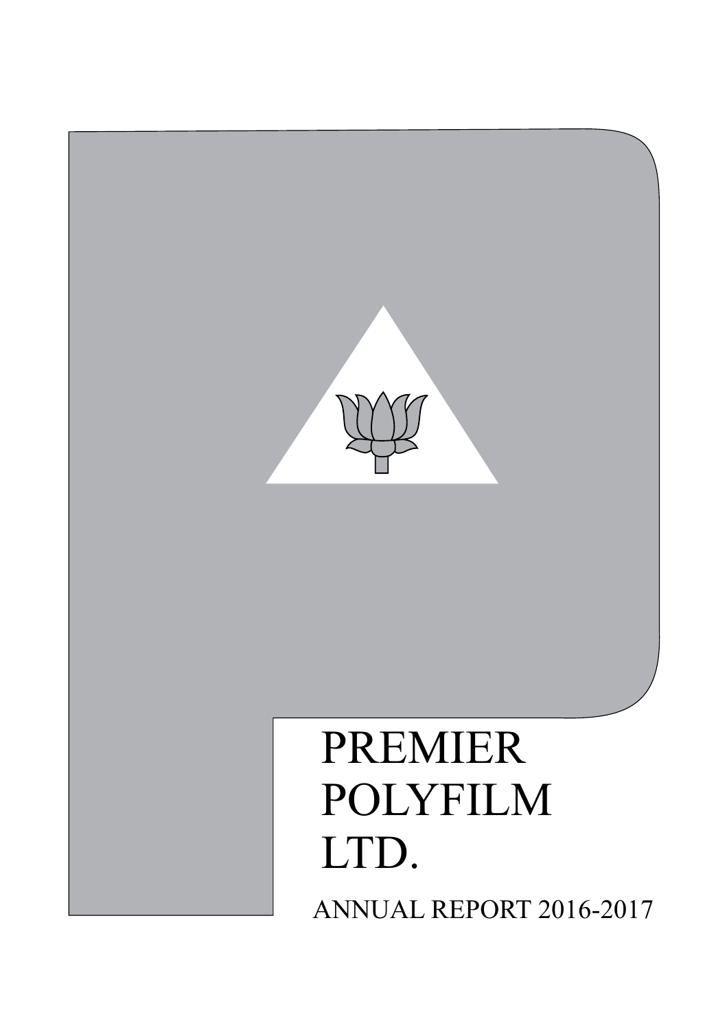

## PREMIER POLYFILM LTD. ANNUAL REPORT 2016-2017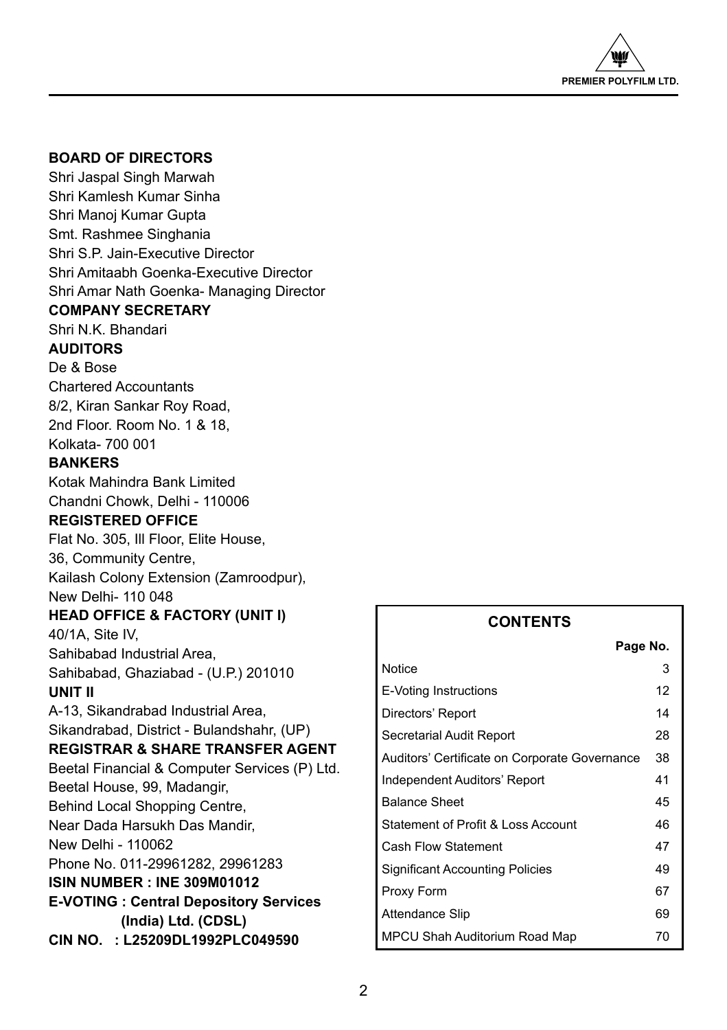

## **BOARD OF DIRECTORS**

Shri Jaspal Singh Marwah Shri Kamlesh Kumar Sinha Shri Manoj Kumar Gupta Smt. Rashmee Singhania Shri S.P. Jain-Executive Director Shri Amitaabh Goenka-Executive Director Shri Amar Nath Goenka- Managing Director **COMPANY SECRETARY** Shri N.K. Bhandari **AUDITORS** De & Bose Chartered Accountants 8/2, Kiran Sankar Roy Road, 2nd Floor. Room No. 1 & 18, Kolkata- 700 001

## **BANKERS**

Kotak Mahindra Bank Limited Chandni Chowk, Delhi - 110006

## **REGISTERED OFFICE**

Flat No. 305, Ill Floor, Elite House, 36, Community Centre, Kailash Colony Extension (Zamroodpur), New Delhi- 110 048

## **HEAD OFFICE & FACTORY (UNIT I)**

40/1A, Site IV, Sahibabad Industrial Area, Sahibabad, Ghaziabad - (U.P.) 201010 **UNIT II**

## A-13, Sikandrabad Industrial Area, Sikandrabad, District - Bulandshahr, (UP) **REGISTRAR & SHARE TRANSFER AGENT** Beetal Financial & Computer Services (P) Ltd. Beetal House, 99, Madangir, Behind Local Shopping Centre, Near Dada Harsukh Das Mandir, New Delhi - 110062 Phone No. 011-29961282, 29961283

**ISIN NUMBER : INE 309M01012**

**E-VOTING : Central Depository Services (India) Ltd. (CDSL)**

**CIN NO. : L25209DL1992PLC049590** 

## **CONTENTS**

**Page No.**

| гаче но.                                      |    |
|-----------------------------------------------|----|
| Notice                                        | 3  |
| E-Voting Instructions                         | 12 |
| Directors' Report                             | 14 |
| Secretarial Audit Report                      | 28 |
| Auditors' Certificate on Corporate Governance | 38 |
| Independent Auditors' Report                  | 41 |
| <b>Balance Sheet</b>                          | 45 |
| Statement of Profit & Loss Account            | 46 |
| Cash Flow Statement                           | 47 |
| Significant Accounting Policies               | 49 |
| Proxy Form                                    | 67 |
| Attendance Slip                               | 69 |
| MPCU Shah Auditorium Road Map                 | 70 |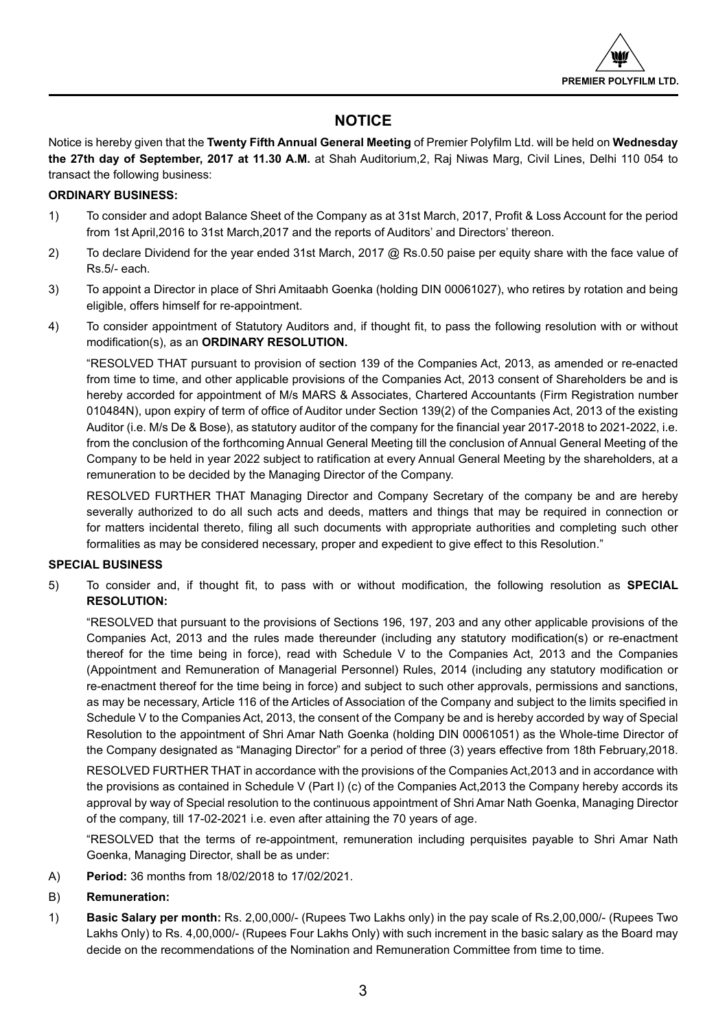

## **NOTICE**

Notice is hereby given that the **Twenty Fifth Annual General Meeting** of Premier Polyfilm Ltd. will be held on **Wednesday the 27th day of September, 2017 at 11.30 A.M.** at Shah Auditorium,2, Raj Niwas Marg, Civil Lines, Delhi 110 054 to transact the following business:

## **ORDINARY BUSINESS:**

- 1) To consider and adopt Balance Sheet of the Company as at 31st March, 2017, Profit & Loss Account for the period from 1st April,2016 to 31st March,2017 and the reports of Auditors' and Directors' thereon.
- 2) To declare Dividend for the year ended 31st March, 2017 @ Rs.0.50 paise per equity share with the face value of Rs.5/- each.
- 3) To appoint a Director in place of Shri Amitaabh Goenka (holding DIN 00061027), who retires by rotation and being eligible, offers himself for re-appointment.
- 4) To consider appointment of Statutory Auditors and, if thought fit, to pass the following resolution with or without modification(s), as an **ORDINARY RESOLUTION.**

"RESOLVED THAT pursuant to provision of section 139 of the Companies Act, 2013, as amended or re-enacted from time to time, and other applicable provisions of the Companies Act, 2013 consent of Shareholders be and is hereby accorded for appointment of M/s MARS & Associates, Chartered Accountants (Firm Registration number 010484N), upon expiry of term of office of Auditor under Section 139(2) of the Companies Act, 2013 of the existing Auditor (i.e. M/s De & Bose), as statutory auditor of the company for the financial year 2017-2018 to 2021-2022, i.e. from the conclusion of the forthcoming Annual General Meeting till the conclusion of Annual General Meeting of the Company to be held in year 2022 subject to ratification at every Annual General Meeting by the shareholders, at a remuneration to be decided by the Managing Director of the Company.

RESOLVED FURTHER THAT Managing Director and Company Secretary of the company be and are hereby severally authorized to do all such acts and deeds, matters and things that may be required in connection or for matters incidental thereto, filing all such documents with appropriate authorities and completing such other formalities as may be considered necessary, proper and expedient to give effect to this Resolution."

## **SPECIAL BUSINESS**

5) To consider and, if thought fit, to pass with or without modification, the following resolution as **SPECIAL RESOLUTION:**

"RESOLVED that pursuant to the provisions of Sections 196, 197, 203 and any other applicable provisions of the Companies Act, 2013 and the rules made thereunder (including any statutory modification(s) or re-enactment thereof for the time being in force), read with Schedule V to the Companies Act, 2013 and the Companies (Appointment and Remuneration of Managerial Personnel) Rules, 2014 (including any statutory modification or re-enactment thereof for the time being in force) and subject to such other approvals, permissions and sanctions, as may be necessary, Article 116 of the Articles of Association of the Company and subject to the limits specified in Schedule V to the Companies Act, 2013, the consent of the Company be and is hereby accorded by way of Special Resolution to the appointment of Shri Amar Nath Goenka (holding DIN 00061051) as the Whole-time Director of the Company designated as "Managing Director" for a period of three (3) years effective from 18th February,2018.

RESOLVED FURTHER THAT in accordance with the provisions of the Companies Act,2013 and in accordance with the provisions as contained in Schedule V (Part I) (c) of the Companies Act,2013 the Company hereby accords its approval by way of Special resolution to the continuous appointment of Shri Amar Nath Goenka, Managing Director of the company, till 17-02-2021 i.e. even after attaining the 70 years of age.

"RESOLVED that the terms of re-appointment, remuneration including perquisites payable to Shri Amar Nath Goenka, Managing Director, shall be as under:

A) **Period:** 36 months from 18/02/2018 to 17/02/2021.

## B) **Remuneration:**

1) **Basic Salary per month:** Rs. 2,00,000/- (Rupees Two Lakhs only) in the pay scale of Rs.2,00,000/- (Rupees Two Lakhs Only) to Rs. 4,00,000/- (Rupees Four Lakhs Only) with such increment in the basic salary as the Board may decide on the recommendations of the Nomination and Remuneration Committee from time to time.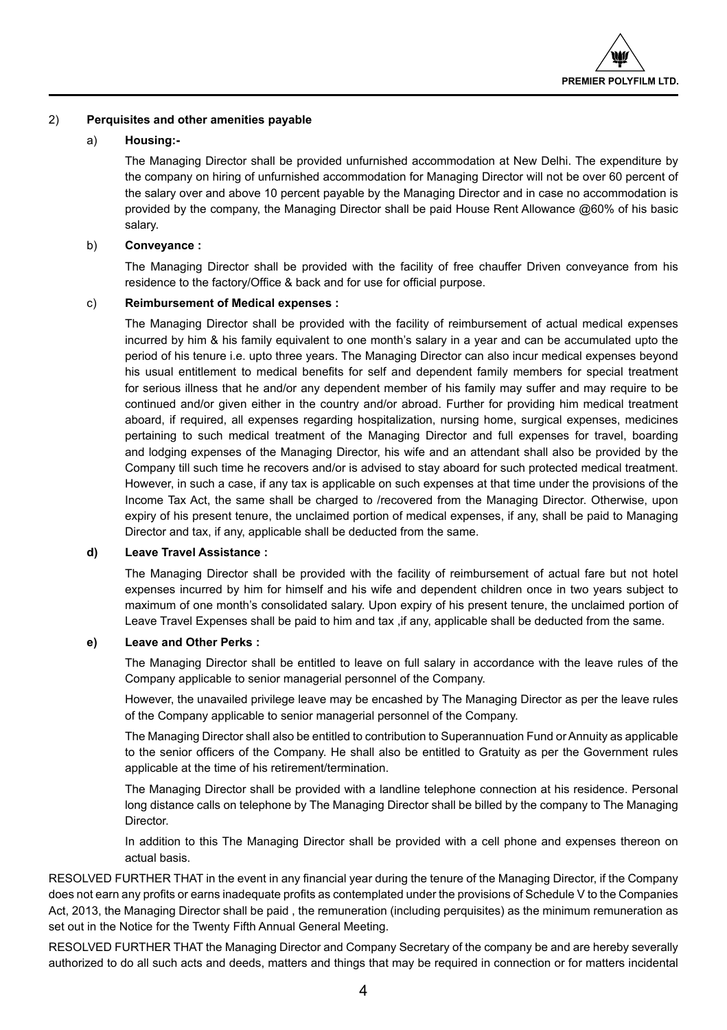

## 2) **Perquisites and other amenities payable**

## a) **Housing:-**

 The Managing Director shall be provided unfurnished accommodation at New Delhi. The expenditure by the company on hiring of unfurnished accommodation for Managing Director will not be over 60 percent of the salary over and above 10 percent payable by the Managing Director and in case no accommodation is provided by the company, the Managing Director shall be paid House Rent Allowance @60% of his basic salary.

## b) **Conveyance :**

 The Managing Director shall be provided with the facility of free chauffer Driven conveyance from his residence to the factory/Office & back and for use for official purpose.

## c) **Reimbursement of Medical expenses :**

 The Managing Director shall be provided with the facility of reimbursement of actual medical expenses incurred by him & his family equivalent to one month's salary in a year and can be accumulated upto the period of his tenure i.e. upto three years. The Managing Director can also incur medical expenses beyond his usual entitlement to medical benefits for self and dependent family members for special treatment for serious illness that he and/or any dependent member of his family may suffer and may require to be continued and/or given either in the country and/or abroad. Further for providing him medical treatment aboard, if required, all expenses regarding hospitalization, nursing home, surgical expenses, medicines pertaining to such medical treatment of the Managing Director and full expenses for travel, boarding and lodging expenses of the Managing Director, his wife and an attendant shall also be provided by the Company till such time he recovers and/or is advised to stay aboard for such protected medical treatment. However, in such a case, if any tax is applicable on such expenses at that time under the provisions of the Income Tax Act, the same shall be charged to /recovered from the Managing Director. Otherwise, upon expiry of his present tenure, the unclaimed portion of medical expenses, if any, shall be paid to Managing Director and tax, if any, applicable shall be deducted from the same.

## **d) Leave Travel Assistance :**

 The Managing Director shall be provided with the facility of reimbursement of actual fare but not hotel expenses incurred by him for himself and his wife and dependent children once in two years subject to maximum of one month's consolidated salary. Upon expiry of his present tenure, the unclaimed portion of Leave Travel Expenses shall be paid to him and tax , if any, applicable shall be deducted from the same.

## **e) Leave and Other Perks :**

 The Managing Director shall be entitled to leave on full salary in accordance with the leave rules of the Company applicable to senior managerial personnel of the Company.

 However, the unavailed privilege leave may be encashed by The Managing Director as per the leave rules of the Company applicable to senior managerial personnel of the Company.

 The Managing Director shall also be entitled to contribution to Superannuation Fund or Annuity as applicable to the senior officers of the Company. He shall also be entitled to Gratuity as per the Government rules applicable at the time of his retirement/termination.

 The Managing Director shall be provided with a landline telephone connection at his residence. Personal long distance calls on telephone by The Managing Director shall be billed by the company to The Managing Director.

 In addition to this The Managing Director shall be provided with a cell phone and expenses thereon on actual basis.

RESOLVED FURTHER THAT in the event in any financial year during the tenure of the Managing Director, if the Company does not earn any profits or earns inadequate profits as contemplated under the provisions of Schedule V to the Companies Act, 2013, the Managing Director shall be paid , the remuneration (including perquisites) as the minimum remuneration as set out in the Notice for the Twenty Fifth Annual General Meeting.

RESOLVED FURTHER THAT the Managing Director and Company Secretary of the company be and are hereby severally authorized to do all such acts and deeds, matters and things that may be required in connection or for matters incidental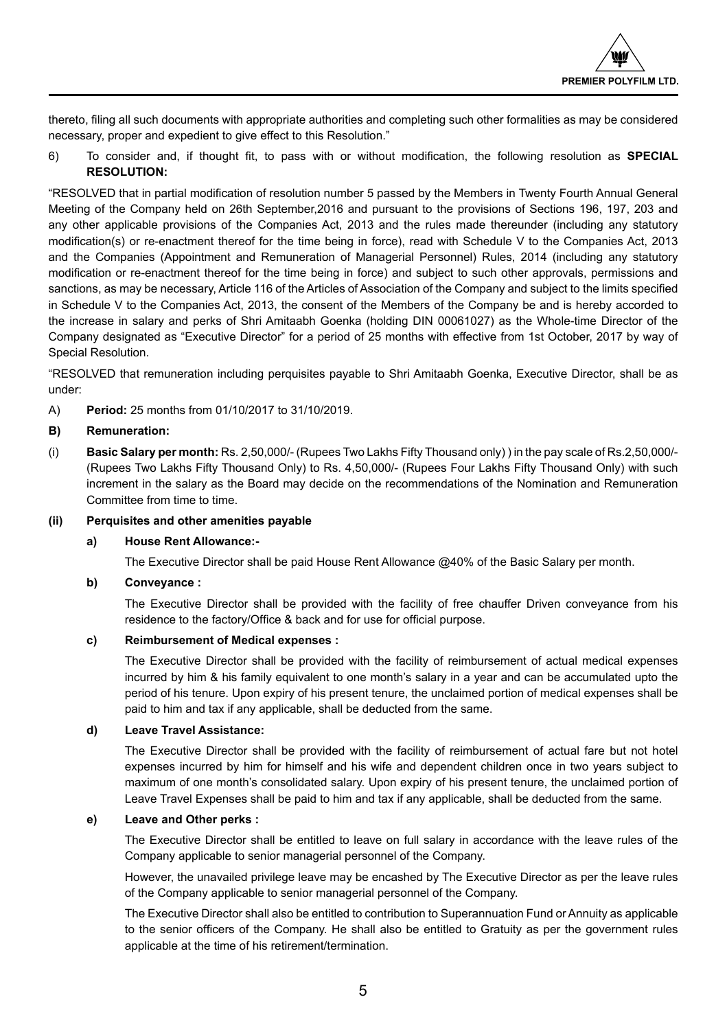thereto, filing all such documents with appropriate authorities and completing such other formalities as may be considered necessary, proper and expedient to give effect to this Resolution."

6) To consider and, if thought fit, to pass with or without modification, the following resolution as **SPECIAL RESOLUTION:**

"RESOLVED that in partial modification of resolution number 5 passed by the Members in Twenty Fourth Annual General Meeting of the Company held on 26th September,2016 and pursuant to the provisions of Sections 196, 197, 203 and any other applicable provisions of the Companies Act, 2013 and the rules made thereunder (including any statutory modification(s) or re-enactment thereof for the time being in force), read with Schedule V to the Companies Act, 2013 and the Companies (Appointment and Remuneration of Managerial Personnel) Rules, 2014 (including any statutory modification or re-enactment thereof for the time being in force) and subject to such other approvals, permissions and sanctions, as may be necessary, Article 116 of the Articles of Association of the Company and subject to the limits specified in Schedule V to the Companies Act, 2013, the consent of the Members of the Company be and is hereby accorded to the increase in salary and perks of Shri Amitaabh Goenka (holding DIN 00061027) as the Whole-time Director of the Company designated as "Executive Director" for a period of 25 months with effective from 1st October, 2017 by way of Special Resolution.

"RESOLVED that remuneration including perquisites payable to Shri Amitaabh Goenka, Executive Director, shall be as under:

A) **Period:** 25 months from 01/10/2017 to 31/10/2019.

## **B) Remuneration:**

(i) **Basic Salary per month:** Rs. 2,50,000/- (Rupees Two Lakhs Fifty Thousand only) ) in the pay scale of Rs.2,50,000/- (Rupees Two Lakhs Fifty Thousand Only) to Rs. 4,50,000/- (Rupees Four Lakhs Fifty Thousand Only) with such increment in the salary as the Board may decide on the recommendations of the Nomination and Remuneration Committee from time to time.

## **(ii) Perquisites and other amenities payable**

## **a) House Rent Allowance:-**

The Executive Director shall be paid House Rent Allowance @40% of the Basic Salary per month.

## **b) Conveyance :**

The Executive Director shall be provided with the facility of free chauffer Driven conveyance from his residence to the factory/Office & back and for use for official purpose.

## **c) Reimbursement of Medical expenses :**

 The Executive Director shall be provided with the facility of reimbursement of actual medical expenses incurred by him & his family equivalent to one month's salary in a year and can be accumulated upto the period of his tenure. Upon expiry of his present tenure, the unclaimed portion of medical expenses shall be paid to him and tax if any applicable, shall be deducted from the same.

## **d) Leave Travel Assistance:**

 The Executive Director shall be provided with the facility of reimbursement of actual fare but not hotel expenses incurred by him for himself and his wife and dependent children once in two years subject to maximum of one month's consolidated salary. Upon expiry of his present tenure, the unclaimed portion of Leave Travel Expenses shall be paid to him and tax if any applicable, shall be deducted from the same.

## **e) Leave and Other perks :**

 The Executive Director shall be entitled to leave on full salary in accordance with the leave rules of the Company applicable to senior managerial personnel of the Company.

 However, the unavailed privilege leave may be encashed by The Executive Director as per the leave rules of the Company applicable to senior managerial personnel of the Company.

 The Executive Director shall also be entitled to contribution to Superannuation Fund or Annuity as applicable to the senior officers of the Company. He shall also be entitled to Gratuity as per the government rules applicable at the time of his retirement/termination.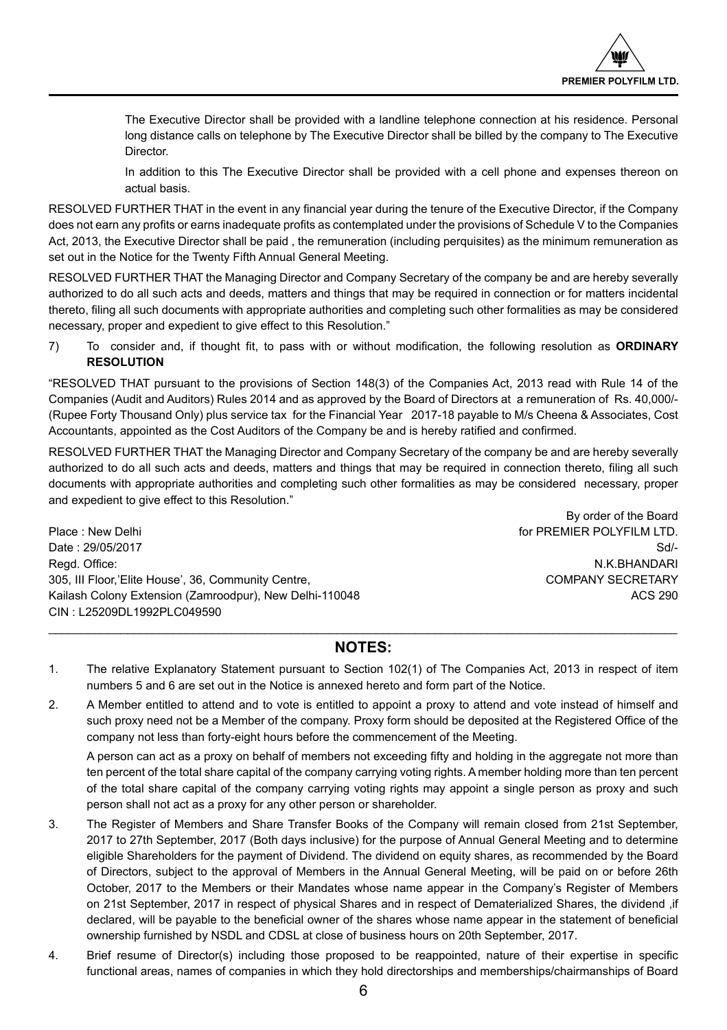The Executive Director shall be provided with a landline telephone connection at his residence. Personal long distance calls on telephone by The Executive Director shall be billed by the company to The Executive Director.

 In addition to this The Executive Director shall be provided with a cell phone and expenses thereon on actual basis.

RESOLVED FURTHER THAT in the event in any financial year during the tenure of the Executive Director, if the Company does not earn any profits or earns inadequate profits as contemplated under the provisions of Schedule V to the Companies Act, 2013, the Executive Director shall be paid , the remuneration (including perquisites) as the minimum remuneration as set out in the Notice for the Twenty Fifth Annual General Meeting.

RESOLVED FURTHER THAT the Managing Director and Company Secretary of the company be and are hereby severally authorized to do all such acts and deeds, matters and things that may be required in connection or for matters incidental thereto, filing all such documents with appropriate authorities and completing such other formalities as may be considered necessary, proper and expedient to give effect to this Resolution."

7) To consider and, if thought fit, to pass with or without modification, the following resolution as **ORDINARY RESOLUTION**

"RESOLVED THAT pursuant to the provisions of Section 148(3) of the Companies Act, 2013 read with Rule 14 of the Companies (Audit and Auditors) Rules 2014 and as approved by the Board of Directors at a remuneration of Rs. 40,000/- (Rupee Forty Thousand Only) plus service tax for the Financial Year 2017-18 payable to M/s Cheena & Associates, Cost Accountants, appointed as the Cost Auditors of the Company be and is hereby ratified and confirmed.

RESOLVED FURTHER THAT the Managing Director and Company Secretary of the company be and are hereby severally authorized to do all such acts and deeds, matters and things that may be required in connection thereto, filing all such documents with appropriate authorities and completing such other formalities as may be considered necessary, proper and expedient to give effect to this Resolution."

Place : New Delhi **For PREMIER POLYFILM LTD.** The end of PREMIER POLYFILM LTD. Date : 29/05/2017 Sd/-Read. Office: National According to the Contract of the Contract of the Contract of the N.K.BHANDARI 305, III Floor,'Elite House', 36, Community Centre, COMPANY SECRETARY Kailash Colony Extension (Zamroodpur), New Delhi-110048 ACS 290 CIN : L25209DL1992PLC049590

By order of the Board

## $\ldots \ldots \ldots \ldots \ldots$ **NOTES:**

- 1. The relative Explanatory Statement pursuant to Section 102(1) of The Companies Act, 2013 in respect of item numbers 5 and 6 are set out in the Notice is annexed hereto and form part of the Notice.
- 2. A Member entitled to attend and to vote is entitled to appoint a proxy to attend and vote instead of himself and such proxy need not be a Member of the company. Proxy form should be deposited at the Registered Office of the company not less than forty-eight hours before the commencement of the Meeting.

A person can act as a proxy on behalf of members not exceeding fifty and holding in the aggregate not more than ten percent of the total share capital of the company carrying voting rights. A member holding more than ten percent of the total share capital of the company carrying voting rights may appoint a single person as proxy and such person shall not act as a proxy for any other person or shareholder.

- 3. The Register of Members and Share Transfer Books of the Company will remain closed from 21st September, 2017 to 27th September, 2017 (Both days inclusive) for the purpose of Annual General Meeting and to determine eligible Shareholders for the payment of Dividend. The dividend on equity shares, as recommended by the Board of Directors, subject to the approval of Members in the Annual General Meeting, will be paid on or before 26th October, 2017 to the Members or their Mandates whose name appear in the Company's Register of Members on 21st September, 2017 in respect of physical Shares and in respect of Dematerialized Shares, the dividend ,if declared, will be payable to the beneficial owner of the shares whose name appear in the statement of beneficial ownership furnished by NSDL and CDSL at close of business hours on 20th September, 2017.
- 4. Brief resume of Director(s) including those proposed to be reappointed, nature of their expertise in specific functional areas, names of companies in which they hold directorships and memberships/chairmanships of Board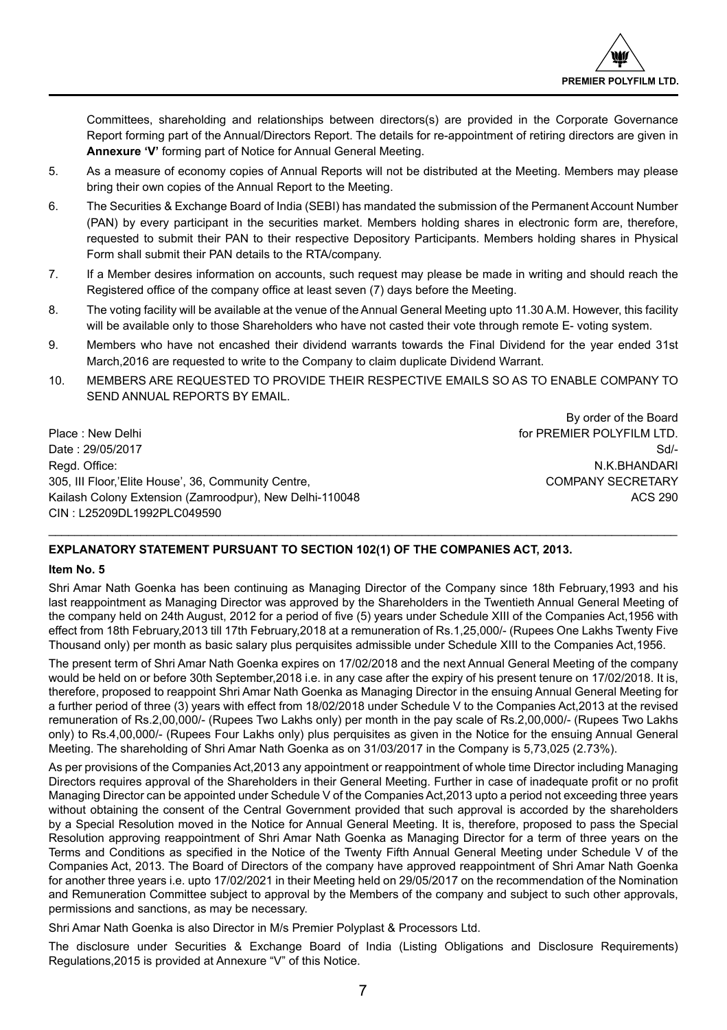

Committees, shareholding and relationships between directors(s) are provided in the Corporate Governance Report forming part of the Annual/Directors Report. The details for re-appointment of retiring directors are given in **Annexure 'V'** forming part of Notice for Annual General Meeting.

- 5. As a measure of economy copies of Annual Reports will not be distributed at the Meeting. Members may please bring their own copies of the Annual Report to the Meeting.
- 6. The Securities & Exchange Board of India (SEBI) has mandated the submission of the Permanent Account Number (PAN) by every participant in the securities market. Members holding shares in electronic form are, therefore, requested to submit their PAN to their respective Depository Participants. Members holding shares in Physical Form shall submit their PAN details to the RTA/company.
- 7. If a Member desires information on accounts, such request may please be made in writing and should reach the Registered office of the company office at least seven (7) days before the Meeting.
- 8. The voting facility will be available at the venue of the Annual General Meeting upto 11.30 A.M. However, this facility will be available only to those Shareholders who have not casted their vote through remote E- voting system.
- 9. Members who have not encashed their dividend warrants towards the Final Dividend for the year ended 31st March,2016 are requested to write to the Company to claim duplicate Dividend Warrant.
- 10. MEMBERS ARE REQUESTED TO PROVIDE THEIR RESPECTIVE EMAILS SO AS TO ENABLE COMPANY TO SEND ANNUAL REPORTS BY EMAIL.

Place : New Delhi **For PREMIER POLYFILM LTD.** For PREMIER POLYFILM LTD. Date : 29/05/2017 Sd/-Regd. Office: N.K.BHANDARI 305, III Floor,'Elite House', 36, Community Centre, COMPANY SECRETARY COMPANY SECRETARY Kailash Colony Extension (Zamroodpur), New Delhi-110048 ACS 290 CIN : L25209DL1992PLC049590

By order of the Board

## **EXPLANATORY STATEMENT PURSUANT TO SECTION 102(1) OF THE COMPANIES ACT, 2013.**

## **Item No. 5**

Shri Amar Nath Goenka has been continuing as Managing Director of the Company since 18th February,1993 and his last reappointment as Managing Director was approved by the Shareholders in the Twentieth Annual General Meeting of the company held on 24th August, 2012 for a period of five (5) years under Schedule XIII of the Companies Act,1956 with effect from 18th February,2013 till 17th February,2018 at a remuneration of Rs.1,25,000/- (Rupees One Lakhs Twenty Five Thousand only) per month as basic salary plus perquisites admissible under Schedule XIII to the Companies Act,1956.

 $\ldots \ldots \ldots \ldots \ldots$ 

The present term of Shri Amar Nath Goenka expires on 17/02/2018 and the next Annual General Meeting of the company would be held on or before 30th September, 2018 i.e. in any case after the expiry of his present tenure on 17/02/2018. It is, therefore, proposed to reappoint Shri Amar Nath Goenka as Managing Director in the ensuing Annual General Meeting for a further period of three (3) years with effect from 18/02/2018 under Schedule V to the Companies Act,2013 at the revised remuneration of Rs.2,00,000/- (Rupees Two Lakhs only) per month in the pay scale of Rs.2,00,000/- (Rupees Two Lakhs only) to Rs.4,00,000/- (Rupees Four Lakhs only) plus perquisites as given in the Notice for the ensuing Annual General Meeting. The shareholding of Shri Amar Nath Goenka as on 31/03/2017 in the Company is 5,73,025 (2.73%).

As per provisions of the Companies Act,2013 any appointment or reappointment of whole time Director including Managing Directors requires approval of the Shareholders in their General Meeting. Further in case of inadequate profit or no profit Managing Director can be appointed under Schedule V of the Companies Act,2013 upto a period not exceeding three years without obtaining the consent of the Central Government provided that such approval is accorded by the shareholders by a Special Resolution moved in the Notice for Annual General Meeting. It is, therefore, proposed to pass the Special Resolution approving reappointment of Shri Amar Nath Goenka as Managing Director for a term of three years on the Terms and Conditions as specified in the Notice of the Twenty Fifth Annual General Meeting under Schedule V of the Companies Act, 2013. The Board of Directors of the company have approved reappointment of Shri Amar Nath Goenka for another three years i.e. upto 17/02/2021 in their Meeting held on 29/05/2017 on the recommendation of the Nomination and Remuneration Committee subject to approval by the Members of the company and subject to such other approvals, permissions and sanctions, as may be necessary.

Shri Amar Nath Goenka is also Director in M/s Premier Polyplast & Processors Ltd.

The disclosure under Securities & Exchange Board of India (Listing Obligations and Disclosure Requirements) Regulations,2015 is provided at Annexure "V" of this Notice.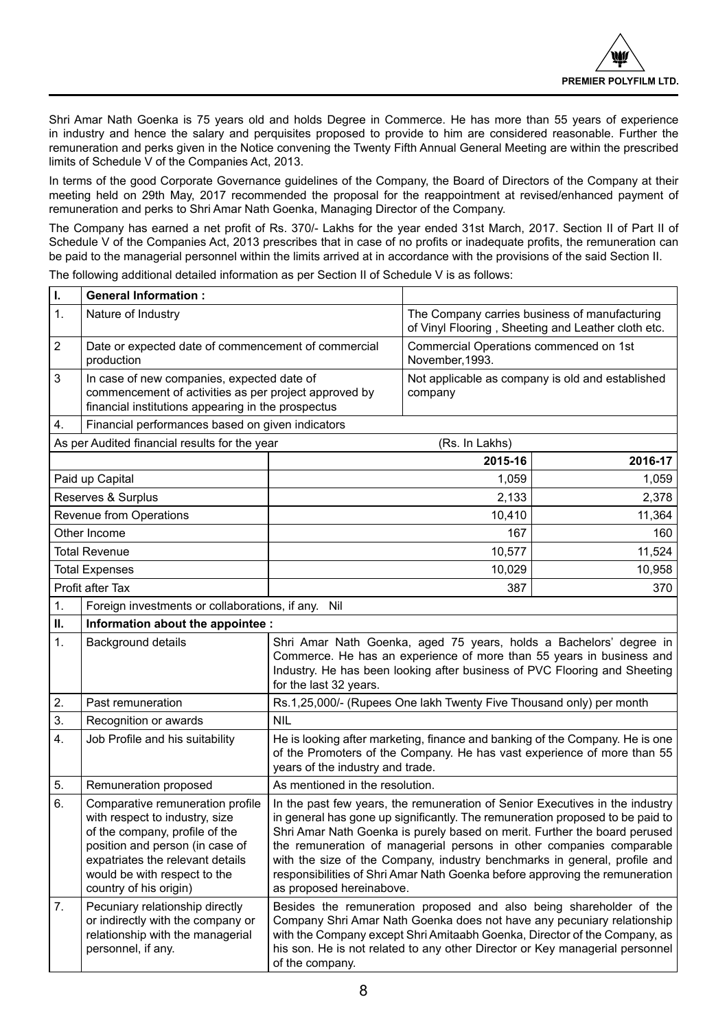Shri Amar Nath Goenka is 75 years old and holds Degree in Commerce. He has more than 55 years of experience in industry and hence the salary and perquisites proposed to provide to him are considered reasonable. Further the remuneration and perks given in the Notice convening the Twenty Fifth Annual General Meeting are within the prescribed limits of Schedule V of the Companies Act, 2013.

In terms of the good Corporate Governance guidelines of the Company, the Board of Directors of the Company at their meeting held on 29th May, 2017 recommended the proposal for the reappointment at revised/enhanced payment of remuneration and perks to Shri Amar Nath Goenka, Managing Director of the Company.

The Company has earned a net profit of Rs. 370/- Lakhs for the year ended 31st March, 2017. Section II of Part II of Schedule V of the Companies Act, 2013 prescribes that in case of no profits or inadequate profits, the remuneration can be paid to the managerial personnel within the limits arrived at in accordance with the provisions of the said Section II.

The following additional detailed information as per Section II of Schedule V is as follows:

| ı.               | <b>General Information:</b>                                                                                                                                                                                                           |                                                                                                                                                                                                                                                                                                                                                                                                                                                                                                            |                                                                     |                                                                                                     |
|------------------|---------------------------------------------------------------------------------------------------------------------------------------------------------------------------------------------------------------------------------------|------------------------------------------------------------------------------------------------------------------------------------------------------------------------------------------------------------------------------------------------------------------------------------------------------------------------------------------------------------------------------------------------------------------------------------------------------------------------------------------------------------|---------------------------------------------------------------------|-----------------------------------------------------------------------------------------------------|
| 1.               | Nature of Industry                                                                                                                                                                                                                    |                                                                                                                                                                                                                                                                                                                                                                                                                                                                                                            |                                                                     | The Company carries business of manufacturing<br>of Vinyl Flooring, Sheeting and Leather cloth etc. |
| $\overline{2}$   | Date or expected date of commencement of commercial<br>production                                                                                                                                                                     |                                                                                                                                                                                                                                                                                                                                                                                                                                                                                                            | Commercial Operations commenced on 1st<br>November, 1993.           |                                                                                                     |
| 3                | In case of new companies, expected date of<br>commencement of activities as per project approved by<br>financial institutions appearing in the prospectus                                                                             |                                                                                                                                                                                                                                                                                                                                                                                                                                                                                                            | company                                                             | Not applicable as company is old and established                                                    |
| 4.               | Financial performances based on given indicators                                                                                                                                                                                      |                                                                                                                                                                                                                                                                                                                                                                                                                                                                                                            |                                                                     |                                                                                                     |
|                  | As per Audited financial results for the year                                                                                                                                                                                         |                                                                                                                                                                                                                                                                                                                                                                                                                                                                                                            | (Rs. In Lakhs)                                                      |                                                                                                     |
|                  |                                                                                                                                                                                                                                       |                                                                                                                                                                                                                                                                                                                                                                                                                                                                                                            | 2015-16                                                             | 2016-17                                                                                             |
|                  | Paid up Capital                                                                                                                                                                                                                       |                                                                                                                                                                                                                                                                                                                                                                                                                                                                                                            | 1,059                                                               | 1,059                                                                                               |
|                  | Reserves & Surplus                                                                                                                                                                                                                    |                                                                                                                                                                                                                                                                                                                                                                                                                                                                                                            | 2,133                                                               | 2,378                                                                                               |
|                  | Revenue from Operations                                                                                                                                                                                                               |                                                                                                                                                                                                                                                                                                                                                                                                                                                                                                            | 10,410                                                              | 11,364                                                                                              |
|                  | Other Income                                                                                                                                                                                                                          |                                                                                                                                                                                                                                                                                                                                                                                                                                                                                                            | 167                                                                 | 160                                                                                                 |
|                  | <b>Total Revenue</b>                                                                                                                                                                                                                  |                                                                                                                                                                                                                                                                                                                                                                                                                                                                                                            | 10,577                                                              | 11,524                                                                                              |
|                  | <b>Total Expenses</b>                                                                                                                                                                                                                 |                                                                                                                                                                                                                                                                                                                                                                                                                                                                                                            | 10,029                                                              | 10,958                                                                                              |
|                  | Profit after Tax                                                                                                                                                                                                                      |                                                                                                                                                                                                                                                                                                                                                                                                                                                                                                            | 387                                                                 | 370                                                                                                 |
| 1.               | Foreign investments or collaborations, if any.                                                                                                                                                                                        | Nil                                                                                                                                                                                                                                                                                                                                                                                                                                                                                                        |                                                                     |                                                                                                     |
| н.               | Information about the appointee :                                                                                                                                                                                                     |                                                                                                                                                                                                                                                                                                                                                                                                                                                                                                            |                                                                     |                                                                                                     |
| 1.               | <b>Background details</b>                                                                                                                                                                                                             | Shri Amar Nath Goenka, aged 75 years, holds a Bachelors' degree in<br>Commerce. He has an experience of more than 55 years in business and<br>Industry. He has been looking after business of PVC Flooring and Sheeting<br>for the last 32 years.                                                                                                                                                                                                                                                          |                                                                     |                                                                                                     |
| 2.               | Past remuneration                                                                                                                                                                                                                     |                                                                                                                                                                                                                                                                                                                                                                                                                                                                                                            | Rs.1,25,000/- (Rupees One lakh Twenty Five Thousand only) per month |                                                                                                     |
| 3.               | Recognition or awards                                                                                                                                                                                                                 | <b>NIL</b>                                                                                                                                                                                                                                                                                                                                                                                                                                                                                                 |                                                                     |                                                                                                     |
| $\overline{4}$ . | Job Profile and his suitability                                                                                                                                                                                                       | He is looking after marketing, finance and banking of the Company. He is one<br>of the Promoters of the Company. He has vast experience of more than 55<br>years of the industry and trade.                                                                                                                                                                                                                                                                                                                |                                                                     |                                                                                                     |
| 5.               | Remuneration proposed                                                                                                                                                                                                                 | As mentioned in the resolution.                                                                                                                                                                                                                                                                                                                                                                                                                                                                            |                                                                     |                                                                                                     |
| 6.               | Comparative remuneration profile<br>with respect to industry, size<br>of the company, profile of the<br>position and person (in case of<br>expatriates the relevant details<br>would be with respect to the<br>country of his origin) | In the past few years, the remuneration of Senior Executives in the industry<br>in general has gone up significantly. The remuneration proposed to be paid to<br>Shri Amar Nath Goenka is purely based on merit. Further the board perused<br>the remuneration of managerial persons in other companies comparable<br>with the size of the Company, industry benchmarks in general, profile and<br>responsibilities of Shri Amar Nath Goenka before approving the remuneration<br>as proposed hereinabove. |                                                                     |                                                                                                     |
| 7 <sub>1</sub>   | Pecuniary relationship directly<br>or indirectly with the company or<br>relationship with the managerial<br>personnel, if any.                                                                                                        | Besides the remuneration proposed and also being shareholder of the<br>Company Shri Amar Nath Goenka does not have any pecuniary relationship<br>with the Company except Shri Amitaabh Goenka, Director of the Company, as<br>his son. He is not related to any other Director or Key managerial personnel<br>of the company.                                                                                                                                                                              |                                                                     |                                                                                                     |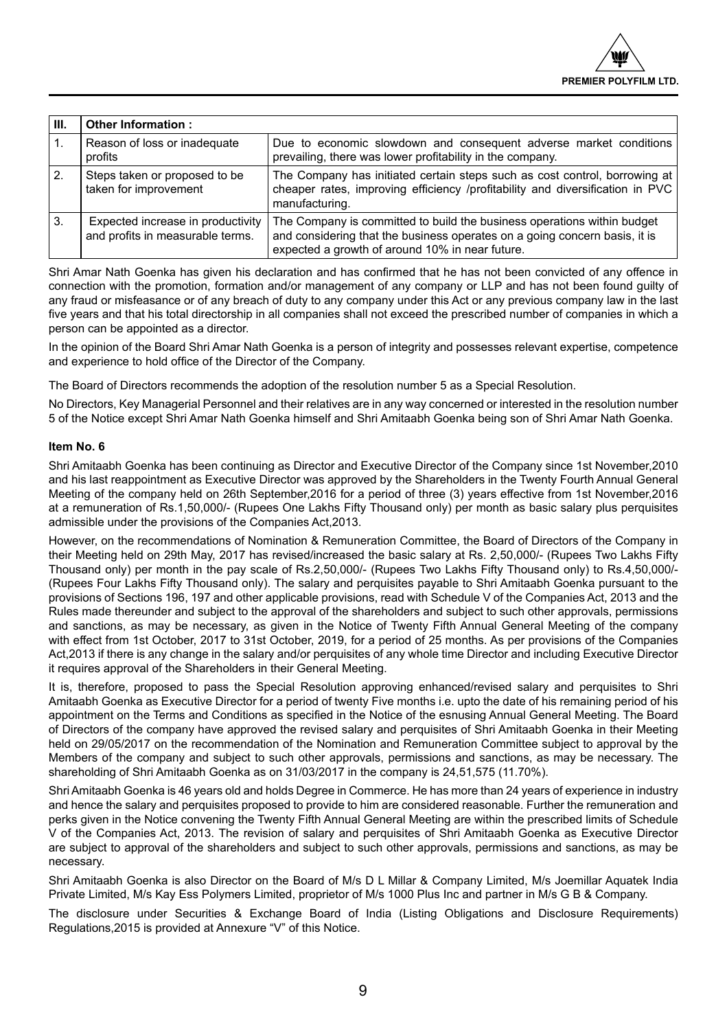| III.           | Other Information:                                                    |                                                                                                                                                                                                          |
|----------------|-----------------------------------------------------------------------|----------------------------------------------------------------------------------------------------------------------------------------------------------------------------------------------------------|
| $\mathbf{1}$ . | Reason of loss or inadequate<br>profits                               | Due to economic slowdown and consequent adverse market conditions<br>prevailing, there was lower profitability in the company.                                                                           |
| 2.             | Steps taken or proposed to be<br>taken for improvement                | The Company has initiated certain steps such as cost control, borrowing at<br>cheaper rates, improving efficiency /profitability and diversification in PVC<br>manufacturing.                            |
| l 3.           | Expected increase in productivity<br>and profits in measurable terms. | The Company is committed to build the business operations within budget<br>and considering that the business operates on a going concern basis, it is<br>expected a growth of around 10% in near future. |

Shri Amar Nath Goenka has given his declaration and has confirmed that he has not been convicted of any offence in connection with the promotion, formation and/or management of any company or LLP and has not been found guilty of any fraud or misfeasance or of any breach of duty to any company under this Act or any previous company law in the last five years and that his total directorship in all companies shall not exceed the prescribed number of companies in which a person can be appointed as a director.

In the opinion of the Board Shri Amar Nath Goenka is a person of integrity and possesses relevant expertise, competence and experience to hold office of the Director of the Company.

The Board of Directors recommends the adoption of the resolution number 5 as a Special Resolution.

No Directors, Key Managerial Personnel and their relatives are in any way concerned or interested in the resolution number 5 of the Notice except Shri Amar Nath Goenka himself and Shri Amitaabh Goenka being son of Shri Amar Nath Goenka.

## **Item No. 6**

Shri Amitaabh Goenka has been continuing as Director and Executive Director of the Company since 1st November,2010 and his last reappointment as Executive Director was approved by the Shareholders in the Twenty Fourth Annual General Meeting of the company held on 26th September,2016 for a period of three (3) years effective from 1st November,2016 at a remuneration of Rs.1,50,000/- (Rupees One Lakhs Fifty Thousand only) per month as basic salary plus perquisites admissible under the provisions of the Companies Act,2013.

However, on the recommendations of Nomination & Remuneration Committee, the Board of Directors of the Company in their Meeting held on 29th May, 2017 has revised/increased the basic salary at Rs. 2,50,000/- (Rupees Two Lakhs Fifty Thousand only) per month in the pay scale of Rs.2,50,000/- (Rupees Two Lakhs Fifty Thousand only) to Rs.4,50,000/- (Rupees Four Lakhs Fifty Thousand only). The salary and perquisites payable to Shri Amitaabh Goenka pursuant to the provisions of Sections 196, 197 and other applicable provisions, read with Schedule V of the Companies Act, 2013 and the Rules made thereunder and subject to the approval of the shareholders and subject to such other approvals, permissions and sanctions, as may be necessary, as given in the Notice of Twenty Fifth Annual General Meeting of the company with effect from 1st October, 2017 to 31st October, 2019, for a period of 25 months. As per provisions of the Companies Act,2013 if there is any change in the salary and/or perquisites of any whole time Director and including Executive Director it requires approval of the Shareholders in their General Meeting.

It is, therefore, proposed to pass the Special Resolution approving enhanced/revised salary and perquisites to Shri Amitaabh Goenka as Executive Director for a period of twenty Five months i.e. upto the date of his remaining period of his appointment on the Terms and Conditions as specified in the Notice of the esnusing Annual General Meeting. The Board of Directors of the company have approved the revised salary and perquisites of Shri Amitaabh Goenka in their Meeting held on 29/05/2017 on the recommendation of the Nomination and Remuneration Committee subject to approval by the Members of the company and subject to such other approvals, permissions and sanctions, as may be necessary. The shareholding of Shri Amitaabh Goenka as on 31/03/2017 in the company is 24,51,575 (11.70%).

Shri Amitaabh Goenka is 46 years old and holds Degree in Commerce. He has more than 24 years of experience in industry and hence the salary and perquisites proposed to provide to him are considered reasonable. Further the remuneration and perks given in the Notice convening the Twenty Fifth Annual General Meeting are within the prescribed limits of Schedule V of the Companies Act, 2013. The revision of salary and perquisites of Shri Amitaabh Goenka as Executive Director are subject to approval of the shareholders and subject to such other approvals, permissions and sanctions, as may be necessary.

Shri Amitaabh Goenka is also Director on the Board of M/s D L Millar & Company Limited, M/s Joemillar Aquatek India Private Limited, M/s Kay Ess Polymers Limited, proprietor of M/s 1000 Plus Inc and partner in M/s G B & Company.

The disclosure under Securities & Exchange Board of India (Listing Obligations and Disclosure Requirements) Regulations,2015 is provided at Annexure "V" of this Notice.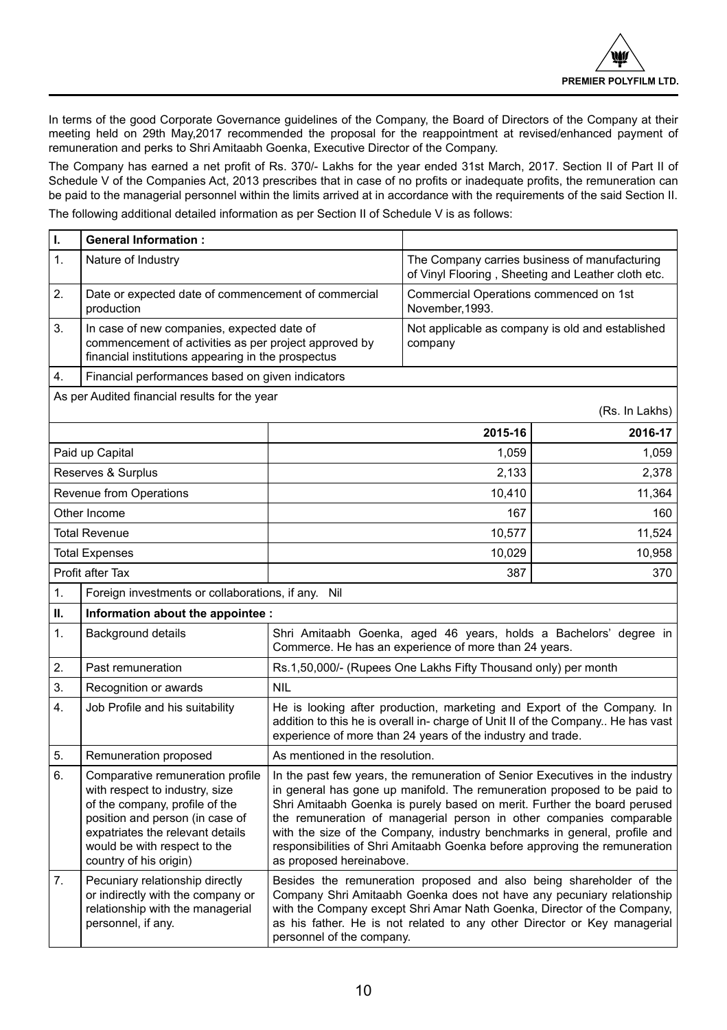In terms of the good Corporate Governance guidelines of the Company, the Board of Directors of the Company at their meeting held on 29th May,2017 recommended the proposal for the reappointment at revised/enhanced payment of remuneration and perks to Shri Amitaabh Goenka, Executive Director of the Company.

The Company has earned a net profit of Rs. 370/- Lakhs for the year ended 31st March, 2017. Section II of Part II of Schedule V of the Companies Act, 2013 prescribes that in case of no profits or inadequate profits, the remuneration can be paid to the managerial personnel within the limits arrived at in accordance with the requirements of the said Section II.

The following additional detailed information as per Section II of Schedule V is as follows:

| ı. | <b>General Information:</b>                                                                                                                                                                                                           |                                                                                                                                                                                                                                                                                                                                                                                                                                                                                                    |                                                                                                     |                                                  |
|----|---------------------------------------------------------------------------------------------------------------------------------------------------------------------------------------------------------------------------------------|----------------------------------------------------------------------------------------------------------------------------------------------------------------------------------------------------------------------------------------------------------------------------------------------------------------------------------------------------------------------------------------------------------------------------------------------------------------------------------------------------|-----------------------------------------------------------------------------------------------------|--------------------------------------------------|
| 1. | Nature of Industry                                                                                                                                                                                                                    |                                                                                                                                                                                                                                                                                                                                                                                                                                                                                                    | The Company carries business of manufacturing<br>of Vinyl Flooring, Sheeting and Leather cloth etc. |                                                  |
| 2. | Date or expected date of commencement of commercial<br>production                                                                                                                                                                     |                                                                                                                                                                                                                                                                                                                                                                                                                                                                                                    | Commercial Operations commenced on 1st<br>November, 1993.                                           |                                                  |
| 3. | In case of new companies, expected date of<br>commencement of activities as per project approved by<br>financial institutions appearing in the prospectus                                                                             |                                                                                                                                                                                                                                                                                                                                                                                                                                                                                                    | company                                                                                             | Not applicable as company is old and established |
| 4. | Financial performances based on given indicators                                                                                                                                                                                      |                                                                                                                                                                                                                                                                                                                                                                                                                                                                                                    |                                                                                                     |                                                  |
|    | As per Audited financial results for the year                                                                                                                                                                                         |                                                                                                                                                                                                                                                                                                                                                                                                                                                                                                    |                                                                                                     | (Rs. In Lakhs)                                   |
|    |                                                                                                                                                                                                                                       |                                                                                                                                                                                                                                                                                                                                                                                                                                                                                                    | 2015-16                                                                                             | 2016-17                                          |
|    | Paid up Capital                                                                                                                                                                                                                       |                                                                                                                                                                                                                                                                                                                                                                                                                                                                                                    | 1,059                                                                                               | 1,059                                            |
|    | Reserves & Surplus                                                                                                                                                                                                                    |                                                                                                                                                                                                                                                                                                                                                                                                                                                                                                    | 2,133                                                                                               | 2,378                                            |
|    | Revenue from Operations                                                                                                                                                                                                               |                                                                                                                                                                                                                                                                                                                                                                                                                                                                                                    | 10,410                                                                                              | 11,364                                           |
|    | Other Income                                                                                                                                                                                                                          |                                                                                                                                                                                                                                                                                                                                                                                                                                                                                                    | 167                                                                                                 | 160                                              |
|    | <b>Total Revenue</b>                                                                                                                                                                                                                  |                                                                                                                                                                                                                                                                                                                                                                                                                                                                                                    | 10,577                                                                                              | 11,524                                           |
|    | <b>Total Expenses</b>                                                                                                                                                                                                                 |                                                                                                                                                                                                                                                                                                                                                                                                                                                                                                    | 10,029                                                                                              | 10,958                                           |
|    | Profit after Tax                                                                                                                                                                                                                      | 387<br>370                                                                                                                                                                                                                                                                                                                                                                                                                                                                                         |                                                                                                     |                                                  |
| 1. | Foreign investments or collaborations, if any. Nil                                                                                                                                                                                    |                                                                                                                                                                                                                                                                                                                                                                                                                                                                                                    |                                                                                                     |                                                  |
| П. | Information about the appointee :                                                                                                                                                                                                     |                                                                                                                                                                                                                                                                                                                                                                                                                                                                                                    |                                                                                                     |                                                  |
| 1. | Background details                                                                                                                                                                                                                    | Shri Amitaabh Goenka, aged 46 years, holds a Bachelors' degree in<br>Commerce. He has an experience of more than 24 years.                                                                                                                                                                                                                                                                                                                                                                         |                                                                                                     |                                                  |
| 2. | Past remuneration                                                                                                                                                                                                                     |                                                                                                                                                                                                                                                                                                                                                                                                                                                                                                    | Rs.1,50,000/- (Rupees One Lakhs Fifty Thousand only) per month                                      |                                                  |
| 3. | Recognition or awards                                                                                                                                                                                                                 | <b>NIL</b>                                                                                                                                                                                                                                                                                                                                                                                                                                                                                         |                                                                                                     |                                                  |
| 4. | Job Profile and his suitability                                                                                                                                                                                                       | He is looking after production, marketing and Export of the Company. In<br>addition to this he is overall in-charge of Unit II of the Company He has vast<br>experience of more than 24 years of the industry and trade.                                                                                                                                                                                                                                                                           |                                                                                                     |                                                  |
| 5. | Remuneration proposed                                                                                                                                                                                                                 | As mentioned in the resolution.                                                                                                                                                                                                                                                                                                                                                                                                                                                                    |                                                                                                     |                                                  |
| 6. | Comparative remuneration profile<br>with respect to industry, size<br>of the company, profile of the<br>position and person (in case of<br>expatriates the relevant details<br>would be with respect to the<br>country of his origin) | In the past few years, the remuneration of Senior Executives in the industry<br>in general has gone up manifold. The remuneration proposed to be paid to<br>Shri Amitaabh Goenka is purely based on merit. Further the board perused<br>the remuneration of managerial person in other companies comparable<br>with the size of the Company, industry benchmarks in general, profile and<br>responsibilities of Shri Amitaabh Goenka before approving the remuneration<br>as proposed hereinabove. |                                                                                                     |                                                  |
| 7. | Pecuniary relationship directly<br>or indirectly with the company or<br>relationship with the managerial<br>personnel, if any.                                                                                                        | Besides the remuneration proposed and also being shareholder of the<br>Company Shri Amitaabh Goenka does not have any pecuniary relationship<br>with the Company except Shri Amar Nath Goenka, Director of the Company,<br>as his father. He is not related to any other Director or Key managerial<br>personnel of the company.                                                                                                                                                                   |                                                                                                     |                                                  |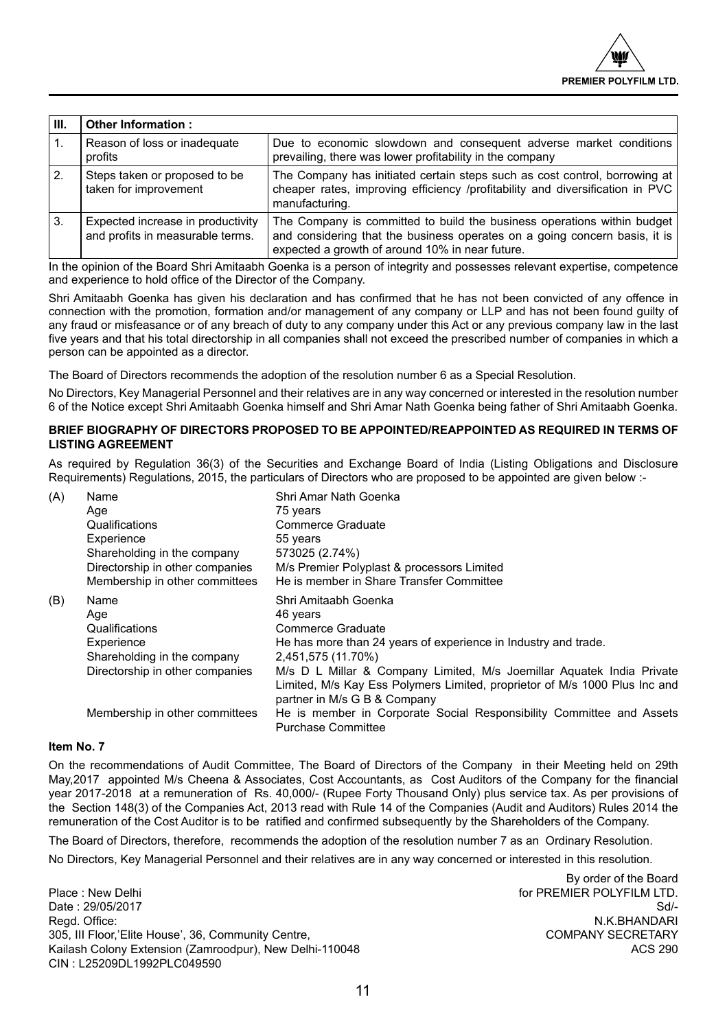| Ш. | Other Information:                                                    |                                                                                                                                                                                                          |
|----|-----------------------------------------------------------------------|----------------------------------------------------------------------------------------------------------------------------------------------------------------------------------------------------------|
|    | Reason of loss or inadequate<br>profits                               | Due to economic slowdown and consequent adverse market conditions<br>prevailing, there was lower profitability in the company                                                                            |
| 2. | Steps taken or proposed to be<br>taken for improvement                | The Company has initiated certain steps such as cost control, borrowing at  <br>cheaper rates, improving efficiency /profitability and diversification in PVC<br>manufacturing.                          |
| 3. | Expected increase in productivity<br>and profits in measurable terms. | The Company is committed to build the business operations within budget<br>and considering that the business operates on a going concern basis, it is<br>expected a growth of around 10% in near future. |

In the opinion of the Board Shri Amitaabh Goenka is a person of integrity and possesses relevant expertise, competence and experience to hold office of the Director of the Company.

Shri Amitaabh Goenka has given his declaration and has confirmed that he has not been convicted of any offence in connection with the promotion, formation and/or management of any company or LLP and has not been found guilty of any fraud or misfeasance or of any breach of duty to any company under this Act or any previous company law in the last five years and that his total directorship in all companies shall not exceed the prescribed number of companies in which a person can be appointed as a director.

The Board of Directors recommends the adoption of the resolution number 6 as a Special Resolution.

No Directors, Key Managerial Personnel and their relatives are in any way concerned or interested in the resolution number 6 of the Notice except Shri Amitaabh Goenka himself and Shri Amar Nath Goenka being father of Shri Amitaabh Goenka.

## **BRIEF BIOGRAPHY OF DIRECTORS PROPOSED TO BE APPOINTED/REAPPOINTED AS REQUIRED IN TERMS OF LISTING AGREEMENT**

As required by Regulation 36(3) of the Securities and Exchange Board of India (Listing Obligations and Disclosure Requirements) Regulations, 2015, the particulars of Directors who are proposed to be appointed are given below :-

| (A) | Name                            | Shri Amar Nath Goenka                                                                                                                                                               |  |
|-----|---------------------------------|-------------------------------------------------------------------------------------------------------------------------------------------------------------------------------------|--|
|     | Age                             | 75 years                                                                                                                                                                            |  |
|     | Qualifications                  | Commerce Graduate                                                                                                                                                                   |  |
|     | Experience                      | 55 years                                                                                                                                                                            |  |
|     | Shareholding in the company     | 573025 (2.74%)                                                                                                                                                                      |  |
|     | Directorship in other companies | M/s Premier Polyplast & processors Limited                                                                                                                                          |  |
|     | Membership in other committees  | He is member in Share Transfer Committee                                                                                                                                            |  |
| (B) | Name                            | Shri Amitaabh Goenka                                                                                                                                                                |  |
|     | Age                             | 46 years                                                                                                                                                                            |  |
|     | Qualifications                  | Commerce Graduate                                                                                                                                                                   |  |
|     | Experience                      | He has more than 24 years of experience in Industry and trade.                                                                                                                      |  |
|     | Shareholding in the company     | 2,451,575 (11.70%)                                                                                                                                                                  |  |
|     | Directorship in other companies | M/s D L Millar & Company Limited, M/s Joemillar Aguatek India Private<br>Limited, M/s Kay Ess Polymers Limited, proprietor of M/s 1000 Plus Inc and<br>partner in M/s G B & Company |  |
|     | Membership in other committees  | He is member in Corporate Social Responsibility Committee and Assets<br>Purchase Committee                                                                                          |  |

## **Item No. 7**

On the recommendations of Audit Committee, The Board of Directors of the Company in their Meeting held on 29th May,2017 appointed M/s Cheena & Associates, Cost Accountants, as Cost Auditors of the Company for the financial year 2017-2018 at a remuneration of Rs. 40,000/- (Rupee Forty Thousand Only) plus service tax. As per provisions of the Section 148(3) of the Companies Act, 2013 read with Rule 14 of the Companies (Audit and Auditors) Rules 2014 the remuneration of the Cost Auditor is to be ratified and confirmed subsequently by the Shareholders of the Company.

The Board of Directors, therefore, recommends the adoption of the resolution number 7 as an Ordinary Resolution.

No Directors, Key Managerial Personnel and their relatives are in any way concerned or interested in this resolution.

Place : New Delhi **For PREMIER POLYFILM LTD.** The property of PREMIER POLYFILM LTD. Date : 29/05/2017 Sd/- 305, III Floor,'Elite House', 36, Community Centre, COMPANY SECRETARY Kailash Colony Extension (Zamroodpur), New Delhi-110048 CIN : L25209DL1992PLC049590

By order of the Board N.K.BHANDARI<br>COMPANY SECRETARY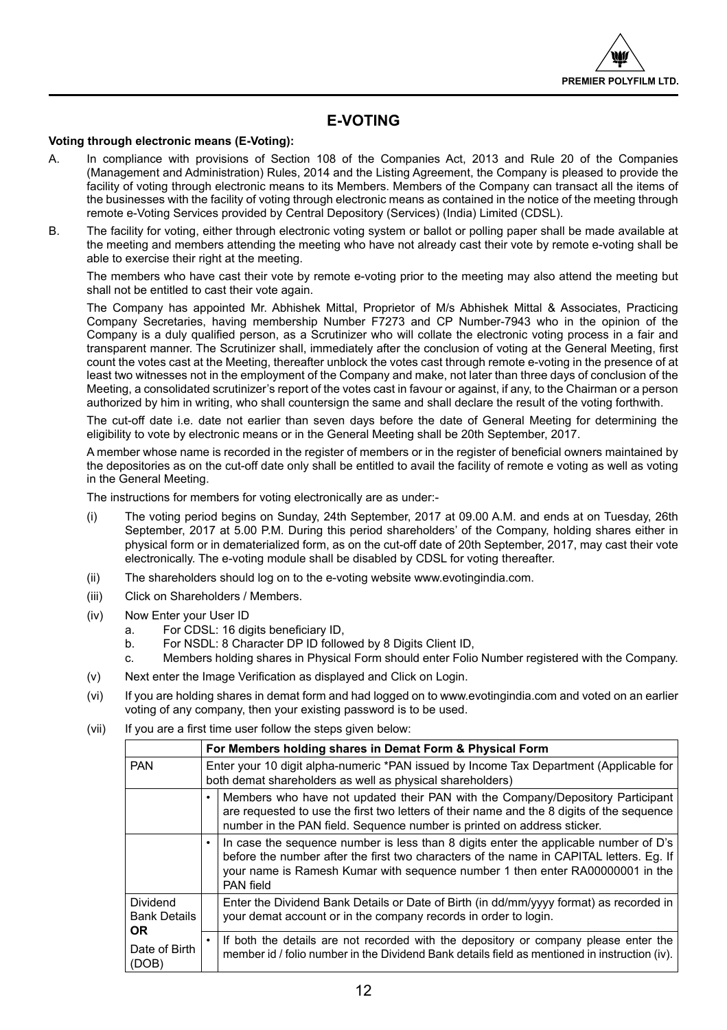## **E-VOTING**

## **Voting through electronic means (E-Voting):**

- A. In compliance with provisions of Section 108 of the Companies Act, 2013 and Rule 20 of the Companies (Management and Administration) Rules, 2014 and the Listing Agreement, the Company is pleased to provide the facility of voting through electronic means to its Members. Members of the Company can transact all the items of the businesses with the facility of voting through electronic means as contained in the notice of the meeting through remote e-Voting Services provided by Central Depository (Services) (India) Limited (CDSL).
- B. The facility for voting, either through electronic voting system or ballot or polling paper shall be made available at the meeting and members attending the meeting who have not already cast their vote by remote e-voting shall be able to exercise their right at the meeting.

The members who have cast their vote by remote e-voting prior to the meeting may also attend the meeting but shall not be entitled to cast their vote again.

The Company has appointed Mr. Abhishek Mittal, Proprietor of M/s Abhishek Mittal & Associates, Practicing Company Secretaries, having membership Number F7273 and CP Number-7943 who in the opinion of the Company is a duly qualified person, as a Scrutinizer who will collate the electronic voting process in a fair and transparent manner. The Scrutinizer shall, immediately after the conclusion of voting at the General Meeting, first count the votes cast at the Meeting, thereafter unblock the votes cast through remote e-voting in the presence of at least two witnesses not in the employment of the Company and make, not later than three days of conclusion of the Meeting, a consolidated scrutinizer's report of the votes cast in favour or against, if any, to the Chairman or a person authorized by him in writing, who shall countersign the same and shall declare the result of the voting forthwith.

The cut-off date i.e. date not earlier than seven days before the date of General Meeting for determining the eligibility to vote by electronic means or in the General Meeting shall be 20th September, 2017.

A member whose name is recorded in the register of members or in the register of beneficial owners maintained by the depositories as on the cut-off date only shall be entitled to avail the facility of remote e voting as well as voting in the General Meeting.

The instructions for members for voting electronically are as under:-

- (i) The voting period begins on Sunday, 24th September, 2017 at 09.00 A.M. and ends at on Tuesday, 26th September, 2017 at 5.00 P.M. During this period shareholders' of the Company, holding shares either in physical form or in dematerialized form, as on the cut-off date of 20th September, 2017, may cast their vote electronically. The e-voting module shall be disabled by CDSL for voting thereafter.
- (ii) The shareholders should log on to the e-voting website www.evotingindia.com.
- (iii) Click on Shareholders / Members.
- (iv) Now Enter your User ID
	- a. For CDSL: 16 digits beneficiary ID,<br>b. For NSDL: 8 Character DP ID follow
	- For NSDL: 8 Character DP ID followed by 8 Digits Client ID,
	- c. Members holding shares in Physical Form should enter Folio Number registered with the Company.
- (v) Next enter the Image Verification as displayed and Click on Login.
- (vi) If you are holding shares in demat form and had logged on to www.evotingindia.com and voted on an earlier voting of any company, then your existing password is to be used.
- (vii) If you are a first time user follow the steps given below:

|                                        |                                                                                                                                                     | For Members holding shares in Demat Form & Physical Form                                                                                                                                                                                                                      |  |
|----------------------------------------|-----------------------------------------------------------------------------------------------------------------------------------------------------|-------------------------------------------------------------------------------------------------------------------------------------------------------------------------------------------------------------------------------------------------------------------------------|--|
| <b>PAN</b>                             | Enter your 10 digit alpha-numeric *PAN issued by Income Tax Department (Applicable for<br>both demat shareholders as well as physical shareholders) |                                                                                                                                                                                                                                                                               |  |
|                                        |                                                                                                                                                     | Members who have not updated their PAN with the Company/Depository Participant<br>are requested to use the first two letters of their name and the 8 digits of the sequence<br>number in the PAN field. Sequence number is printed on address sticker.                        |  |
|                                        |                                                                                                                                                     | In case the sequence number is less than 8 digits enter the applicable number of D's<br>before the number after the first two characters of the name in CAPITAL letters. Eq. If<br>your name is Ramesh Kumar with sequence number 1 then enter RA00000001 in the<br>PAN field |  |
| Dividend<br><b>Bank Details</b><br>OR. |                                                                                                                                                     | Enter the Dividend Bank Details or Date of Birth (in dd/mm/yyyy format) as recorded in<br>your demat account or in the company records in order to login.                                                                                                                     |  |
| Date of Birth<br>(DOB)                 |                                                                                                                                                     | If both the details are not recorded with the depository or company please enter the<br>member id / folio number in the Dividend Bank details field as mentioned in instruction (iv).                                                                                         |  |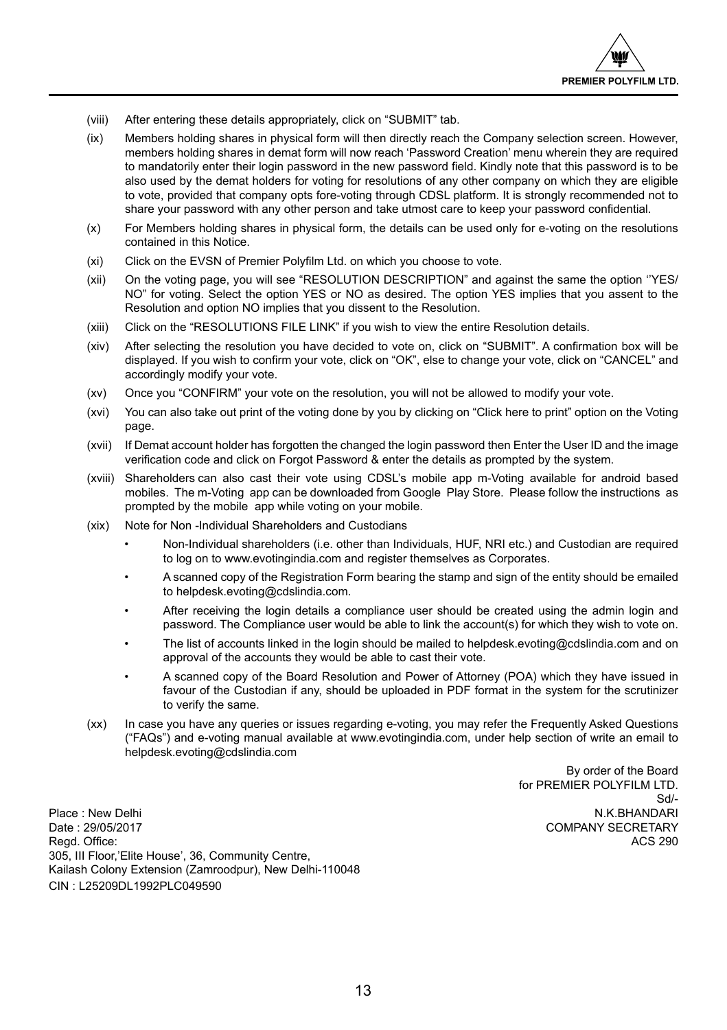- (viii) After entering these details appropriately, click on "SUBMIT" tab.
- (ix) Members holding shares in physical form will then directly reach the Company selection screen. However, members holding shares in demat form will now reach 'Password Creation' menu wherein they are required to mandatorily enter their login password in the new password field. Kindly note that this password is to be also used by the demat holders for voting for resolutions of any other company on which they are eligible to vote, provided that company opts fore-voting through CDSL platform. It is strongly recommended not to share your password with any other person and take utmost care to keep your password confidential.
- (x) For Members holding shares in physical form, the details can be used only for e-voting on the resolutions contained in this Notice.
- (xi) Click on the EVSN of Premier Polyfilm Ltd. on which you choose to vote.
- (xii) On the voting page, you will see "RESOLUTION DESCRIPTION" and against the same the option ''YES/ NO" for voting. Select the option YES or NO as desired. The option YES implies that you assent to the Resolution and option NO implies that you dissent to the Resolution.
- (xiii) Click on the "RESOLUTIONS FILE LINK" if you wish to view the entire Resolution details.
- (xiv) After selecting the resolution you have decided to vote on, click on "SUBMIT". A confirmation box will be displayed. If you wish to confirm your vote, click on "OK", else to change your vote, click on "CANCEL" and accordingly modify your vote.
- (xv) Once you "CONFIRM" your vote on the resolution, you will not be allowed to modify your vote.
- (xvi) You can also take out print of the voting done by you by clicking on "Click here to print" option on the Voting page.
- (xvii) If Demat account holder has forgotten the changed the login password then Enter the User ID and the image verification code and click on Forgot Password & enter the details as prompted by the system.
- (xviii) Shareholders can also cast their vote using CDSL's mobile app m-Voting available for android based mobiles. The m-Voting app can be downloaded from Google Play Store. Please follow the instructions as prompted by the mobile app while voting on your mobile.
- (xix) Note for Non -Individual Shareholders and Custodians
	- Non-Individual shareholders (i.e. other than Individuals, HUF, NRI etc.) and Custodian are required to log on to www.evotingindia.com and register themselves as Corporates.
	- A scanned copy of the Registration Form bearing the stamp and sign of the entity should be emailed to helpdesk.evoting@cdslindia.com.
	- After receiving the login details a compliance user should be created using the admin login and password. The Compliance user would be able to link the account(s) for which they wish to vote on.
	- The list of accounts linked in the login should be mailed to helpdesk.evoting@cdslindia.com and on approval of the accounts they would be able to cast their vote.
	- A scanned copy of the Board Resolution and Power of Attorney (POA) which they have issued in favour of the Custodian if any, should be uploaded in PDF format in the system for the scrutinizer to verify the same.
- (xx) In case you have any queries or issues regarding e-voting, you may refer the Frequently Asked Questions ("FAQs") and e-voting manual available at www.evotingindia.com, under help section of write an email to helpdesk.evoting@cdslindia.com

By order of the Board for PREMIER POLYFILM LTD. Sd/-

Place : New Delhi N.K.BHANDARI N.K.BHANDARI N.K.BHANDARI N.K.BHANDARI N.K.BHANDARI N.K.BHANDARI N.K.BHANDARI N. Date : 29/05/2017 COMPANY SECRETARY Regd. Office: ACS 290 305, III Floor,'Elite House', 36, Community Centre, Kailash Colony Extension (Zamroodpur), New Delhi-110048 CIN : L25209DL1992PLC049590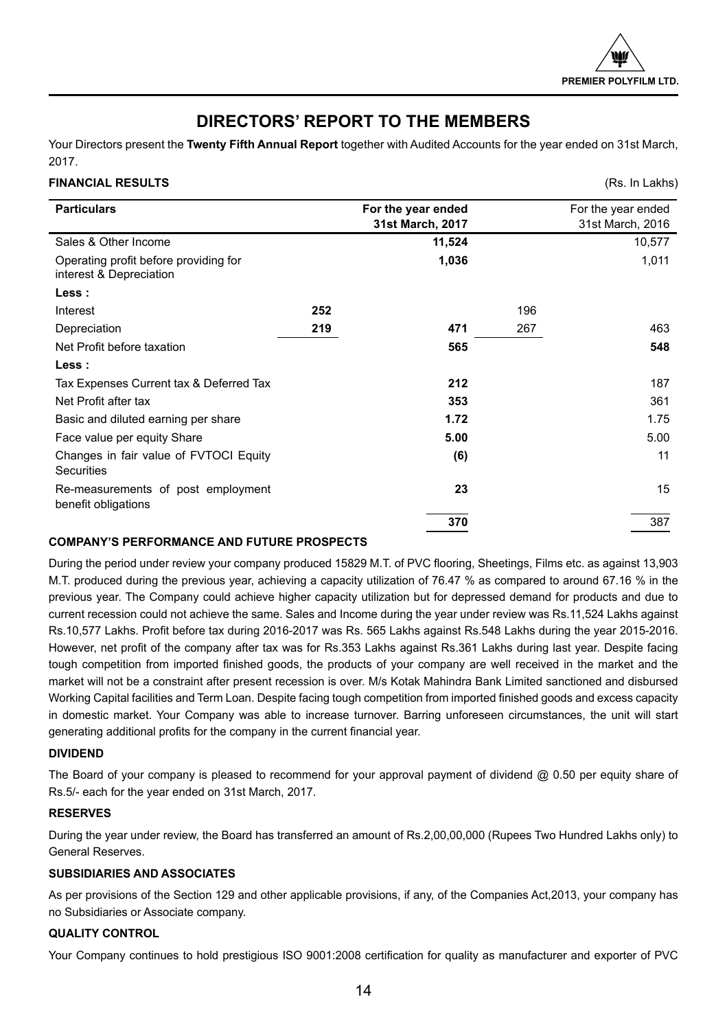## **DIRECTORS' REPORT TO THE MEMBERS**

Your Directors present the **Twenty Fifth Annual Report** together with Audited Accounts for the year ended on 31st March, 2017.

## **FINANCIAL RESULTS** (Rs. In Lakhs)

|                                                                  |     |                    |     | 1.101112211110     |
|------------------------------------------------------------------|-----|--------------------|-----|--------------------|
| <b>Particulars</b>                                               |     | For the year ended |     | For the year ended |
|                                                                  |     | 31st March, 2017   |     | 31st March, 2016   |
| Sales & Other Income                                             |     | 11,524             |     | 10,577             |
| Operating profit before providing for<br>interest & Depreciation |     | 1,036              |     | 1,011              |
| Less :                                                           |     |                    |     |                    |
| Interest                                                         | 252 |                    | 196 |                    |
| Depreciation                                                     | 219 | 471                | 267 | 463                |
| Net Profit before taxation                                       |     | 565                |     | 548                |
| Less :                                                           |     |                    |     |                    |
| Tax Expenses Current tax & Deferred Tax                          |     | 212                |     | 187                |
| Net Profit after tax                                             |     | 353                |     | 361                |
| Basic and diluted earning per share                              |     | 1.72               |     | 1.75               |
| Face value per equity Share                                      |     | 5.00               |     | 5.00               |
| Changes in fair value of FVTOCI Equity<br><b>Securities</b>      |     | (6)                |     | 11                 |
| Re-measurements of post employment<br>benefit obligations        |     | 23                 |     | 15                 |
|                                                                  |     | 370                |     | 387                |

## **COMPANY'S PERFORMANCE AND FUTURE PROSPECTS**

During the period under review your company produced 15829 M.T. of PVC flooring, Sheetings, Films etc. as against 13,903 M.T. produced during the previous year, achieving a capacity utilization of 76.47 % as compared to around 67.16 % in the previous year. The Company could achieve higher capacity utilization but for depressed demand for products and due to current recession could not achieve the same. Sales and Income during the year under review was Rs.11,524 Lakhs against Rs.10,577 Lakhs. Profit before tax during 2016-2017 was Rs. 565 Lakhs against Rs.548 Lakhs during the year 2015-2016. However, net profit of the company after tax was for Rs.353 Lakhs against Rs.361 Lakhs during last year. Despite facing tough competition from imported finished goods, the products of your company are well received in the market and the market will not be a constraint after present recession is over. M/s Kotak Mahindra Bank Limited sanctioned and disbursed Working Capital facilities and Term Loan. Despite facing tough competition from imported finished goods and excess capacity in domestic market. Your Company was able to increase turnover. Barring unforeseen circumstances, the unit will start generating additional profits for the company in the current financial year.

## **DIVIDEND**

The Board of your company is pleased to recommend for your approval payment of dividend  $@$  0.50 per equity share of Rs.5/- each for the year ended on 31st March, 2017.

## **RESERVES**

During the year under review, the Board has transferred an amount of Rs.2,00,00,000 (Rupees Two Hundred Lakhs only) to General Reserves.

## **SUBSIDIARIES AND ASSOCIATES**

As per provisions of the Section 129 and other applicable provisions, if any, of the Companies Act,2013, your company has no Subsidiaries or Associate company.

## **QUALITY CONTROL**

Your Company continues to hold prestigious ISO 9001:2008 certification for quality as manufacturer and exporter of PVC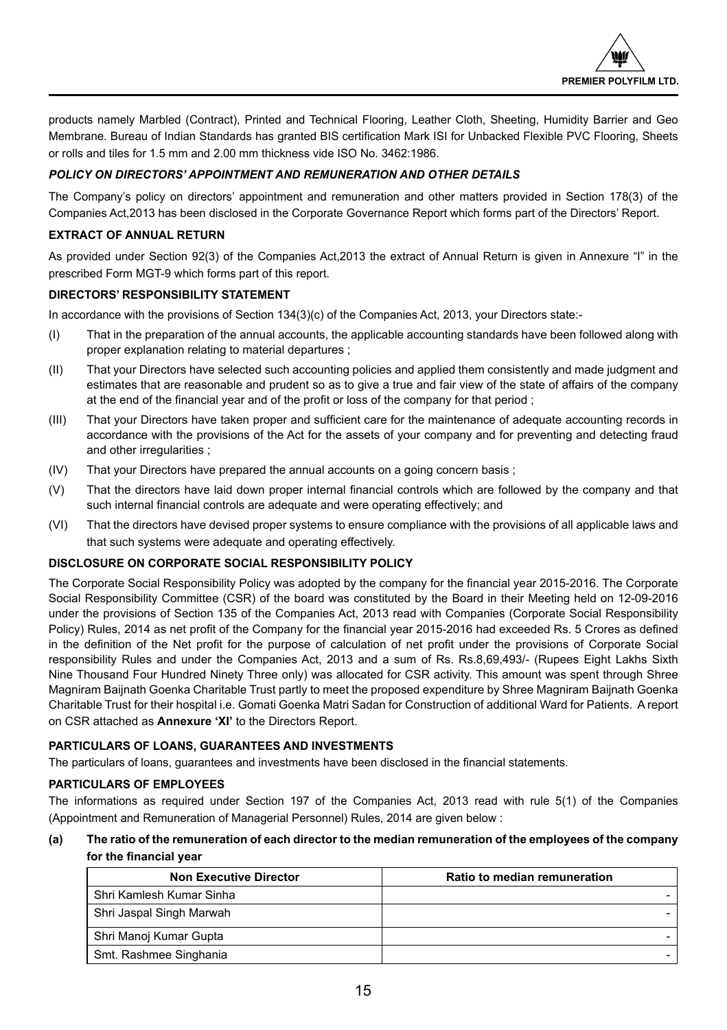products namely Marbled (Contract), Printed and Technical Flooring, Leather Cloth, Sheeting, Humidity Barrier and Geo Membrane. Bureau of Indian Standards has granted BIS certification Mark ISI for Unbacked Flexible PVC Flooring, Sheets or rolls and tiles for 1.5 mm and 2.00 mm thickness vide ISO No. 3462:1986.

## *POLICY ON DIRECTORS' APPOINTMENT AND REMUNERATION AND OTHER DETAILS*

The Company's policy on directors' appointment and remuneration and other matters provided in Section 178(3) of the Companies Act,2013 has been disclosed in the Corporate Governance Report which forms part of the Directors' Report.

## **EXTRACT OF ANNUAL RETURN**

As provided under Section 92(3) of the Companies Act,2013 the extract of Annual Return is given in Annexure "I" in the prescribed Form MGT-9 which forms part of this report.

## **DIRECTORS' RESPONSIBILITY STATEMENT**

In accordance with the provisions of Section 134(3)(c) of the Companies Act, 2013, your Directors state:-

- (I) That in the preparation of the annual accounts, the applicable accounting standards have been followed along with proper explanation relating to material departures ;
- (II) That your Directors have selected such accounting policies and applied them consistently and made judgment and estimates that are reasonable and prudent so as to give a true and fair view of the state of affairs of the company at the end of the financial year and of the profit or loss of the company for that period ;
- (III) That your Directors have taken proper and sufficient care for the maintenance of adequate accounting records in accordance with the provisions of the Act for the assets of your company and for preventing and detecting fraud and other irregularities ;
- (IV) That your Directors have prepared the annual accounts on a going concern basis ;
- (V) That the directors have laid down proper internal financial controls which are followed by the company and that such internal financial controls are adequate and were operating effectively; and
- (VI) That the directors have devised proper systems to ensure compliance with the provisions of all applicable laws and that such systems were adequate and operating effectively.

## **DISCLOSURE ON CORPORATE SOCIAL RESPONSIBILITY POLICY**

The Corporate Social Responsibility Policy was adopted by the company for the financial year 2015-2016. The Corporate Social Responsibility Committee (CSR) of the board was constituted by the Board in their Meeting held on 12-09-2016 under the provisions of Section 135 of the Companies Act, 2013 read with Companies (Corporate Social Responsibility Policy) Rules, 2014 as net profit of the Company for the financial year 2015-2016 had exceeded Rs. 5 Crores as defined in the definition of the Net profit for the purpose of calculation of net profit under the provisions of Corporate Social responsibility Rules and under the Companies Act, 2013 and a sum of Rs. Rs.8,69,493/- (Rupees Eight Lakhs Sixth Nine Thousand Four Hundred Ninety Three only) was allocated for CSR activity. This amount was spent through Shree Magniram Baijnath Goenka Charitable Trust partly to meet the proposed expenditure by Shree Magniram Baijnath Goenka Charitable Trust for their hospital i.e. Gomati Goenka Matri Sadan for Construction of additional Ward for Patients. A report on CSR attached as **Annexure 'XI'** to the Directors Report.

## **PARTICULARS OF LOANS, GUARANTEES AND INVESTMENTS**

The particulars of loans, guarantees and investments have been disclosed in the financial statements.

## **PARTICULARS OF EMPLOYEES**

The informations as required under Section 197 of the Companies Act, 2013 read with rule 5(1) of the Companies (Appointment and Remuneration of Managerial Personnel) Rules, 2014 are given below :

## **(a) The ratio of the remuneration of each director to the median remuneration of the employees of the company for the financial year**

| <b>Non Executive Director</b> | Ratio to median remuneration |
|-------------------------------|------------------------------|
| Shri Kamlesh Kumar Sinha      |                              |
| Shri Jaspal Singh Marwah      |                              |
| Shri Manoj Kumar Gupta        |                              |
| Smt. Rashmee Singhania        |                              |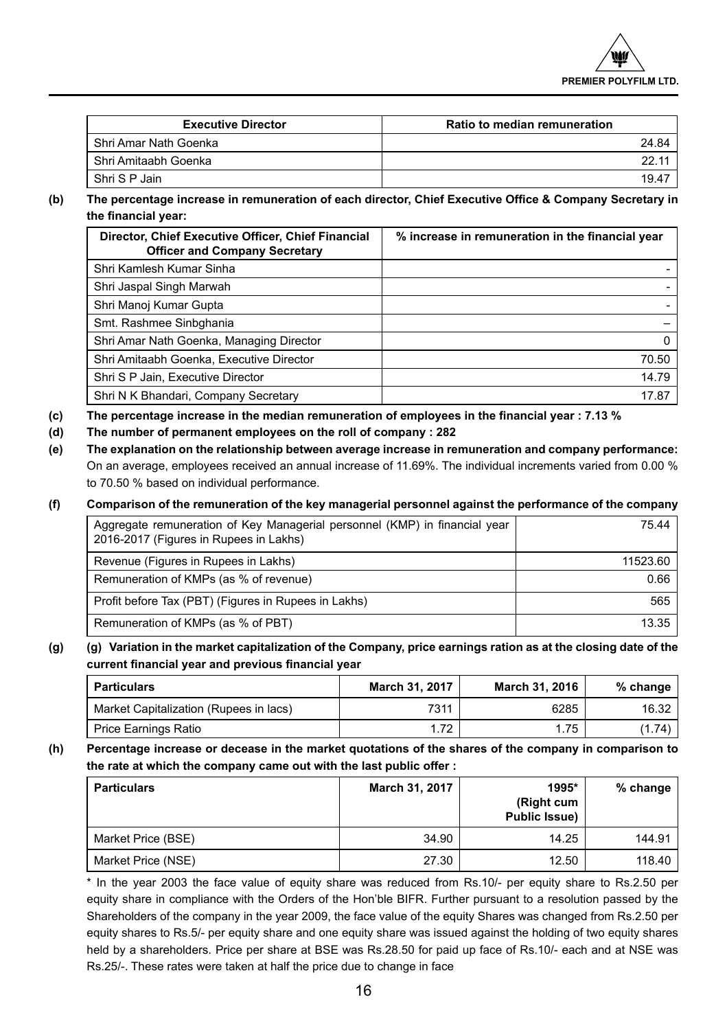| <b>Executive Director</b> | Ratio to median remuneration |
|---------------------------|------------------------------|
| Shri Amar Nath Goenka     | 24.84                        |
| . Shri Amitaabh Goenka    |                              |
| Shri S P Jain             | 19.47                        |

**(b) The percentage increase in remuneration of each director, Chief Executive Office & Company Secretary in the financial year:** 

| Director, Chief Executive Officer, Chief Financial<br><b>Officer and Company Secretary</b> | % increase in remuneration in the financial year |
|--------------------------------------------------------------------------------------------|--------------------------------------------------|
| Shri Kamlesh Kumar Sinha                                                                   |                                                  |
| Shri Jaspal Singh Marwah                                                                   |                                                  |
| Shri Manoj Kumar Gupta                                                                     |                                                  |
| Smt. Rashmee Sinbghania                                                                    |                                                  |
| Shri Amar Nath Goenka, Managing Director                                                   | 0                                                |
| Shri Amitaabh Goenka, Executive Director                                                   | 70.50                                            |
| Shri S P Jain, Executive Director                                                          | 14.79                                            |
| Shri N K Bhandari, Company Secretary                                                       | 17.87                                            |

- **(c) The percentage increase in the median remuneration of employees in the financial year : 7.13 %**
- **(d) The number of permanent employees on the roll of company : 282**
- **(e) The explanation on the relationship between average increase in remuneration and company performance:**  On an average, employees received an annual increase of 11.69%. The individual increments varied from 0.00 % to 70.50 % based on individual performance.

## **(f) Comparison of the remuneration of the key managerial personnel against the performance of the company**

| Aggregate remuneration of Key Managerial personnel (KMP) in financial year<br>2016-2017 (Figures in Rupees in Lakhs) | 75.44 l  |
|----------------------------------------------------------------------------------------------------------------------|----------|
| Revenue (Figures in Rupees in Lakhs)                                                                                 | 11523.60 |
| Remuneration of KMPs (as % of revenue)                                                                               | 0.66     |
| Profit before Tax (PBT) (Figures in Rupees in Lakhs)                                                                 | 565      |
| Remuneration of KMPs (as % of PBT)                                                                                   | 13.35    |

## **(g) (g) Variation in the market capitalization of the Company, price earnings ration as at the closing date of the current financial year and previous financial year**

| <b>Particulars</b>                     | March 31, 2017 | March 31, 2016 | % change $ $ |
|----------------------------------------|----------------|----------------|--------------|
| Market Capitalization (Rupees in lacs) | 7311           | 6285           | 16.32        |
| Price Earnings Ratio                   | 1.72           | 1.75           | (1.74)       |

**(h) Percentage increase or decease in the market quotations of the shares of the company in comparison to the rate at which the company came out with the last public offer :** 

| <b>Particulars</b> | March 31, 2017 | 1995*<br>(Right cum<br><b>Public Issue)</b> | $%$ change |
|--------------------|----------------|---------------------------------------------|------------|
| Market Price (BSE) | 34.90          | 14.25                                       | 144.91     |
| Market Price (NSE) | 27.30          | 12.50                                       | 118.40     |

\* In the year 2003 the face value of equity share was reduced from Rs.10/- per equity share to Rs.2.50 per equity share in compliance with the Orders of the Hon'ble BIFR. Further pursuant to a resolution passed by the Shareholders of the company in the year 2009, the face value of the equity Shares was changed from Rs.2.50 per equity shares to Rs.5/- per equity share and one equity share was issued against the holding of two equity shares held by a shareholders. Price per share at BSE was Rs.28.50 for paid up face of Rs.10/- each and at NSE was Rs.25/-. These rates were taken at half the price due to change in face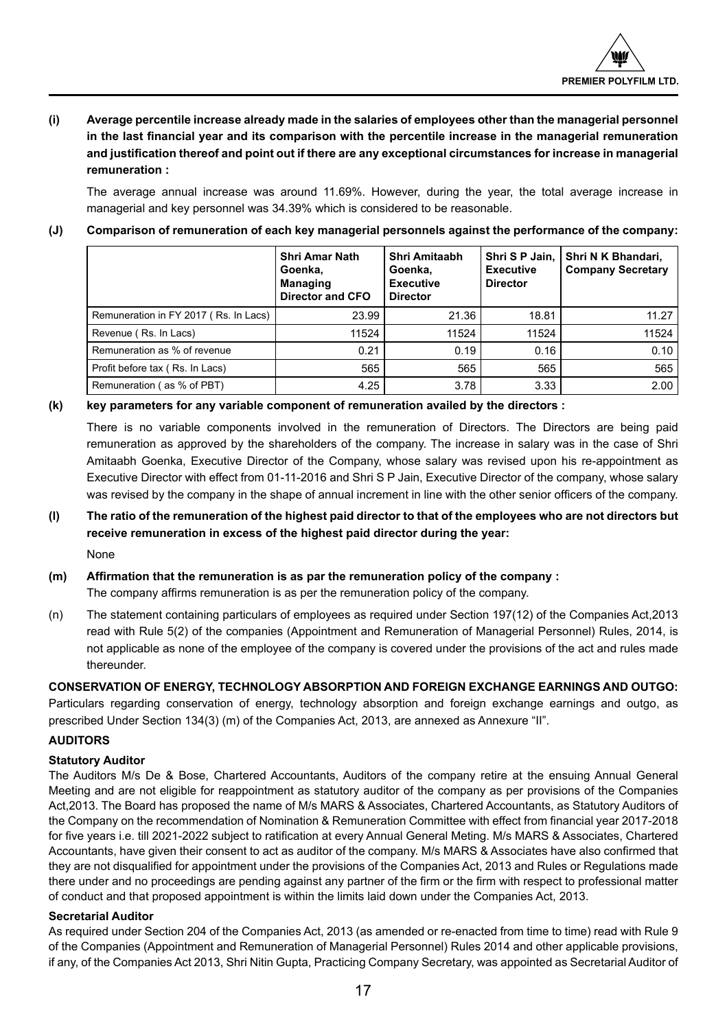## **(i) Average percentile increase already made in the salaries of employees other than the managerial personnel in the last financial year and its comparison with the percentile increase in the managerial remuneration and justification thereof and point out if there are any exceptional circumstances for increase in managerial remuneration :**

The average annual increase was around 11.69%. However, during the year, the total average increase in managerial and key personnel was 34.39% which is considered to be reasonable.

## **(J) Comparison of remuneration of each key managerial personnels against the performance of the company:**

|                                       | Shri Amar Nath<br>Goenka.<br><b>Managing</b><br><b>Director and CFO</b> | Shri Amitaabh<br>Goenka.<br><b>Executive</b><br><b>Director</b> | Shri S P Jain,  <br><b>Executive</b><br><b>Director</b> | Shri N K Bhandari,<br><b>Company Secretary</b> |
|---------------------------------------|-------------------------------------------------------------------------|-----------------------------------------------------------------|---------------------------------------------------------|------------------------------------------------|
| Remuneration in FY 2017 (Rs. In Lacs) | 23.99                                                                   | 21.36                                                           | 18.81                                                   | 11.27                                          |
| Revenue (Rs. In Lacs)                 | 11524                                                                   | 11524                                                           | 11524                                                   | 11524                                          |
| Remuneration as % of revenue          | 0.21                                                                    | 0.19                                                            | 0.16                                                    | 0.10                                           |
| Profit before tax (Rs. In Lacs)       | 565                                                                     | 565                                                             | 565                                                     | 565                                            |
| Remuneration (as % of PBT)            | 4.25                                                                    | 3.78                                                            | 3.33                                                    | 2.00                                           |

## **(k) key parameters for any variable component of remuneration availed by the directors :**

There is no variable components involved in the remuneration of Directors. The Directors are being paid remuneration as approved by the shareholders of the company. The increase in salary was in the case of Shri Amitaabh Goenka, Executive Director of the Company, whose salary was revised upon his re-appointment as Executive Director with effect from 01-11-2016 and Shri S P Jain, Executive Director of the company, whose salary was revised by the company in the shape of annual increment in line with the other senior officers of the company.

**(l) The ratio of the remuneration of the highest paid director to that of the employees who are not directors but receive remuneration in excess of the highest paid director during the year:**  None

## **(m) Affirmation that the remuneration is as par the remuneration policy of the company :**

The company affirms remuneration is as per the remuneration policy of the company.

(n) The statement containing particulars of employees as required under Section 197(12) of the Companies Act,2013 read with Rule 5(2) of the companies (Appointment and Remuneration of Managerial Personnel) Rules, 2014, is not applicable as none of the employee of the company is covered under the provisions of the act and rules made thereunder.

## **CONSERVATION OF ENERGY, TECHNOLOGY ABSORPTION AND FOREIGN EXCHANGE EARNINGS AND OUTGO:** Particulars regarding conservation of energy, technology absorption and foreign exchange earnings and outgo, as prescribed Under Section 134(3) (m) of the Companies Act, 2013, are annexed as Annexure "II".

## **AUDITORS**

## **Statutory Auditor**

The Auditors M/s De & Bose, Chartered Accountants, Auditors of the company retire at the ensuing Annual General Meeting and are not eligible for reappointment as statutory auditor of the company as per provisions of the Companies Act,2013. The Board has proposed the name of M/s MARS & Associates, Chartered Accountants, as Statutory Auditors of the Company on the recommendation of Nomination & Remuneration Committee with effect from financial year 2017-2018 for five years i.e. till 2021-2022 subject to ratification at every Annual General Meting. M/s MARS & Associates, Chartered Accountants, have given their consent to act as auditor of the company. M/s MARS & Associates have also confirmed that they are not disqualified for appointment under the provisions of the Companies Act, 2013 and Rules or Regulations made there under and no proceedings are pending against any partner of the firm or the firm with respect to professional matter of conduct and that proposed appointment is within the limits laid down under the Companies Act, 2013.

## **Secretarial Auditor**

As required under Section 204 of the Companies Act, 2013 (as amended or re-enacted from time to time) read with Rule 9 of the Companies (Appointment and Remuneration of Managerial Personnel) Rules 2014 and other applicable provisions, if any, of the Companies Act 2013, Shri Nitin Gupta, Practicing Company Secretary, was appointed as Secretarial Auditor of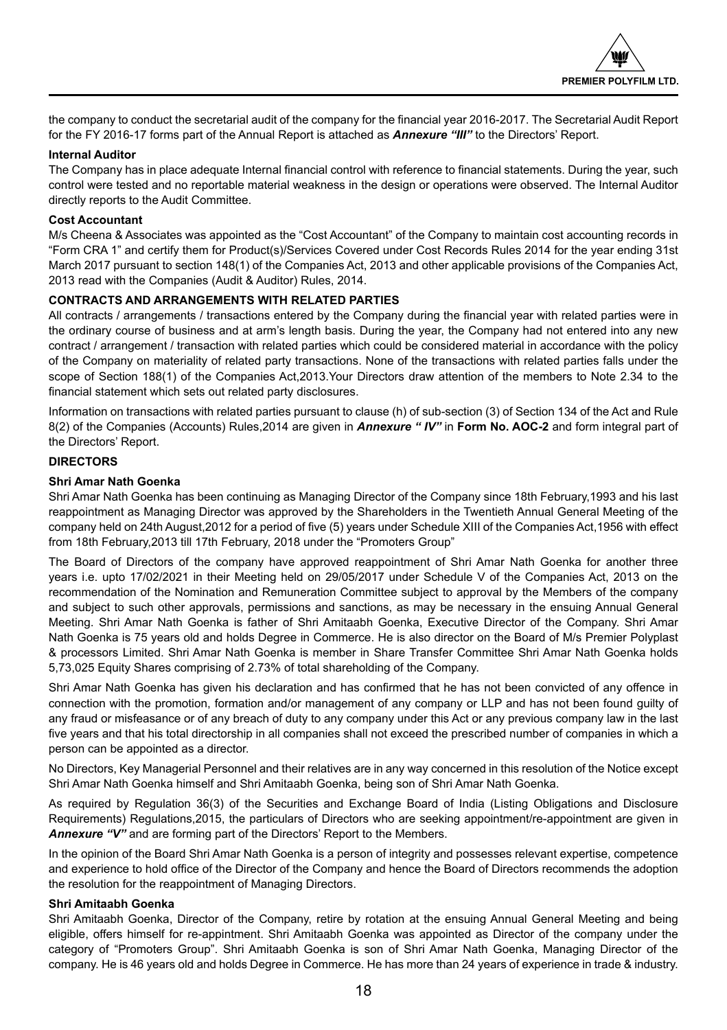the company to conduct the secretarial audit of the company for the financial year 2016-2017. The Secretarial Audit Report for the FY 2016-17 forms part of the Annual Report is attached as *Annexure "III"* to the Directors' Report.

## **Internal Auditor**

The Company has in place adequate Internal financial control with reference to financial statements. During the year, such control were tested and no reportable material weakness in the design or operations were observed. The Internal Auditor directly reports to the Audit Committee.

## **Cost Accountant**

M/s Cheena & Associates was appointed as the "Cost Accountant" of the Company to maintain cost accounting records in "Form CRA 1" and certify them for Product(s)/Services Covered under Cost Records Rules 2014 for the year ending 31st March 2017 pursuant to section 148(1) of the Companies Act, 2013 and other applicable provisions of the Companies Act, 2013 read with the Companies (Audit & Auditor) Rules, 2014.

## **CONTRACTS AND ARRANGEMENTS WITH RELATED PARTIES**

All contracts / arrangements / transactions entered by the Company during the financial year with related parties were in the ordinary course of business and at arm's length basis. During the year, the Company had not entered into any new contract / arrangement / transaction with related parties which could be considered material in accordance with the policy of the Company on materiality of related party transactions. None of the transactions with related parties falls under the scope of Section 188(1) of the Companies Act,2013.Your Directors draw attention of the members to Note 2.34 to the financial statement which sets out related party disclosures.

Information on transactions with related parties pursuant to clause (h) of sub-section (3) of Section 134 of the Act and Rule 8(2) of the Companies (Accounts) Rules,2014 are given in *Annexure " IV"* in **Form No. AOC-2** and form integral part of the Directors' Report.

## **DIRECTORS**

## **Shri Amar Nath Goenka**

Shri Amar Nath Goenka has been continuing as Managing Director of the Company since 18th February,1993 and his last reappointment as Managing Director was approved by the Shareholders in the Twentieth Annual General Meeting of the company held on 24th August,2012 for a period of five (5) years under Schedule XIII of the Companies Act,1956 with effect from 18th February,2013 till 17th February, 2018 under the "Promoters Group"

The Board of Directors of the company have approved reappointment of Shri Amar Nath Goenka for another three years i.e. upto 17/02/2021 in their Meeting held on 29/05/2017 under Schedule V of the Companies Act, 2013 on the recommendation of the Nomination and Remuneration Committee subject to approval by the Members of the company and subject to such other approvals, permissions and sanctions, as may be necessary in the ensuing Annual General Meeting. Shri Amar Nath Goenka is father of Shri Amitaabh Goenka, Executive Director of the Company. Shri Amar Nath Goenka is 75 years old and holds Degree in Commerce. He is also director on the Board of M/s Premier Polyplast & processors Limited. Shri Amar Nath Goenka is member in Share Transfer Committee Shri Amar Nath Goenka holds 5,73,025 Equity Shares comprising of 2.73% of total shareholding of the Company.

Shri Amar Nath Goenka has given his declaration and has confirmed that he has not been convicted of any offence in connection with the promotion, formation and/or management of any company or LLP and has not been found guilty of any fraud or misfeasance or of any breach of duty to any company under this Act or any previous company law in the last five years and that his total directorship in all companies shall not exceed the prescribed number of companies in which a person can be appointed as a director.

No Directors, Key Managerial Personnel and their relatives are in any way concerned in this resolution of the Notice except Shri Amar Nath Goenka himself and Shri Amitaabh Goenka, being son of Shri Amar Nath Goenka.

As required by Regulation 36(3) of the Securities and Exchange Board of India (Listing Obligations and Disclosure Requirements) Regulations,2015, the particulars of Directors who are seeking appointment/re-appointment are given in *Annexure "V"* and are forming part of the Directors' Report to the Members.

In the opinion of the Board Shri Amar Nath Goenka is a person of integrity and possesses relevant expertise, competence and experience to hold office of the Director of the Company and hence the Board of Directors recommends the adoption the resolution for the reappointment of Managing Directors.

## **Shri Amitaabh Goenka**

Shri Amitaabh Goenka, Director of the Company, retire by rotation at the ensuing Annual General Meeting and being eligible, offers himself for re-appintment. Shri Amitaabh Goenka was appointed as Director of the company under the category of "Promoters Group". Shri Amitaabh Goenka is son of Shri Amar Nath Goenka, Managing Director of the company. He is 46 years old and holds Degree in Commerce. He has more than 24 years of experience in trade & industry.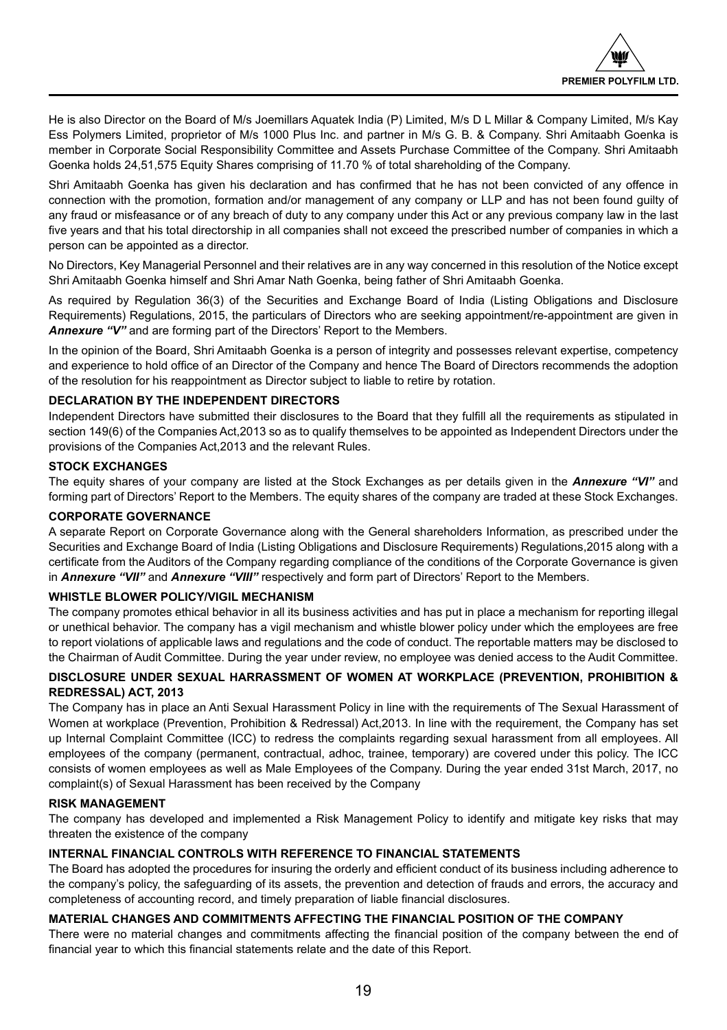He is also Director on the Board of M/s Joemillars Aquatek India (P) Limited, M/s D L Millar & Company Limited, M/s Kay Ess Polymers Limited, proprietor of M/s 1000 Plus Inc. and partner in M/s G. B. & Company. Shri Amitaabh Goenka is member in Corporate Social Responsibility Committee and Assets Purchase Committee of the Company. Shri Amitaabh Goenka holds 24,51,575 Equity Shares comprising of 11.70 % of total shareholding of the Company.

Shri Amitaabh Goenka has given his declaration and has confirmed that he has not been convicted of any offence in connection with the promotion, formation and/or management of any company or LLP and has not been found guilty of any fraud or misfeasance or of any breach of duty to any company under this Act or any previous company law in the last five years and that his total directorship in all companies shall not exceed the prescribed number of companies in which a person can be appointed as a director.

No Directors, Key Managerial Personnel and their relatives are in any way concerned in this resolution of the Notice except Shri Amitaabh Goenka himself and Shri Amar Nath Goenka, being father of Shri Amitaabh Goenka.

As required by Regulation 36(3) of the Securities and Exchange Board of India (Listing Obligations and Disclosure Requirements) Regulations, 2015, the particulars of Directors who are seeking appointment/re-appointment are given in *Annexure "V"* and are forming part of the Directors' Report to the Members.

In the opinion of the Board, Shri Amitaabh Goenka is a person of integrity and possesses relevant expertise, competency and experience to hold office of an Director of the Company and hence The Board of Directors recommends the adoption of the resolution for his reappointment as Director subject to liable to retire by rotation.

## **DECLARATION BY THE INDEPENDENT DIRECTORS**

Independent Directors have submitted their disclosures to the Board that they fulfill all the requirements as stipulated in section 149(6) of the Companies Act,2013 so as to qualify themselves to be appointed as Independent Directors under the provisions of the Companies Act,2013 and the relevant Rules.

## **STOCK EXCHANGES**

The equity shares of your company are listed at the Stock Exchanges as per details given in the *Annexure "VI"* and forming part of Directors' Report to the Members. The equity shares of the company are traded at these Stock Exchanges.

## **CORPORATE GOVERNANCE**

A separate Report on Corporate Governance along with the General shareholders Information, as prescribed under the Securities and Exchange Board of India (Listing Obligations and Disclosure Requirements) Regulations,2015 along with a certificate from the Auditors of the Company regarding compliance of the conditions of the Corporate Governance is given in *Annexure "VII"* and *Annexure "VIII"* respectively and form part of Directors' Report to the Members.

## **WHISTLE BLOWER POLICY/VIGIL MECHANISM**

The company promotes ethical behavior in all its business activities and has put in place a mechanism for reporting illegal or unethical behavior. The company has a vigil mechanism and whistle blower policy under which the employees are free to report violations of applicable laws and regulations and the code of conduct. The reportable matters may be disclosed to the Chairman of Audit Committee. During the year under review, no employee was denied access to the Audit Committee.

## **DISCLOSURE UNDER SEXUAL HARRASSMENT OF WOMEN AT WORKPLACE (PREVENTION, PROHIBITION & REDRESSAL) ACT, 2013**

The Company has in place an Anti Sexual Harassment Policy in line with the requirements of The Sexual Harassment of Women at workplace (Prevention, Prohibition & Redressal) Act,2013. In line with the requirement, the Company has set up Internal Complaint Committee (ICC) to redress the complaints regarding sexual harassment from all employees. All employees of the company (permanent, contractual, adhoc, trainee, temporary) are covered under this policy. The ICC consists of women employees as well as Male Employees of the Company. During the year ended 31st March, 2017, no complaint(s) of Sexual Harassment has been received by the Company

## **RISK MANAGEMENT**

The company has developed and implemented a Risk Management Policy to identify and mitigate key risks that may threaten the existence of the company

## **INTERNAL FINANCIAL CONTROLS WITH REFERENCE TO FINANCIAL STATEMENTS**

The Board has adopted the procedures for insuring the orderly and efficient conduct of its business including adherence to the company's policy, the safeguarding of its assets, the prevention and detection of frauds and errors, the accuracy and completeness of accounting record, and timely preparation of liable financial disclosures.

## **MATERIAL CHANGES AND COMMITMENTS AFFECTING THE FINANCIAL POSITION OF THE COMPANY**

There were no material changes and commitments affecting the financial position of the company between the end of financial year to which this financial statements relate and the date of this Report.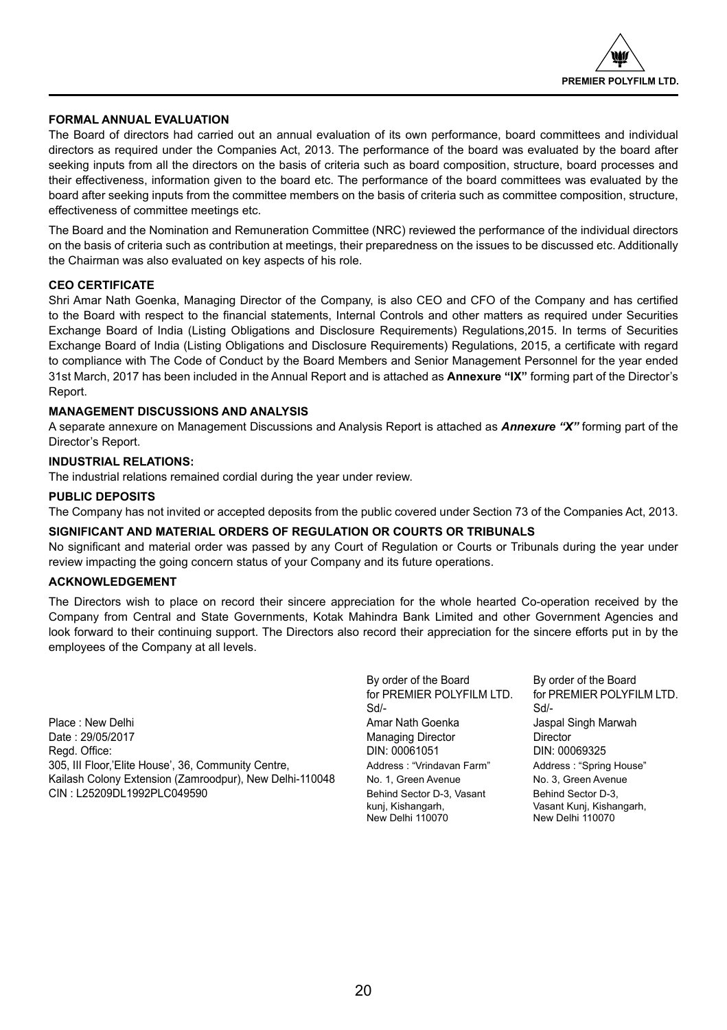

## **FORMAL ANNUAL EVALUATION**

The Board of directors had carried out an annual evaluation of its own performance, board committees and individual directors as required under the Companies Act, 2013. The performance of the board was evaluated by the board after seeking inputs from all the directors on the basis of criteria such as board composition, structure, board processes and their effectiveness, information given to the board etc. The performance of the board committees was evaluated by the board after seeking inputs from the committee members on the basis of criteria such as committee composition, structure, effectiveness of committee meetings etc.

The Board and the Nomination and Remuneration Committee (NRC) reviewed the performance of the individual directors on the basis of criteria such as contribution at meetings, their preparedness on the issues to be discussed etc. Additionally the Chairman was also evaluated on key aspects of his role.

## **CEO CERTIFICATE**

Shri Amar Nath Goenka, Managing Director of the Company, is also CEO and CFO of the Company and has certified to the Board with respect to the financial statements, Internal Controls and other matters as required under Securities Exchange Board of India (Listing Obligations and Disclosure Requirements) Regulations,2015. In terms of Securities Exchange Board of India (Listing Obligations and Disclosure Requirements) Regulations, 2015, a certificate with regard to compliance with The Code of Conduct by the Board Members and Senior Management Personnel for the year ended 31st March, 2017 has been included in the Annual Report and is attached as **Annexure "IX"** forming part of the Director's Report.

## **MANAGEMENT DISCUSSIONS AND ANALYSIS**

A separate annexure on Management Discussions and Analysis Report is attached as *Annexure "X"* forming part of the Director's Report.

## **INDUSTRIAL RELATIONS:**

The industrial relations remained cordial during the year under review.

## **PUBLIC DEPOSITS**

The Company has not invited or accepted deposits from the public covered under Section 73 of the Companies Act, 2013.

## **SIGNIFICANT AND MATERIAL ORDERS OF REGULATION OR COURTS OR TRIBUNALS**

No significant and material order was passed by any Court of Regulation or Courts or Tribunals during the year under review impacting the going concern status of your Company and its future operations.

## **ACKNOWLEDGEMENT**

The Directors wish to place on record their sincere appreciation for the whole hearted Co-operation received by the Company from Central and State Governments, Kotak Mahindra Bank Limited and other Government Agencies and look forward to their continuing support. The Directors also record their appreciation for the sincere efforts put in by the employees of the Company at all levels.

Place : New Delhi **Amar Nath Goenka** Jaspal Singh Marwah Date : 29/05/2017 Managing Director Director Regd. Office: 20081051 DIN: 00061051 305, III Floor,'Elite House', 36, Community Centre, Address : "Vrindavan Farm" Address : "Spring House" Kailash Colony Extension (Zamroodpur), New Delhi-110048 No. 1, Green Avenue No. 3, Green Avenue CIN : L25209DL1992PLC049590 Behind Sector D-3, Vasant Behind Sector D-3,

By order of the Board By order of the Board<br>for PREMIER POLYFILM LTD. for PREMIER POLYFI Sd/- Sd/-

for PREMIER POLYFILM LTD.

kunj, Kishangarh, Vasant Kunj, Kishangarh, New Delhi 110070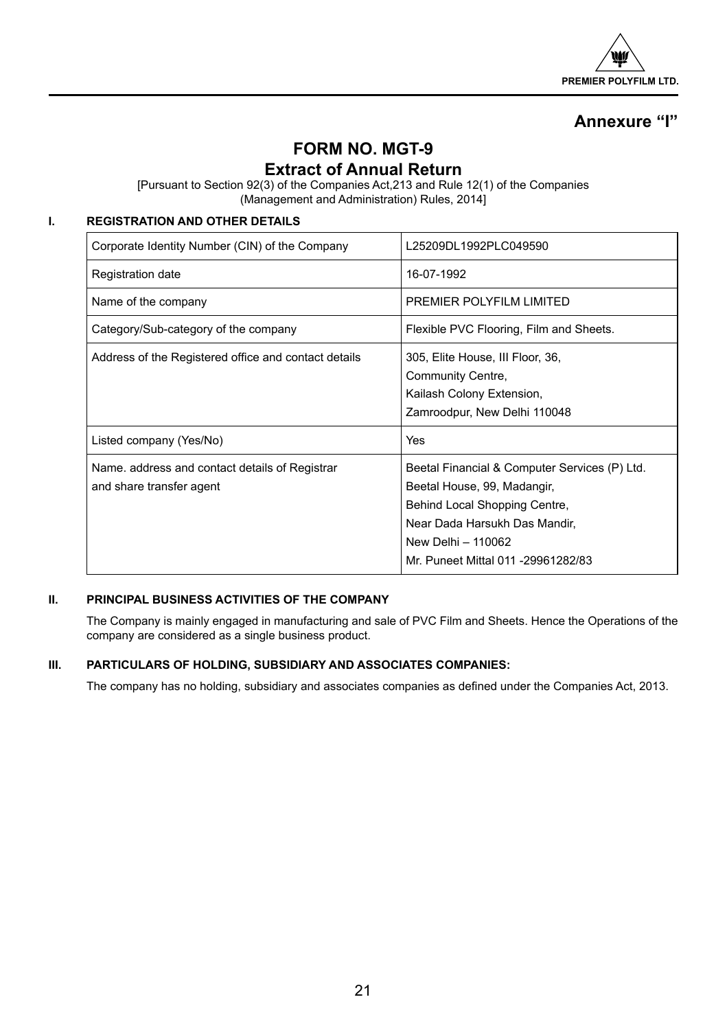

## **Annexure "I"**

## **FORM NO. MGT-9**

## **Extract of Annual Return**

[Pursuant to Section 92(3) of the Companies Act,213 and Rule 12(1) of the Companies (Management and Administration) Rules, 2014]

## **I. REGISTRATION AND OTHER DETAILS**

| Corporate Identity Number (CIN) of the Company                             | L25209DL1992PLC049590                                                                                                                                                                                      |
|----------------------------------------------------------------------------|------------------------------------------------------------------------------------------------------------------------------------------------------------------------------------------------------------|
| <b>Registration date</b>                                                   | 16-07-1992                                                                                                                                                                                                 |
| Name of the company                                                        | PREMIER POLYFILM LIMITED                                                                                                                                                                                   |
| Category/Sub-category of the company                                       | Flexible PVC Flooring, Film and Sheets.                                                                                                                                                                    |
| Address of the Registered office and contact details                       | 305, Elite House, III Floor, 36,<br>Community Centre,<br>Kailash Colony Extension,<br>Zamroodpur, New Delhi 110048                                                                                         |
| Listed company (Yes/No)                                                    | <b>Yes</b>                                                                                                                                                                                                 |
| Name, address and contact details of Registrar<br>and share transfer agent | Beetal Financial & Computer Services (P) Ltd.<br>Beetal House, 99, Madangir,<br>Behind Local Shopping Centre,<br>Near Dada Harsukh Das Mandir,<br>New Delhi - 110062<br>Mr. Puneet Mittal 011 -29961282/83 |

## **II. PRINCIPAL BUSINESS ACTIVITIES OF THE COMPANY**

The Company is mainly engaged in manufacturing and sale of PVC Film and Sheets. Hence the Operations of the company are considered as a single business product.

## **III. PARTICULARS OF HOLDING, SUBSIDIARY AND ASSOCIATES COMPANIES:**

The company has no holding, subsidiary and associates companies as defined under the Companies Act, 2013.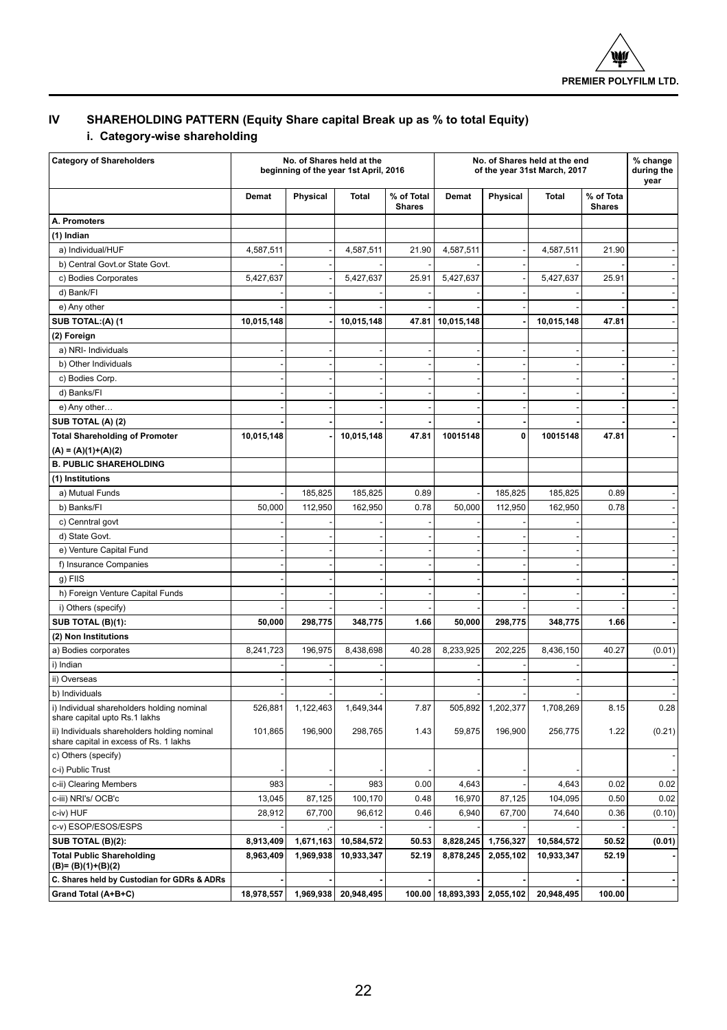

## **IV SHAREHOLDING PATTERN (Equity Share capital Break up as % to total Equity)**

## **i. Category-wise shareholding**

| <b>Category of Shareholders</b>                                                        |            | No. of Shares held at the<br>beginning of the year 1st April, 2016 |              |                             | No. of Shares held at the end<br>of the year 31st March, 2017 |           |              |                            |        |  | % change<br>during the<br>year |
|----------------------------------------------------------------------------------------|------------|--------------------------------------------------------------------|--------------|-----------------------------|---------------------------------------------------------------|-----------|--------------|----------------------------|--------|--|--------------------------------|
|                                                                                        | Demat      | Physical                                                           | <b>Total</b> | % of Total<br><b>Shares</b> | Demat                                                         | Physical  | <b>Total</b> | % of Tota<br><b>Shares</b> |        |  |                                |
| A. Promoters                                                                           |            |                                                                    |              |                             |                                                               |           |              |                            |        |  |                                |
| (1) Indian                                                                             |            |                                                                    |              |                             |                                                               |           |              |                            |        |  |                                |
| a) Individual/HUF                                                                      | 4,587,511  |                                                                    | 4,587,511    | 21.90                       | 4,587,511                                                     |           | 4,587,511    | 21.90                      |        |  |                                |
| b) Central Govt.or State Govt.                                                         |            |                                                                    |              |                             |                                                               |           |              |                            |        |  |                                |
| c) Bodies Corporates                                                                   | 5,427,637  |                                                                    | 5,427,637    | 25.91                       | 5,427,637                                                     |           | 5,427,637    | 25.91                      |        |  |                                |
| d) Bank/Fl                                                                             |            |                                                                    |              |                             |                                                               |           |              |                            |        |  |                                |
| e) Any other                                                                           |            |                                                                    |              |                             |                                                               |           |              |                            |        |  |                                |
| SUB TOTAL:(A) (1                                                                       | 10,015,148 |                                                                    | 10,015,148   | 47.81                       | 10,015,148                                                    |           | 10,015,148   | 47.81                      |        |  |                                |
| (2) Foreign                                                                            |            |                                                                    |              |                             |                                                               |           |              |                            |        |  |                                |
| a) NRI- Individuals                                                                    |            |                                                                    |              |                             |                                                               |           |              |                            |        |  |                                |
| b) Other Individuals                                                                   |            |                                                                    |              |                             |                                                               |           |              |                            |        |  |                                |
| c) Bodies Corp.                                                                        |            |                                                                    |              |                             |                                                               |           |              |                            |        |  |                                |
| d) Banks/FI                                                                            |            |                                                                    |              |                             |                                                               |           |              |                            |        |  |                                |
| e) Any other                                                                           |            |                                                                    |              |                             |                                                               |           |              |                            |        |  |                                |
| SUB TOTAL (A) (2)                                                                      |            |                                                                    |              |                             |                                                               |           |              |                            |        |  |                                |
| <b>Total Shareholding of Promoter</b>                                                  | 10,015,148 |                                                                    | 10,015,148   | 47.81                       | 10015148                                                      | 0         | 10015148     | 47.81                      |        |  |                                |
| $(A) = (A)(1)+(A)(2)$                                                                  |            |                                                                    |              |                             |                                                               |           |              |                            |        |  |                                |
| <b>B. PUBLIC SHAREHOLDING</b>                                                          |            |                                                                    |              |                             |                                                               |           |              |                            |        |  |                                |
| (1) Institutions                                                                       |            |                                                                    |              |                             |                                                               |           |              |                            |        |  |                                |
| a) Mutual Funds                                                                        |            | 185,825                                                            | 185,825      | 0.89                        |                                                               | 185,825   | 185,825      | 0.89                       |        |  |                                |
| b) Banks/FI                                                                            | 50,000     | 112,950                                                            | 162,950      | 0.78                        | 50,000                                                        | 112,950   | 162,950      | 0.78                       |        |  |                                |
| c) Cenntral govt                                                                       |            |                                                                    |              |                             |                                                               |           |              |                            |        |  |                                |
| d) State Govt.                                                                         |            |                                                                    |              |                             |                                                               |           |              |                            |        |  |                                |
| e) Venture Capital Fund                                                                |            |                                                                    |              |                             |                                                               |           |              |                            |        |  |                                |
| f) Insurance Companies                                                                 |            |                                                                    |              |                             |                                                               |           |              |                            |        |  |                                |
| g) FIIS                                                                                |            |                                                                    |              |                             |                                                               |           |              |                            |        |  |                                |
| h) Foreign Venture Capital Funds                                                       |            |                                                                    |              |                             |                                                               |           |              |                            |        |  |                                |
| i) Others (specify)                                                                    |            |                                                                    |              |                             |                                                               |           |              |                            |        |  |                                |
| SUB TOTAL (B)(1):                                                                      | 50,000     | 298,775                                                            | 348,775      | 1.66                        | 50,000                                                        | 298,775   | 348,775      | 1.66                       |        |  |                                |
| (2) Non Institutions                                                                   |            |                                                                    |              |                             |                                                               |           |              |                            |        |  |                                |
| a) Bodies corporates                                                                   | 8,241,723  | 196,975                                                            | 8,438,698    | 40.28                       | 8,233,925                                                     | 202,225   | 8,436,150    | 40.27                      | (0.01) |  |                                |
| i) Indian                                                                              |            |                                                                    |              |                             |                                                               |           |              |                            |        |  |                                |
| ii) Overseas                                                                           |            |                                                                    |              |                             |                                                               |           |              |                            |        |  |                                |
| b) Individuals                                                                         |            |                                                                    |              |                             |                                                               |           |              |                            |        |  |                                |
| i) Individual shareholders holding nominal<br>share capital upto Rs.1 lakhs            | 526,881    | 1,122,463                                                          | 1,649,344    | 7.87                        | 505,892                                                       | 1,202,377 | 1,708,269    | 8.15                       | 0.28   |  |                                |
| ii) Individuals shareholders holding nominal<br>share capital in excess of Rs. 1 lakhs | 101,865    | 196,900                                                            | 298,765      | 1.43                        | 59,875                                                        | 196,900   | 256,775      | 1.22                       | (0.21) |  |                                |
| c) Others (specify)                                                                    |            |                                                                    |              |                             |                                                               |           |              |                            |        |  |                                |
| c-i) Public Trust                                                                      |            |                                                                    |              |                             |                                                               |           |              |                            |        |  |                                |
| c-ii) Clearing Members                                                                 | 983        |                                                                    | 983          | 0.00                        | 4,643                                                         |           | 4,643        | 0.02                       | 0.02   |  |                                |
| c-iii) NRI's/OCB'c                                                                     | 13,045     | 87,125                                                             | 100,170      | 0.48                        | 16,970                                                        | 87,125    | 104,095      | 0.50                       | 0.02   |  |                                |
| c-iv) HUF                                                                              | 28,912     | 67,700                                                             | 96,612       | 0.46                        | 6,940                                                         | 67,700    | 74,640       | 0.36                       | (0.10) |  |                                |
| c-v) ESOP/ESOS/ESPS                                                                    |            |                                                                    |              |                             |                                                               |           |              |                            |        |  |                                |
| SUB TOTAL (B)(2):                                                                      | 8,913,409  | 1,671,163                                                          | 10,584,572   | 50.53                       | 8,828,245                                                     | 1,756,327 | 10,584,572   | 50.52                      | (0.01) |  |                                |
| <b>Total Public Shareholding</b><br>(B)= (B)(1)+(B)(2)                                 | 8,963,409  | 1,969,938                                                          | 10,933,347   | 52.19                       | 8,878,245                                                     | 2,055,102 | 10,933,347   | 52.19                      |        |  |                                |
| C. Shares held by Custodian for GDRs & ADRs                                            |            |                                                                    |              |                             |                                                               |           |              |                            |        |  |                                |
| Grand Total (A+B+C)                                                                    | 18,978,557 | 1,969,938                                                          | 20,948,495   |                             | 100.00   18,893,393   2,055,102                               |           | 20,948,495   | 100.00                     |        |  |                                |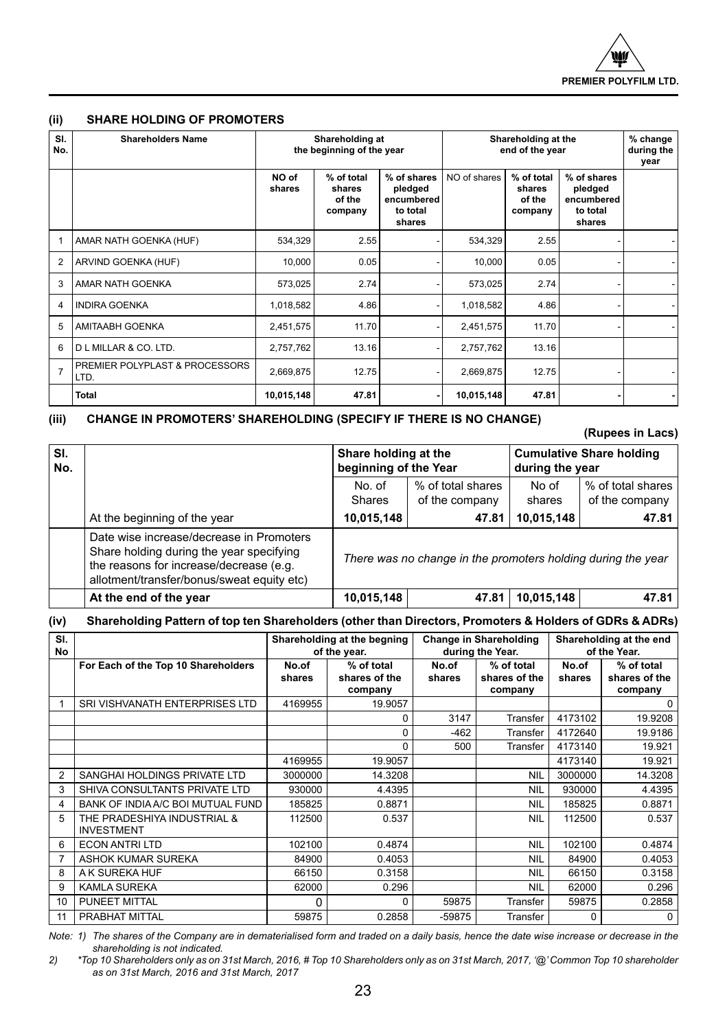

## **(ii) SHARE HOLDING OF PROMOTERS**

| SI.<br>No.     | <b>Shareholders Name</b>                          | Shareholding at<br>the beginning of the year |                                           |                                                            | Shareholding at the<br>end of the year |                                           |                                                            | % change<br>during the<br>year |
|----------------|---------------------------------------------------|----------------------------------------------|-------------------------------------------|------------------------------------------------------------|----------------------------------------|-------------------------------------------|------------------------------------------------------------|--------------------------------|
|                |                                                   | NO of<br>shares                              | % of total<br>shares<br>of the<br>company | % of shares<br>pledged<br>encumbered<br>to total<br>shares | NO of shares                           | % of total<br>shares<br>of the<br>company | % of shares<br>pledged<br>encumbered<br>to total<br>shares |                                |
| $\mathbf{1}$   | AMAR NATH GOENKA (HUF)                            | 534.329                                      | 2.55                                      |                                                            | 534,329                                | 2.55                                      |                                                            |                                |
| $\overline{2}$ | ARVIND GOENKA (HUF)                               | 10,000                                       | 0.05                                      |                                                            | 10,000                                 | 0.05                                      |                                                            |                                |
| 3              | AMAR NATH GOENKA                                  | 573.025                                      | 2.74                                      |                                                            | 573,025                                | 2.74                                      |                                                            |                                |
| $\overline{4}$ | <b>INDIRA GOENKA</b>                              | 1.018.582                                    | 4.86                                      |                                                            | 1,018,582                              | 4.86                                      |                                                            |                                |
| 5              | <b>AMITAABH GOENKA</b>                            | 2,451,575                                    | 11.70                                     |                                                            | 2,451,575                              | 11.70                                     |                                                            |                                |
| 6              | D L MILLAR & CO. LTD.                             | 2,757,762                                    | 13.16                                     |                                                            | 2,757,762                              | 13.16                                     |                                                            |                                |
| $\overline{7}$ | <b>PREMIER POLYPLAST &amp; PROCESSORS</b><br>LTD. | 2.669.875                                    | 12.75                                     |                                                            | 2,669,875                              | 12.75                                     |                                                            |                                |
|                | <b>Total</b>                                      | 10,015,148                                   | 47.81                                     |                                                            | 10,015,148                             | 47.81                                     |                                                            |                                |

## **(iii) CHANGE IN PROMOTERS' SHAREHOLDING (SPECIFY IF THERE IS NO CHANGE)**

**(Rupees in Lacs)**

| SI.<br>No. |                                                                                                                                                                               | Share holding at the<br>beginning of the Year                |                                     |                 | <b>Cumulative Share holding</b><br>during the year |  |  |
|------------|-------------------------------------------------------------------------------------------------------------------------------------------------------------------------------|--------------------------------------------------------------|-------------------------------------|-----------------|----------------------------------------------------|--|--|
|            |                                                                                                                                                                               | No. of<br><b>Shares</b>                                      | % of total shares<br>of the company | No of<br>shares | % of total shares<br>of the company                |  |  |
|            | At the beginning of the year                                                                                                                                                  | 10,015,148                                                   | 47.81                               | 10,015,148      | 47.81                                              |  |  |
|            | Date wise increase/decrease in Promoters<br>Share holding during the year specifying<br>the reasons for increase/decrease (e.g.<br>allotment/transfer/bonus/sweat equity etc) | There was no change in the promoters holding during the year |                                     |                 |                                                    |  |  |
|            | At the end of the year                                                                                                                                                        | 10,015,148                                                   | 47.81                               | 10,015,148      | 47.81                                              |  |  |

## **(iv) Shareholding Pattern of top ten Shareholders (other than Directors, Promoters & Holders of GDRs & ADRs)**

| SI.<br>No      |                                     | Shareholding at the begning<br>of the year. |               | <b>Change in Shareholding</b><br>during the Year. |               | Shareholding at the end<br>of the Year. |               |
|----------------|-------------------------------------|---------------------------------------------|---------------|---------------------------------------------------|---------------|-----------------------------------------|---------------|
|                | For Each of the Top 10 Shareholders | No.of                                       | % of total    | No.of                                             | % of total    | No.of                                   | % of total    |
|                |                                     | shares                                      | shares of the | shares                                            | shares of the | shares                                  | shares of the |
|                |                                     |                                             | company       |                                                   | company       |                                         | company       |
|                | SRI VISHVANATH ENTERPRISES LTD      | 4169955                                     | 19.9057       |                                                   |               |                                         | 0             |
|                |                                     |                                             | $\Omega$      | 3147                                              | Transfer      | 4173102                                 | 19.9208       |
|                |                                     |                                             | $\Omega$      | $-462$                                            | Transfer      | 4172640                                 | 19.9186       |
|                |                                     |                                             | $\Omega$      | 500                                               | Transfer      | 4173140                                 | 19.921        |
|                |                                     | 4169955                                     | 19.9057       |                                                   |               | 4173140                                 | 19.921        |
| $\overline{2}$ | SANGHAI HOLDINGS PRIVATE LTD        | 3000000                                     | 14.3208       |                                                   | <b>NIL</b>    | 3000000                                 | 14.3208       |
| 3              | SHIVA CONSULTANTS PRIVATE LTD       | 930000                                      | 4.4395        |                                                   | <b>NIL</b>    | 930000                                  | 4.4395        |
| 4              | BANK OF INDIA A/C BOI MUTUAL FUND   | 185825                                      | 0.8871        |                                                   | <b>NIL</b>    | 185825                                  | 0.8871        |
| 5              | THE PRADESHIYA INDUSTRIAL &         | 112500                                      | 0.537         |                                                   | <b>NIL</b>    | 112500                                  | 0.537         |
|                | <b>INVESTMENT</b>                   |                                             |               |                                                   |               |                                         |               |
| 6              | <b>ECON ANTRI LTD</b>               | 102100                                      | 0.4874        |                                                   | <b>NIL</b>    | 102100                                  | 0.4874        |
| 7              | ASHOK KUMAR SUREKA                  | 84900                                       | 0.4053        |                                                   | <b>NIL</b>    | 84900                                   | 0.4053        |
| 8              | A K SUREKA HUF                      | 66150                                       | 0.3158        |                                                   | <b>NIL</b>    | 66150                                   | 0.3158        |
| 9              | <b>KAMLA SUREKA</b>                 | 62000                                       | 0.296         |                                                   | <b>NIL</b>    | 62000                                   | 0.296         |
| 10             | PUNEET MITTAL                       | 0                                           | 0             | 59875                                             | Transfer      | 59875                                   | 0.2858        |
| 11             | PRABHAT MITTAL                      | 59875                                       | 0.2858        | -59875                                            | Transfer      | n                                       | 0             |

*Note: 1) The shares of the Company are in dematerialised form and traded on a daily basis, hence the date wise increase or decrease in the shareholding is not indicated.* 

*<sup>2)</sup> \*Top 10 Shareholders only as on 31st March, 2016, # Top 10 Shareholders only as on 31st March, 2017, '@' Common Top 10 shareholder as on 31st March, 2016 and 31st March, 2017*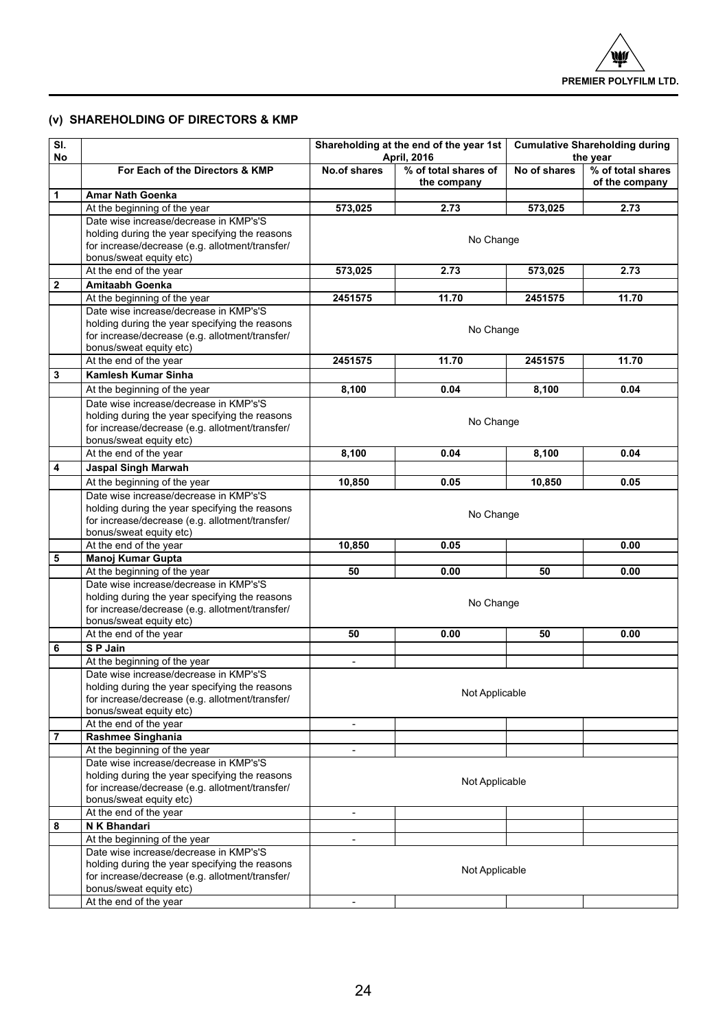## **(v) Shareholding of Directors & KMP**

| SI.<br>No |                                                                                          | Shareholding at the end of the year 1st<br>April, 2016 |                                     | <b>Cumulative Shareholding during</b><br>the year |                                     |
|-----------|------------------------------------------------------------------------------------------|--------------------------------------------------------|-------------------------------------|---------------------------------------------------|-------------------------------------|
|           | For Each of the Directors & KMP                                                          | No.of shares                                           | % of total shares of<br>the company | No of shares                                      | % of total shares<br>of the company |
| 1         | Amar Nath Goenka                                                                         |                                                        |                                     |                                                   |                                     |
|           | At the beginning of the year                                                             | 573,025                                                | 2.73                                | 573,025                                           | 2.73                                |
|           | Date wise increase/decrease in KMP's'S                                                   |                                                        |                                     |                                                   |                                     |
|           | holding during the year specifying the reasons                                           |                                                        |                                     |                                                   |                                     |
|           | for increase/decrease (e.g. allotment/transfer/                                          |                                                        | No Change                           |                                                   |                                     |
|           | bonus/sweat equity etc)                                                                  |                                                        |                                     |                                                   |                                     |
|           | At the end of the year                                                                   | 573,025                                                | 2.73                                | 573.025                                           | 2.73                                |
| 2         | Amitaabh Goenka                                                                          |                                                        |                                     |                                                   |                                     |
|           | At the beginning of the year                                                             | 2451575                                                | 11.70                               | 2451575                                           | 11.70                               |
|           | Date wise increase/decrease in KMP's'S                                                   |                                                        |                                     |                                                   |                                     |
|           | holding during the year specifying the reasons                                           |                                                        | No Change                           |                                                   |                                     |
|           | for increase/decrease (e.g. allotment/transfer/                                          |                                                        |                                     |                                                   |                                     |
|           | bonus/sweat equity etc)<br>At the end of the year                                        | 2451575                                                | 11.70                               | 2451575                                           | 11.70                               |
| 3         | Kamlesh Kumar Sinha                                                                      |                                                        |                                     |                                                   |                                     |
|           |                                                                                          |                                                        |                                     |                                                   |                                     |
|           | At the beginning of the year                                                             | 8,100                                                  | 0.04                                | 8,100                                             | 0.04                                |
|           | Date wise increase/decrease in KMP's'S                                                   |                                                        |                                     |                                                   |                                     |
|           | holding during the year specifying the reasons                                           |                                                        | No Change                           |                                                   |                                     |
|           | for increase/decrease (e.g. allotment/transfer/<br>bonus/sweat equity etc)               |                                                        |                                     |                                                   |                                     |
|           | At the end of the year                                                                   | 8,100                                                  | 0.04                                | 8,100                                             | 0.04                                |
| 4         | <b>Jaspal Singh Marwah</b>                                                               |                                                        |                                     |                                                   |                                     |
|           | At the beginning of the year                                                             | 10.850                                                 | 0.05                                | 10.850                                            | 0.05                                |
|           | Date wise increase/decrease in KMP's'S                                                   |                                                        |                                     |                                                   |                                     |
|           | holding during the year specifying the reasons                                           |                                                        |                                     |                                                   |                                     |
|           | for increase/decrease (e.g. allotment/transfer/                                          |                                                        | No Change                           |                                                   |                                     |
|           | bonus/sweat equity etc)                                                                  |                                                        |                                     |                                                   |                                     |
|           | At the end of the year                                                                   | 10,850                                                 | 0.05                                |                                                   | 0.00                                |
| 5         | Manoj Kumar Gupta                                                                        |                                                        |                                     |                                                   |                                     |
|           | At the beginning of the year                                                             | 50                                                     | 0.00                                | 50                                                | 0.00                                |
|           | Date wise increase/decrease in KMP's'S                                                   |                                                        |                                     |                                                   |                                     |
|           | holding during the year specifying the reasons                                           |                                                        | No Change                           |                                                   |                                     |
|           | for increase/decrease (e.g. allotment/transfer/                                          |                                                        |                                     |                                                   |                                     |
|           | bonus/sweat equity etc)                                                                  |                                                        |                                     |                                                   |                                     |
|           | At the end of the year                                                                   | 50                                                     | 0.00                                | 50                                                | 0.00                                |
| 6         | SP Jain                                                                                  |                                                        |                                     |                                                   |                                     |
|           | At the beginning of the year                                                             | ÷                                                      |                                     |                                                   |                                     |
|           | Date wise increase/decrease in KMP's'S<br>holding during the year specifying the reasons |                                                        |                                     |                                                   |                                     |
|           | for increase/decrease (e.g. allotment/transfer/                                          |                                                        | Not Applicable                      |                                                   |                                     |
|           | bonus/sweat equity etc)                                                                  |                                                        |                                     |                                                   |                                     |
|           | At the end of the year                                                                   | $\overline{\phantom{a}}$                               |                                     |                                                   |                                     |
| 7         | Rashmee Singhania                                                                        |                                                        |                                     |                                                   |                                     |
|           | At the beginning of the year                                                             | ä,                                                     |                                     |                                                   |                                     |
|           | Date wise increase/decrease in KMP's'S                                                   |                                                        |                                     |                                                   |                                     |
|           | holding during the year specifying the reasons                                           |                                                        | Not Applicable                      |                                                   |                                     |
|           | for increase/decrease (e.g. allotment/transfer/                                          |                                                        |                                     |                                                   |                                     |
|           | bonus/sweat equity etc)                                                                  |                                                        |                                     |                                                   |                                     |
|           | At the end of the year                                                                   | $\overline{\phantom{a}}$                               |                                     |                                                   |                                     |
| 8         | N K Bhandari                                                                             |                                                        |                                     |                                                   |                                     |
|           | At the beginning of the year                                                             | $\blacksquare$                                         |                                     |                                                   |                                     |
|           | Date wise increase/decrease in KMP's'S                                                   |                                                        |                                     |                                                   |                                     |
|           | holding during the year specifying the reasons                                           |                                                        | Not Applicable                      |                                                   |                                     |
|           | for increase/decrease (e.g. allotment/transfer/<br>bonus/sweat equity etc)               |                                                        |                                     |                                                   |                                     |
|           | At the end of the year                                                                   | ä,                                                     |                                     |                                                   |                                     |
|           |                                                                                          |                                                        |                                     |                                                   |                                     |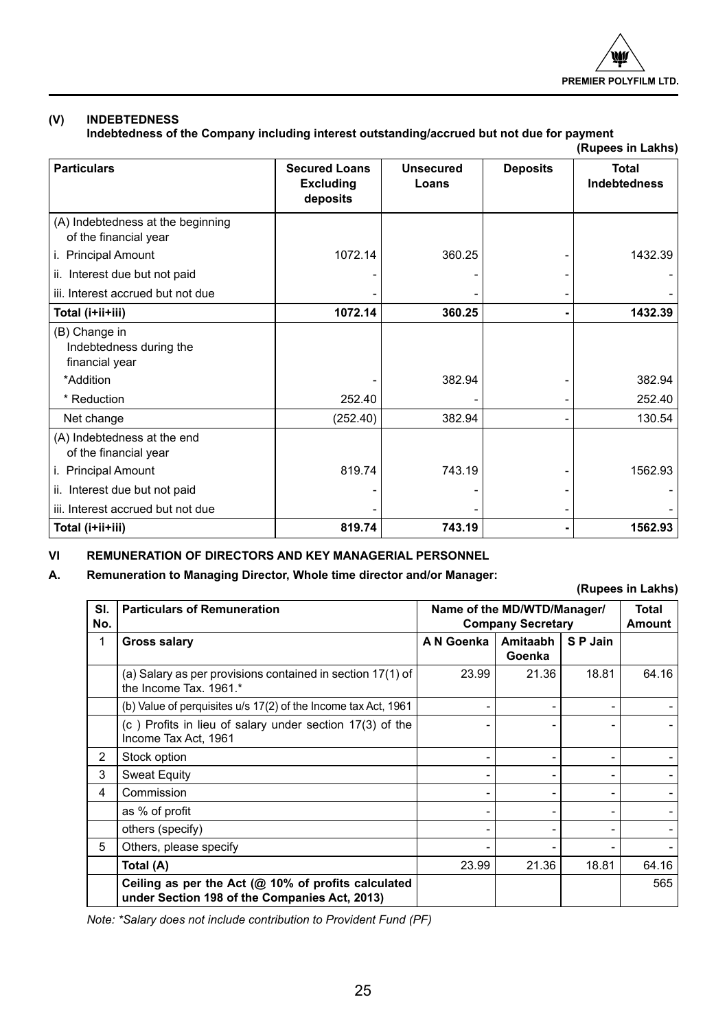

## **(V) INDEBTEDNESS**

**Indebtedness of the Company including interest outstanding/accrued but not due for payment (Rupees in Lakhs)**

|                                                            |                                                      |                           |                 | (KUPCCS III LANIIS)          |
|------------------------------------------------------------|------------------------------------------------------|---------------------------|-----------------|------------------------------|
| <b>Particulars</b>                                         | <b>Secured Loans</b><br><b>Excluding</b><br>deposits | <b>Unsecured</b><br>Loans | <b>Deposits</b> | <b>Total</b><br>Indebtedness |
| (A) Indebtedness at the beginning<br>of the financial year | 1072.14                                              | 360.25                    |                 | 1432.39                      |
| i. Principal Amount                                        |                                                      |                           |                 |                              |
| ii. Interest due but not paid                              |                                                      |                           |                 |                              |
| iii. Interest accrued but not due                          |                                                      |                           |                 |                              |
| Total (i+ii+iii)                                           | 1072.14                                              | 360.25                    |                 | 1432.39                      |
| (B) Change in<br>Indebtedness during the<br>financial year |                                                      |                           |                 |                              |
| *Addition                                                  |                                                      | 382.94                    |                 | 382.94                       |
| * Reduction                                                | 252.40                                               |                           |                 | 252.40                       |
| Net change                                                 | (252.40)                                             | 382.94                    |                 | 130.54                       |
| (A) Indebtedness at the end<br>of the financial year       |                                                      |                           |                 |                              |
| i. Principal Amount                                        | 819.74                                               | 743.19                    |                 | 1562.93                      |
| ii. Interest due but not paid                              |                                                      |                           |                 |                              |
| iii. Interest accrued but not due                          |                                                      |                           |                 |                              |
| Total (i+ii+iii)                                           | 819.74                                               | 743.19                    |                 | 1562.93                      |

## **VI REMUNERATION OF DIRECTORS AND KEY MANAGERIAL PERSONNEL**

## **A. Remuneration to Managing Director, Whole time director and/or Manager:**

**(Rupees in Lakhs)**

|            | uwwww.ni Family                                                                                         |            |                                                         |          |       |
|------------|---------------------------------------------------------------------------------------------------------|------------|---------------------------------------------------------|----------|-------|
| SI.<br>No. | <b>Particulars of Remuneration</b>                                                                      |            | Name of the MD/WTD/Manager/<br><b>Company Secretary</b> |          |       |
| 1          | Gross salary                                                                                            | A N Goenka | Amitaabh<br>Goenka                                      | S P Jain |       |
|            | (a) Salary as per provisions contained in section 17(1) of<br>the Income Tax. 1961.*                    | 23.99      | 21.36                                                   | 18.81    | 64.16 |
|            | (b) Value of perguisites u/s 17(2) of the Income tax Act, 1961                                          |            |                                                         |          |       |
|            | (c) Profits in lieu of salary under section 17(3) of the<br>Income Tax Act, 1961                        |            |                                                         |          |       |
| 2          | Stock option                                                                                            |            |                                                         | -        |       |
| 3          | <b>Sweat Equity</b>                                                                                     |            |                                                         |          |       |
| 4          | Commission                                                                                              |            |                                                         |          |       |
|            | as % of profit                                                                                          |            |                                                         |          |       |
|            | others (specify)                                                                                        |            |                                                         |          |       |
| 5          | Others, please specify                                                                                  |            |                                                         |          |       |
|            | Total (A)                                                                                               | 23.99      | 21.36                                                   | 18.81    | 64.16 |
|            | Ceiling as per the Act ( $@$ 10% of profits calculated<br>under Section 198 of the Companies Act, 2013) |            |                                                         |          | 565   |

*Note: \*Salary does not include contribution to Provident Fund (PF)*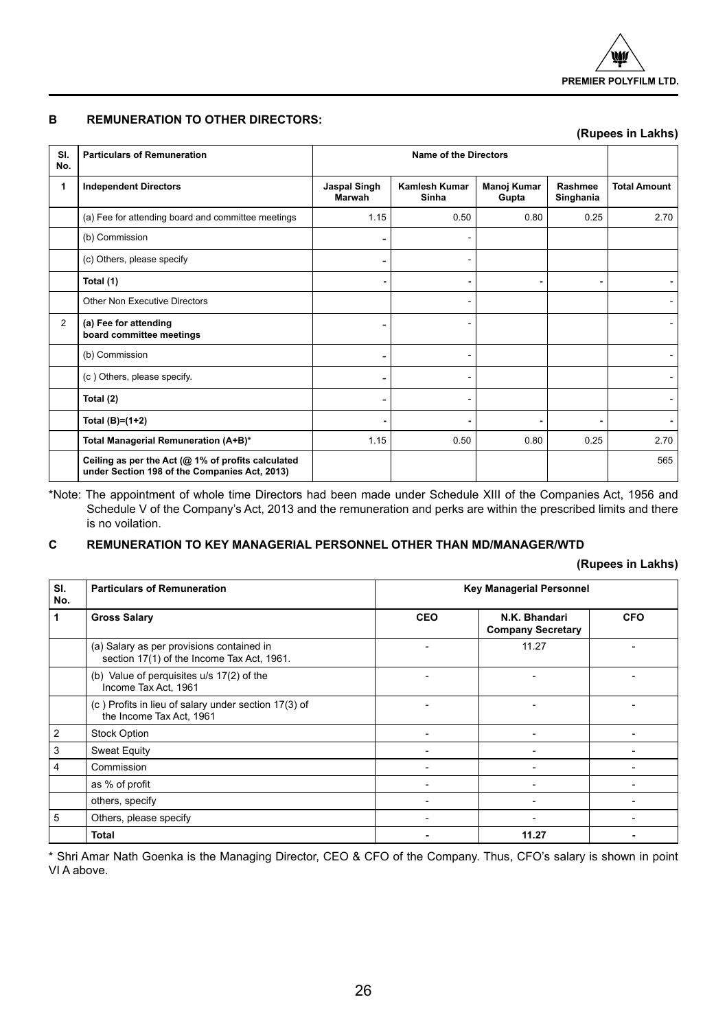## **B REMUNERATION TO OTHER DIRECTORS:**

|                |                                                                                                     |                        |                        | (Rupees in Lakhs)    |                      |                     |
|----------------|-----------------------------------------------------------------------------------------------------|------------------------|------------------------|----------------------|----------------------|---------------------|
| SI.<br>No.     | <b>Particulars of Remuneration</b>                                                                  |                        | Name of the Directors  |                      |                      |                     |
| 1              | <b>Independent Directors</b>                                                                        | Jaspal Singh<br>Marwah | Kamlesh Kumar<br>Sinha | Manoj Kumar<br>Gupta | Rashmee<br>Singhania | <b>Total Amount</b> |
|                | (a) Fee for attending board and committee meetings                                                  | 1.15                   | 0.50                   | 0.80                 | 0.25                 | 2.70                |
|                | (b) Commission                                                                                      |                        |                        |                      |                      |                     |
|                | (c) Others, please specify                                                                          |                        |                        |                      |                      |                     |
|                | Total (1)                                                                                           |                        |                        | ٠                    |                      |                     |
|                | Other Non Executive Directors                                                                       |                        |                        |                      |                      |                     |
| $\overline{2}$ | (a) Fee for attending<br>board committee meetings                                                   |                        |                        |                      |                      |                     |
|                | (b) Commission                                                                                      |                        |                        |                      |                      |                     |
|                | (c) Others, please specify.                                                                         |                        |                        |                      |                      |                     |
|                | Total (2)                                                                                           |                        |                        |                      |                      |                     |
|                | Total $(B)=(1+2)$                                                                                   |                        |                        |                      |                      |                     |
|                | Total Managerial Remuneration (A+B)*                                                                | 1.15                   | 0.50                   | 0.80                 | 0.25                 | 2.70                |
|                | Ceiling as per the Act (@ 1% of profits calculated<br>under Section 198 of the Companies Act, 2013) |                        |                        |                      |                      | 565                 |

\*Note: The appointment of whole time Directors had been made under Schedule XIII of the Companies Act, 1956 and Schedule V of the Company's Act, 2013 and the remuneration and perks are within the prescribed limits and there is no voilation.

## **C REMUNERATION TO KEY MANAGERIAL PERSONNEL OTHER THAN MD/MANAGER/WTD**

## **(Rupees in Lakhs)**

| SI.<br>No.     | <b>Particulars of Remuneration</b>                                                      | <b>Key Managerial Personnel</b> |                                           |            |
|----------------|-----------------------------------------------------------------------------------------|---------------------------------|-------------------------------------------|------------|
| 1              | <b>Gross Salary</b>                                                                     | <b>CEO</b>                      | N.K. Bhandari<br><b>Company Secretary</b> | <b>CFO</b> |
|                | (a) Salary as per provisions contained in<br>section 17(1) of the Income Tax Act, 1961. |                                 | 11.27                                     |            |
|                | (b) Value of perquisites u/s 17(2) of the<br>Income Tax Act, 1961                       |                                 |                                           |            |
|                | (c) Profits in lieu of salary under section 17(3) of<br>the Income Tax Act, 1961        |                                 |                                           |            |
| $\overline{2}$ | <b>Stock Option</b>                                                                     |                                 | ۰                                         |            |
| 3              | Sweat Equity                                                                            |                                 |                                           |            |
| 4              | Commission                                                                              |                                 | ۰                                         |            |
|                | as % of profit                                                                          |                                 | ۰                                         |            |
|                | others, specify                                                                         |                                 | ۰                                         |            |
| 5              | Others, please specify                                                                  |                                 |                                           |            |
|                | Total                                                                                   |                                 | 11.27                                     |            |

\* Shri Amar Nath Goenka is the Managing Director, CEO & CFO of the Company. Thus, CFO's salary is shown in point VI A above.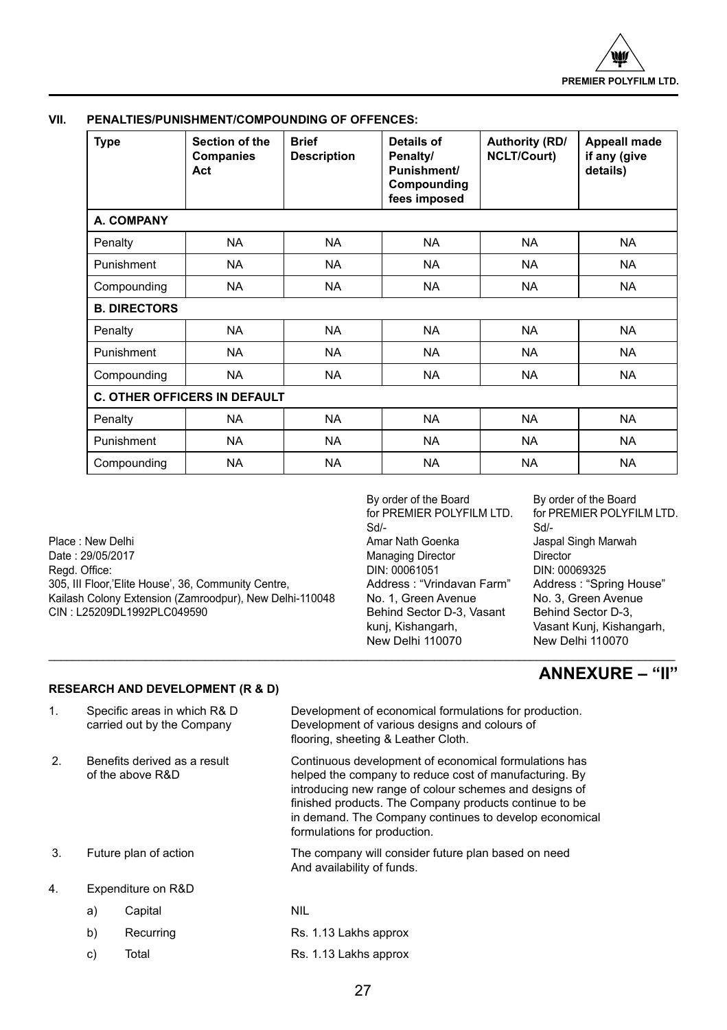| <b>Type</b>         | Section of the<br>Companies<br>Act  | <b>Brief</b><br><b>Description</b> | Details of<br>Penalty/<br>Punishment/<br>Compounding<br>fees imposed | Authority (RD/<br><b>NCLT/Court)</b> | <b>Appeall made</b><br>if any (give<br>details) |  |
|---------------------|-------------------------------------|------------------------------------|----------------------------------------------------------------------|--------------------------------------|-------------------------------------------------|--|
| <b>A. COMPANY</b>   |                                     |                                    |                                                                      |                                      |                                                 |  |
| Penalty             | <b>NA</b>                           | <b>NA</b>                          | <b>NA</b>                                                            | <b>NA</b>                            | <b>NA</b>                                       |  |
| Punishment          | <b>NA</b>                           | <b>NA</b>                          | NA                                                                   | NA.                                  | <b>NA</b>                                       |  |
| Compounding         | <b>NA</b>                           | <b>NA</b>                          | <b>NA</b>                                                            | <b>NA</b>                            | <b>NA</b>                                       |  |
| <b>B. DIRECTORS</b> |                                     |                                    |                                                                      |                                      |                                                 |  |
| Penalty             | <b>NA</b>                           | <b>NA</b>                          | NA.                                                                  | <b>NA</b>                            | <b>NA</b>                                       |  |
| Punishment          | <b>NA</b>                           | <b>NA</b>                          | <b>NA</b>                                                            | <b>NA</b>                            | <b>NA</b>                                       |  |
| Compounding         | <b>NA</b>                           | <b>NA</b>                          | <b>NA</b>                                                            | <b>NA</b>                            | <b>NA</b>                                       |  |
|                     | <b>C. OTHER OFFICERS IN DEFAULT</b> |                                    |                                                                      |                                      |                                                 |  |
| Penalty             | <b>NA</b>                           | <b>NA</b>                          | <b>NA</b>                                                            | <b>NA</b>                            | <b>NA</b>                                       |  |
| Punishment          | <b>NA</b>                           | <b>NA</b>                          | <b>NA</b>                                                            | <b>NA</b>                            | <b>NA</b>                                       |  |
| Compounding         | <b>NA</b>                           | NA.                                | NA.                                                                  | <b>NA</b>                            | <b>NA</b>                                       |  |

## **VII. PENALTIES/PUNISHMENT/COMPOUNDING OF OFFENCES:**

Place : New Delhi **Amar Nath Goenka** Jaspal Singh Marwah Jaspal Singh Marwah Jaspal Singh Marwah Jaspal Singh Marwah<br>Date : 29/05/2017 **Director** Singh Marwah Marwading Director **Director** Director Date : 29/05/2017 Managing Director Director 305, III Floor,'Elite House', 36, Community Centre, <br>
Kailash Colony Extension (Zamroodpur), New Delhi-110048 No. 1, Green Avenue No. 3, Green Avenue Kailash Colony Extension (Zamroodpur), New Delhi-110048 No. 1, Green Avenue No. 3, Green Avenu<br>CIN: L25209DL1992PLC049590 CIN: Behind Sector D-3, Vasant Behind Sector D-3. CIN : L25209DL1992PLC049590 Behind Sector D-3, CIN : L25209DL1992PLC049590

By order of the Board By order of the Board<br>for PREMIER POLYFILM LTD. for PREMIER POLYFI for PREMIER POLYFILM LTD. for PREMIER POLYFILM LTD.<br>Sd/-<br>Sd/-Sd/- Sd/- DIN: 00061051 DIN: 00069325<br>Address: "Vrindavan Farm" Address: "Spr New Delhi 110070 New Delhi 110070

Vasant Kunj, Kishangarh, New Delhi 110070

## **ANNEXURE – "II"**

## **RESEARCH AND DEVELOPMENT (R & D)**

| 1.               |    | Specific areas in which R& D<br>carried out by the Company | Development of economical formulations for production.<br>Development of various designs and colours of<br>flooring, sheeting & Leather Cloth.                                                                                                                                                                                |
|------------------|----|------------------------------------------------------------|-------------------------------------------------------------------------------------------------------------------------------------------------------------------------------------------------------------------------------------------------------------------------------------------------------------------------------|
| 2.               |    | Benefits derived as a result<br>of the above R&D           | Continuous development of economical formulations has<br>helped the company to reduce cost of manufacturing. By<br>introducing new range of colour schemes and designs of<br>finished products. The Company products continue to be<br>in demand. The Company continues to develop economical<br>formulations for production. |
| 3.               |    | Future plan of action                                      | The company will consider future plan based on need<br>And availability of funds.                                                                                                                                                                                                                                             |
| $\overline{4}$ . |    | Expenditure on R&D                                         |                                                                                                                                                                                                                                                                                                                               |
|                  | a) | Capital                                                    | <b>NIL</b>                                                                                                                                                                                                                                                                                                                    |

\_\_\_\_\_\_\_\_\_\_\_\_\_\_\_\_\_\_\_\_\_\_\_\_\_\_\_\_\_\_\_\_\_\_\_\_\_\_\_\_\_\_\_\_\_\_\_\_\_\_\_\_\_\_\_\_\_\_\_\_\_\_\_\_\_\_\_\_\_\_\_\_\_\_\_\_\_\_\_\_\_\_\_\_\_\_\_\_\_\_\_\_\_\_\_\_\_\_\_\_\_\_\_\_

| b) | Recurring | Rs. 1.13 Lakhs approx |
|----|-----------|-----------------------|
|    |           |                       |

c) Total Rs. 1.13 Lakhs approx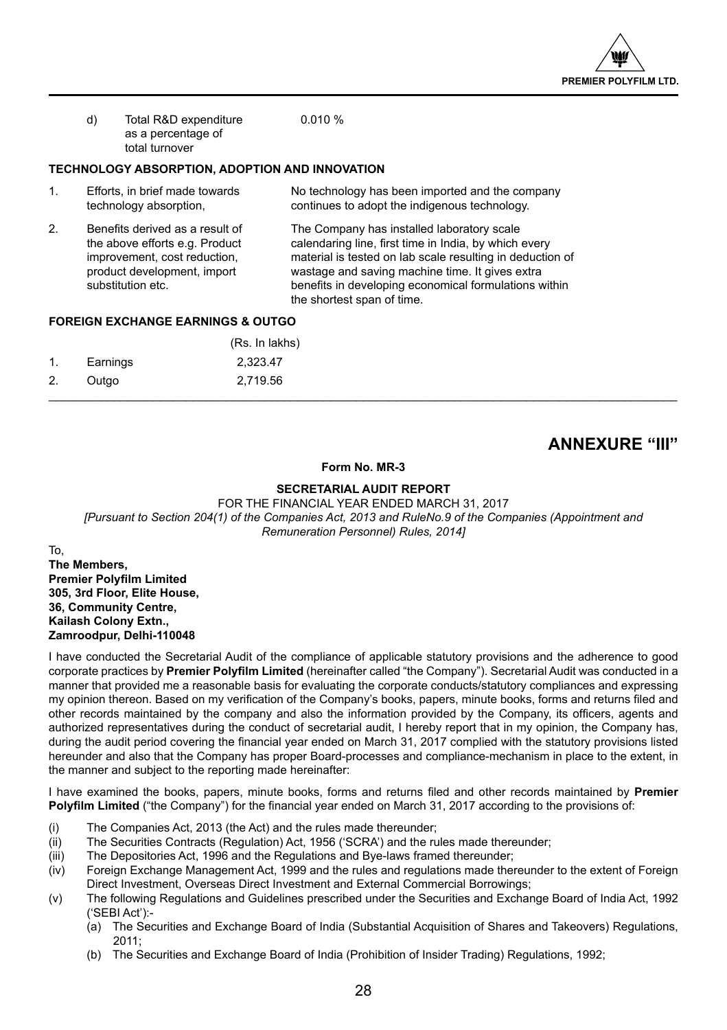

| d) | Total R&D expenditure | 0.010% |
|----|-----------------------|--------|
|    | as a percentage of    |        |
|    | total turnover        |        |

## **TECHNOLOGY ABSORPTION, ADOPTION AND INNOVATION**

- 1. Efforts, in brief made towards No technology has been imported and the company<br>technology absorption, continues to adopt the indigenous technology. continues to adopt the indigenous technology.
- 2. Benefits derived as a result of The Company has installed laboratory scale the above efforts e.g. Product calendaring line, first time in India, by which every<br>improvement, cost reduction, material is tested on lab scale resulting in deductio improvement, cost reduction, material is tested on lab scale resulting in deduction of<br>product development, import wastage and saving machine time. It gives extra wastage and saving machine time. It gives extra substitution etc. **benefits in developing economical formulations within** the shortest span of time.

## **FOREIGN EXCHANGE EARNINGS & OUTGO**

|                |          | (Rs. In lakhs) |  |
|----------------|----------|----------------|--|
| $\mathbf{1}$ . | Earnings | 2,323.47       |  |
| 2.             | Outgo    | 2,719.56       |  |
|                |          |                |  |

## **ANNEXURE "III"**

## **Form No. MR-3**

## **SECRETARIAL AUDIT REPORT**

FOR THE FINANCIAL YEAR ENDED MARCH 31, 2017 *[Pursuant to Section 204(1) of the Companies Act, 2013 and RuleNo.9 of the Companies (Appointment and Remuneration Personnel) Rules, 2014]*

To, **The Members, Premier Polyfilm Limited 305, 3rd Floor, Elite House, 36, Community Centre, Kailash Colony Extn., Zamroodpur, Delhi-110048**

I have conducted the Secretarial Audit of the compliance of applicable statutory provisions and the adherence to good corporate practices by **Premier Polyfilm Limited** (hereinafter called "the Company"). Secretarial Audit was conducted in a manner that provided me a reasonable basis for evaluating the corporate conducts/statutory compliances and expressing my opinion thereon. Based on my verification of the Company's books, papers, minute books, forms and returns filed and other records maintained by the company and also the information provided by the Company, its officers, agents and authorized representatives during the conduct of secretarial audit, I hereby report that in my opinion, the Company has, during the audit period covering the financial year ended on March 31, 2017 complied with the statutory provisions listed hereunder and also that the Company has proper Board-processes and compliance-mechanism in place to the extent, in the manner and subject to the reporting made hereinafter:

I have examined the books, papers, minute books, forms and returns filed and other records maintained by **Premier Polyfilm Limited** ("the Company") for the financial year ended on March 31, 2017 according to the provisions of:

- (i) The Companies Act, 2013 (the Act) and the rules made thereunder;
- (ii) The Securities Contracts (Regulation) Act, 1956 ('SCRA') and the rules made thereunder;<br>(iii) The Depositories Act, 1996 and the Regulations and Bye-laws framed thereunder;
- The Depositories Act, 1996 and the Regulations and Bye-laws framed thereunder;
- (iv) Foreign Exchange Management Act, 1999 and the rules and regulations made thereunder to the extent of Foreign Direct Investment, Overseas Direct Investment and External Commercial Borrowings;
- (v) The following Regulations and Guidelines prescribed under the Securities and Exchange Board of India Act, 1992 ('SEBI Act'):-
	- (a) The Securities and Exchange Board of India (Substantial Acquisition of Shares and Takeovers) Regulations,  $2011$
	- (b) The Securities and Exchange Board of India (Prohibition of Insider Trading) Regulations, 1992;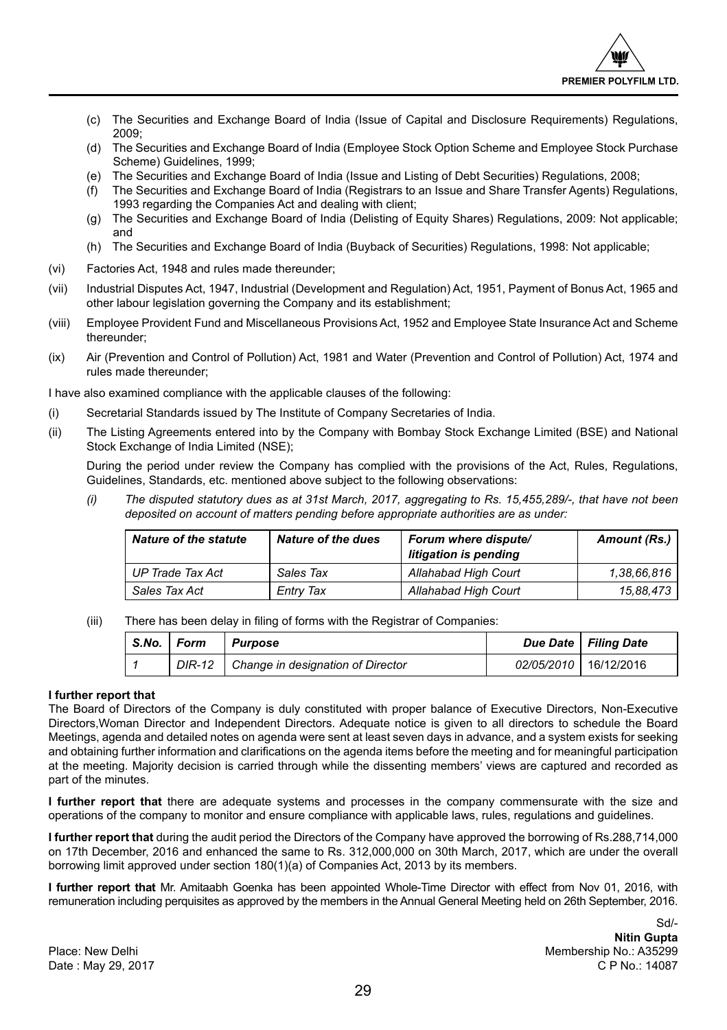

- (c) The Securities and Exchange Board of India (Issue of Capital and Disclosure Requirements) Regulations, 2009;
- (d) The Securities and Exchange Board of India (Employee Stock Option Scheme and Employee Stock Purchase Scheme) Guidelines, 1999;
- (e) The Securities and Exchange Board of India (Issue and Listing of Debt Securities) Regulations, 2008;
- (f) The Securities and Exchange Board of India (Registrars to an Issue and Share Transfer Agents) Regulations, 1993 regarding the Companies Act and dealing with client;
- (g) The Securities and Exchange Board of India (Delisting of Equity Shares) Regulations, 2009: Not applicable; and
- (h) The Securities and Exchange Board of India (Buyback of Securities) Regulations, 1998: Not applicable;
- (vi) Factories Act, 1948 and rules made thereunder;
- (vii) Industrial Disputes Act, 1947, Industrial (Development and Regulation) Act, 1951, Payment of Bonus Act, 1965 and other labour legislation governing the Company and its establishment;
- (viii) Employee Provident Fund and Miscellaneous Provisions Act, 1952 and Employee State Insurance Act and Scheme thereunder;
- (ix) Air (Prevention and Control of Pollution) Act, 1981 and Water (Prevention and Control of Pollution) Act, 1974 and rules made thereunder;

I have also examined compliance with the applicable clauses of the following:

- (i) Secretarial Standards issued by The Institute of Company Secretaries of India.
- (ii) The Listing Agreements entered into by the Company with Bombay Stock Exchange Limited (BSE) and National Stock Exchange of India Limited (NSE);

During the period under review the Company has complied with the provisions of the Act, Rules, Regulations, Guidelines, Standards, etc. mentioned above subject to the following observations:

*(i) The disputed statutory dues as at 31st March, 2017, aggregating to Rs. 15,455,289/-, that have not been deposited on account of matters pending before appropriate authorities are as under:*

| <b>Nature of the statute</b> | <b>Nature of the dues</b> | Forum where dispute/<br>litigation is pending | Amount (Rs.) |
|------------------------------|---------------------------|-----------------------------------------------|--------------|
| UP Trade Tax Act             | Sales Tax                 | Allahabad High Court                          | 1,38,66,816  |
| Sales Tax Act                | Entry Tax                 | Allahabad High Court                          | 15.88.473    |

(iii) There has been delay in filing of forms with the Registrar of Companies:

| S.No.   Form | Purpose                                    | Due Date   Filing Date |
|--------------|--------------------------------------------|------------------------|
|              | DIR-12   Change in designation of Director | 02/05/2010 16/12/2016  |

## **I further report that**

The Board of Directors of the Company is duly constituted with proper balance of Executive Directors, Non-Executive Directors,Woman Director and Independent Directors. Adequate notice is given to all directors to schedule the Board Meetings, agenda and detailed notes on agenda were sent at least seven days in advance, and a system exists for seeking and obtaining further information and clarifications on the agenda items before the meeting and for meaningful participation at the meeting. Majority decision is carried through while the dissenting members' views are captured and recorded as part of the minutes.

**I further report that** there are adequate systems and processes in the company commensurate with the size and operations of the company to monitor and ensure compliance with applicable laws, rules, regulations and guidelines.

**I further report that** during the audit period the Directors of the Company have approved the borrowing of Rs.288,714,000 on 17th December, 2016 and enhanced the same to Rs. 312,000,000 on 30th March, 2017, which are under the overall borrowing limit approved under section 180(1)(a) of Companies Act, 2013 by its members.

**I further report that** Mr. Amitaabh Goenka has been appointed Whole-Time Director with effect from Nov 01, 2016, with remuneration including perquisites as approved by the members in the Annual General Meeting held on 26th September, 2016.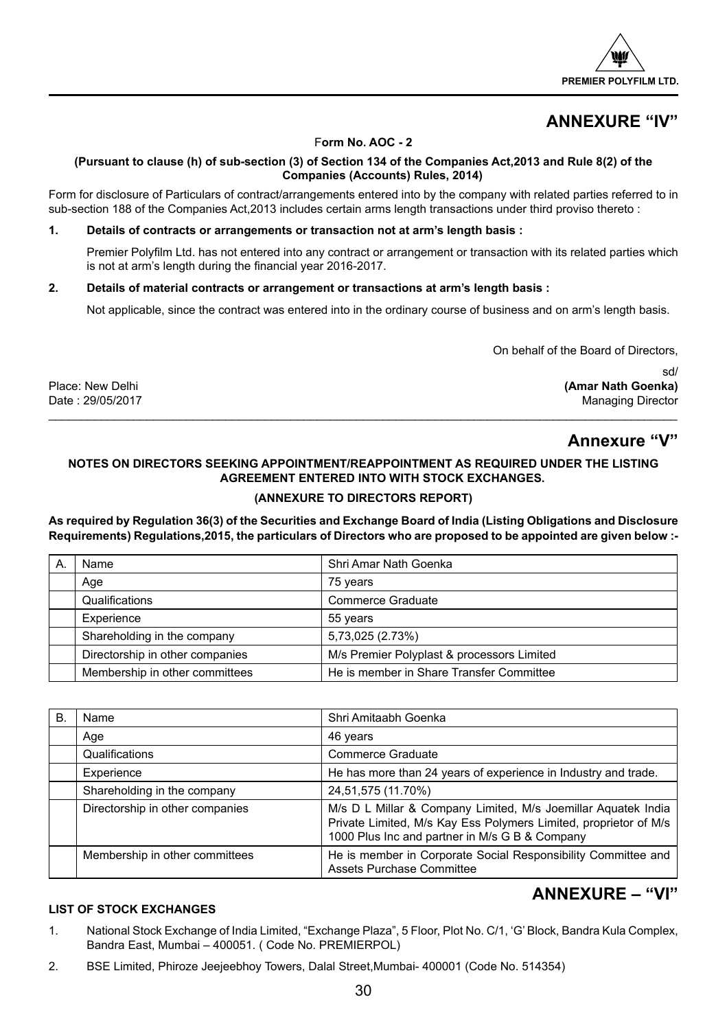

## **ANNEXURE "IV"**

## F**orm No. AOC - 2**

## **(Pursuant to clause (h) of sub-section (3) of Section 134 of the Companies Act,2013 and Rule 8(2) of the Companies (Accounts) Rules, 2014)**

Form for disclosure of Particulars of contract/arrangements entered into by the company with related parties referred to in sub-section 188 of the Companies Act,2013 includes certain arms length transactions under third proviso thereto :

## **1. Details of contracts or arrangements or transaction not at arm's length basis :**

Premier Polyfilm Ltd. has not entered into any contract or arrangement or transaction with its related parties which is not at arm's length during the financial year 2016-2017.

## **2. Details of material contracts or arrangement or transactions at arm's length basis :**

Not applicable, since the contract was entered into in the ordinary course of business and on arm's length basis.

On behalf of the Board of Directors,

sd/ Place: New Delhi **(Amar Nath Goenka)** Managing Director

## **Annexure "V"**

## **NOTES ON DIRECTORS SEEKING APPOINTMENT/REAPPOINTMENT AS REQUIRED UNDER THE LISTING AGREEMENT ENTERED INTO WITH STOCK EXCHANGES.**

 $\ldots \ldots \ldots \ldots \ldots$  . The contribution of the contribution of the contribution of the contribution of  $\alpha$ 

## **(ANNEXURE TO DIRECTORS REPORT)**

**As required by Regulation 36(3) of the Securities and Exchange Board of India (Listing Obligations and Disclosure Requirements) Regulations,2015, the particulars of Directors who are proposed to be appointed are given below :-**

| Name                                                                          | Shri Amar Nath Goenka                    |
|-------------------------------------------------------------------------------|------------------------------------------|
| Age                                                                           | 75 years                                 |
| Qualifications                                                                | Commerce Graduate                        |
| Experience                                                                    | 55 years                                 |
| Shareholding in the company                                                   | 5,73,025 (2.73%)                         |
| Directorship in other companies<br>M/s Premier Polyplast & processors Limited |                                          |
| Membership in other committees                                                | He is member in Share Transfer Committee |

| B. | Name                            | Shri Amitaabh Goenka                                                                                                                                                                |
|----|---------------------------------|-------------------------------------------------------------------------------------------------------------------------------------------------------------------------------------|
|    | Age                             | 46 years                                                                                                                                                                            |
|    | Qualifications                  | Commerce Graduate                                                                                                                                                                   |
|    | Experience                      | He has more than 24 years of experience in Industry and trade.                                                                                                                      |
|    | Shareholding in the company     | 24,51,575 (11.70%)                                                                                                                                                                  |
|    | Directorship in other companies | M/s D L Millar & Company Limited, M/s Joemillar Aguatek India<br>Private Limited, M/s Kay Ess Polymers Limited, proprietor of M/s<br>1000 Plus Inc and partner in M/s G B & Company |
|    | Membership in other committees  | He is member in Corporate Social Responsibility Committee and<br>Assets Purchase Committee                                                                                          |

## **ANNEXURE – "VI"**

## **LIST OF STOCK EXCHANGES**

- 1. National Stock Exchange of India Limited, "Exchange Plaza", 5 Floor, Plot No. C/1, 'G' Block, Bandra Kula Complex, Bandra East, Mumbai – 400051. ( Code No. PREMIERPOL)
- 2. BSE Limited, Phiroze Jeejeebhoy Towers, Dalal Street,Mumbai- 400001 (Code No. 514354)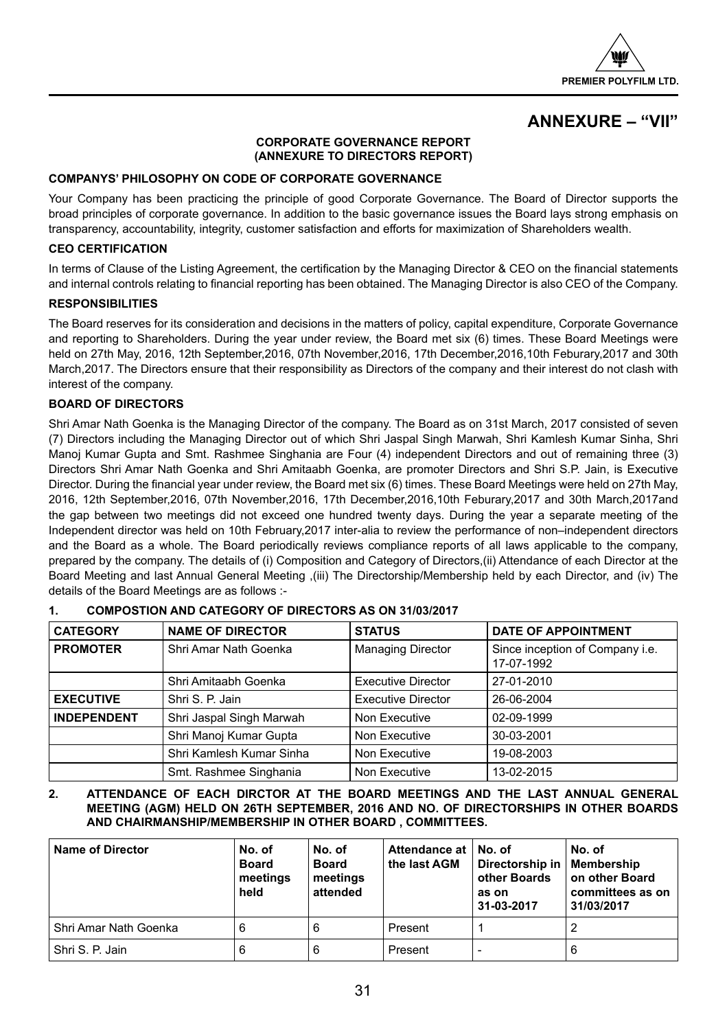

## **ANNEXURE – "VII"**

## **CORPORATE GOVERNANCE REPORT (ANNEXURE TO DIRECTORS REPORT)**

## **COMPANYS' PHILOSOPHY ON CODE OF CORPORATE GOVERNANCE**

Your Company has been practicing the principle of good Corporate Governance. The Board of Director supports the broad principles of corporate governance. In addition to the basic governance issues the Board lays strong emphasis on transparency, accountability, integrity, customer satisfaction and efforts for maximization of Shareholders wealth.

## **CEO CERTIFICATION**

In terms of Clause of the Listing Agreement, the certification by the Managing Director & CEO on the financial statements and internal controls relating to financial reporting has been obtained. The Managing Director is also CEO of the Company.

## **RESPONSIBILITIES**

The Board reserves for its consideration and decisions in the matters of policy, capital expenditure, Corporate Governance and reporting to Shareholders. During the year under review, the Board met six (6) times. These Board Meetings were held on 27th May, 2016, 12th September,2016, 07th November,2016, 17th December,2016,10th Feburary,2017 and 30th March,2017. The Directors ensure that their responsibility as Directors of the company and their interest do not clash with interest of the company.

## **BOARD OF DIRECTORS**

Shri Amar Nath Goenka is the Managing Director of the company. The Board as on 31st March, 2017 consisted of seven (7) Directors including the Managing Director out of which Shri Jaspal Singh Marwah, Shri Kamlesh Kumar Sinha, Shri Manoj Kumar Gupta and Smt. Rashmee Singhania are Four (4) independent Directors and out of remaining three (3) Directors Shri Amar Nath Goenka and Shri Amitaabh Goenka, are promoter Directors and Shri S.P. Jain, is Executive Director. During the financial year under review, the Board met six (6) times. These Board Meetings were held on 27th May, 2016, 12th September,2016, 07th November,2016, 17th December,2016,10th Feburary,2017 and 30th March,2017and the gap between two meetings did not exceed one hundred twenty days. During the year a separate meeting of the Independent director was held on 10th February,2017 inter-alia to review the performance of non–independent directors and the Board as a whole. The Board periodically reviews compliance reports of all laws applicable to the company, prepared by the company. The details of (i) Composition and Category of Directors,(ii) Attendance of each Director at the Board Meeting and last Annual General Meeting ,(iii) The Directorship/Membership held by each Director, and (iv) The details of the Board Meetings are as follows :-

| <b>CATEGORY</b>    | <b>NAME OF DIRECTOR</b>  | <b>STATUS</b>             | <b>DATE OF APPOINTMENT</b>                    |
|--------------------|--------------------------|---------------------------|-----------------------------------------------|
| <b>PROMOTER</b>    | Shri Amar Nath Goenka    | <b>Managing Director</b>  | Since inception of Company i.e.<br>17-07-1992 |
|                    | Shri Amitaabh Goenka     | <b>Executive Director</b> | 27-01-2010                                    |
| <b>EXECUTIVE</b>   | Shri S. P. Jain          | <b>Executive Director</b> | 26-06-2004                                    |
| <b>INDEPENDENT</b> | Shri Jaspal Singh Marwah | Non Executive             | 02-09-1999                                    |
|                    | Shri Manoj Kumar Gupta   | Non Executive             | 30-03-2001                                    |
|                    | Shri Kamlesh Kumar Sinha | Non Executive             | 19-08-2003                                    |
|                    | Smt. Rashmee Singhania   | Non Executive             | 13-02-2015                                    |

## **1. COMPOSTION AND CATEGORY OF DIRECTORS AS ON 31/03/2017**

**2. ATTENDANCE OF EACH DIRCTOR AT THE BOARD MEETINGS AND THE LAST ANNUAL GENERAL MEETING (AGM) HELD ON 26TH SEPTEMBER, 2016 AND NO. OF DIRECTORSHIPS IN OTHER BOARDS AND CHAIRMANSHIP/MEMBERSHIP IN OTHER BOARD , COMMITTEES.**

| <b>Name of Director</b> | No. of<br><b>Board</b><br>meetings<br>held | No. of<br><b>Board</b><br>meetings<br>attended | Attendance at   No. of<br>the last AGM | Directorship in   Membership<br>other Boards<br>as on<br>31-03-2017 | No. of<br>on other Board<br>committees as on<br>31/03/2017 |
|-------------------------|--------------------------------------------|------------------------------------------------|----------------------------------------|---------------------------------------------------------------------|------------------------------------------------------------|
| Shri Amar Nath Goenka   | 6                                          | 6                                              | Present                                |                                                                     |                                                            |
| Shri S. P. Jain         | 6                                          | 6                                              | Present                                |                                                                     | 6                                                          |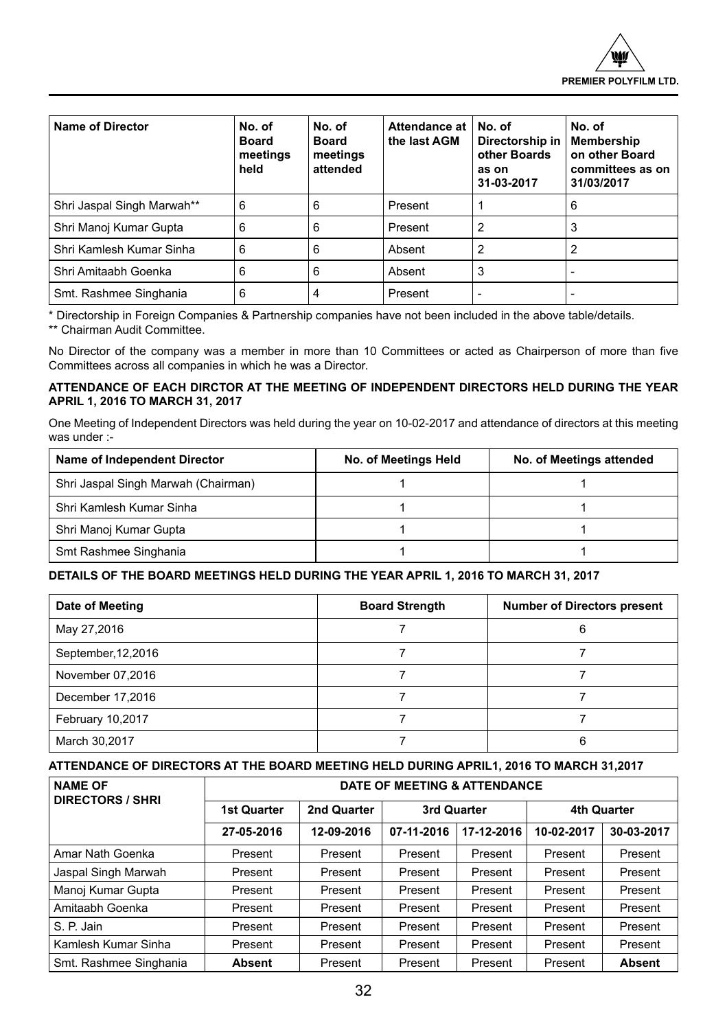

| Name of Director           | No. of<br><b>Board</b><br>meetings<br>held | No. of<br><b>Board</b><br>meetings<br>attended | Attendance at<br>the last AGM | No. of<br>Directorship in<br>other Boards<br>as on<br>31-03-2017 | No. of<br>Membership<br>on other Board<br>committees as on<br>31/03/2017 |
|----------------------------|--------------------------------------------|------------------------------------------------|-------------------------------|------------------------------------------------------------------|--------------------------------------------------------------------------|
| Shri Jaspal Singh Marwah** | 6                                          | 6                                              | Present                       |                                                                  | 6                                                                        |
| Shri Manoj Kumar Gupta     | 6                                          | 6                                              | Present                       | 2                                                                | 3                                                                        |
| Shri Kamlesh Kumar Sinha   | 6                                          | 6                                              | Absent                        | 2                                                                |                                                                          |
| Shri Amitaabh Goenka       | 6                                          | 6                                              | Absent                        | 3                                                                |                                                                          |
| Smt. Rashmee Singhania     | 6                                          | 4                                              | Present                       |                                                                  |                                                                          |

\* Directorship in Foreign Companies & Partnership companies have not been included in the above table/details.

\*\* Chairman Audit Committee.

No Director of the company was a member in more than 10 Committees or acted as Chairperson of more than five Committees across all companies in which he was a Director.

## **ATTENDANCE OF EACH DIRCTOR AT THE MEETING OF INDEPENDENT DIRECTORS HELD DURING THE YEAR APRIL 1, 2016 TO MARCH 31, 2017**

One Meeting of Independent Directors was held during the year on 10-02-2017 and attendance of directors at this meeting was under :-

| Name of Independent Director        | No. of Meetings Held | No. of Meetings attended |
|-------------------------------------|----------------------|--------------------------|
| Shri Jaspal Singh Marwah (Chairman) |                      |                          |
| Shri Kamlesh Kumar Sinha            |                      |                          |
| Shri Manoj Kumar Gupta              |                      |                          |
| Smt Rashmee Singhania               |                      |                          |

## **DETAILS OF THE BOARD MEETINGS HELD DURING THE YEAR APRIL 1, 2016 TO MARCH 31, 2017**

| Date of Meeting     | <b>Board Strength</b> | <b>Number of Directors present</b> |
|---------------------|-----------------------|------------------------------------|
| May 27,2016         |                       |                                    |
| September, 12, 2016 |                       |                                    |
| November 07,2016    |                       |                                    |
| December 17,2016    |                       |                                    |
| February 10,2017    |                       |                                    |
| March 30,2017       |                       |                                    |

## **ATTENDANCE OF DIRECTORS AT THE BOARD MEETING HELD DURING APRIL1, 2016 TO MARCH 31,2017**

| <b>NAME OF</b><br><b>DIRECTORS / SHRI</b> | DATE OF MEETING & ATTENDANCE |             |             |            |                    |               |
|-------------------------------------------|------------------------------|-------------|-------------|------------|--------------------|---------------|
|                                           | <b>1st Quarter</b>           | 2nd Quarter | 3rd Quarter |            | <b>4th Quarter</b> |               |
|                                           | 27-05-2016                   | 12-09-2016  | 07-11-2016  | 17-12-2016 | 10-02-2017         | 30-03-2017    |
| Amar Nath Goenka                          | Present                      | Present     | Present     | Present    | Present            | Present       |
| Jaspal Singh Marwah                       | Present                      | Present     | Present     | Present    | Present            | Present       |
| Manoj Kumar Gupta                         | Present                      | Present     | Present     | Present    | Present            | Present       |
| Amitaabh Goenka                           | Present                      | Present     | Present     | Present    | Present            | Present       |
| S. P. Jain                                | Present                      | Present     | Present     | Present    | Present            | Present       |
| Kamlesh Kumar Sinha                       | Present                      | Present     | Present     | Present    | Present            | Present       |
| Smt. Rashmee Singhania                    | <b>Absent</b>                | Present     | Present     | Present    | Present            | <b>Absent</b> |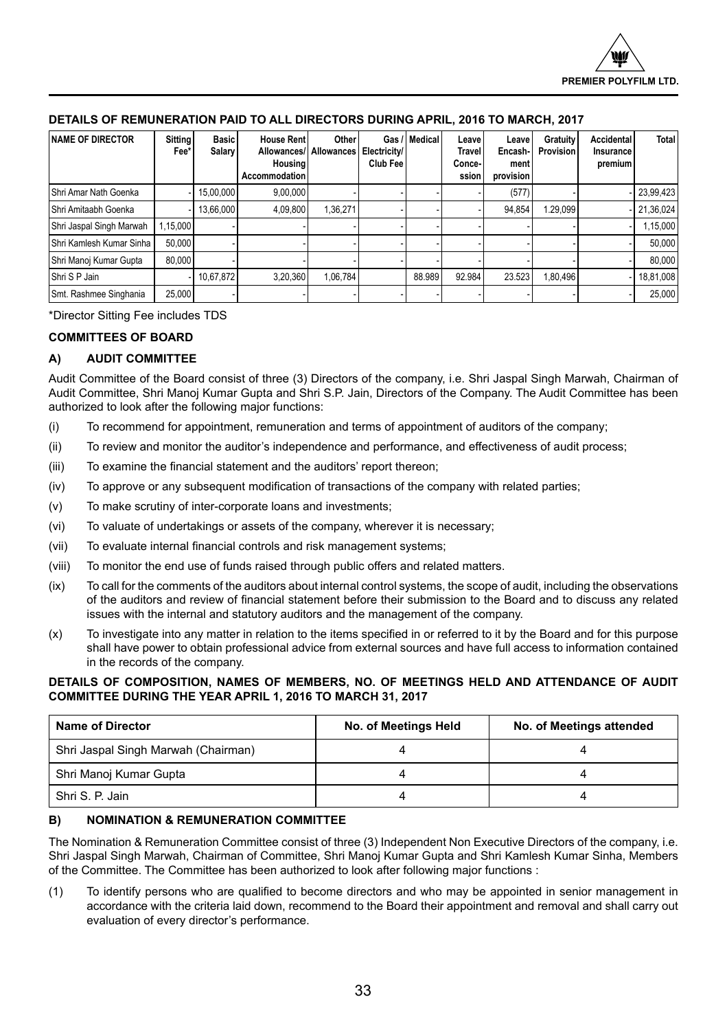| <b>NAME OF DIRECTOR</b>  | <b>Sitting</b><br>Fee* | <b>Basic</b><br>Salary | <b>House Rent</b><br>Allowances/<br><b>Housing</b><br><b>Accommodation</b> | Other<br><b>Allowances</b> | Gas /<br>Electricity/<br>Club Fee | Medical | Leave<br>Travel<br>Conce-<br>ssion | Leave<br>Encash-I<br>ment<br>provision | Gratuity<br>Provision | Accidental<br>Insurance<br>premium | <b>Total</b> |
|--------------------------|------------------------|------------------------|----------------------------------------------------------------------------|----------------------------|-----------------------------------|---------|------------------------------------|----------------------------------------|-----------------------|------------------------------------|--------------|
| Shri Amar Nath Goenka    |                        | 15.00.000              | 9,00,000                                                                   |                            |                                   |         |                                    | (577)                                  |                       |                                    | 23,99,423    |
| Shri Amitaabh Goenka     |                        | 13.66.000              | 4.09.800                                                                   | 1.36.271                   |                                   |         |                                    | 94.854                                 | 1.29.099              |                                    | 21,36,024    |
| Shri Jaspal Singh Marwah | 1.15.000               |                        |                                                                            |                            |                                   |         |                                    |                                        |                       |                                    | 1,15,000     |
| Shri Kamlesh Kumar Sinha | 50,000                 |                        |                                                                            |                            |                                   |         |                                    |                                        |                       |                                    | 50,000       |
| Shri Manoj Kumar Gupta   | 80,000                 |                        |                                                                            |                            |                                   |         |                                    |                                        |                       |                                    | 80.000       |
| Shri S P Jain            |                        | 10,67,872              | 3,20,360                                                                   | 1,06,784                   |                                   | 88.989  | 92.984                             | 23.523                                 | 1,80,496              |                                    | 18,81,008    |
| Smt. Rashmee Singhania   | 25,000                 |                        |                                                                            |                            |                                   |         |                                    |                                        |                       |                                    | 25,000       |

## **DETAILS OF REMUNERATION PAID TO ALL DIRECTORS DURING APRIL, 2016 TO MARCH, 2017**

\*Director Sitting Fee includes TDS

## **COMMITTEES OF BOARD**

## **A) AUDIT COMMITTEE**

Audit Committee of the Board consist of three (3) Directors of the company, i.e. Shri Jaspal Singh Marwah, Chairman of Audit Committee, Shri Manoj Kumar Gupta and Shri S.P. Jain, Directors of the Company. The Audit Committee has been authorized to look after the following major functions:

- (i) To recommend for appointment, remuneration and terms of appointment of auditors of the company;
- (ii) To review and monitor the auditor's independence and performance, and effectiveness of audit process;
- (iii) To examine the financial statement and the auditors' report thereon;
- (iv) To approve or any subsequent modification of transactions of the company with related parties;
- (v) To make scrutiny of inter-corporate loans and investments;
- (vi) To valuate of undertakings or assets of the company, wherever it is necessary;
- (vii) To evaluate internal financial controls and risk management systems;
- (viii) To monitor the end use of funds raised through public offers and related matters.
- (ix) To call for the comments of the auditors about internal control systems, the scope of audit, including the observations of the auditors and review of financial statement before their submission to the Board and to discuss any related issues with the internal and statutory auditors and the management of the company.
- (x) To investigate into any matter in relation to the items specified in or referred to it by the Board and for this purpose shall have power to obtain professional advice from external sources and have full access to information contained in the records of the company.

## **DETAILS OF COMPOSITION, NAMES OF MEMBERS, NO. OF MEETINGS HELD AND ATTENDANCE OF AUDIT COMMITTEE DURING THE YEAR APRIL 1, 2016 TO MARCH 31, 2017**

| <b>Name of Director</b>             | No. of Meetings Held | No. of Meetings attended |
|-------------------------------------|----------------------|--------------------------|
| Shri Jaspal Singh Marwah (Chairman) |                      |                          |
| Shri Manoj Kumar Gupta              |                      |                          |
| Shri S. P. Jain                     |                      |                          |

## **B) NOMINATION & REMUNERATION COMMITTEE**

The Nomination & Remuneration Committee consist of three (3) Independent Non Executive Directors of the company, i.e. Shri Jaspal Singh Marwah, Chairman of Committee, Shri Manoj Kumar Gupta and Shri Kamlesh Kumar Sinha, Members of the Committee. The Committee has been authorized to look after following major functions :

(1) To identify persons who are qualified to become directors and who may be appointed in senior management in accordance with the criteria laid down, recommend to the Board their appointment and removal and shall carry out evaluation of every director's performance.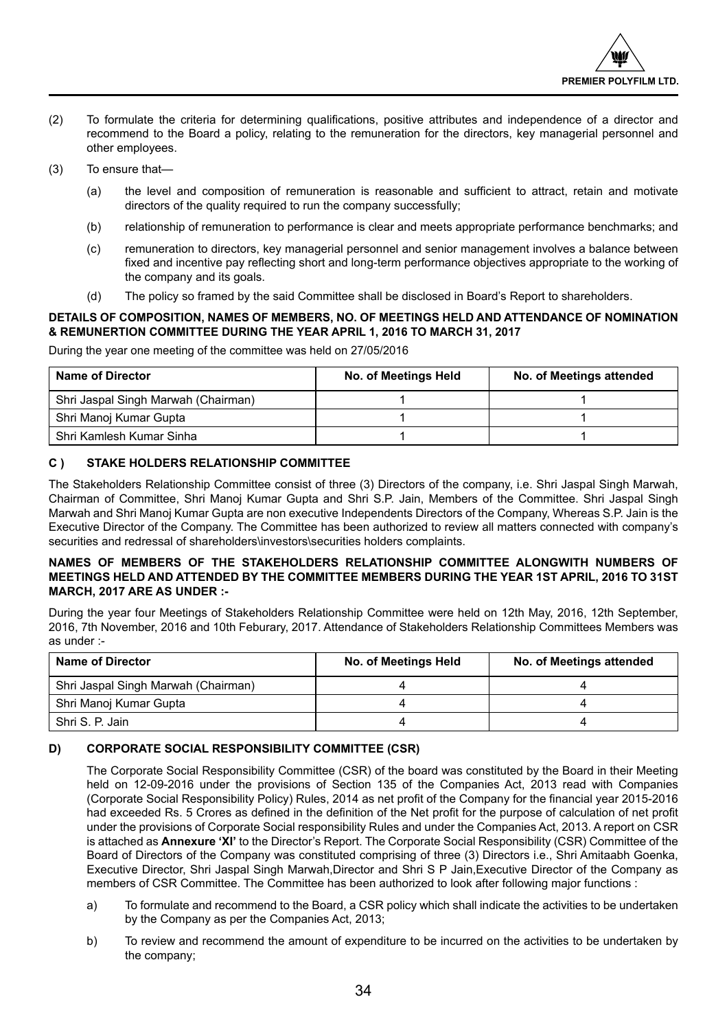- (2) To formulate the criteria for determining qualifications, positive attributes and independence of a director and recommend to the Board a policy, relating to the remuneration for the directors, key managerial personnel and other employees.
- (3) To ensure that—
	- (a) the level and composition of remuneration is reasonable and sufficient to attract, retain and motivate directors of the quality required to run the company successfully;
	- (b) relationship of remuneration to performance is clear and meets appropriate performance benchmarks; and
	- (c) remuneration to directors, key managerial personnel and senior management involves a balance between fixed and incentive pay reflecting short and long-term performance objectives appropriate to the working of the company and its goals.
	- (d) The policy so framed by the said Committee shall be disclosed in Board's Report to shareholders.

## **DETAILS OF COMPOSITION, NAMES OF MEMBERS, NO. OF MEETINGS HELD AND ATTENDANCE OF NOMINATION & REMUNERTION COMMITTEE DURING THE YEAR APRIL 1, 2016 TO MARCH 31, 2017**

During the year one meeting of the committee was held on 27/05/2016

| <b>Name of Director</b>             | No. of Meetings Held | No. of Meetings attended |
|-------------------------------------|----------------------|--------------------------|
| Shri Jaspal Singh Marwah (Chairman) |                      |                          |
| Shri Manoj Kumar Gupta              |                      |                          |
| Shri Kamlesh Kumar Sinha            |                      |                          |

## **C ) STAKE HOLDERS RELATIONSHIP COMMITTEE**

The Stakeholders Relationship Committee consist of three (3) Directors of the company, i.e. Shri Jaspal Singh Marwah, Chairman of Committee, Shri Manoj Kumar Gupta and Shri S.P. Jain, Members of the Committee. Shri Jaspal Singh Marwah and Shri Manoj Kumar Gupta are non executive Independents Directors of the Company, Whereas S.P. Jain is the Executive Director of the Company. The Committee has been authorized to review all matters connected with company's securities and redressal of shareholders\investors\securities holders complaints.

## **NAMES OF MEMBERS OF THE STAKEHOLDERS RELATIONSHIP COMMITTEE ALONGWITH NUMBERS OF MEETINGS HELD AND ATTENDED BY THE COMMITTEE MEMBERS DURING THE YEAR 1ST APRIL, 2016 TO 31ST MARCH, 2017 ARE AS UNDER :-**

During the year four Meetings of Stakeholders Relationship Committee were held on 12th May, 2016, 12th September, 2016, 7th November, 2016 and 10th Feburary, 2017. Attendance of Stakeholders Relationship Committees Members was as under :-

| <b>Name of Director</b>             | No. of Meetings Held | No. of Meetings attended |
|-------------------------------------|----------------------|--------------------------|
| Shri Jaspal Singh Marwah (Chairman) |                      |                          |
| Shri Manoj Kumar Gupta              |                      |                          |
| Shri S. P. Jain                     |                      |                          |

## **D) CORPORATE SOCIAL RESPONSIBILITY COMMITTEE (CSR)**

The Corporate Social Responsibility Committee (CSR) of the board was constituted by the Board in their Meeting held on 12-09-2016 under the provisions of Section 135 of the Companies Act, 2013 read with Companies (Corporate Social Responsibility Policy) Rules, 2014 as net profit of the Company for the financial year 2015-2016 had exceeded Rs. 5 Crores as defined in the definition of the Net profit for the purpose of calculation of net profit under the provisions of Corporate Social responsibility Rules and under the Companies Act, 2013. A report on CSR is attached as **Annexure 'XI'** to the Director's Report. The Corporate Social Responsibility (CSR) Committee of the Board of Directors of the Company was constituted comprising of three (3) Directors i.e., Shri Amitaabh Goenka, Executive Director, Shri Jaspal Singh Marwah,Director and Shri S P Jain,Executive Director of the Company as members of CSR Committee. The Committee has been authorized to look after following major functions :

- a) To formulate and recommend to the Board, a CSR policy which shall indicate the activities to be undertaken by the Company as per the Companies Act, 2013;
- b) To review and recommend the amount of expenditure to be incurred on the activities to be undertaken by the company;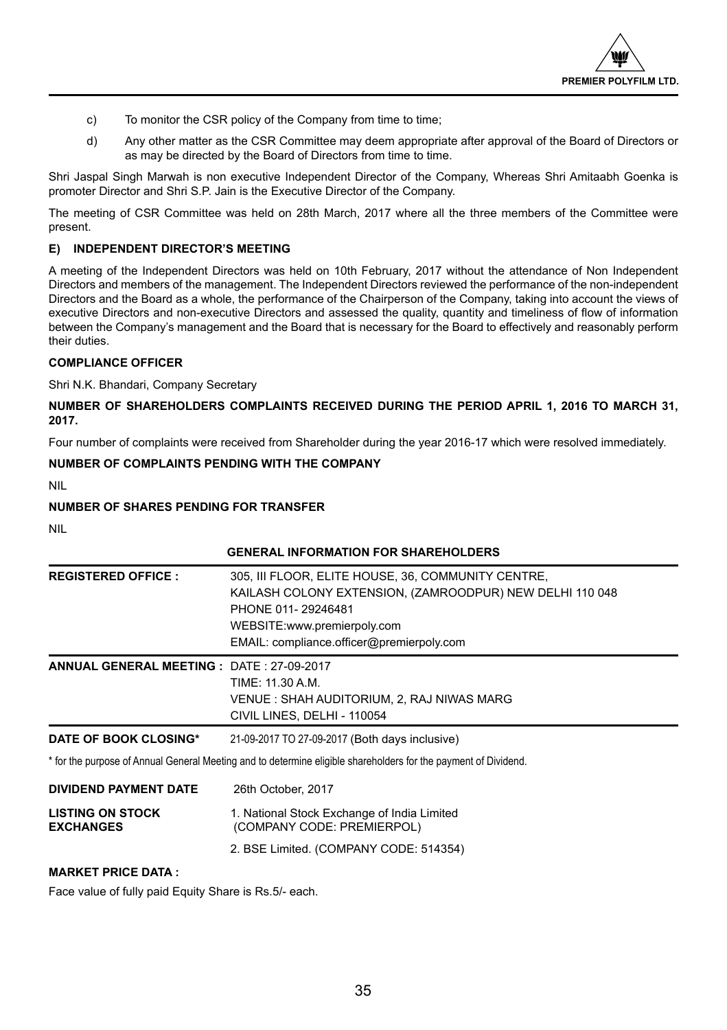

- c) To monitor the CSR policy of the Company from time to time;
- d) Any other matter as the CSR Committee may deem appropriate after approval of the Board of Directors or as may be directed by the Board of Directors from time to time.

Shri Jaspal Singh Marwah is non executive Independent Director of the Company, Whereas Shri Amitaabh Goenka is promoter Director and Shri S.P. Jain is the Executive Director of the Company.

The meeting of CSR Committee was held on 28th March, 2017 where all the three members of the Committee were present.

## **E) INDEPENDENT DIRECTOR'S MEETING**

A meeting of the Independent Directors was held on 10th February, 2017 without the attendance of Non Independent Directors and members of the management. The Independent Directors reviewed the performance of the non-independent Directors and the Board as a whole, the performance of the Chairperson of the Company, taking into account the views of executive Directors and non-executive Directors and assessed the quality, quantity and timeliness of flow of information between the Company's management and the Board that is necessary for the Board to effectively and reasonably perform their duties.

## **COMPLIANCE OFFICER**

Shri N.K. Bhandari, Company Secretary

**NUMBER OF SHAREHOLDERS COMPLAINTS RECEIVED DURING THE PERIOD APRIL 1, 2016 TO MARCH 31, 2017.**

Four number of complaints were received from Shareholder during the year 2016-17 which were resolved immediately.

## **NUMBER OF COMPLAINTS PENDING WITH THE COMPANY**

NIL

## **NUMBER OF SHARES PENDING FOR TRANSFER**

NIL

## **GENERAL INFORMATION FOR SHAREHOLDERS REGISTERED OFFICE :** 305, III FLOOR, ELITE HOUSE, 36, COMMUNITY CENTRE, KAILASH COLONY EXTENSION, (ZAMROODPUR) NEW DELHI 110 048 PHONE 011- 29246481 WEBSITE:www.premierpoly.com EMAIL: compliance.officer@premierpoly.com **ANNUAL GENERAL MEETING :** DATE : 27-09-2017 TIME: 11.30 A.M. VENUE : SHAH AUDITORIUM, 2, RAJ NIWAS MARG CIVIL LINES, DELHI - 110054 **DATE OF BOOK CLOSING\*** 21-09-2017 TO 27-09-2017 (Both days inclusive) \* for the purpose of Annual General Meeting and to determine eligible shareholders for the payment of Dividend.

**DIVIDEND PAYMENT DATE** 26th October, 2017 **LISTING ON STOCK** 1. National Stock Exchange of India Limited **EXCHANGES** (COMPANY CODE: PREMIERPOL) 2. BSE Limited. (COMPANY CODE: 514354)

## **MARKET PRICE DATA :**

Face value of fully paid Equity Share is Rs.5/- each.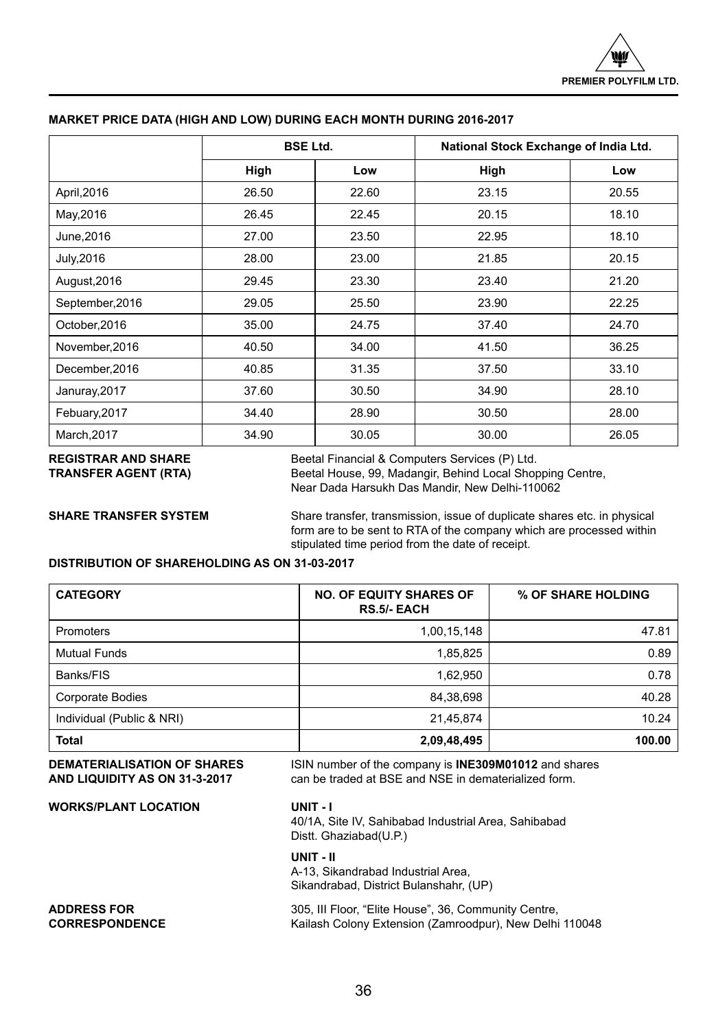|                 | <b>BSE Ltd.</b> |       | National Stock Exchange of India Ltd. |       |
|-----------------|-----------------|-------|---------------------------------------|-------|
|                 | High            | Low   | High                                  | Low   |
| April, 2016     | 26.50           | 22.60 | 23.15                                 | 20.55 |
| May, 2016       | 26.45           | 22.45 | 20.15                                 | 18.10 |
| June, 2016      | 27.00           | 23.50 | 22.95                                 | 18.10 |
| July, 2016      | 28.00           | 23.00 | 21.85                                 | 20.15 |
| August, 2016    | 29.45           | 23.30 | 23.40                                 | 21.20 |
| September, 2016 | 29.05           | 25.50 | 23.90                                 | 22.25 |
| October, 2016   | 35.00           | 24.75 | 37.40                                 | 24.70 |
| November, 2016  | 40.50           | 34.00 | 41.50                                 | 36.25 |
| December, 2016  | 40.85           | 31.35 | 37.50                                 | 33.10 |
| Januray, 2017   | 37.60           | 30.50 | 34.90                                 | 28.10 |
| Febuary, 2017   | 34.40           | 28.90 | 30.50                                 | 28.00 |
| March, 2017     | 34.90           | 30.05 | 30.00                                 | 26.05 |

## **MARKET PRICE DATA (HIGH AND LOW) DURING EACH MONTH DURING 2016-2017**

**REGISTRAR AND SHARE** Beetal Financial & Computers Services (P) Ltd.<br>**TRANSFER AGENT (RTA)** Beetal House, 99, Madangir, Behind Local Shop Beetal House, 99, Madangir, Behind Local Shopping Centre, Near Dada Harsukh Das Mandir, New Delhi-110062

**SHARE TRANSFER SYSTEM** Share transfer, transmission, issue of duplicate shares etc. in physical form are to be sent to RTA of the company which are processed within stipulated time period from the date of receipt.

## **DISTRIBUTION OF SHAREHOLDING AS ON 31-03-2017**

| <b>CATEGORY</b>           | <b>NO. OF EQUITY SHARES OF</b><br><b>RS.5/- EACH</b> | % OF SHARE HOLDING |
|---------------------------|------------------------------------------------------|--------------------|
| Promoters                 | 1,00,15,148                                          | 47.81              |
| <b>Mutual Funds</b>       | 1,85,825                                             | 0.89               |
| Banks/FIS                 | 1,62,950                                             | 0.78               |
| <b>Corporate Bodies</b>   | 84,38,698                                            | 40.28              |
| Individual (Public & NRI) | 21,45,874                                            | 10.24              |
| Total                     | 2,09,48,495                                          | 100.00             |

**DEMATERIALISATION OF SHARES** ISIN number of the company is **INE309M01012** and shares<br>AND LIQUIDITY AS ON 31-3-2017 can be traded at BSE and NSE in dematerialized form. can be traded at BSE and NSE in dematerialized form.

**WORKS/PLANT LOCATION UNIT - I** 40/1A, Site IV, Sahibabad Industrial Area, Sahibabad Distt. Ghaziabad(U.P.) **UNIT - II** A-13, Sikandrabad Industrial Area, Sikandrabad, District Bulanshahr, (UP) **ADDRESS FOR** 305, III Floor, "Elite House", 36, Community Centre, 30, Community Centre, 30, Community Centre, 30, Community Centre, 30, Community Centre, 30, Community Centre, 30, Community Centre, 30, Community Centre, 3 Kailash Colony Extension (Zamroodpur), New Delhi 110048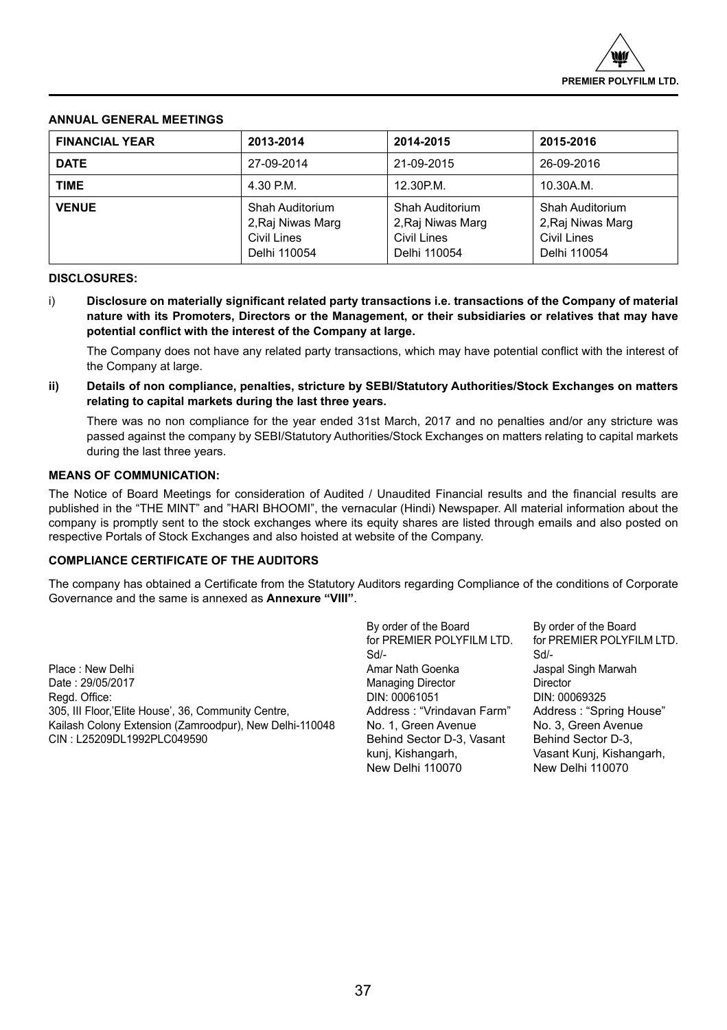## **ANNUAL GENERAL MEETINGS**

| <b>FINANCIAL YEAR</b> | 2013-2014                                                                  | 2014-2015                                                           | 2015-2016                                                           |
|-----------------------|----------------------------------------------------------------------------|---------------------------------------------------------------------|---------------------------------------------------------------------|
| <b>DATE</b>           | 27-09-2014                                                                 | 21-09-2015                                                          | 26-09-2016                                                          |
| <b>TIME</b>           | 4.30 P.M.                                                                  | 12.30P.M.                                                           | 10.30A.M.                                                           |
| <b>VENUE</b>          | Shah Auditorium<br>2, Raj Niwas Marq<br><b>Civil Lines</b><br>Delhi 110054 | Shah Auditorium<br>2, Raj Niwas Marg<br>Civil Lines<br>Delhi 110054 | Shah Auditorium<br>2, Raj Niwas Marg<br>Civil Lines<br>Delhi 110054 |

## **DISCLOSURES:**

i) **Disclosure on materially significant related party transactions i.e. transactions of the Company of material nature with its Promoters, Directors or the Management, or their subsidiaries or relatives that may have potential conflict with the interest of the Company at large.** 

The Company does not have any related party transactions, which may have potential conflict with the interest of the Company at large.

**ii) Details of non compliance, penalties, stricture by SEBI/Statutory Authorities/Stock Exchanges on matters relating to capital markets during the last three years.**

There was no non compliance for the year ended 31st March, 2017 and no penalties and/or any stricture was passed against the company by SEBI/Statutory Authorities/Stock Exchanges on matters relating to capital markets during the last three years.

## **MEANS OF COMMUNICATION:**

The Notice of Board Meetings for consideration of Audited / Unaudited Financial results and the financial results are published in the "THE MINT" and "HARI BHOOMI", the vernacular (Hindi) Newspaper. All material information about the company is promptly sent to the stock exchanges where its equity shares are listed through emails and also posted on respective Portals of Stock Exchanges and also hoisted at website of the Company.

## **COMPLIANCE CERTIFICATE OF THE AUDITORS**

The company has obtained a Certificate from the Statutory Auditors regarding Compliance of the conditions of Corporate Governance and the same is annexed as **Annexure "VIII"**.

Place : New Delhi **Amar Nath Goenka** Jaspal Singh Marwah Jaspal Singh Marwah Jaspal Singh Marwah Jaspal Singh Marwah<br>Date : 29/05/2017 Regd. Office: DIN: 00069325<br>205. III Floor.'Elite House'. 36. Community Centre. Computed and Address : "Vrindavan Farm" Address : "Spring House 305, III Floor,'Elite House', 36, Community Centre, **Address : "Vrindavan Farm"** Address : "Spring House" Address : "Spring House" (Spring House Tenne Address : "Spring House" and Address : "Spring House" (Spring House Ten Kailash Colony Extension (Zamroodpur), New Delhi-110048 No. 1, Green Avenue No. 3, Green Avenu<br>CIN : L25209DL1992PLC049590 CIN Behind Sector D-3. Vasant Behind Sector D-3.

By order of the Board By order of the Board for PREMIER POLYFILM LTD. for PREMIER POLYFILM LTD. Sd/- Sd/- Managing Director **Director** Director Behind Sector D-3, Vasant<br>kunj, Kishangarh, New Delhi 110070 New Delhi 110070

Vasant Kunj, Kishangarh,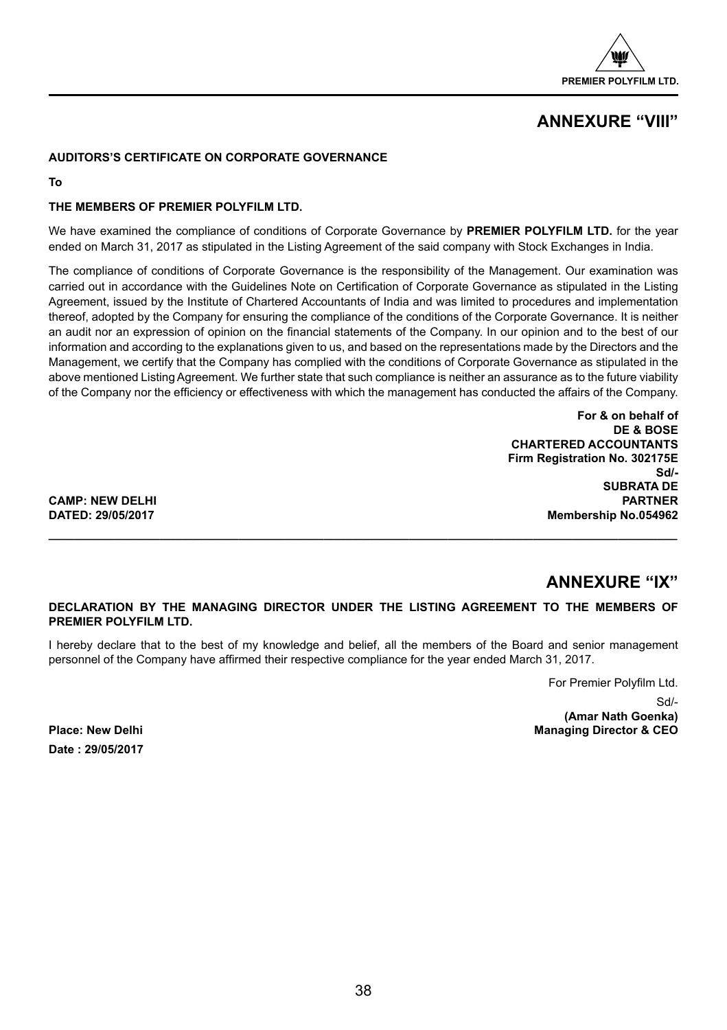

## **ANNEXURE "VIII"**

## **AUDITORS'S CERTIFICATE ON CORPORATE GOVERNANCE**

**To**

## **THE MEMBERS OF PREMIER POLYFILM LTD.**

We have examined the compliance of conditions of Corporate Governance by **PREMIER POLYFILM LTD.** for the year ended on March 31, 2017 as stipulated in the Listing Agreement of the said company with Stock Exchanges in India.

The compliance of conditions of Corporate Governance is the responsibility of the Management. Our examination was carried out in accordance with the Guidelines Note on Certification of Corporate Governance as stipulated in the Listing Agreement, issued by the Institute of Chartered Accountants of India and was limited to procedures and implementation thereof, adopted by the Company for ensuring the compliance of the conditions of the Corporate Governance. It is neither an audit nor an expression of opinion on the financial statements of the Company. In our opinion and to the best of our information and according to the explanations given to us, and based on the representations made by the Directors and the Management, we certify that the Company has complied with the conditions of Corporate Governance as stipulated in the above mentioned Listing Agreement. We further state that such compliance is neither an assurance as to the future viability of the Company nor the efficiency or effectiveness with which the management has conducted the affairs of the Company.

> **For & on behalf of DE & BOSE CHARTERED ACCOUNTANTS Firm Registration No. 302175E Sd/- SUBRATA DE Membership No.054962**

**CAMP: NEW DELHI<br>
DATED: 29/05/2017** 

## **ANNEXURE "IX"**

## **DECLARATION BY THE MANAGING DIRECTOR UNDER THE LISTING AGREEMENT TO THE MEMBERS OF PREMIER POLYFILM LTD.**

**\_\_\_\_\_\_\_\_\_\_\_\_\_\_\_\_\_\_\_\_\_\_\_\_\_\_\_\_\_\_\_\_\_\_\_\_\_\_\_\_\_\_\_\_\_\_\_\_\_\_\_\_\_\_\_\_\_\_\_\_\_\_\_\_\_\_\_\_\_\_\_\_\_\_\_\_\_\_\_\_\_\_\_\_\_\_\_\_\_\_\_\_\_\_\_\_**

I hereby declare that to the best of my knowledge and belief, all the members of the Board and senior management personnel of the Company have affirmed their respective compliance for the year ended March 31, 2017.

For Premier Polyfilm Ltd.

Sd/-

**(Amar Nath Goenka) Place: New Delhi Managing Director & CEO** 

**Date : 29/05/2017**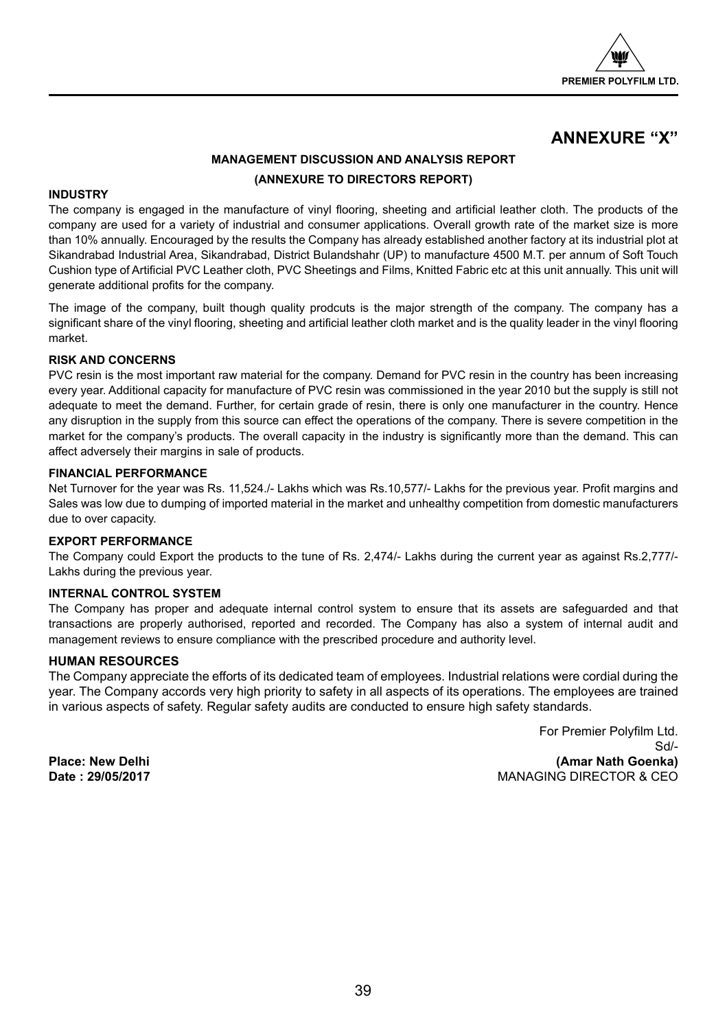

## **ANNEXURE "X"**

## **MANAGEMENT DISCUSSION AND ANALYSIS REPORT (ANNEXURE TO DIRECTORS REPORT)**

## **INDUSTRY**

The company is engaged in the manufacture of vinyl flooring, sheeting and artificial leather cloth. The products of the company are used for a variety of industrial and consumer applications. Overall growth rate of the market size is more than 10% annually. Encouraged by the results the Company has already established another factory at its industrial plot at Sikandrabad Industrial Area, Sikandrabad, District Bulandshahr (UP) to manufacture 4500 M.T. per annum of Soft Touch Cushion type of Artificial PVC Leather cloth, PVC Sheetings and Films, Knitted Fabric etc at this unit annually. This unit will generate additional profits for the company.

The image of the company, built though quality prodcuts is the major strength of the company. The company has a significant share of the vinyl flooring, sheeting and artificial leather cloth market and is the quality leader in the vinyl flooring market.

## **RISK AND CONCERNS**

PVC resin is the most important raw material for the company. Demand for PVC resin in the country has been increasing every year. Additional capacity for manufacture of PVC resin was commissioned in the year 2010 but the supply is still not adequate to meet the demand. Further, for certain grade of resin, there is only one manufacturer in the country. Hence any disruption in the supply from this source can effect the operations of the company. There is severe competition in the market for the company's products. The overall capacity in the industry is significantly more than the demand. This can affect adversely their margins in sale of products.

## **FINANCIAL PERFORMANCE**

Net Turnover for the year was Rs. 11,524./- Lakhs which was Rs.10,577/- Lakhs for the previous year. Profit margins and Sales was low due to dumping of imported material in the market and unhealthy competition from domestic manufacturers due to over capacity.

## **EXPORT PERFORMANCE**

The Company could Export the products to the tune of Rs. 2,474/- Lakhs during the current year as against Rs.2,777/- Lakhs during the previous year.

## **INTERNAL CONTROL SYSTEM**

The Company has proper and adequate internal control system to ensure that its assets are safeguarded and that transactions are properly authorised, reported and recorded. The Company has also a system of internal audit and management reviews to ensure compliance with the prescribed procedure and authority level.

## **HUMAN RESOURCES**

The Company appreciate the efforts of its dedicated team of employees. Industrial relations were cordial during the year. The Company accords very high priority to safety in all aspects of its operations. The employees are trained in various aspects of safety. Regular safety audits are conducted to ensure high safety standards.

For Premier Polyfilm Ltd. Sd/- **Place: New Delhi (Amar Nath Goenka) MANAGING DIRECTOR & CEO**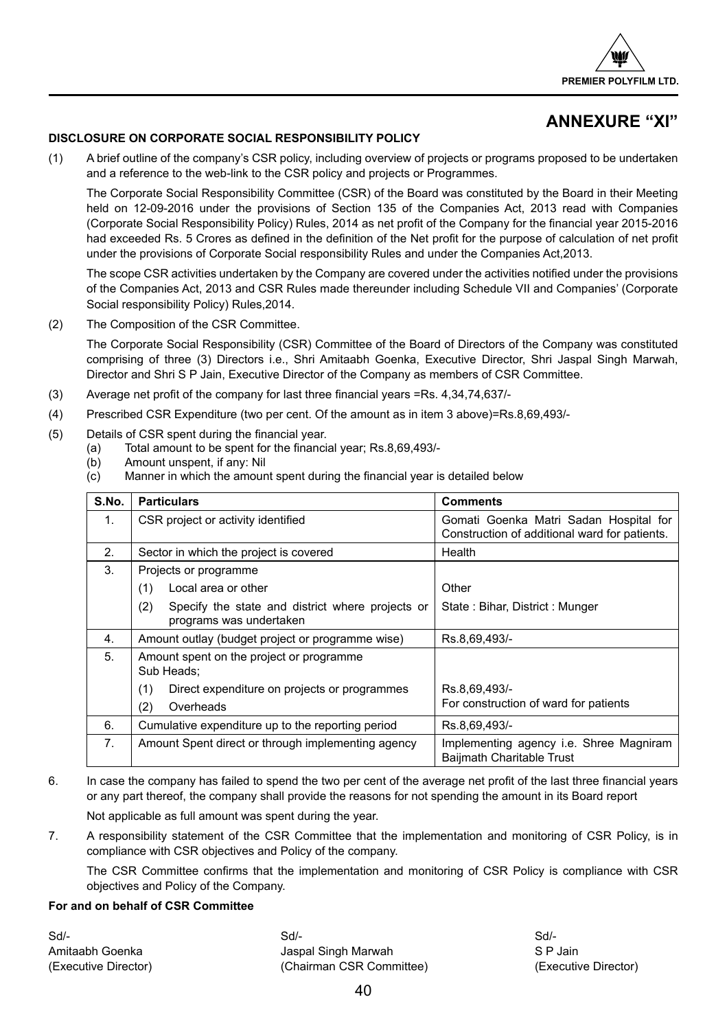

## **ANNEXURE "XI"**

## **DISCLOSURE ON CORPORATE SOCIAL RESPONSIBILITY POLICY**

(1) A brief outline of the company's CSR policy, including overview of projects or programs proposed to be undertaken and a reference to the web-link to the CSR policy and projects or Programmes.

The Corporate Social Responsibility Committee (CSR) of the Board was constituted by the Board in their Meeting held on 12-09-2016 under the provisions of Section 135 of the Companies Act, 2013 read with Companies (Corporate Social Responsibility Policy) Rules, 2014 as net profit of the Company for the financial year 2015-2016 had exceeded Rs. 5 Crores as defined in the definition of the Net profit for the purpose of calculation of net profit under the provisions of Corporate Social responsibility Rules and under the Companies Act,2013.

The scope CSR activities undertaken by the Company are covered under the activities notified under the provisions of the Companies Act, 2013 and CSR Rules made thereunder including Schedule VII and Companies' (Corporate Social responsibility Policy) Rules,2014.

(2) The Composition of the CSR Committee.

The Corporate Social Responsibility (CSR) Committee of the Board of Directors of the Company was constituted comprising of three (3) Directors i.e., Shri Amitaabh Goenka, Executive Director, Shri Jaspal Singh Marwah, Director and Shri S P Jain, Executive Director of the Company as members of CSR Committee.

- (3) Average net profit of the company for last three financial years =Rs. 4,34,74,637/-
- (4) Prescribed CSR Expenditure (two per cent. Of the amount as in item 3 above)=Rs.8,69,493/-
- (5) Details of CSR spent during the financial year.
	- (a) Total amount to be spent for the financial year; Rs.8,69,493/-
	- (b) Amount unspent, if any: Nil
	- (c) Manner in which the amount spent during the financial year is detailed below

| S.No. | <b>Particulars</b>                                      | <b>Comments</b>                                                                    |
|-------|---------------------------------------------------------|------------------------------------------------------------------------------------|
| 1.    | CSR project or activity identified                      | Gomati Goenka Matri Sadan Hospital for                                             |
|       |                                                         | Construction of additional ward for patients.                                      |
| 2.    | Sector in which the project is covered                  | Health                                                                             |
| 3.    | Projects or programme                                   |                                                                                    |
|       | (1)<br>Local area or other                              | Other                                                                              |
|       | Specify the state and district where projects or<br>(2) | State: Bihar, District: Munger                                                     |
|       | programs was undertaken                                 |                                                                                    |
| 4.    | Amount outlay (budget project or programme wise)        | Rs.8,69,493/-                                                                      |
| 5.    | Amount spent on the project or programme                |                                                                                    |
|       | Sub Heads:                                              |                                                                                    |
|       | (1)<br>Direct expenditure on projects or programmes     | Rs.8,69,493/-                                                                      |
|       | Overheads<br>(2)                                        | For construction of ward for patients                                              |
| 6.    | Cumulative expenditure up to the reporting period       | Rs.8,69,493/-                                                                      |
| 7.    | Amount Spent direct or through implementing agency      | Implementing agency <i>i.e.</i> Shree Magniram<br><b>Baijmath Charitable Trust</b> |

6. In case the company has failed to spend the two per cent of the average net profit of the last three financial years or any part thereof, the company shall provide the reasons for not spending the amount in its Board report

Not applicable as full amount was spent during the year.

7. A responsibility statement of the CSR Committee that the implementation and monitoring of CSR Policy, is in compliance with CSR objectives and Policy of the company.

The CSR Committee confirms that the implementation and monitoring of CSR Policy is compliance with CSR objectives and Policy of the Company.

## **For and on behalf of CSR Committee**

Sd/- Sd/- Sd/- Amitaabh Goenka Jaspal Singh Marwah S P Jain (Executive Director) (Chairman CSR Committee) (Executive Director)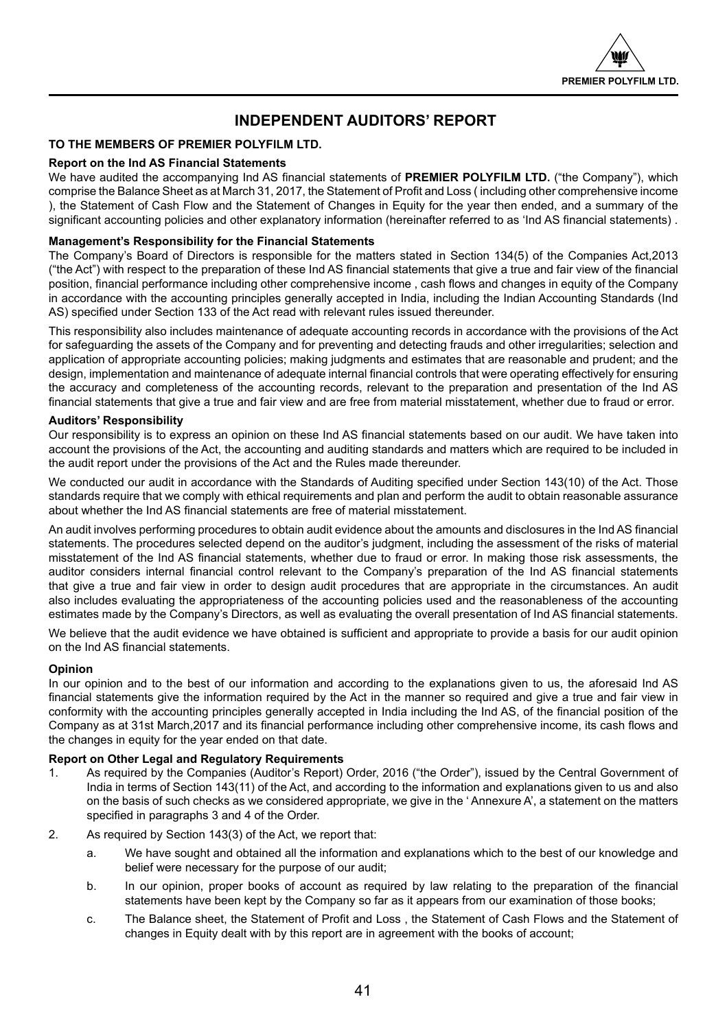

## **INDEPENDENT AUDITORS' REPORT**

## **TO THE MEMBERS OF PREMIER POLYFILM LTD.**

## **Report on the Ind AS Financial Statements**

We have audited the accompanying Ind AS financial statements of **PREMIER POLYFILM LTD.** ("the Company"), which comprise the Balance Sheet as at March 31, 2017, the Statement of Profit and Loss ( including other comprehensive income ), the Statement of Cash Flow and the Statement of Changes in Equity for the year then ended, and a summary of the significant accounting policies and other explanatory information (hereinafter referred to as 'Ind AS financial statements) .

## **Management's Responsibility for the Financial Statements**

The Company's Board of Directors is responsible for the matters stated in Section 134(5) of the Companies Act,2013 ("the Act") with respect to the preparation of these Ind AS financial statements that give a true and fair view of the financial position, financial performance including other comprehensive income , cash flows and changes in equity of the Company in accordance with the accounting principles generally accepted in India, including the Indian Accounting Standards (Ind AS) specified under Section 133 of the Act read with relevant rules issued thereunder.

This responsibility also includes maintenance of adequate accounting records in accordance with the provisions of the Act for safeguarding the assets of the Company and for preventing and detecting frauds and other irregularities; selection and application of appropriate accounting policies; making judgments and estimates that are reasonable and prudent; and the design, implementation and maintenance of adequate internal financial controls that were operating effectively for ensuring the accuracy and completeness of the accounting records, relevant to the preparation and presentation of the Ind AS financial statements that give a true and fair view and are free from material misstatement, whether due to fraud or error.

## **Auditors' Responsibility**

Our responsibility is to express an opinion on these Ind AS financial statements based on our audit. We have taken into account the provisions of the Act, the accounting and auditing standards and matters which are required to be included in the audit report under the provisions of the Act and the Rules made thereunder.

We conducted our audit in accordance with the Standards of Auditing specified under Section 143(10) of the Act. Those standards require that we comply with ethical requirements and plan and perform the audit to obtain reasonable assurance about whether the Ind AS financial statements are free of material misstatement.

An audit involves performing procedures to obtain audit evidence about the amounts and disclosures in the Ind AS financial statements. The procedures selected depend on the auditor's judgment, including the assessment of the risks of material misstatement of the Ind AS financial statements, whether due to fraud or error. In making those risk assessments, the auditor considers internal financial control relevant to the Company's preparation of the Ind AS financial statements that give a true and fair view in order to design audit procedures that are appropriate in the circumstances. An audit also includes evaluating the appropriateness of the accounting policies used and the reasonableness of the accounting estimates made by the Company's Directors, as well as evaluating the overall presentation of Ind AS financial statements.

We believe that the audit evidence we have obtained is sufficient and appropriate to provide a basis for our audit opinion on the Ind AS financial statements.

## **Opinion**

In our opinion and to the best of our information and according to the explanations given to us, the aforesaid Ind AS financial statements give the information required by the Act in the manner so required and give a true and fair view in conformity with the accounting principles generally accepted in India including the Ind AS, of the financial position of the Company as at 31st March,2017 and its financial performance including other comprehensive income, its cash flows and the changes in equity for the year ended on that date.

## **Report on Other Legal and Regulatory Requirements**

- 1. As required by the Companies (Auditor's Report) Order, 2016 ("the Order"), issued by the Central Government of India in terms of Section 143(11) of the Act, and according to the information and explanations given to us and also on the basis of such checks as we considered appropriate, we give in the ' Annexure A', a statement on the matters specified in paragraphs 3 and 4 of the Order.
- 2. As required by Section 143(3) of the Act, we report that:
	- a. We have sought and obtained all the information and explanations which to the best of our knowledge and belief were necessary for the purpose of our audit;
	- b. In our opinion, proper books of account as required by law relating to the preparation of the financial statements have been kept by the Company so far as it appears from our examination of those books;
	- c. The Balance sheet, the Statement of Profit and Loss , the Statement of Cash Flows and the Statement of changes in Equity dealt with by this report are in agreement with the books of account;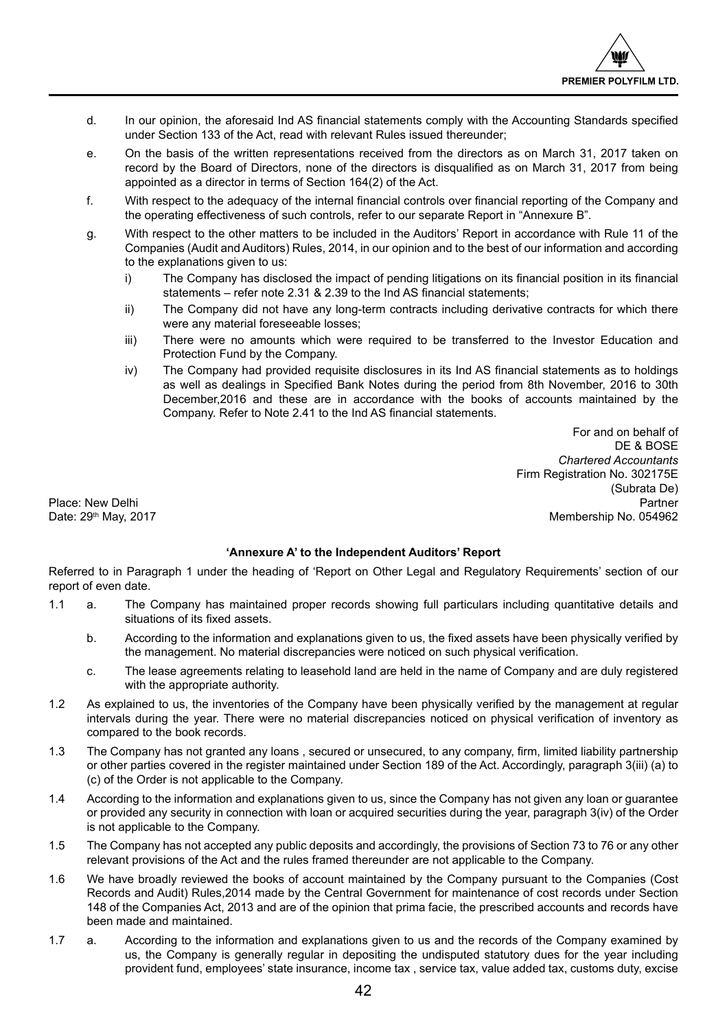- d. In our opinion, the aforesaid Ind AS financial statements comply with the Accounting Standards specified under Section 133 of the Act, read with relevant Rules issued thereunder;
- e. On the basis of the written representations received from the directors as on March 31, 2017 taken on record by the Board of Directors, none of the directors is disqualified as on March 31, 2017 from being appointed as a director in terms of Section 164(2) of the Act.
- f. With respect to the adequacy of the internal financial controls over financial reporting of the Company and the operating effectiveness of such controls, refer to our separate Report in "Annexure B".
- g. With respect to the other matters to be included in the Auditors' Report in accordance with Rule 11 of the Companies (Audit and Auditors) Rules, 2014, in our opinion and to the best of our information and according to the explanations given to us:
	- i) The Company has disclosed the impact of pending litigations on its financial position in its financial statements – refer note 2.31 & 2.39 to the Ind AS financial statements;
	- ii) The Company did not have any long-term contracts including derivative contracts for which there were any material foreseeable losses;
	- iii) There were no amounts which were required to be transferred to the Investor Education and Protection Fund by the Company.
	- iv) The Company had provided requisite disclosures in its Ind AS financial statements as to holdings as well as dealings in Specified Bank Notes during the period from 8th November, 2016 to 30th December,2016 and these are in accordance with the books of accounts maintained by the Company. Refer to Note 2.41 to the Ind AS financial statements.

For and on behalf of DE & BOSE *Chartered Accountants* Firm Registration No. 302175E (Subrata De) Place: New Delhi Partner Partner Partner Partner Partner Partner Partner Partner Partner Partner Partner Partner Date: 29<sup>th</sup> May, 2017 Membership No. 054962

## **'Annexure A' to the Independent Auditors' Report**

Referred to in Paragraph 1 under the heading of 'Report on Other Legal and Regulatory Requirements' section of our report of even date.

- 1.1 a. The Company has maintained proper records showing full particulars including quantitative details and situations of its fixed assets.
	- b. According to the information and explanations given to us, the fixed assets have been physically verified by the management. No material discrepancies were noticed on such physical verification.
	- c. The lease agreements relating to leasehold land are held in the name of Company and are duly registered with the appropriate authority.
- 1.2 As explained to us, the inventories of the Company have been physically verified by the management at regular intervals during the year. There were no material discrepancies noticed on physical verification of inventory as compared to the book records.
- 1.3 The Company has not granted any loans , secured or unsecured, to any company, firm, limited liability partnership or other parties covered in the register maintained under Section 189 of the Act. Accordingly, paragraph 3(iii) (a) to (c) of the Order is not applicable to the Company.
- 1.4 According to the information and explanations given to us, since the Company has not given any loan or guarantee or provided any security in connection with loan or acquired securities during the year, paragraph 3(iv) of the Order is not applicable to the Company.
- 1.5 The Company has not accepted any public deposits and accordingly, the provisions of Section 73 to 76 or any other relevant provisions of the Act and the rules framed thereunder are not applicable to the Company.
- 1.6 We have broadly reviewed the books of account maintained by the Company pursuant to the Companies (Cost Records and Audit) Rules,2014 made by the Central Government for maintenance of cost records under Section 148 of the Companies Act, 2013 and are of the opinion that prima facie, the prescribed accounts and records have been made and maintained.
- 1.7 a. According to the information and explanations given to us and the records of the Company examined by us, the Company is generally regular in depositing the undisputed statutory dues for the year including provident fund, employees' state insurance, income tax , service tax, value added tax, customs duty, excise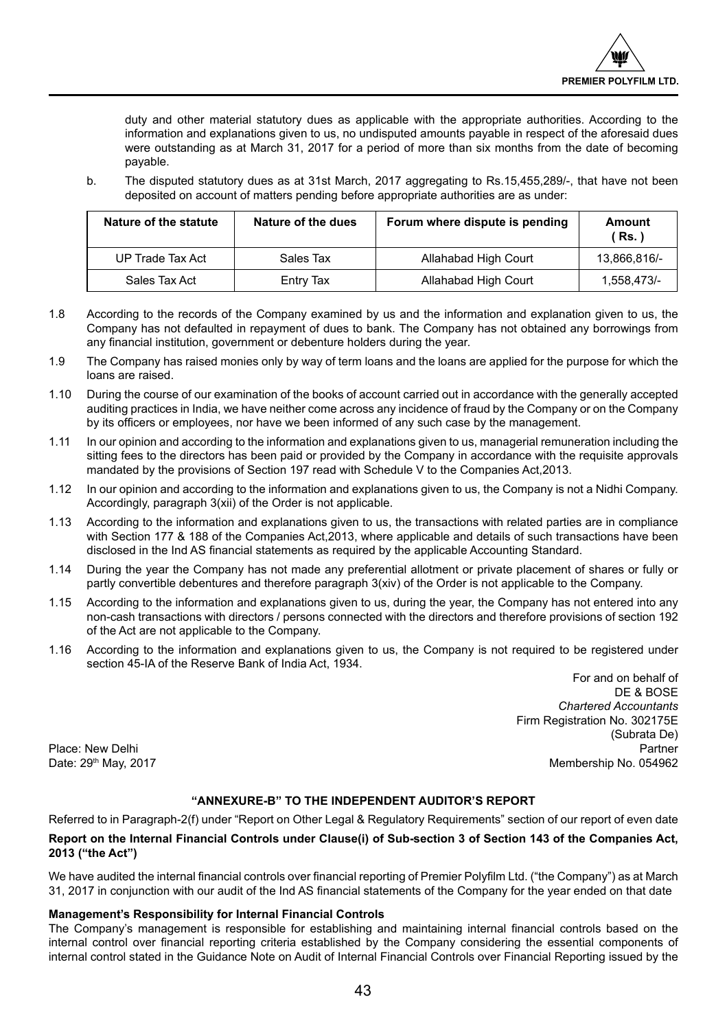duty and other material statutory dues as applicable with the appropriate authorities. According to the information and explanations given to us, no undisputed amounts payable in respect of the aforesaid dues were outstanding as at March 31, 2017 for a period of more than six months from the date of becoming payable.

b. The disputed statutory dues as at 31st March, 2017 aggregating to Rs.15,455,289/-, that have not been deposited on account of matters pending before appropriate authorities are as under:

| Nature of the statute | Nature of the dues | Forum where dispute is pending | Amount<br><b>Rs.</b> ) |
|-----------------------|--------------------|--------------------------------|------------------------|
| UP Trade Tax Act      | Sales Tax          | Allahabad High Court           | 13.866.816/-           |
| Sales Tax Act         | Entry Tax          | Allahabad High Court           | 1,558,473/-            |
|                       |                    |                                |                        |

- 1.8 According to the records of the Company examined by us and the information and explanation given to us, the Company has not defaulted in repayment of dues to bank. The Company has not obtained any borrowings from any financial institution, government or debenture holders during the year.
- 1.9 The Company has raised monies only by way of term loans and the loans are applied for the purpose for which the loans are raised.
- 1.10 During the course of our examination of the books of account carried out in accordance with the generally accepted auditing practices in India, we have neither come across any incidence of fraud by the Company or on the Company by its officers or employees, nor have we been informed of any such case by the management.
- 1.11 In our opinion and according to the information and explanations given to us, managerial remuneration including the sitting fees to the directors has been paid or provided by the Company in accordance with the requisite approvals mandated by the provisions of Section 197 read with Schedule V to the Companies Act,2013.
- 1.12 In our opinion and according to the information and explanations given to us, the Company is not a Nidhi Company. Accordingly, paragraph 3(xii) of the Order is not applicable.
- 1.13 According to the information and explanations given to us, the transactions with related parties are in compliance with Section 177 & 188 of the Companies Act,2013, where applicable and details of such transactions have been disclosed in the Ind AS financial statements as required by the applicable Accounting Standard.
- 1.14 During the year the Company has not made any preferential allotment or private placement of shares or fully or partly convertible debentures and therefore paragraph 3(xiv) of the Order is not applicable to the Company.
- 1.15 According to the information and explanations given to us, during the year, the Company has not entered into any non-cash transactions with directors / persons connected with the directors and therefore provisions of section 192 of the Act are not applicable to the Company.
- 1.16 According to the information and explanations given to us, the Company is not required to be registered under section 45-IA of the Reserve Bank of India Act, 1934.

For and on behalf of DE & BOSE *Chartered Accountants* Firm Registration No. 302175E (Subrata De) Date: 29<sup>th</sup> May, 2017 Membership No. 054962

Place: New Delhi

## **"ANNEXURE-B" TO THE INDEPENDENT AUDITOR'S REPORT**

Referred to in Paragraph-2(f) under "Report on Other Legal & Regulatory Requirements" section of our report of even date

## **Report on the Internal Financial Controls under Clause(i) of Sub-section 3 of Section 143 of the Companies Act, 2013 ("the Act")**

We have audited the internal financial controls over financial reporting of Premier Polyfilm Ltd. ("the Company") as at March 31, 2017 in conjunction with our audit of the Ind AS financial statements of the Company for the year ended on that date

## **Management's Responsibility for Internal Financial Controls**

The Company's management is responsible for establishing and maintaining internal financial controls based on the internal control over financial reporting criteria established by the Company considering the essential components of internal control stated in the Guidance Note on Audit of Internal Financial Controls over Financial Reporting issued by the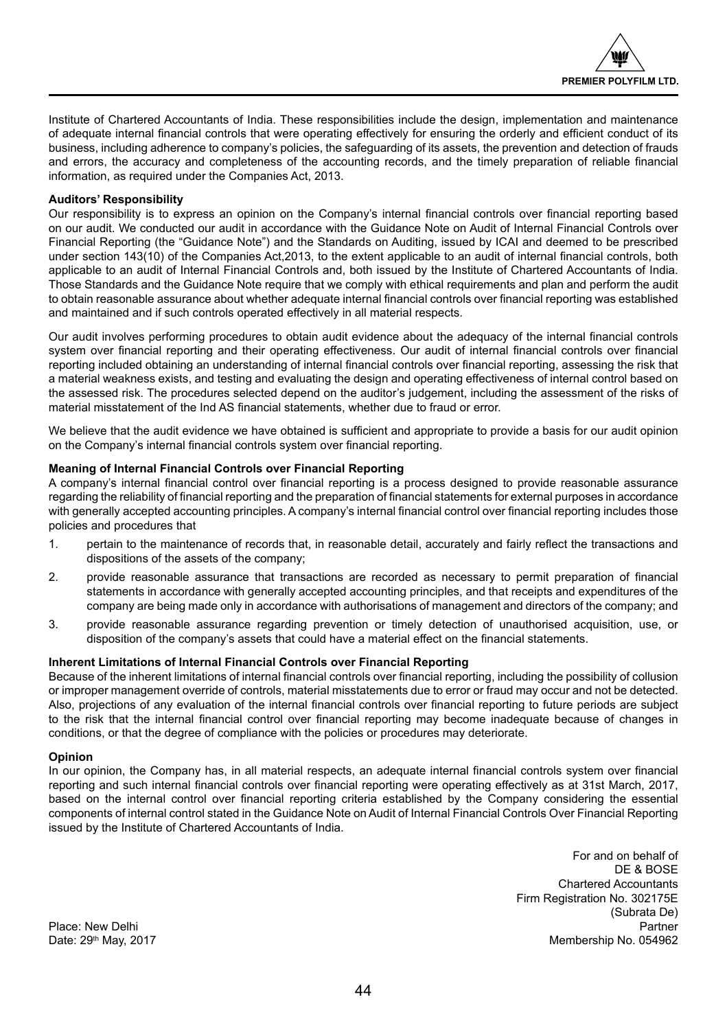

Institute of Chartered Accountants of India. These responsibilities include the design, implementation and maintenance of adequate internal financial controls that were operating effectively for ensuring the orderly and efficient conduct of its business, including adherence to company's policies, the safeguarding of its assets, the prevention and detection of frauds and errors, the accuracy and completeness of the accounting records, and the timely preparation of reliable financial information, as required under the Companies Act, 2013.

## **Auditors' Responsibility**

Our responsibility is to express an opinion on the Company's internal financial controls over financial reporting based on our audit. We conducted our audit in accordance with the Guidance Note on Audit of Internal Financial Controls over Financial Reporting (the "Guidance Note") and the Standards on Auditing, issued by ICAI and deemed to be prescribed under section 143(10) of the Companies Act,2013, to the extent applicable to an audit of internal financial controls, both applicable to an audit of Internal Financial Controls and, both issued by the Institute of Chartered Accountants of India. Those Standards and the Guidance Note require that we comply with ethical requirements and plan and perform the audit to obtain reasonable assurance about whether adequate internal financial controls over financial reporting was established and maintained and if such controls operated effectively in all material respects.

Our audit involves performing procedures to obtain audit evidence about the adequacy of the internal financial controls system over financial reporting and their operating effectiveness. Our audit of internal financial controls over financial reporting included obtaining an understanding of internal financial controls over financial reporting, assessing the risk that a material weakness exists, and testing and evaluating the design and operating effectiveness of internal control based on the assessed risk. The procedures selected depend on the auditor's judgement, including the assessment of the risks of material misstatement of the Ind AS financial statements, whether due to fraud or error.

We believe that the audit evidence we have obtained is sufficient and appropriate to provide a basis for our audit opinion on the Company's internal financial controls system over financial reporting.

## **Meaning of Internal Financial Controls over Financial Reporting**

A company's internal financial control over financial reporting is a process designed to provide reasonable assurance regarding the reliability of financial reporting and the preparation of financial statements for external purposes in accordance with generally accepted accounting principles. A company's internal financial control over financial reporting includes those policies and procedures that

- 1. pertain to the maintenance of records that, in reasonable detail, accurately and fairly reflect the transactions and dispositions of the assets of the company;
- 2. provide reasonable assurance that transactions are recorded as necessary to permit preparation of financial statements in accordance with generally accepted accounting principles, and that receipts and expenditures of the company are being made only in accordance with authorisations of management and directors of the company; and
- 3. provide reasonable assurance regarding prevention or timely detection of unauthorised acquisition, use, or disposition of the company's assets that could have a material effect on the financial statements.

## **Inherent Limitations of Internal Financial Controls over Financial Reporting**

Because of the inherent limitations of internal financial controls over financial reporting, including the possibility of collusion or improper management override of controls, material misstatements due to error or fraud may occur and not be detected. Also, projections of any evaluation of the internal financial controls over financial reporting to future periods are subject to the risk that the internal financial control over financial reporting may become inadequate because of changes in conditions, or that the degree of compliance with the policies or procedures may deteriorate.

## **Opinion**

In our opinion, the Company has, in all material respects, an adequate internal financial controls system over financial reporting and such internal financial controls over financial reporting were operating effectively as at 31st March, 2017, based on the internal control over financial reporting criteria established by the Company considering the essential components of internal control stated in the Guidance Note on Audit of Internal Financial Controls Over Financial Reporting issued by the Institute of Chartered Accountants of India.

> For and on behalf of DE & BOSE Chartered Accountants Firm Registration No. 302175E (Subrata De) Membership No. 054962

Place: New Delhi<br>Date: 29<sup>th</sup> May, 2017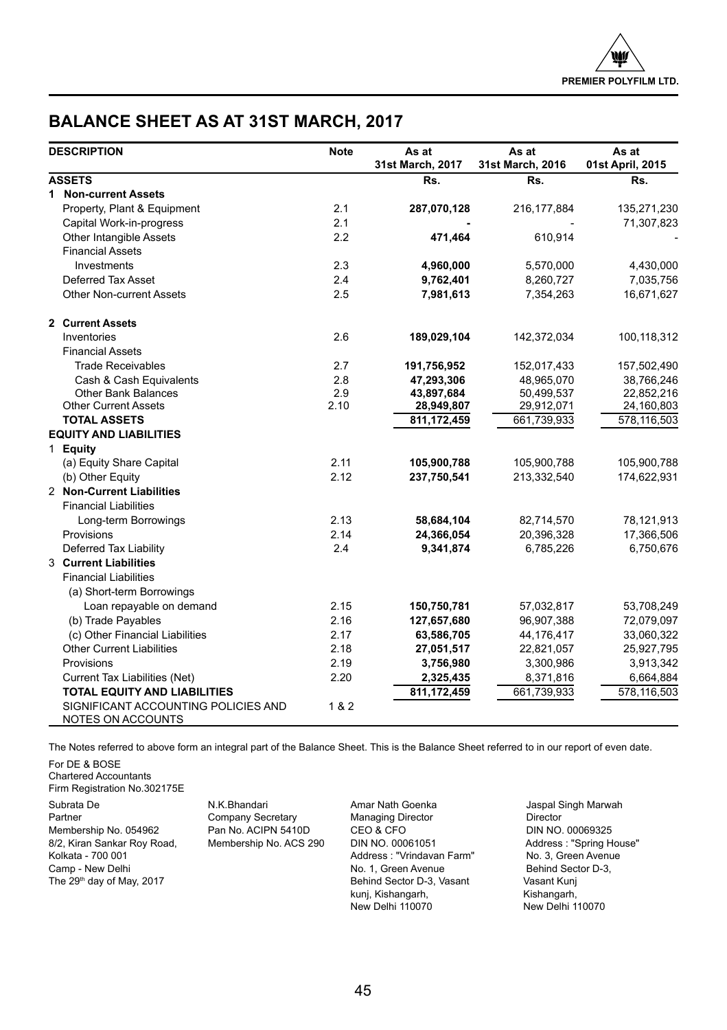## **BALANCE SHEET AS AT 31ST MARCH, 2017**

| <b>DESCRIPTION</b>                                       | <b>Note</b> | As at            | As at            | As at            |
|----------------------------------------------------------|-------------|------------------|------------------|------------------|
|                                                          |             | 31st March, 2017 | 31st March, 2016 | 01st April, 2015 |
| <b>ASSETS</b>                                            |             | Rs.              | Rs.              | Rs.              |
| 1 Non-current Assets                                     |             |                  |                  |                  |
| Property, Plant & Equipment                              | 2.1         | 287,070,128      | 216, 177, 884    | 135,271,230      |
| Capital Work-in-progress                                 | 2.1         |                  |                  | 71,307,823       |
| Other Intangible Assets                                  | 2.2         | 471,464          | 610,914          |                  |
| <b>Financial Assets</b>                                  |             |                  |                  |                  |
| Investments                                              | 2.3         | 4,960,000        | 5,570,000        | 4,430,000        |
| Deferred Tax Asset                                       | 2.4         | 9,762,401        | 8,260,727        | 7,035,756        |
| <b>Other Non-current Assets</b>                          | 2.5         | 7,981,613        | 7,354,263        | 16,671,627       |
| 2 Current Assets                                         |             |                  |                  |                  |
| Inventories                                              | 2.6         | 189,029,104      | 142,372,034      | 100,118,312      |
| <b>Financial Assets</b>                                  |             |                  |                  |                  |
| <b>Trade Receivables</b>                                 | 2.7         | 191,756,952      | 152,017,433      | 157,502,490      |
| Cash & Cash Equivalents                                  | 2.8         | 47,293,306       | 48.965.070       | 38,766,246       |
| <b>Other Bank Balances</b>                               | 2.9         | 43,897,684       | 50,499,537       | 22,852,216       |
| <b>Other Current Assets</b>                              | 2.10        | 28,949,807       | 29,912,071       | 24,160,803       |
| <b>TOTAL ASSETS</b>                                      |             | 811, 172, 459    | 661,739,933      | 578,116,503      |
| <b>EQUITY AND LIABILITIES</b>                            |             |                  |                  |                  |
| 1 Equity                                                 |             |                  |                  |                  |
| (a) Equity Share Capital                                 | 2.11        | 105,900,788      | 105,900,788      | 105,900,788      |
| (b) Other Equity                                         | 2.12        | 237,750,541      | 213,332,540      | 174,622,931      |
| 2 Non-Current Liabilities                                |             |                  |                  |                  |
| <b>Financial Liabilities</b>                             |             |                  |                  |                  |
| Long-term Borrowings                                     | 2.13        | 58,684,104       | 82,714,570       | 78,121,913       |
| Provisions                                               | 2.14        | 24.366.054       | 20.396.328       | 17,366,506       |
| Deferred Tax Liability                                   | 2.4         | 9,341,874        | 6,785,226        | 6,750,676        |
| 3 Current Liabilities                                    |             |                  |                  |                  |
| <b>Financial Liabilities</b>                             |             |                  |                  |                  |
| (a) Short-term Borrowings                                |             |                  |                  |                  |
| Loan repayable on demand                                 | 2.15        | 150,750,781      | 57,032,817       | 53,708,249       |
| (b) Trade Payables                                       | 2.16        | 127,657,680      | 96,907,388       | 72,079,097       |
| (c) Other Financial Liabilities                          | 2.17        | 63,586,705       | 44,176,417       | 33,060,322       |
| <b>Other Current Liabilities</b>                         | 2.18        | 27,051,517       | 22,821,057       | 25,927,795       |
| Provisions                                               | 2.19        | 3,756,980        | 3,300,986        | 3,913,342        |
| Current Tax Liabilities (Net)                            | 2.20        | 2,325,435        | 8,371,816        | 6,664,884        |
| <b>TOTAL EQUITY AND LIABILITIES</b>                      |             | 811, 172, 459    | 661,739,933      | 578,116,503      |
| SIGNIFICANT ACCOUNTING POLICIES AND<br>NOTES ON ACCOUNTS | 1 & 2       |                  |                  |                  |

The Notes referred to above form an integral part of the Balance Sheet. This is the Balance Sheet referred to in our report of even date.

For DE & BOSE Chartered Accountants Firm Registration No.302175E

Subrata De **N.K.Bhandari M.K.Bhandari Amar Nath Goenka** Jaspal Singh Marwah Partner Company Secretary **Amar Singh Marwah** Director Membership No. 054962 Pan No. ACIPN 5410D CEO & CFO CHO DIN NO. 00069325<br>1992, Kiran Sankar Roy Road, Membership No. ACS 290 DIN NO. 00061051 CHO Address : "Spring House" 8/2, Kiran Sankar Roy Road, Membership No. ACS 290 DIN NO. 00061051 Address : "Spring House" Address : "Spring House" Roddress : "Spring House" Roddress : "Spring House" Roddress : "Vrindavan Farm" No. 3, Green Avenue Camp - New Delhi **No. 1, Green Avenue** Behind Sector D-3,

Company Secretary

Address : "Vrindavan Farm" The 29<sup>th</sup> day of May, 2017 **Behind Sector D-3, Vasant Wasant Kunj** Casant Kunj<br>
kunj, Kishangarh, Kishangarh, Kishangarh, Kishangarh, kunj, Kishangarh,<br>New Delhi 110070

New Delhi 110070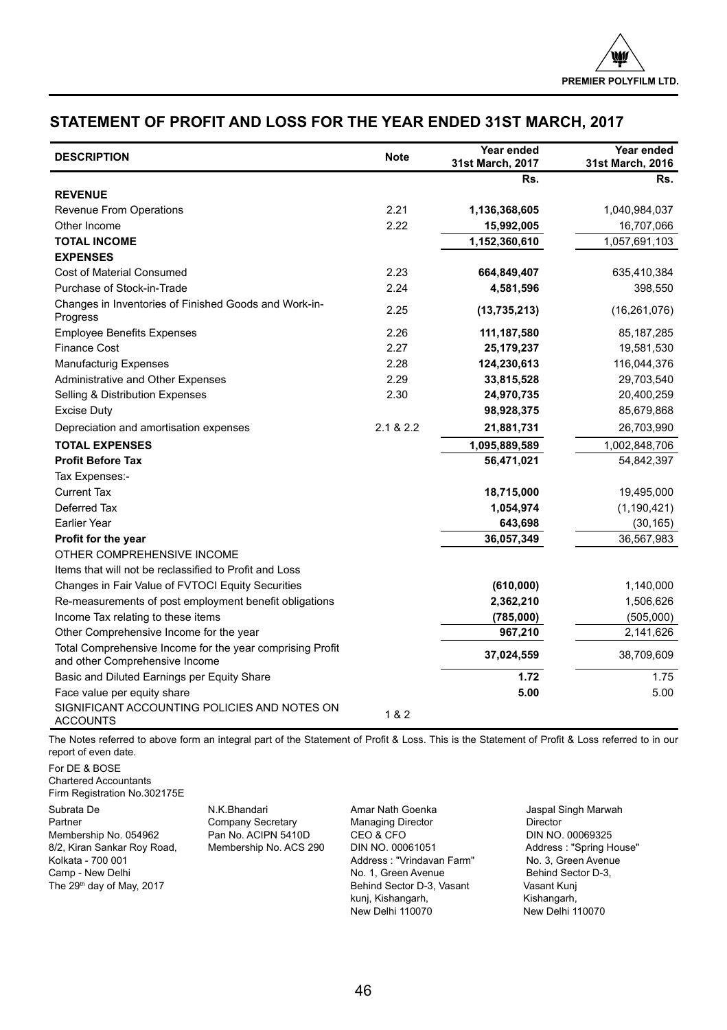## **STATEMENT OF PROFIT AND LOSS FOR THE YEAR ENDED 31ST MARCH, 2017**

| <b>DESCRIPTION</b>                                                                          | Note      | Year ended<br>31st March, 2017 | Year ended<br>31st March, 2016 |
|---------------------------------------------------------------------------------------------|-----------|--------------------------------|--------------------------------|
|                                                                                             |           | Rs.                            | Rs.                            |
| <b>REVENUE</b>                                                                              |           |                                |                                |
| Revenue From Operations                                                                     | 2.21      | 1,136,368,605                  | 1,040,984,037                  |
| Other Income                                                                                | 2.22      | 15,992,005                     | 16,707,066                     |
| <b>TOTAL INCOME</b>                                                                         |           | 1,152,360,610                  | 1,057,691,103                  |
| <b>EXPENSES</b>                                                                             |           |                                |                                |
| <b>Cost of Material Consumed</b>                                                            | 2.23      | 664,849,407                    | 635,410,384                    |
| Purchase of Stock-in-Trade                                                                  | 2.24      | 4,581,596                      | 398,550                        |
| Changes in Inventories of Finished Goods and Work-in-<br>Progress                           | 2.25      | (13, 735, 213)                 | (16, 261, 076)                 |
| <b>Employee Benefits Expenses</b>                                                           | 2.26      | 111,187,580                    | 85, 187, 285                   |
| <b>Finance Cost</b>                                                                         | 2.27      | 25, 179, 237                   | 19,581,530                     |
| <b>Manufacturig Expenses</b>                                                                | 2.28      | 124,230,613                    | 116,044,376                    |
| Administrative and Other Expenses                                                           | 2.29      | 33,815,528                     | 29,703,540                     |
| Selling & Distribution Expenses                                                             | 2.30      | 24,970,735                     | 20,400,259                     |
| <b>Excise Duty</b>                                                                          |           | 98,928,375                     | 85,679,868                     |
| Depreciation and amortisation expenses                                                      | 2.1 & 2.2 | 21,881,731                     | 26,703,990                     |
| <b>TOTAL EXPENSES</b>                                                                       |           | 1,095,889,589                  | 1,002,848,706                  |
| <b>Profit Before Tax</b>                                                                    |           | 56,471,021                     | 54,842,397                     |
| Tax Expenses:-                                                                              |           |                                |                                |
| <b>Current Tax</b>                                                                          |           | 18,715,000                     | 19,495,000                     |
| Deferred Tax                                                                                |           | 1,054,974                      | (1, 190, 421)                  |
| <b>Earlier Year</b>                                                                         |           | 643,698                        | (30, 165)                      |
| Profit for the year                                                                         |           | 36,057,349                     | 36,567,983                     |
| OTHER COMPREHENSIVE INCOME                                                                  |           |                                |                                |
| Items that will not be reclassified to Profit and Loss                                      |           |                                |                                |
| Changes in Fair Value of FVTOCI Equity Securities                                           |           | (610,000)                      | 1,140,000                      |
| Re-measurements of post employment benefit obligations                                      |           | 2,362,210                      | 1,506,626                      |
| Income Tax relating to these items                                                          |           | (785,000)                      | (505,000)                      |
| Other Comprehensive Income for the year                                                     |           | 967,210                        | 2,141,626                      |
| Total Comprehensive Income for the year comprising Profit<br>and other Comprehensive Income |           | 37,024,559                     | 38,709,609                     |
| Basic and Diluted Earnings per Equity Share                                                 |           | 1.72                           | 1.75                           |
| Face value per equity share                                                                 |           | 5.00                           | 5.00                           |
| SIGNIFICANT ACCOUNTING POLICIES AND NOTES ON<br><b>ACCOUNTS</b>                             | 1 & 2     |                                |                                |

The Notes referred to above form an integral part of the Statement of Profit & Loss. This is the Statement of Profit & Loss referred to in our report of even date.

For DE & BOSE Chartered Accountants Firm Registration No.302175E

Subrata De N.K.Bhandari Amar Nath Goenka Jaspal Singh Marwah Membership No. 054962 Pan No. ACIPN 5410D CEO & CFO COMBERS 2001 NO. 00069325<br>B/2, Kiran Sankar Roy Road, Membership No. ACS 290 DIN NO. 00061051 Address : "Spring House" 8/2, Kiran Sankar Roy Road, Kolkata - 700 001 Kolkata - 700 001 Address : "Vrindavan Farm" No. 3, Green Avenue The 29<sup>th</sup> day of May, 2017

Partner Company Secretary Managing Director Managing Director Director<br>
Pan No. ACIPN 5410D CEO & CFO COMPOSIC DIN NO. 00069325 No. 1, Green Avenue Behind Sector D-3, Vasant Nunj Vasant Kunj kunj, Kishangarh, Kishangarh, Kishangarh, Kishangarh, Kishangarh, Kishangarh, Kishangarh, Kishangarh, Kishangarh, Kishangarh, Kishangarh, Kishangarh, Kishangarh, Kishangarh, Kishangarh, Kishangarh, Kishangarh, Kishangarh,

New Delhi 110070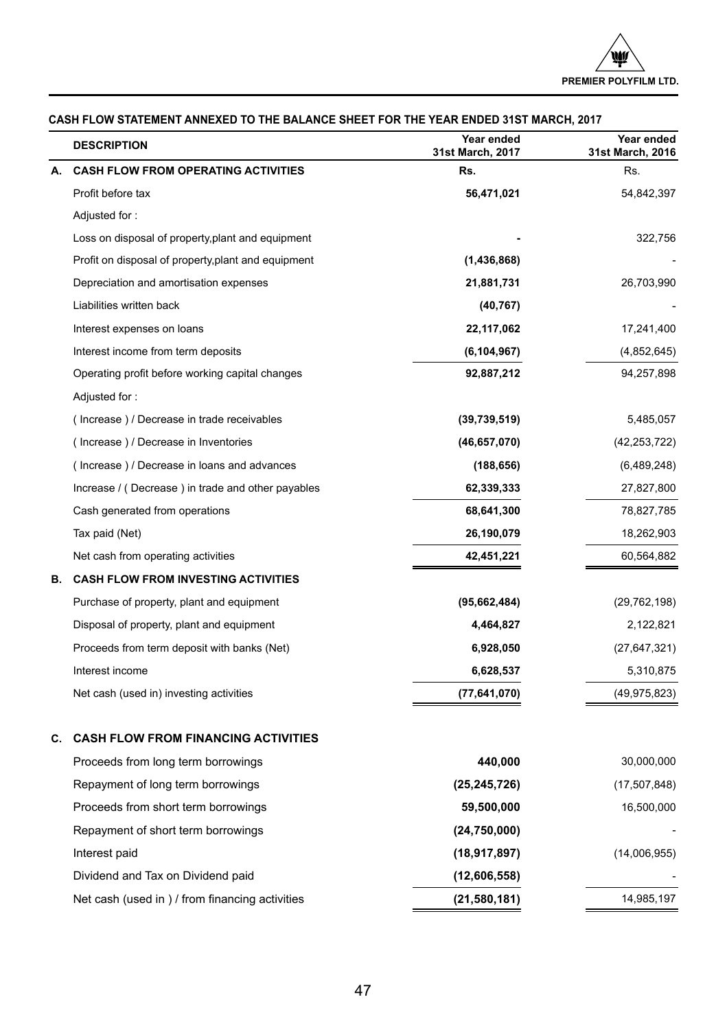|    | <b>DESCRIPTION</b>                                  | Year ended<br>31st March, 2017 | Year ended<br>31st March, 2016 |
|----|-----------------------------------------------------|--------------------------------|--------------------------------|
| А. | <b>CASH FLOW FROM OPERATING ACTIVITIES</b>          | Rs.                            | Rs.                            |
|    | Profit before tax                                   | 56,471,021                     | 54,842,397                     |
|    | Adjusted for:                                       |                                |                                |
|    | Loss on disposal of property, plant and equipment   |                                | 322,756                        |
|    | Profit on disposal of property, plant and equipment | (1,436,868)                    |                                |
|    | Depreciation and amortisation expenses              | 21,881,731                     | 26,703,990                     |
|    | Liabilities written back                            | (40, 767)                      |                                |
|    | Interest expenses on loans                          | 22,117,062                     | 17,241,400                     |
|    | Interest income from term deposits                  | (6, 104, 967)                  | (4,852,645)                    |
|    | Operating profit before working capital changes     | 92,887,212                     | 94,257,898                     |
|    | Adjusted for:                                       |                                |                                |
|    | (Increase) / Decrease in trade receivables          | (39,739,519)                   | 5,485,057                      |
|    | (Increase) / Decrease in Inventories                | (46, 657, 070)                 | (42, 253, 722)                 |
|    | (Increase) / Decrease in loans and advances         | (188, 656)                     | (6,489,248)                    |
|    | Increase / (Decrease) in trade and other payables   | 62,339,333                     | 27,827,800                     |
|    | Cash generated from operations                      | 68,641,300                     | 78,827,785                     |
|    | Tax paid (Net)                                      | 26,190,079                     | 18,262,903                     |
|    | Net cash from operating activities                  | 42,451,221                     | 60,564,882                     |
| В. | <b>CASH FLOW FROM INVESTING ACTIVITIES</b>          |                                |                                |
|    | Purchase of property, plant and equipment           | (95,662,484)                   | (29, 762, 198)                 |
|    | Disposal of property, plant and equipment           | 4,464,827                      | 2,122,821                      |
|    | Proceeds from term deposit with banks (Net)         | 6,928,050                      | (27, 647, 321)                 |
|    | Interest income                                     | 6,628,537                      | 5,310,875                      |
|    | Net cash (used in) investing activities             | (77,641,070)                   | (49, 975, 823)                 |
| C. | <b>CASH FLOW FROM FINANCING ACTIVITIES</b>          |                                |                                |
|    | Proceeds from long term borrowings                  | 440,000                        | 30,000,000                     |
|    | Repayment of long term borrowings                   | (25, 245, 726)                 | (17, 507, 848)                 |
|    | Proceeds from short term borrowings                 | 59,500,000                     | 16,500,000                     |
|    | Repayment of short term borrowings                  | (24,750,000)                   |                                |
|    | Interest paid                                       | (18, 917, 897)                 | (14,006,955)                   |
|    | Dividend and Tax on Dividend paid                   | (12,606,558)                   |                                |
|    | Net cash (used in ) / from financing activities     | (21,580,181)                   | 14,985,197                     |

## **CASH FLOW STATEMENT ANNEXED TO THE BALANCE SHEET FOR THE YEAR ENDED 31ST MARCH, 2017**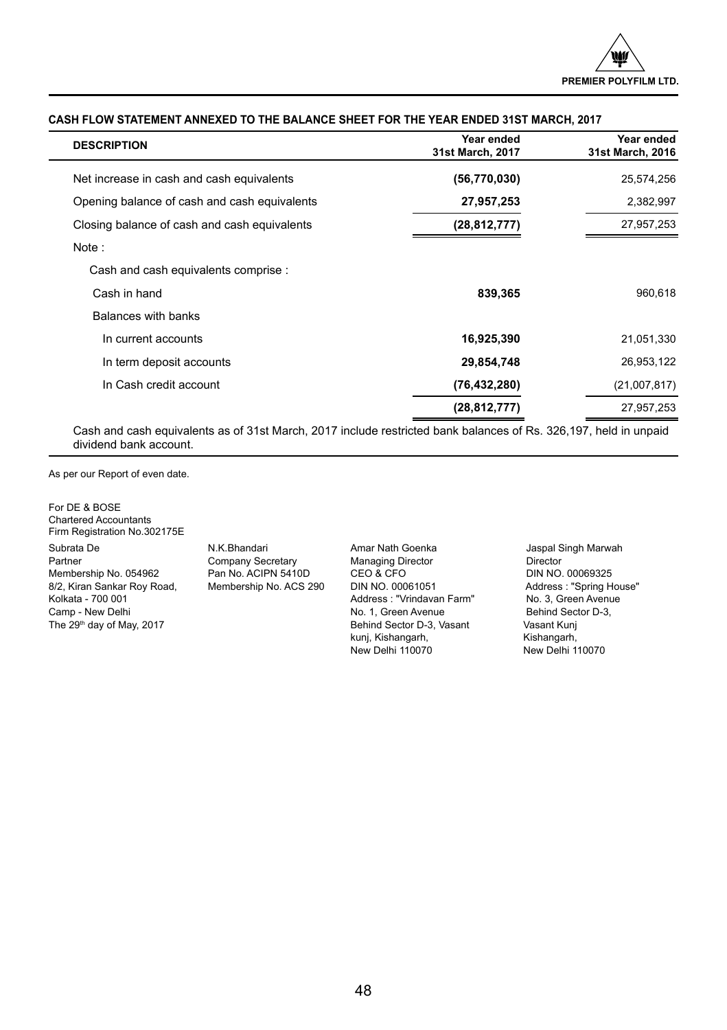| <b>DESCRIPTION</b>                           | Year ended<br>31st March, 2017 | Year ended<br>31st March, 2016 |
|----------------------------------------------|--------------------------------|--------------------------------|
| Net increase in cash and cash equivalents    | (56, 770, 030)                 | 25,574,256                     |
| Opening balance of cash and cash equivalents | 27,957,253                     | 2,382,997                      |
| Closing balance of cash and cash equivalents | (28, 812, 777)                 | 27,957,253                     |
| Note:                                        |                                |                                |
| Cash and cash equivalents comprise :         |                                |                                |
| Cash in hand                                 | 839,365                        | 960,618                        |
| Balances with banks                          |                                |                                |
| In current accounts                          | 16,925,390                     | 21,051,330                     |
| In term deposit accounts                     | 29,854,748                     | 26,953,122                     |
| In Cash credit account                       | (76, 432, 280)                 | (21,007,817)                   |
|                                              | (28, 812, 777)                 | 27,957,253                     |

## **CASH FLOW STATEMENT ANNEXED TO THE BALANCE SHEET FOR THE YEAR ENDED 31ST MARCH, 2017**

Cash and cash equivalents as of 31st March, 2017 include restricted bank balances of Rs. 326,197, held in unpaid dividend bank account.

As per our Report of even date.

 $\overline{\phantom{a}}$ 

For DE & BOSE Chartered Accountants Firm Registration No.302175E

Subrata De N.K.Bhandari Amar Nath Goenka Jaspal Singh Marwah Membership No. 054962 8/2, Kiran Sankar Roy Road, Membership No. ACS 290 DIN NO. 00061051 Address : "Spring House" Kolkata - 700 001 Address : "Vrindavan Farm" No. 3, Green Avenue Camp - New Delhi **Camp - New Delhind Sector Camp - New Oelhind Sector D-3**, Vasant Munity Casant Kuni<br>
Behind Sector D-3, Vasant Munity Casant Kuni

Partner Company Secretary Managing Director Managing Director<br>
Pan No. ACIPN 5410D CEO & CFO COMPANY DIN NO. 00069325 Behind Sector D-3, Vasant kunj, Kishangarh, Kishangarh, Kishangarh, Kishangarh, Kishangarh, Kishangarh, Kishangarh, Kishangarh, Kishangarh, Kishangarh, Kishangarh, Kishangarh, Kishangarh, Kishangarh, Kishangarh, Kishangarh, Kishangarh, Kishangarh,

New Delhi 110070 New Delhi 110070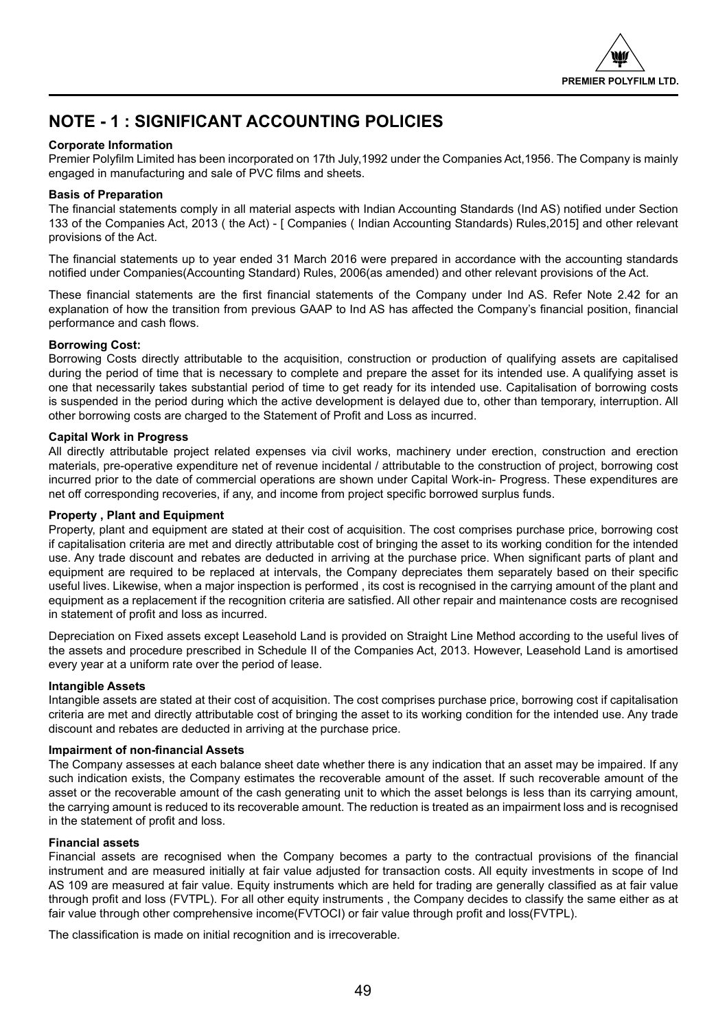

## **NOTE - 1 : SIGNIFICANT ACCOUNTING POLICIES**

## **Corporate Information**

Premier Polyfilm Limited has been incorporated on 17th July,1992 under the Companies Act,1956. The Company is mainly engaged in manufacturing and sale of PVC films and sheets.

## **Basis of Preparation**

The financial statements comply in all material aspects with Indian Accounting Standards (Ind AS) notified under Section 133 of the Companies Act, 2013 ( the Act) - [ Companies ( Indian Accounting Standards) Rules,2015] and other relevant provisions of the Act.

The financial statements up to year ended 31 March 2016 were prepared in accordance with the accounting standards notified under Companies(Accounting Standard) Rules, 2006(as amended) and other relevant provisions of the Act.

These financial statements are the first financial statements of the Company under Ind AS. Refer Note 2.42 for an explanation of how the transition from previous GAAP to Ind AS has affected the Company's financial position, financial performance and cash flows.

## **Borrowing Cost:**

Borrowing Costs directly attributable to the acquisition, construction or production of qualifying assets are capitalised during the period of time that is necessary to complete and prepare the asset for its intended use. A qualifying asset is one that necessarily takes substantial period of time to get ready for its intended use. Capitalisation of borrowing costs is suspended in the period during which the active development is delayed due to, other than temporary, interruption. All other borrowing costs are charged to the Statement of Profit and Loss as incurred.

## **Capital Work in Progress**

All directly attributable project related expenses via civil works, machinery under erection, construction and erection materials, pre-operative expenditure net of revenue incidental / attributable to the construction of project, borrowing cost incurred prior to the date of commercial operations are shown under Capital Work-in- Progress. These expenditures are net off corresponding recoveries, if any, and income from project specific borrowed surplus funds.

## **Property , Plant and Equipment**

Property, plant and equipment are stated at their cost of acquisition. The cost comprises purchase price, borrowing cost if capitalisation criteria are met and directly attributable cost of bringing the asset to its working condition for the intended use. Any trade discount and rebates are deducted in arriving at the purchase price. When significant parts of plant and equipment are required to be replaced at intervals, the Company depreciates them separately based on their specific useful lives. Likewise, when a major inspection is performed , its cost is recognised in the carrying amount of the plant and equipment as a replacement if the recognition criteria are satisfied. All other repair and maintenance costs are recognised in statement of profit and loss as incurred.

Depreciation on Fixed assets except Leasehold Land is provided on Straight Line Method according to the useful lives of the assets and procedure prescribed in Schedule II of the Companies Act, 2013. However, Leasehold Land is amortised every year at a uniform rate over the period of lease.

## **Intangible Assets**

Intangible assets are stated at their cost of acquisition. The cost comprises purchase price, borrowing cost if capitalisation criteria are met and directly attributable cost of bringing the asset to its working condition for the intended use. Any trade discount and rebates are deducted in arriving at the purchase price.

## **Impairment of non-financial Assets**

The Company assesses at each balance sheet date whether there is any indication that an asset may be impaired. If any such indication exists, the Company estimates the recoverable amount of the asset. If such recoverable amount of the asset or the recoverable amount of the cash generating unit to which the asset belongs is less than its carrying amount, the carrying amount is reduced to its recoverable amount. The reduction is treated as an impairment loss and is recognised in the statement of profit and loss.

## **Financial assets**

Financial assets are recognised when the Company becomes a party to the contractual provisions of the financial instrument and are measured initially at fair value adjusted for transaction costs. All equity investments in scope of Ind AS 109 are measured at fair value. Equity instruments which are held for trading are generally classified as at fair value through profit and loss (FVTPL). For all other equity instruments , the Company decides to classify the same either as at fair value through other comprehensive income(FVTOCI) or fair value through profit and loss(FVTPL).

The classification is made on initial recognition and is irrecoverable.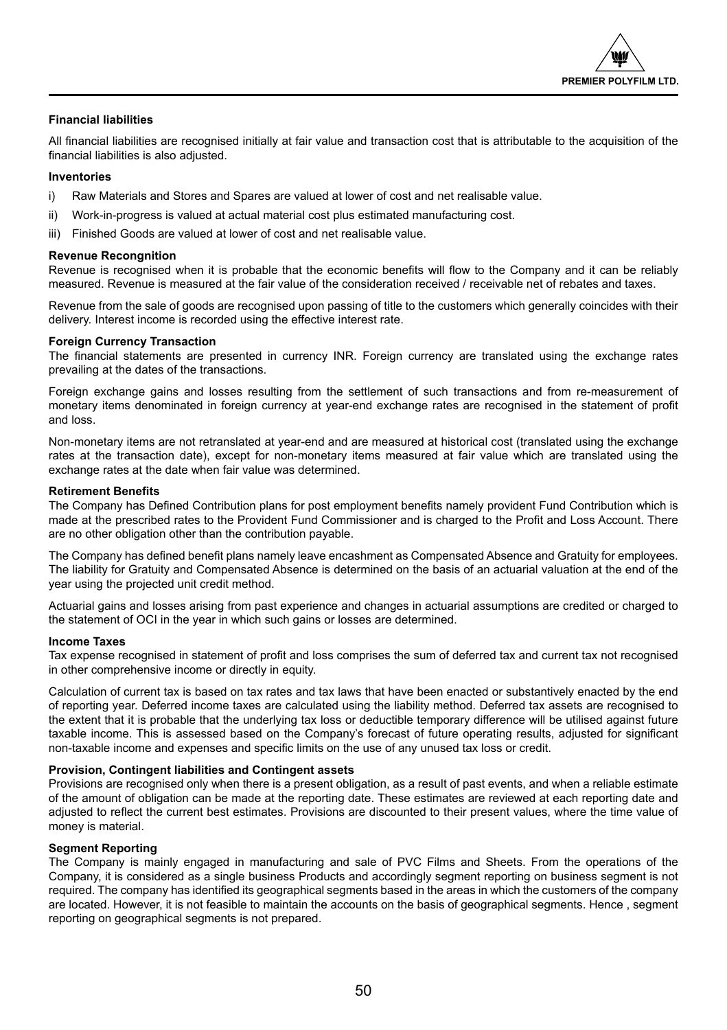

## **Financial liabilities**

All financial liabilities are recognised initially at fair value and transaction cost that is attributable to the acquisition of the financial liabilities is also adjusted.

## **Inventories**

- i) Raw Materials and Stores and Spares are valued at lower of cost and net realisable value.
- ii) Work-in-progress is valued at actual material cost plus estimated manufacturing cost.
- iii) Finished Goods are valued at lower of cost and net realisable value.

## **Revenue Recongnition**

Revenue is recognised when it is probable that the economic benefits will flow to the Company and it can be reliably measured. Revenue is measured at the fair value of the consideration received / receivable net of rebates and taxes.

Revenue from the sale of goods are recognised upon passing of title to the customers which generally coincides with their delivery. Interest income is recorded using the effective interest rate.

## **Foreign Currency Transaction**

The financial statements are presented in currency INR. Foreign currency are translated using the exchange rates prevailing at the dates of the transactions.

Foreign exchange gains and losses resulting from the settlement of such transactions and from re-measurement of monetary items denominated in foreign currency at year-end exchange rates are recognised in the statement of profit and loss.

Non-monetary items are not retranslated at year-end and are measured at historical cost (translated using the exchange rates at the transaction date), except for non-monetary items measured at fair value which are translated using the exchange rates at the date when fair value was determined.

## **Retirement Benefits**

The Company has Defined Contribution plans for post employment benefits namely provident Fund Contribution which is made at the prescribed rates to the Provident Fund Commissioner and is charged to the Profit and Loss Account. There are no other obligation other than the contribution payable.

The Company has defined benefit plans namely leave encashment as Compensated Absence and Gratuity for employees. The liability for Gratuity and Compensated Absence is determined on the basis of an actuarial valuation at the end of the year using the projected unit credit method.

Actuarial gains and losses arising from past experience and changes in actuarial assumptions are credited or charged to the statement of OCI in the year in which such gains or losses are determined.

## **Income Taxes**

Tax expense recognised in statement of profit and loss comprises the sum of deferred tax and current tax not recognised in other comprehensive income or directly in equity.

Calculation of current tax is based on tax rates and tax laws that have been enacted or substantively enacted by the end of reporting year. Deferred income taxes are calculated using the liability method. Deferred tax assets are recognised to the extent that it is probable that the underlying tax loss or deductible temporary difference will be utilised against future taxable income. This is assessed based on the Company's forecast of future operating results, adjusted for significant non-taxable income and expenses and specific limits on the use of any unused tax loss or credit.

## **Provision, Contingent liabilities and Contingent assets**

Provisions are recognised only when there is a present obligation, as a result of past events, and when a reliable estimate of the amount of obligation can be made at the reporting date. These estimates are reviewed at each reporting date and adjusted to reflect the current best estimates. Provisions are discounted to their present values, where the time value of money is material.

## **Segment Reporting**

The Company is mainly engaged in manufacturing and sale of PVC Films and Sheets. From the operations of the Company, it is considered as a single business Products and accordingly segment reporting on business segment is not required. The company has identified its geographical segments based in the areas in which the customers of the company are located. However, it is not feasible to maintain the accounts on the basis of geographical segments. Hence , segment reporting on geographical segments is not prepared.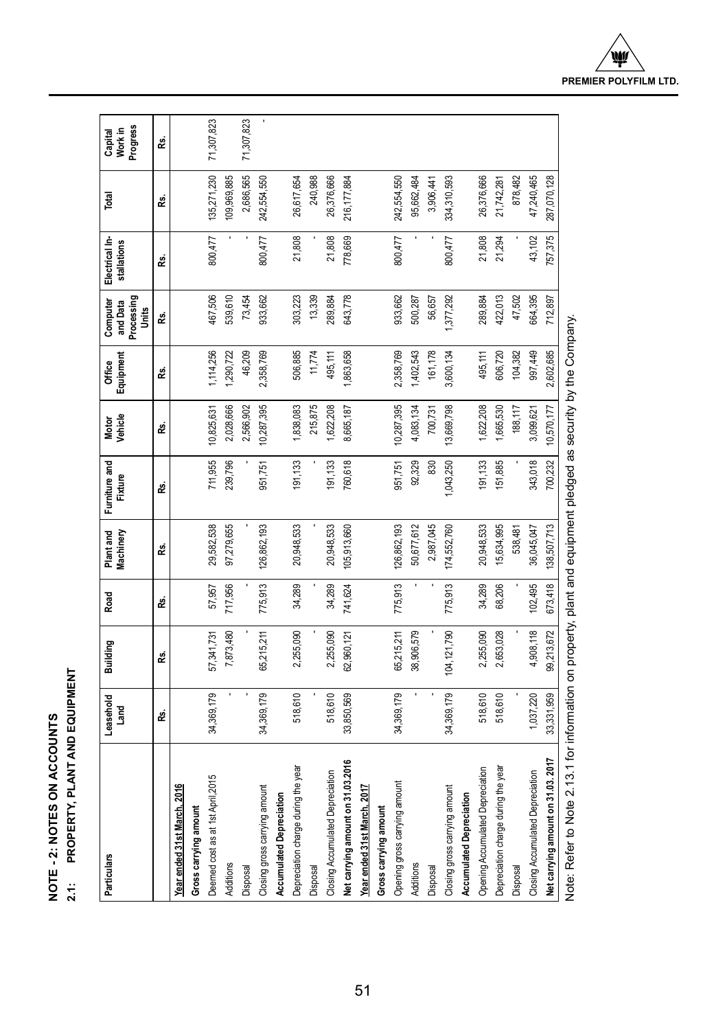| ţ<br>Ē<br>ົດ<br>₹ | 을<br>중<br>∶<br>Ę |
|-------------------|------------------|
| ć                 |                  |
| i≝<br>PO          | ŗ<br>à<br>≍      |
| ē                 | ້                |
|                   |                  |

## PROPERTY, PLANT AND EQUIPMENT **PROPERTY, PLANT AND EQUIPMENT**

| Particulars                                                                                                     | Leasehold<br>Land | Building    | Road    | Plant and<br>Machinery | Furniture and<br>Fixture | Motor<br>Vehicle | Equipment<br>Office | Processing<br>and Data<br>Computer<br>Units | Electrical In-<br>stallations | Total       | Progress<br>Capital<br>Work in |
|-----------------------------------------------------------------------------------------------------------------|-------------------|-------------|---------|------------------------|--------------------------|------------------|---------------------|---------------------------------------------|-------------------------------|-------------|--------------------------------|
|                                                                                                                 | Ŀ                 | జీ          | ž.      | Rs.                    | œ.                       | œ.               | œ.                  | జీ                                          | Rs.                           | జీ          | జీ                             |
| Year ended 31st March, 2016                                                                                     |                   |             |         |                        |                          |                  |                     |                                             |                               |             |                                |
| Gross carrying amount                                                                                           |                   |             |         |                        |                          |                  |                     |                                             |                               |             |                                |
| Deemed cost as at 1st April, 2015                                                                               | 34,369,179        | 57,341,731  | 57,957  | 29,582,538             | 711,955                  | 10,825,631       | 1,114,256           | 467,506                                     | 800,477                       | 135,271,230 | 71,307,823                     |
| Additions                                                                                                       |                   | 7,873,480   | 717,956 | 97,279,655             | 239,796                  | 2,028,666        | 1,290,722           | 539,610                                     |                               | 109,969,885 |                                |
| Disposal                                                                                                        |                   |             |         |                        |                          | 2,566,902        | 46,209              | 73,454                                      |                               | 2,686,565   | 71,307,823                     |
| Closing gross carrying amount                                                                                   | 34,369,179        | 35,215,211  | 775,913 | 126,862,193            | 951,751                  | 10,287,395       | 2,358,769           | 933,662                                     | 800,477                       | 242,554,550 |                                |
| <b>Accumulated Depreciation</b>                                                                                 |                   |             |         |                        |                          |                  |                     |                                             |                               |             |                                |
| Depreciation charge during the year                                                                             | 518,610           | 2,255,090   | 34,289  | 20,948,533             | 191, 133                 | ,838,083         | 506,885             | 303,223                                     | 21,808                        | 26,617,654  |                                |
| Disposal                                                                                                        |                   |             |         |                        |                          | 215,875          | 11,774              | 13,339                                      |                               | 240,988     |                                |
| Closing Accumulated Depreciation                                                                                | 518,610           | 2,255,090   | 34,289  | 20,948,533             | 191, 133                 | 1,622,208        | 495,111             | 289,884                                     | 21,808                        | 26,376,666  |                                |
| Net carrying amount on 31.03.2016                                                                               | 33,850,569        | 62,960,121  | 741,624 | 105,913,660            | 760,618                  | 8,665,187        | ,863,658            | 643,778                                     | 778,669                       | 216,177,884 |                                |
| Year ended 31st March, 2017                                                                                     |                   |             |         |                        |                          |                  |                     |                                             |                               |             |                                |
| Gross carrying amount                                                                                           |                   |             |         |                        |                          |                  |                     |                                             |                               |             |                                |
| Opening gross carrying amount                                                                                   | 34,369,179        | 65,215,211  | 775,913 | 126,862,193            | 951,751                  | 10,287,395       | 2,358,769           | 933,662                                     | 800,477                       | 242,554,550 |                                |
| <b>Additions</b>                                                                                                |                   | 38,906,579  |         | 50,677,612             | 92,329                   | 4,083,134        | 1,402,543           | 500,287                                     |                               | 95,662,484  |                                |
| <b>Disposal</b>                                                                                                 |                   |             |         | 2,987,045              | 830                      | 700,731          | 161,178             | 56,657                                      |                               | 3,906,441   |                                |
| Closing gross carrying amount                                                                                   | 34,369,179        | 104,121,790 | 775,913 | 174,552,760            | ,043,250                 | 13,669,798       | 3,600,134           | 377,292                                     | 800,477                       | 334,310,593 |                                |
| Accumulated Depreciation                                                                                        |                   |             |         |                        |                          |                  |                     |                                             |                               |             |                                |
| Opening Accumulated Depreciation                                                                                | 518,610           | 2,255,090   | 34,289  | 20,948,533             | 191, 133                 | 1,622,208        | 495,111             | 289,884                                     | 21,808                        | 26,376,666  |                                |
| Depreciation charge during the year                                                                             | 518,610           | 2,653,028   | 68,206  | 15,634,995             | 151,885                  | ,665,530         | 606,720             | 422,013                                     | 21,294                        | 21,742,281  |                                |
| <b>Disposal</b>                                                                                                 |                   |             |         | 538,481                |                          | 188,117          | 104,382             | 47,502                                      |                               | 878,482     |                                |
| Closing Accumulated Depreciation                                                                                | 1,037,220         | 4,908,118   | 102,495 | 36,045,047             | 343,018                  | 3,099,621        | 997,449             | 664,395                                     | 43,102                        | 47,240,465  |                                |
| Net carrying amount on 31.03.2017                                                                               | 33,331,959        | 99,213,672  | 673,418 | 138,507,713            | 700,232                  | 10,570,177       | 2,602,685           | 712,897                                     | 757,375                       | 287,070,128 |                                |
| Note: Refer to Note 2.13.1 for information on property, plant and equipment pledged as security by the Company. |                   |             |         |                        |                          |                  |                     |                                             |                               |             |                                |

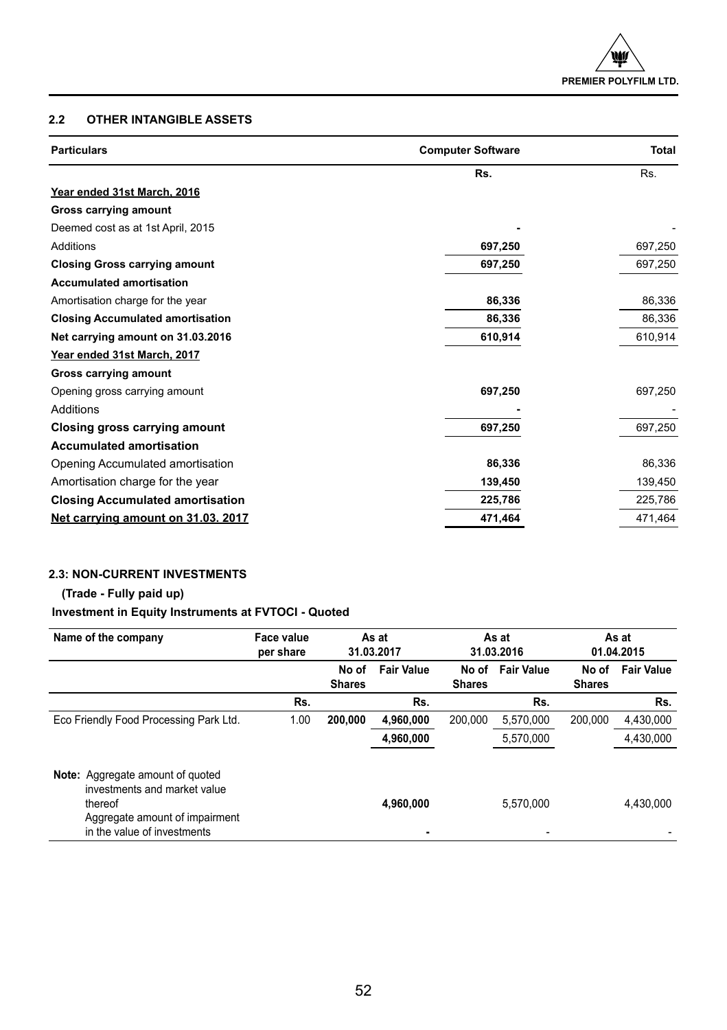## **2.2 OTHER INTANGIBLE ASSETS**

| <b>Particulars</b>                      | <b>Computer Software</b> | <b>Total</b> |
|-----------------------------------------|--------------------------|--------------|
|                                         | Rs.                      | Rs.          |
| Year ended 31st March, 2016             |                          |              |
| Gross carrying amount                   |                          |              |
| Deemed cost as at 1st April, 2015       |                          |              |
| Additions                               | 697,250                  | 697,250      |
| <b>Closing Gross carrying amount</b>    | 697,250                  | 697,250      |
| <b>Accumulated amortisation</b>         |                          |              |
| Amortisation charge for the year        | 86,336                   | 86,336       |
| <b>Closing Accumulated amortisation</b> | 86,336                   | 86,336       |
| Net carrying amount on 31.03.2016       | 610,914                  | 610,914      |
| Year ended 31st March, 2017             |                          |              |
| Gross carrying amount                   |                          |              |
| Opening gross carrying amount           | 697,250                  | 697,250      |
| Additions                               |                          |              |
| Closing gross carrying amount           | 697,250                  | 697,250      |
| <b>Accumulated amortisation</b>         |                          |              |
| Opening Accumulated amortisation        | 86,336                   | 86,336       |
| Amortisation charge for the year        | 139,450                  | 139,450      |
| <b>Closing Accumulated amortisation</b> | 225,786                  | 225,786      |
| Net carrying amount on 31.03. 2017      | 471,464                  | 471,464      |

## **2.3: NON-CURRENT INVESTMENTS**

## **(Trade - Fully paid up)**

## **Investment in Equity Instruments at FVTOCI - Quoted**

| Name of the company                                                                                                                                 | Face value<br>per share |                        | As at<br>31.03.2017 |                        | As at<br>31.03.2016 |                        | As at<br>01.04.2015 |
|-----------------------------------------------------------------------------------------------------------------------------------------------------|-------------------------|------------------------|---------------------|------------------------|---------------------|------------------------|---------------------|
|                                                                                                                                                     |                         | No of<br><b>Shares</b> | <b>Fair Value</b>   | No of<br><b>Shares</b> | <b>Fair Value</b>   | No of<br><b>Shares</b> | <b>Fair Value</b>   |
|                                                                                                                                                     | Rs.                     |                        | Rs.                 |                        | Rs.                 |                        | Rs.                 |
| Eco Friendly Food Processing Park Ltd.                                                                                                              | 1.00                    | 200.000                | 4,960,000           | 200.000                | 5,570,000           | 200.000                | 4,430,000           |
|                                                                                                                                                     |                         |                        | 4,960,000           |                        | 5.570.000           |                        | 4.430.000           |
| <b>Note:</b> Aggregate amount of guoted<br>investments and market value<br>thereof<br>Aggregate amount of impairment<br>in the value of investments |                         |                        | 4,960,000           |                        | 5,570,000           |                        | 4.430.000           |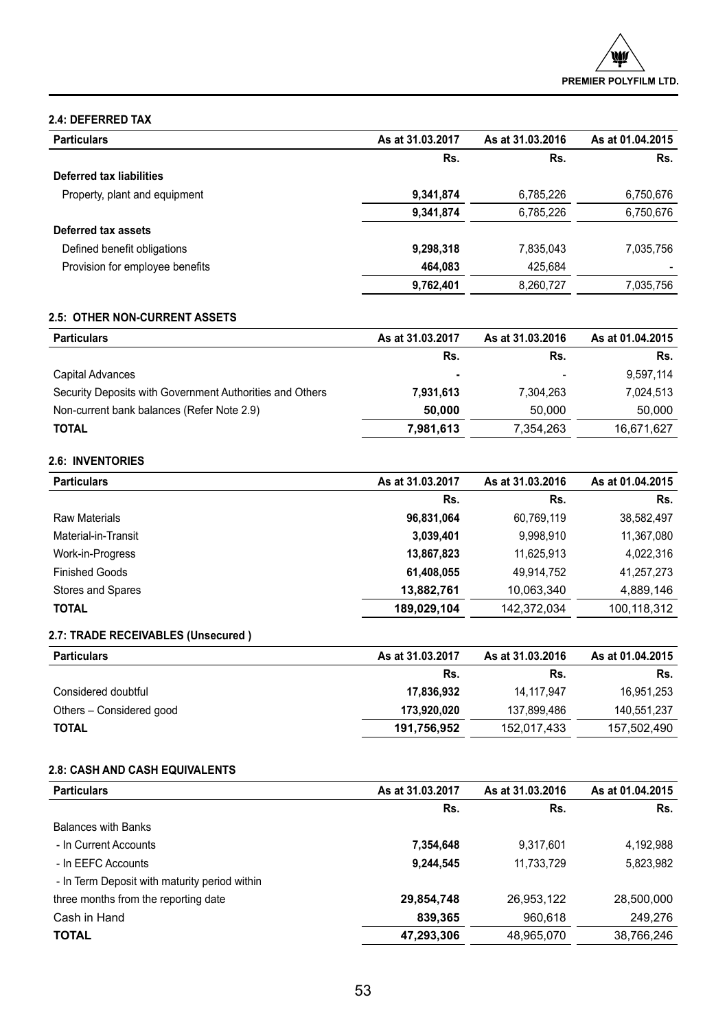## **2.4: DEFERRED TAX**

| <b>Particulars</b>              | As at 31.03.2017 | As at 31.03.2016 | As at 01.04.2015 |
|---------------------------------|------------------|------------------|------------------|
|                                 | Rs.              | Rs.              | Rs.              |
| Deferred tax liabilities        |                  |                  |                  |
| Property, plant and equipment   | 9,341,874        | 6.785.226        | 6,750,676        |
|                                 | 9,341,874        | 6,785,226        | 6,750,676        |
| Deferred tax assets             |                  |                  |                  |
| Defined benefit obligations     | 9,298,318        | 7,835,043        | 7,035,756        |
| Provision for employee benefits | 464.083          | 425.684          |                  |
|                                 | 9,762,401        | 8.260.727        | 7.035.756        |

## **2.5: OTHER NON-CURRENT ASSETS**

| <b>Particulars</b>                                       | As at 31.03.2017 | As at 31.03.2016 | As at 01.04.2015 |
|----------------------------------------------------------|------------------|------------------|------------------|
|                                                          | Rs.              | Rs.              | Rs.              |
| Capital Advances                                         | ٠                |                  | 9,597,114        |
| Security Deposits with Government Authorities and Others | 7,931,613        | 7.304.263        | 7,024,513        |
| Non-current bank balances (Refer Note 2.9)               | 50.000           | 50,000           | 50,000           |
| <b>TOTAL</b>                                             | 7,981,613        | 7,354,263        | 16,671,627       |

## **2.6: INVENTORIES**

| <b>Particulars</b>    | As at 31.03.2017 | As at 31.03.2016 | As at 01.04.2015 |
|-----------------------|------------------|------------------|------------------|
|                       | Rs.              | Rs.              | Rs.              |
| Raw Materials         | 96.831.064       | 60,769,119       | 38,582,497       |
| Material-in-Transit   | 3,039,401        | 9,998,910        | 11,367,080       |
| Work-in-Progress      | 13.867.823       | 11.625.913       | 4.022.316        |
| <b>Finished Goods</b> | 61.408.055       | 49.914.752       | 41,257,273       |
| Stores and Spares     | 13.882.761       | 10.063.340       | 4.889.146        |
| <b>TOTAL</b>          | 189.029.104      | 142.372.034      | 100.118.312      |

## **2.7: TRADE RECEIVABLES (Unsecured )**

| <b>Particulars</b>       | As at 31.03.2017 | As at 31.03.2016 | As at 01.04.2015 |
|--------------------------|------------------|------------------|------------------|
|                          | Rs.              | Rs.              | Rs.              |
| Considered doubtful      | 17.836.932       | 14.117.947       | 16.951.253       |
| Others - Considered good | 173,920,020      | 137.899.486      | 140.551.237      |
| <b>TOTAL</b>             | 191,756,952      | 152.017.433      | 157.502.490      |

## **2.8: CASH AND CASH EQUIVALENTS**

| As at 31.03.2017 | As at 31.03.2016 | As at 01.04.2015 |
|------------------|------------------|------------------|
| Rs.              | Rs.              | Rs.              |
|                  |                  |                  |
| 7,354,648        | 9,317,601        | 4,192,988        |
| 9.244.545        | 11,733,729       | 5,823,982        |
|                  |                  |                  |
| 29,854,748       | 26,953,122       | 28,500,000       |
| 839,365          | 960,618          | 249,276          |
| 47,293,306       | 48,965,070       | 38,766,246       |
|                  |                  |                  |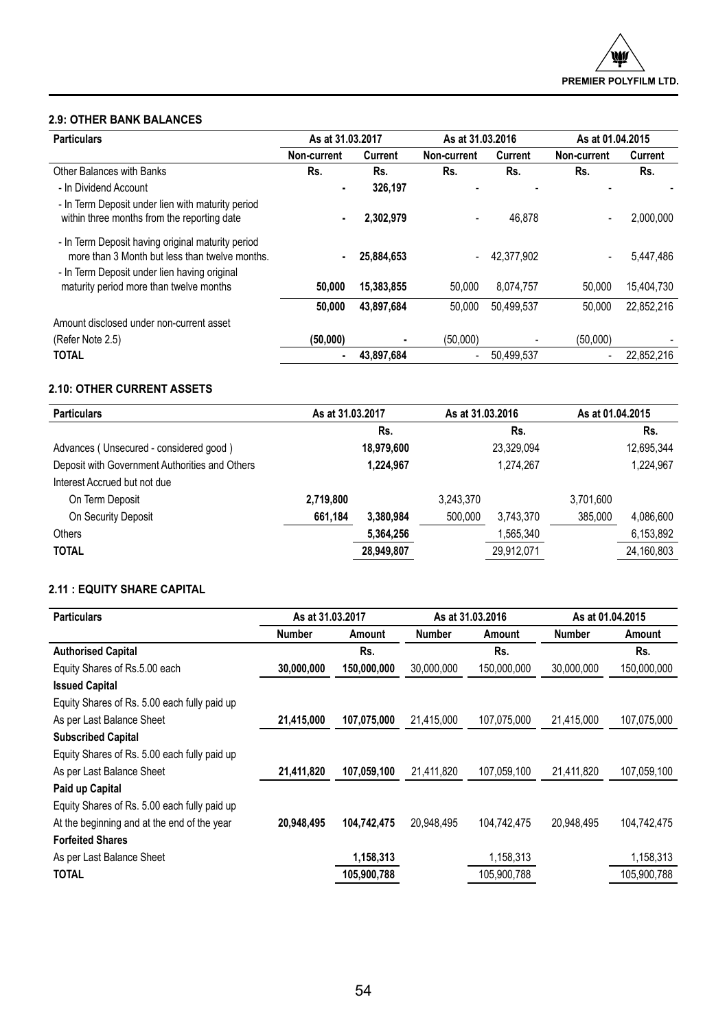## **2.9: OTHER BANK BALANCES**

| <b>Particulars</b>                                                                                                                                  | As at 31.03.2017 |            | As at 31.03.2016         |            | As at 01.04.2015 |            |
|-----------------------------------------------------------------------------------------------------------------------------------------------------|------------------|------------|--------------------------|------------|------------------|------------|
|                                                                                                                                                     | Non-current      | Current    | Non-current              | Current    | Non-current      | Current    |
| Other Balances with Banks                                                                                                                           | Rs.              | Rs.        | Rs.                      | Rs.        | Rs.              | Rs.        |
| - In Dividend Account                                                                                                                               |                  | 326.197    |                          |            |                  |            |
| - In Term Deposit under lien with maturity period<br>within three months from the reporting date                                                    |                  | 2.302.979  |                          | 46.878     | ٠                | 2.000.000  |
| - In Term Deposit having original maturity period<br>more than 3 Month but less than twelve months.<br>- In Term Deposit under lien having original |                  | 25.884.653 | $\overline{\phantom{a}}$ | 42.377.902 | ٠                | 5.447.486  |
| maturity period more than twelve months                                                                                                             | 50,000           | 15.383.855 | 50.000                   | 8.074.757  | 50.000           | 15.404.730 |
|                                                                                                                                                     | 50,000           | 43.897.684 | 50.000                   | 50.499.537 | 50.000           | 22,852,216 |
| Amount disclosed under non-current asset                                                                                                            |                  |            |                          |            |                  |            |
| (Refer Note 2.5)                                                                                                                                    | (50,000)         |            | (50,000)                 |            | (50,000)         |            |
| <b>TOTAL</b>                                                                                                                                        |                  | 43.897.684 | ٠                        | 50.499.537 | ٠                | 22.852.216 |

## **2.10: OTHER CURRENT ASSETS**

| <b>Particulars</b>                             | As at 31.03.2017 |            |           | As at 31.03.2016 |           | As at 01.04.2015 |  |
|------------------------------------------------|------------------|------------|-----------|------------------|-----------|------------------|--|
|                                                |                  | Rs.        |           | Rs.              |           | Rs.              |  |
| Advances (Unsecured - considered good)         |                  | 18,979,600 |           | 23.329.094       |           | 12.695.344       |  |
| Deposit with Government Authorities and Others |                  | 1.224.967  |           | 1.274.267        |           | 1,224,967        |  |
| Interest Accrued but not due                   |                  |            |           |                  |           |                  |  |
| On Term Deposit                                | 2,719,800        |            | 3.243.370 |                  | 3.701.600 |                  |  |
| On Security Deposit                            | 661,184          | 3.380.984  | 500.000   | 3.743.370        | 385.000   | 4,086,600        |  |
| Others                                         |                  | 5,364,256  |           | 1,565,340        |           | 6,153,892        |  |
| <b>TOTAL</b>                                   |                  | 28,949,807 |           | 29,912,071       |           | 24,160,803       |  |

## **2.11 : EQUITY SHARE CAPITAL**

| <b>Particulars</b>                           | As at 31.03.2017 |             | As at 31.03.2016 |             | As at 01.04.2015 |             |
|----------------------------------------------|------------------|-------------|------------------|-------------|------------------|-------------|
|                                              | <b>Number</b>    | Amount      | Number           | Amount      | Number           | Amount      |
| <b>Authorised Capital</b>                    |                  | Rs.         |                  | Rs.         |                  | Rs.         |
| Equity Shares of Rs.5.00 each                | 30,000,000       | 150,000,000 | 30,000,000       | 150,000,000 | 30.000.000       | 150,000,000 |
| <b>Issued Capital</b>                        |                  |             |                  |             |                  |             |
| Equity Shares of Rs. 5.00 each fully paid up |                  |             |                  |             |                  |             |
| As per Last Balance Sheet                    | 21,415,000       | 107,075,000 | 21.415.000       | 107,075,000 | 21,415,000       | 107,075,000 |
| <b>Subscribed Capital</b>                    |                  |             |                  |             |                  |             |
| Equity Shares of Rs. 5.00 each fully paid up |                  |             |                  |             |                  |             |
| As per Last Balance Sheet                    | 21,411,820       | 107.059.100 | 21.411.820       | 107,059,100 | 21,411,820       | 107,059,100 |
| Paid up Capital                              |                  |             |                  |             |                  |             |
| Equity Shares of Rs. 5.00 each fully paid up |                  |             |                  |             |                  |             |
| At the beginning and at the end of the year  | 20,948,495       | 104,742,475 | 20,948,495       | 104,742,475 | 20,948,495       | 104,742,475 |
| <b>Forfeited Shares</b>                      |                  |             |                  |             |                  |             |
| As per Last Balance Sheet                    |                  | 1,158,313   |                  | 1,158,313   |                  | 1,158,313   |
| <b>TOTAL</b>                                 |                  | 105,900,788 |                  | 105,900,788 |                  | 105,900,788 |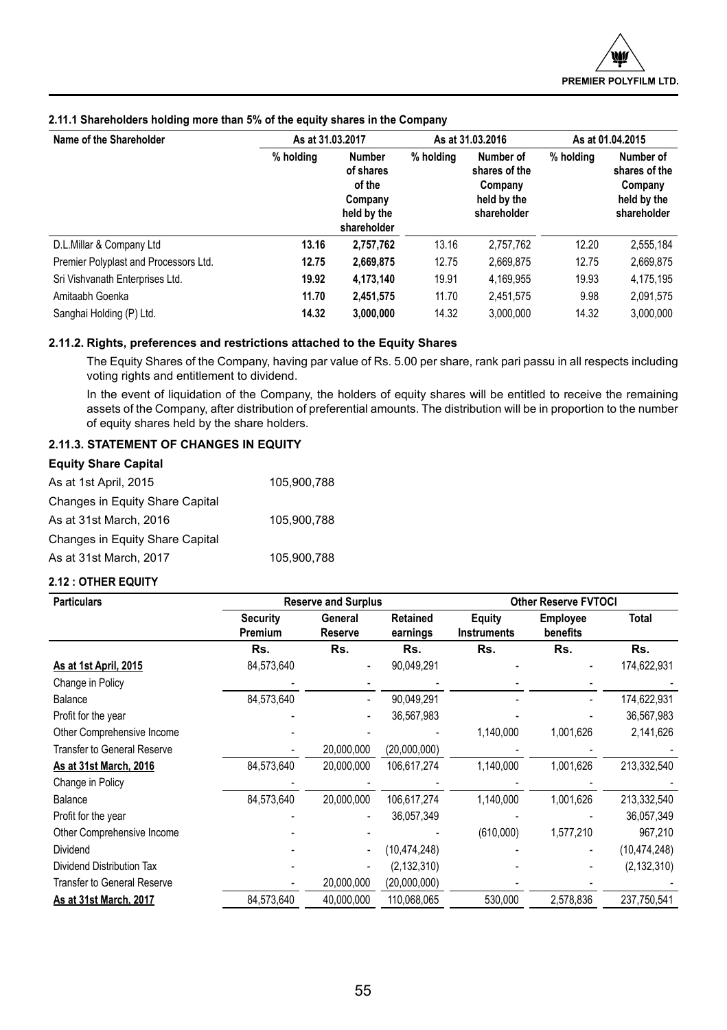| Name of the Shareholder               | As at 31.03.2017 |                                                                               |           | As at 31.03.2016                                                    |           | As at 01.04.2015                                                    |  |
|---------------------------------------|------------------|-------------------------------------------------------------------------------|-----------|---------------------------------------------------------------------|-----------|---------------------------------------------------------------------|--|
|                                       | % holding        | <b>Number</b><br>of shares<br>of the<br>Company<br>held by the<br>shareholder | % holding | Number of<br>shares of the<br>Company<br>held by the<br>shareholder | % holding | Number of<br>shares of the<br>Company<br>held by the<br>shareholder |  |
| D.L.Millar & Company Ltd              | 13.16            | 2,757,762                                                                     | 13.16     | 2.757.762                                                           | 12.20     | 2,555,184                                                           |  |
| Premier Polyplast and Processors Ltd. | 12.75            | 2,669,875                                                                     | 12.75     | 2,669,875                                                           | 12.75     | 2,669,875                                                           |  |
| Sri Vishvanath Enterprises Ltd.       | 19.92            | 4,173,140                                                                     | 19.91     | 4.169.955                                                           | 19.93     | 4,175,195                                                           |  |
| Amitaabh Goenka                       | 11.70            | 2,451,575                                                                     | 11.70     | 2.451.575                                                           | 9.98      | 2,091,575                                                           |  |
| Sanghai Holding (P) Ltd.              | 14.32            | 3.000.000                                                                     | 14.32     | 3.000.000                                                           | 14.32     | 3.000.000                                                           |  |

## **2.11.1 Shareholders holding more than 5% of the equity shares in the Company**

## **2.11.2. Rights, preferences and restrictions attached to the Equity Shares**

The Equity Shares of the Company, having par value of Rs. 5.00 per share, rank pari passu in all respects including voting rights and entitlement to dividend.

In the event of liquidation of the Company, the holders of equity shares will be entitled to receive the remaining assets of the Company, after distribution of preferential amounts. The distribution will be in proportion to the number of equity shares held by the share holders.

## **2.11.3. STATEMENT OF CHANGES IN EQUITY**

| <b>Equity Share Capital</b>     |             |
|---------------------------------|-------------|
| As at 1st April, 2015           | 105.900.788 |
| Changes in Equity Share Capital |             |
| As at 31st March, 2016          | 105.900.788 |
| Changes in Equity Share Capital |             |
| As at 31st March, 2017          | 105,900,788 |

## **2.12 : OTHER EQUITY**

| <b>Particulars</b>                 | <b>Reserve and Surplus</b> |                    |                      | <b>Other Reserve FVTOCI</b>  |                             |                |  |
|------------------------------------|----------------------------|--------------------|----------------------|------------------------------|-----------------------------|----------------|--|
|                                    | <b>Security</b><br>Premium | General<br>Reserve | Retained<br>earnings | Equity<br><b>Instruments</b> | <b>Employee</b><br>benefits | <b>Total</b>   |  |
|                                    | Rs.                        | Rs.                | Rs.                  | Rs.                          | Rs.                         | Rs.            |  |
| As at 1st April, 2015              | 84,573,640                 |                    | 90,049,291           |                              |                             | 174,622,931    |  |
| Change in Policy                   |                            |                    |                      |                              |                             |                |  |
| Balance                            | 84,573,640                 |                    | 90,049,291           |                              |                             | 174,622,931    |  |
| Profit for the year                |                            |                    | 36,567,983           |                              |                             | 36,567,983     |  |
| Other Comprehensive Income         |                            |                    |                      | 1,140,000                    | 1,001,626                   | 2,141,626      |  |
| <b>Transfer to General Reserve</b> |                            | 20,000,000         | (20,000,000)         |                              |                             |                |  |
| As at 31st March, 2016             | 84,573,640                 | 20,000,000         | 106,617,274          | 1,140,000                    | 1,001,626                   | 213,332,540    |  |
| Change in Policy                   |                            |                    |                      |                              |                             |                |  |
| Balance                            | 84,573,640                 | 20,000,000         | 106,617,274          | 1,140,000                    | 1,001,626                   | 213,332,540    |  |
| Profit for the year                |                            |                    | 36,057,349           |                              |                             | 36,057,349     |  |
| Other Comprehensive Income         |                            |                    |                      | (610,000)                    | 1,577,210                   | 967,210        |  |
| Dividend                           |                            |                    | (10, 474, 248)       |                              |                             | (10, 474, 248) |  |
| Dividend Distribution Tax          |                            |                    | (2, 132, 310)        |                              |                             | (2, 132, 310)  |  |
| <b>Transfer to General Reserve</b> |                            | 20,000,000         | (20,000,000)         |                              |                             |                |  |
| As at 31st March, 2017             | 84,573,640                 | 40,000,000         | 110,068,065          | 530,000                      | 2,578,836                   | 237,750,541    |  |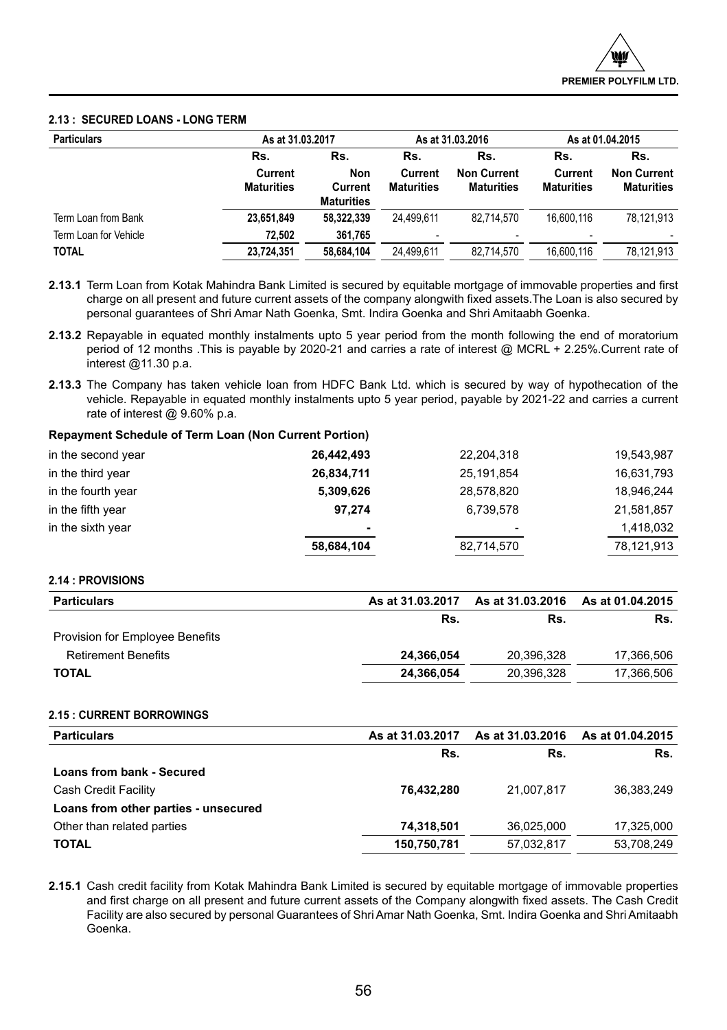## **2.13 : SECURED LOANS - LONG TERM**

| <b>Particulars</b>                    |                                     | As at 31.03.2017                           |                                     | As at 31.03.2016                               |                                     | As at 01.04.2015                               |  |
|---------------------------------------|-------------------------------------|--------------------------------------------|-------------------------------------|------------------------------------------------|-------------------------------------|------------------------------------------------|--|
|                                       | Rs.<br>Current<br><b>Maturities</b> | Rs.<br>Non<br>Current<br><b>Maturities</b> | Rs.<br>Current<br><b>Maturities</b> | Rs.<br><b>Non Current</b><br><b>Maturities</b> | Rs.<br>Current<br><b>Maturities</b> | Rs.<br><b>Non Current</b><br><b>Maturities</b> |  |
| Term Loan from Bank                   | 23,651,849                          | 58.322.339                                 | 24.499.611                          | 82.714.570                                     | 16.600.116                          | 78.121.913                                     |  |
| Term Loan for Vehicle<br><b>TOTAL</b> | 72.502<br>23,724,351                | 361.765<br>58.684.104                      | ۰<br>24.499.611                     | ٠<br>82.714.570                                | ٠<br>16.600.116                     | 78,121,913                                     |  |

**2.13.1** Term Loan from Kotak Mahindra Bank Limited is secured by equitable mortgage of immovable properties and first charge on all present and future current assets of the company alongwith fixed assets.The Loan is also secured by personal guarantees of Shri Amar Nath Goenka, Smt. Indira Goenka and Shri Amitaabh Goenka.

- **2.13.2** Repayable in equated monthly instalments upto 5 year period from the month following the end of moratorium period of 12 months .This is payable by 2020-21 and carries a rate of interest @ MCRL + 2.25%.Current rate of interest @11.30 p.a.
- **2.13.3** The Company has taken vehicle loan from HDFC Bank Ltd. which is secured by way of hypothecation of the vehicle. Repayable in equated monthly instalments upto 5 year period, payable by 2021-22 and carries a current rate of interest @ 9.60% p.a.

## **Repayment Schedule of Term Loan (Non Current Portion)**

| 26,442,493 | 22,204,318 | 19,543,987 |
|------------|------------|------------|
| 26,834,711 | 25,191,854 | 16,631,793 |
| 5,309,626  | 28,578,820 | 18,946,244 |
| 97.274     | 6,739,578  | 21,581,857 |
| ۰          | ۰          | 1,418,032  |
| 58,684,104 | 82,714,570 | 78,121,913 |
|            |            |            |

## **2.14 : PROVISIONS**

| <b>Particulars</b>              | As at 31.03.2017 | As at 31.03.2016 | As at 01.04.2015 |
|---------------------------------|------------------|------------------|------------------|
|                                 | Rs.              | Rs.              | Rs.              |
| Provision for Employee Benefits |                  |                  |                  |
| <b>Retirement Benefits</b>      | 24.366.054       | 20,396,328       | 17.366.506       |
| <b>TOTAL</b>                    | 24,366,054       | 20,396,328       | 17.366.506       |

## **2.15 : CURRENT BORROWINGS**

| As at 31.03.2017 | As at 31.03.2016 | As at 01.04.2015 |
|------------------|------------------|------------------|
| Rs.              | Rs.              | Rs.              |
|                  |                  |                  |
| 76.432.280       | 21.007.817       | 36.383.249       |
|                  |                  |                  |
| 74,318,501       | 36.025.000       | 17.325.000       |
| 150,750,781      | 57.032.817       | 53,708,249       |
|                  |                  |                  |

**2.15.1** Cash credit facility from Kotak Mahindra Bank Limited is secured by equitable mortgage of immovable properties and first charge on all present and future current assets of the Company alongwith fixed assets. The Cash Credit Facility are also secured by personal Guarantees of Shri Amar Nath Goenka, Smt. Indira Goenka and Shri Amitaabh Goenka.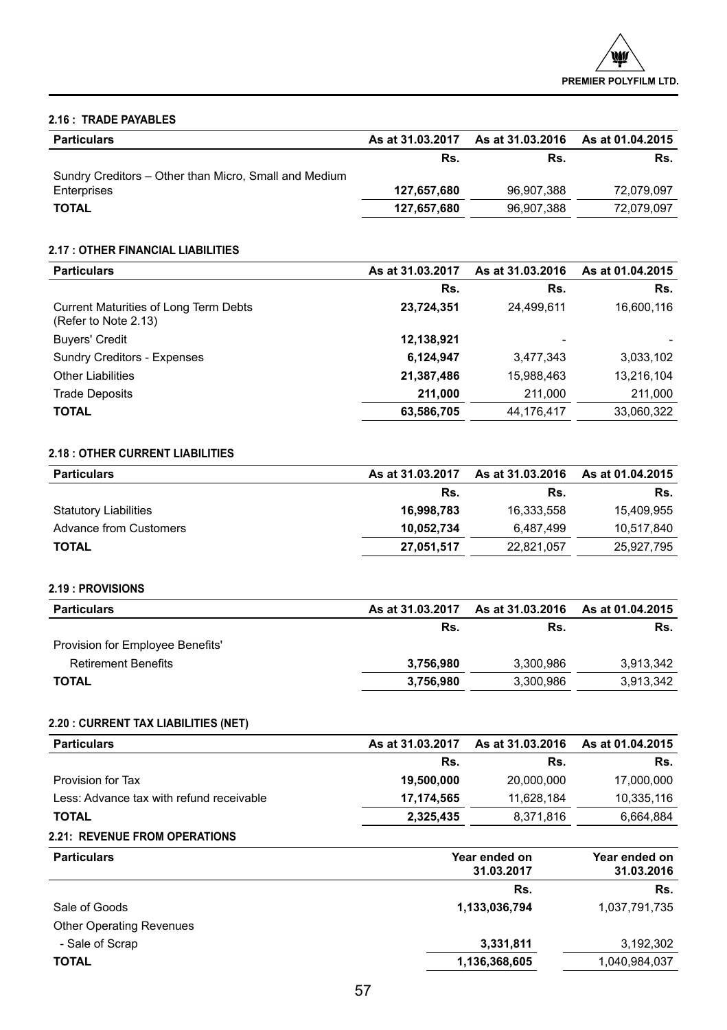## **2.16 : TRADE PAYABLES**

| <b>Particulars</b>                                    | As at 31.03.2017 | As at 31.03.2016 | As at 01.04.2015 |
|-------------------------------------------------------|------------------|------------------|------------------|
|                                                       | Rs.              | Rs.              | Rs.              |
| Sundry Creditors - Other than Micro, Small and Medium |                  |                  |                  |
| Enterprises                                           | 127.657.680      | 96.907.388       | 72,079,097       |
| <b>TOTAL</b>                                          | 127,657,680      | 96.907.388       | 72.079.097       |

## **2.17 : OTHER FINANCIAL LIABILITIES**

| <b>Particulars</b>                                                   | As at 31.03.2017 | As at 31.03.2016 | As at 01.04.2015 |
|----------------------------------------------------------------------|------------------|------------------|------------------|
|                                                                      | Rs.              | Rs.              | Rs.              |
| <b>Current Maturities of Long Term Debts</b><br>(Refer to Note 2.13) | 23,724,351       | 24,499,611       | 16,600,116       |
| <b>Buyers' Credit</b>                                                | 12,138,921       |                  |                  |
| <b>Sundry Creditors - Expenses</b>                                   | 6,124,947        | 3,477,343        | 3,033,102        |
| <b>Other Liabilities</b>                                             | 21,387,486       | 15,988,463       | 13,216,104       |
| <b>Trade Deposits</b>                                                | 211.000          | 211,000          | 211,000          |
| <b>TOTAL</b>                                                         | 63,586,705       | 44.176.417       | 33,060,322       |

## **2.18 : OTHER CURRENT LIABILITIES**

| <b>Particulars</b>           | As at 31.03.2017 | As at 31.03.2016 | As at 01.04.2015 |
|------------------------------|------------------|------------------|------------------|
|                              | Rs.              | Rs.              | Rs.              |
| <b>Statutory Liabilities</b> | 16.998.783       | 16.333.558       | 15.409.955       |
| Advance from Customers       | 10.052.734       | 6.487.499        | 10.517.840       |
| <b>TOTAL</b>                 | 27,051,517       | 22.821.057       | 25.927.795       |

## **2.19 : PROVISIONS**

| <b>Particulars</b>               | As at 31.03.2017 | As at 31.03.2016 | As at 01.04.2015 |
|----------------------------------|------------------|------------------|------------------|
|                                  | Rs.              | Rs.              | Rs.              |
| Provision for Employee Benefits' |                  |                  |                  |
| <b>Retirement Benefits</b>       | 3.756.980        | 3,300,986        | 3.913.342        |
| <b>TOTAL</b>                     | 3.756.980        | 3,300,986        | 3,913,342        |

## **2.20 : CURRENT TAX LIABILITIES (NET)**

| As at 31.03.2017 | As at 31.03.2016 | As at 01.04.2015 |
|------------------|------------------|------------------|
| Rs.              | Rs.              | Rs.              |
| 19.500.000       | 20,000,000       | 17.000.000       |
| 17.174.565       | 11.628.184       | 10,335,116       |
| 2,325,435        | 8,371,816        | 6,664,884        |
|                  |                  |                  |

## **2.21: REVENUE FROM OPERATIONS**

| <b>Particulars</b>              | Year ended on<br>31.03.2017 | Year ended on<br>31.03.2016 |
|---------------------------------|-----------------------------|-----------------------------|
|                                 | Rs.                         | Rs.                         |
| Sale of Goods                   | 1,133,036,794               | 1,037,791,735               |
| <b>Other Operating Revenues</b> |                             |                             |
| - Sale of Scrap                 | 3,331,811                   | 3,192,302                   |
| <b>TOTAL</b>                    | 1,136,368,605               | 1,040,984,037               |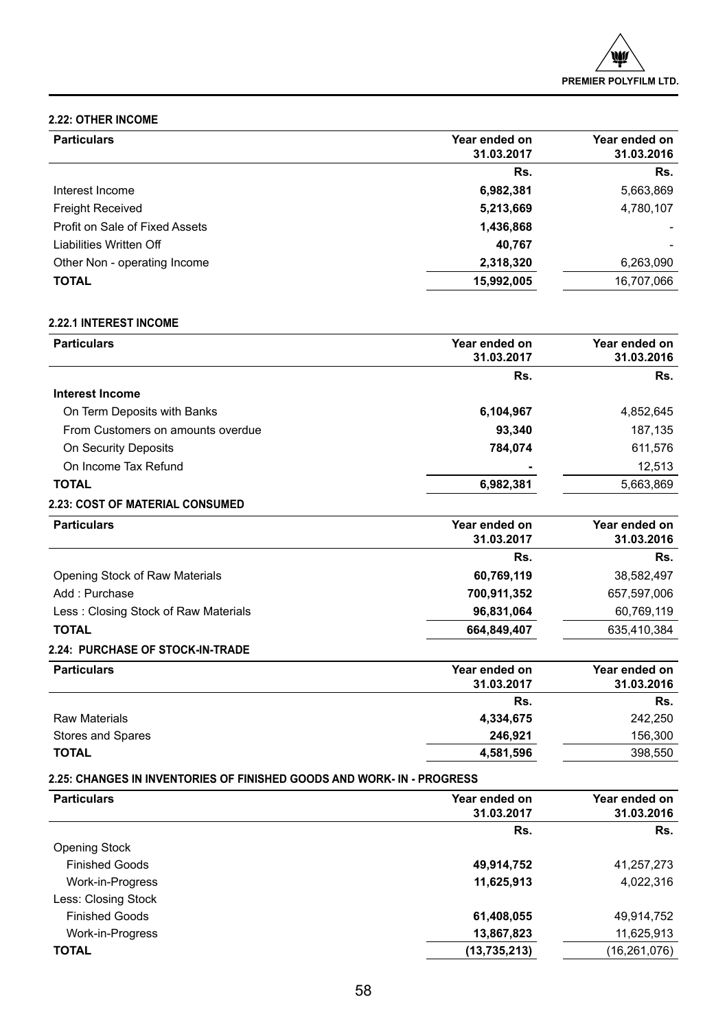## **2.22: OTHER INCOME**

| Year ended on<br>31.03.2017 | Year ended on<br>31.03.2016 |
|-----------------------------|-----------------------------|
| Rs.                         | Rs.                         |
| 6,982,381                   | 5,663,869                   |
| 5,213,669                   | 4,780,107                   |
| 1,436,868                   |                             |
| 40.767                      |                             |
| 2,318,320                   | 6,263,090                   |
| 15,992,005                  | 16,707,066                  |
|                             |                             |

## **2.22.1 INTEREST INCOME**

| <b>Particulars</b>                     | Year ended on<br>31.03.2017 | Year ended on<br>31.03.2016 |
|----------------------------------------|-----------------------------|-----------------------------|
|                                        | Rs.                         | Rs.                         |
| Interest Income                        |                             |                             |
| On Term Deposits with Banks            | 6,104,967                   | 4,852,645                   |
| From Customers on amounts overdue      | 93,340                      | 187,135                     |
| On Security Deposits                   | 784,074                     | 611,576                     |
| On Income Tax Refund                   |                             | 12.513                      |
| <b>TOTAL</b>                           | 6,982,381                   | 5,663,869                   |
| <b>2.23: COST OF MATERIAL CONSUMED</b> |                             |                             |

| <b>Particulars</b>                      | Year ended on | Year ended on |
|-----------------------------------------|---------------|---------------|
|                                         | 31.03.2017    | 31.03.2016    |
|                                         | Rs.           | Rs.           |
| Opening Stock of Raw Materials          | 60,769,119    | 38,582,497    |
| Add: Purchase                           | 700,911,352   | 657,597,006   |
| Less: Closing Stock of Raw Materials    | 96,831,064    | 60.769.119    |
| <b>TOTAL</b>                            | 664,849,407   | 635.410.384   |
| <b>2.24: PURCHASE OF STOCK-IN-TRADE</b> |               |               |

## **Particulars** Year ended on **Particulars** Year ended on **31.03.2017 Year ended on 31.03.2016 Rs. Rs.** Raw Materials **4,334,675** 242,250 Stores and Spares **246,921** 156,300 **TOTAL 4,581,596** 398,550

## **2.25: CHANGES IN INVENTORIES OF FINISHED GOODS AND WORK- IN - PROGRESS**

| <b>Particulars</b>    | Year ended on<br>31.03.2017 | Year ended on<br>31.03.2016 |
|-----------------------|-----------------------------|-----------------------------|
|                       | Rs.                         | Rs.                         |
| Opening Stock         |                             |                             |
| <b>Finished Goods</b> | 49,914,752                  | 41,257,273                  |
| Work-in-Progress      | 11,625,913                  | 4,022,316                   |
| Less: Closing Stock   |                             |                             |
| <b>Finished Goods</b> | 61,408,055                  | 49,914,752                  |
| Work-in-Progress      | 13,867,823                  | 11,625,913                  |
| <b>TOTAL</b>          | (13, 735, 213)              | (16, 261, 076)              |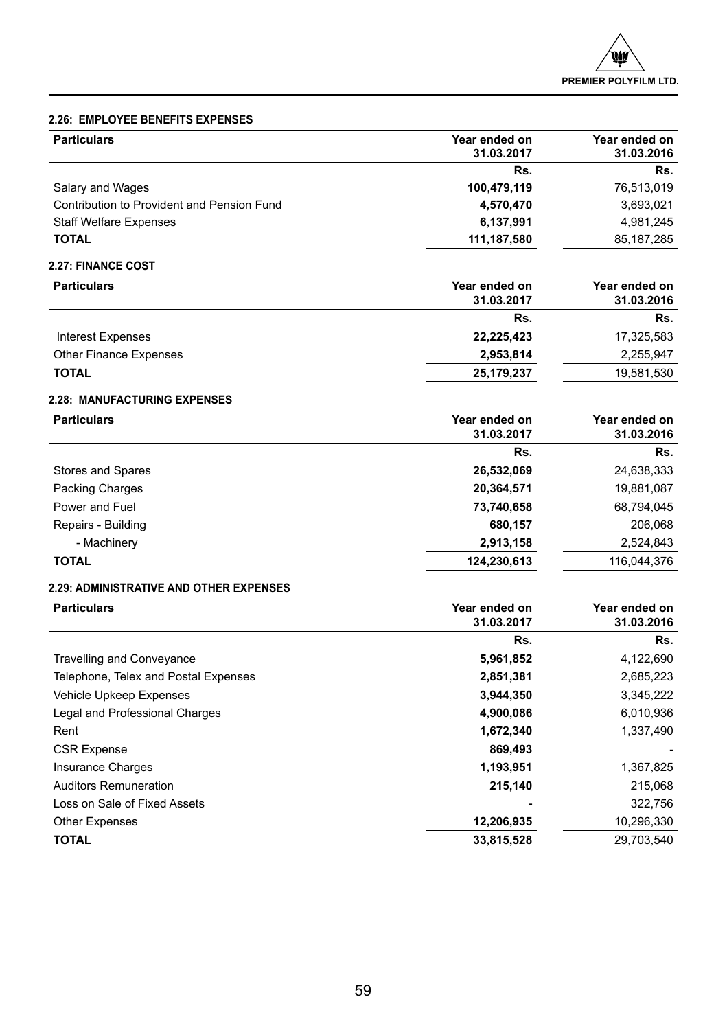## **2.26: EMPLOYEE BENEFITS EXPENSES**

| <b>Particulars</b>                         | Year ended on<br>31.03.2017 | Year ended on<br>31.03.2016 |
|--------------------------------------------|-----------------------------|-----------------------------|
|                                            | Rs.                         | Rs.                         |
| Salary and Wages                           | 100.479.119                 | 76,513,019                  |
| Contribution to Provident and Pension Fund | 4,570,470                   | 3,693,021                   |
| <b>Staff Welfare Expenses</b>              | 6,137,991                   | 4.981.245                   |
| <b>TOTAL</b>                               | 111,187,580                 | 85.187.285                  |

## **2.27: FINANCE COST**

| <b>Particulars</b>            | Year ended on | Year ended on |  |
|-------------------------------|---------------|---------------|--|
|                               | 31.03.2017    | 31.03.2016    |  |
|                               | Rs.           | Rs.           |  |
| Interest Expenses             | 22,225,423    | 17,325,583    |  |
| <b>Other Finance Expenses</b> | 2,953,814     | 2.255.947     |  |
| <b>TOTAL</b>                  | 25,179,237    | 19,581,530    |  |

## **2.28: MANUFACTURING EXPENSES**

| <b>Particulars</b> | Year ended on | Year ended on |
|--------------------|---------------|---------------|
|                    | 31.03.2017    | 31.03.2016    |
|                    | Rs.           | Rs.           |
| Stores and Spares  | 26,532,069    | 24,638,333    |
| Packing Charges    | 20,364,571    | 19,881,087    |
| Power and Fuel     | 73,740,658    | 68,794,045    |
| Repairs - Building | 680,157       | 206,068       |
| - Machinery        | 2,913,158     | 2,524,843     |
| <b>TOTAL</b>       | 124,230,613   | 116,044,376   |

## **2.29: ADMINISTRATIVE AND OTHER EXPENSES**

| Year ended on<br>31.03.2017 | Year ended on<br>31.03.2016 |  |
|-----------------------------|-----------------------------|--|
| Rs.                         | Rs.                         |  |
| 5,961,852                   | 4,122,690                   |  |
| 2,851,381                   | 2,685,223                   |  |
| 3,944,350                   | 3,345,222                   |  |
| 4,900,086                   | 6,010,936                   |  |
| 1,672,340                   | 1,337,490                   |  |
| 869,493                     |                             |  |
| 1,193,951                   | 1,367,825                   |  |
| 215,140                     | 215,068                     |  |
|                             | 322,756                     |  |
| 12,206,935                  | 10,296,330                  |  |
| 33,815,528                  | 29,703,540                  |  |
|                             |                             |  |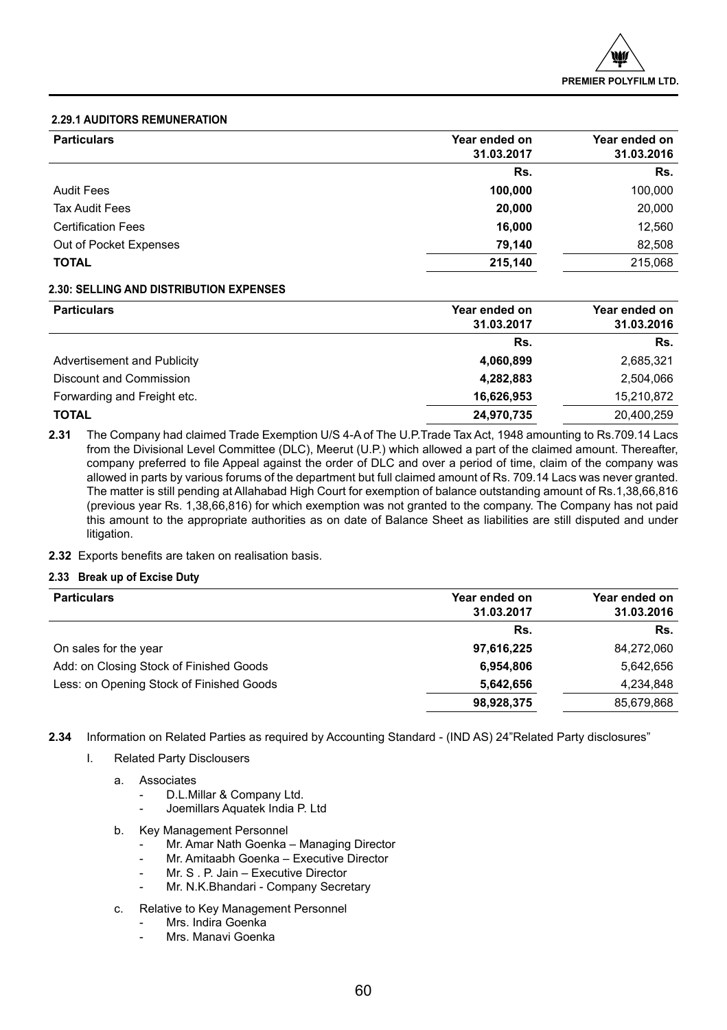## **2.29.1 AUDITORS REMUNERATION**

| <b>Particulars</b>        | Year ended on<br>31.03.2017 | Year ended on<br>31.03.2016 |
|---------------------------|-----------------------------|-----------------------------|
|                           | Rs.                         | Rs.                         |
| <b>Audit Fees</b>         | 100,000                     | 100,000                     |
| <b>Tax Audit Fees</b>     | 20,000                      | 20,000                      |
| <b>Certification Fees</b> | 16,000                      | 12,560                      |
| Out of Pocket Expenses    | 79,140                      | 82,508                      |
| <b>TOTAL</b>              | 215,140                     | 215,068                     |
|                           |                             |                             |

## **2.30: SELLING AND DISTRIBUTION EXPENSES**

| <b>Particulars</b>          | Year ended on<br>31.03.2017 | Year ended on<br>31.03.2016 |  |  |
|-----------------------------|-----------------------------|-----------------------------|--|--|
|                             | Rs.                         | Rs.                         |  |  |
| Advertisement and Publicity | 4,060,899                   | 2,685,321                   |  |  |
| Discount and Commission     | 4,282,883                   | 2,504,066                   |  |  |
| Forwarding and Freight etc. | 16,626,953                  | 15,210,872                  |  |  |
| <b>TOTAL</b>                | 24,970,735                  | 20,400,259                  |  |  |

**2.31** The Company had claimed Trade Exemption U/S 4-A of The U.P.Trade Tax Act, 1948 amounting to Rs.709.14 Lacs from the Divisional Level Committee (DLC), Meerut (U.P.) which allowed a part of the claimed amount. Thereafter, company preferred to file Appeal against the order of DLC and over a period of time, claim of the company was allowed in parts by various forums of the department but full claimed amount of Rs. 709.14 Lacs was never granted. The matter is still pending at Allahabad High Court for exemption of balance outstanding amount of Rs.1,38,66,816 (previous year Rs. 1,38,66,816) for which exemption was not granted to the company. The Company has not paid this amount to the appropriate authorities as on date of Balance Sheet as liabilities are still disputed and under litigation.

**2.32** Exports benefits are taken on realisation basis.

## **2.33 Break up of Excise Duty**

| Year ended on<br>31.03.2017 | Year ended on<br>31.03.2016 |
|-----------------------------|-----------------------------|
| Rs.                         | Rs.                         |
| 97,616,225                  | 84,272,060                  |
| 6,954,806                   | 5,642,656                   |
| 5,642,656                   | 4,234,848                   |
| 98,928,375                  | 85,679,868                  |
|                             |                             |

**2.34** Information on Related Parties as required by Accounting Standard - (IND AS) 24"Related Party disclosures"

- I. Related Party Disclousers
	- a. Associates
		- D.L.Millar & Company Ltd.
		- Joemillars Aquatek India P. Ltd
	- b. Key Management Personnel
		- Mr. Amar Nath Goenka Managing Director
		- Mr. Amitaabh Goenka Executive Director
		- Mr. S . P. Jain Executive Director
		- Mr. N.K.Bhandari Company Secretary
	- c. Relative to Key Management Personnel
		- Mrs. Indira Goenka
		- Mrs. Manavi Goenka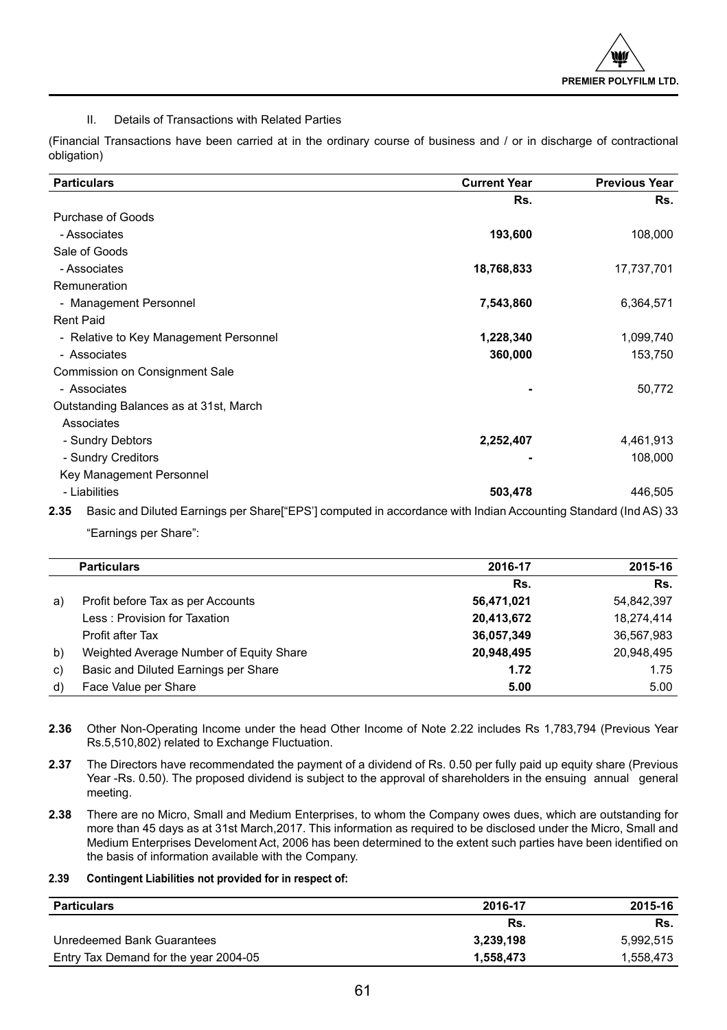## II. Details of Transactions with Related Parties

(Financial Transactions have been carried at in the ordinary course of business and / or in discharge of contractional obligation)

| <b>Particulars</b>                                                                                                      | <b>Current Year</b> | <b>Previous Year</b> |
|-------------------------------------------------------------------------------------------------------------------------|---------------------|----------------------|
|                                                                                                                         | Rs.                 | Rs.                  |
| Purchase of Goods                                                                                                       |                     |                      |
| - Associates                                                                                                            | 193,600             | 108,000              |
| Sale of Goods                                                                                                           |                     |                      |
| - Associates                                                                                                            | 18,768,833          | 17,737,701           |
| Remuneration                                                                                                            |                     |                      |
| - Management Personnel                                                                                                  | 7,543,860           | 6,364,571            |
| <b>Rent Paid</b>                                                                                                        |                     |                      |
| - Relative to Key Management Personnel                                                                                  | 1,228,340           | 1,099,740            |
| - Associates                                                                                                            | 360,000             | 153,750              |
| Commission on Consignment Sale                                                                                          |                     |                      |
| - Associates                                                                                                            |                     | 50,772               |
| Outstanding Balances as at 31st, March                                                                                  |                     |                      |
| Associates                                                                                                              |                     |                      |
| - Sundry Debtors                                                                                                        | 2,252,407           | 4,461,913            |
| - Sundry Creditors                                                                                                      |                     | 108,000              |
| Key Management Personnel                                                                                                |                     |                      |
| - Liabilities                                                                                                           | 503,478             | 446,505              |
| Basic and Diluted Earnings per Share ["EPS"] computed in accordance with Indian Accounting Standard (Ind AS) 33<br>2.35 |                     |                      |

"Earnings per Share":

|    | <b>Particulars</b>                      | 2016-17    | 2015-16    |
|----|-----------------------------------------|------------|------------|
|    |                                         | Rs.        | Rs.        |
| a) | Profit before Tax as per Accounts       | 56,471,021 | 54,842,397 |
|    | Less: Provision for Taxation            | 20,413,672 | 18,274,414 |
|    | Profit after Tax                        | 36,057,349 | 36,567,983 |
| b) | Weighted Average Number of Equity Share | 20,948,495 | 20,948,495 |
| C) | Basic and Diluted Earnings per Share    | 1.72       | 1.75       |
| d) | Face Value per Share                    | 5.00       | 5.00       |

- **2.36** Other Non-Operating Income under the head Other Income of Note 2.22 includes Rs 1,783,794 (Previous Year Rs.5,510,802) related to Exchange Fluctuation.
- **2.37** The Directors have recommendated the payment of a dividend of Rs. 0.50 per fully paid up equity share (Previous Year -Rs. 0.50). The proposed dividend is subject to the approval of shareholders in the ensuing annual general meeting.
- **2.38** There are no Micro, Small and Medium Enterprises, to whom the Company owes dues, which are outstanding for more than 45 days as at 31st March,2017. This information as required to be disclosed under the Micro, Small and Medium Enterprises Develoment Act, 2006 has been determined to the extent such parties have been identified on the basis of information available with the Company.

## **2.39 Contingent Liabilities not provided for in respect of:**

| <b>Particulars</b>                    | 2016-17   | 2015-16   |
|---------------------------------------|-----------|-----------|
|                                       | Rs.       | Rs.       |
| Unredeemed Bank Guarantees            | 3.239.198 | 5.992.515 |
| Entry Tax Demand for the year 2004-05 | 1.558.473 | 1.558.473 |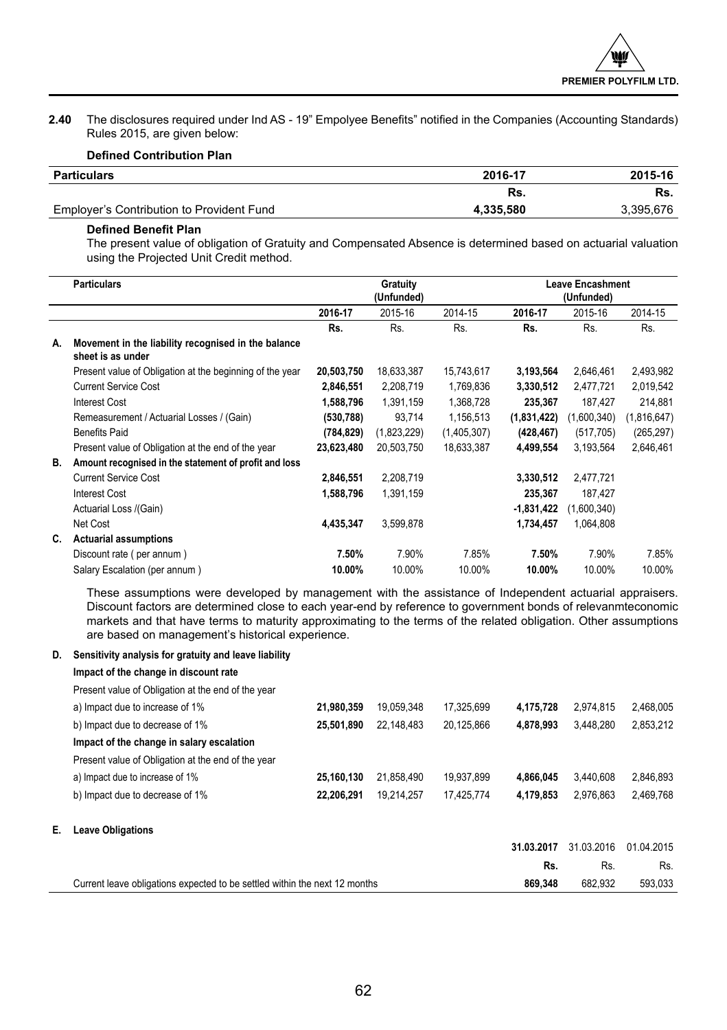**2.40** The disclosures required under Ind AS - 19" Empolyee Benefits" notified in the Companies (Accounting Standards) Rules 2015, are given below:

## **Defined Contribution Plan**

| Particulars                               | 2016-17   | 2015-16   |
|-------------------------------------------|-----------|-----------|
|                                           | Rs.       | Rs.       |
| Employer's Contribution to Provident Fund | 4.335.580 | 3,395,676 |

## **Defined Benefit Plan**

The present value of obligation of Gratuity and Compensated Absence is determined based on actuarial valuation using the Projected Unit Credit method.

|    | <b>Particulars</b>                                                       | Gratuity<br>(Unfunded) |             | <b>Leave Encashment</b><br>(Unfunded) |              |             |             |
|----|--------------------------------------------------------------------------|------------------------|-------------|---------------------------------------|--------------|-------------|-------------|
|    |                                                                          | 2016-17                | 2015-16     | 2014-15                               | 2016-17      | 2015-16     | 2014-15     |
|    |                                                                          | Rs.                    | Rs.         | Rs.                                   | Rs.          | Rs.         | Rs.         |
| А. | Movement in the liability recognised in the balance<br>sheet is as under |                        |             |                                       |              |             |             |
|    | Present value of Obligation at the beginning of the year                 | 20,503,750             | 18,633,387  | 15,743,617                            | 3,193,564    | 2,646,461   | 2,493,982   |
|    | <b>Current Service Cost</b>                                              | 2,846,551              | 2,208,719   | 1,769,836                             | 3,330,512    | 2,477,721   | 2,019,542   |
|    | Interest Cost                                                            | 1,588,796              | 1,391,159   | 1,368,728                             | 235,367      | 187.427     | 214,881     |
|    | Remeasurement / Actuarial Losses / (Gain)                                | (530, 788)             | 93.714      | 1,156,513                             | (1,831,422)  | (1,600,340) | (1,816,647) |
|    | <b>Benefits Paid</b>                                                     | (784, 829)             | (1,823,229) | (1,405,307)                           | (428, 467)   | (517, 705)  | (265, 297)  |
|    | Present value of Obligation at the end of the year                       | 23,623,480             | 20.503.750  | 18,633,387                            | 4,499,554    | 3.193.564   | 2,646,461   |
| В. | Amount recognised in the statement of profit and loss                    |                        |             |                                       |              |             |             |
|    | <b>Current Service Cost</b>                                              | 2,846,551              | 2,208,719   |                                       | 3,330,512    | 2,477,721   |             |
|    | <b>Interest Cost</b>                                                     | 1,588,796              | 1,391,159   |                                       | 235,367      | 187,427     |             |
|    | Actuarial Loss /(Gain)                                                   |                        |             |                                       | $-1,831,422$ | (1,600,340) |             |
|    | Net Cost                                                                 | 4,435,347              | 3.599.878   |                                       | 1,734,457    | 1,064,808   |             |
| C. | <b>Actuarial assumptions</b>                                             |                        |             |                                       |              |             |             |
|    | Discount rate (per annum)                                                | 7.50%                  | 7.90%       | 7.85%                                 | 7.50%        | 7.90%       | 7.85%       |
|    | Salary Escalation (per annum)                                            | 10.00%                 | 10.00%      | 10.00%                                | 10.00%       | 10.00%      | 10.00%      |

These assumptions were developed by management with the assistance of Independent actuarial appraisers. Discount factors are determined close to each year-end by reference to government bonds of relevanmteconomic markets and that have terms to maturity approximating to the terms of the related obligation. Other assumptions are based on management's historical experience.

## **D. Sensitivity analysis for gratuity and leave liability**

**Impact of the change in discount rate**

|    | Current leave obligations expected to be settled within the next 12 months |            |            |            | 869.348    | 682.932    | 593.033    |
|----|----------------------------------------------------------------------------|------------|------------|------------|------------|------------|------------|
|    |                                                                            |            |            |            | Rs.        | Rs.        | Rs.        |
|    |                                                                            |            |            |            | 31.03.2017 | 31.03.2016 | 01.04.2015 |
| Е. | <b>Leave Obligations</b>                                                   |            |            |            |            |            |            |
|    | b) Impact due to decrease of 1%                                            | 22.206.291 | 19.214.257 | 17.425.774 | 4.179.853  | 2.976.863  | 2.469.768  |
|    | a) Impact due to increase of 1%                                            | 25.160.130 | 21.858.490 | 19.937.899 | 4.866.045  | 3.440.608  | 2.846.893  |
|    | Present value of Obligation at the end of the year                         |            |            |            |            |            |            |
|    | Impact of the change in salary escalation                                  |            |            |            |            |            |            |
|    | b) Impact due to decrease of 1%                                            | 25.501.890 | 22.148.483 | 20.125.866 | 4.878.993  | 3.448.280  | 2,853,212  |
|    | a) Impact due to increase of 1%                                            | 21.980.359 | 19.059.348 | 17.325.699 | 4.175.728  | 2.974.815  | 2.468.005  |
|    | Present value of Obligation at the end of the year                         |            |            |            |            |            |            |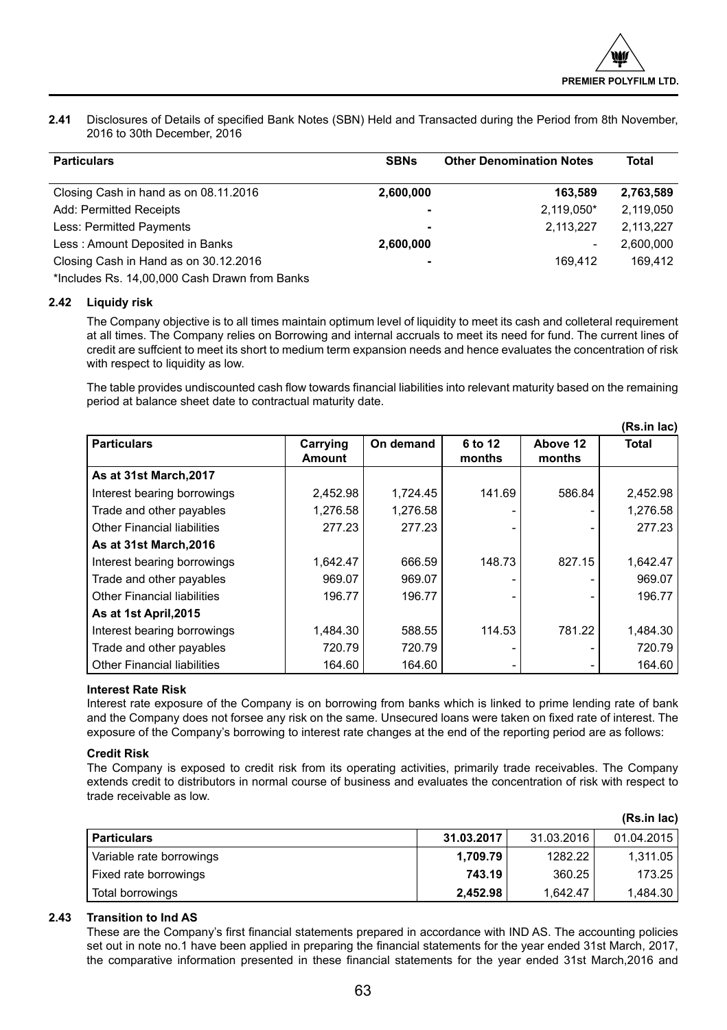**(Rs.in lac)**

**2.41** Disclosures of Details of specified Bank Notes (SBN) Held and Transacted during the Period from 8th November, 2016 to 30th December, 2016

| <b>Particulars</b>                            | <b>SBNs</b>    | <b>Other Denomination Notes</b> | Total     |
|-----------------------------------------------|----------------|---------------------------------|-----------|
| Closing Cash in hand as on 08.11.2016         | 2.600.000      | 163.589                         | 2.763.589 |
| Add: Permitted Receipts                       | $\blacksquare$ | 2,119,050*                      | 2,119,050 |
| Less: Permitted Payments                      | -              | 2.113.227                       | 2.113.227 |
| Less: Amount Deposited in Banks               | 2,600,000      | ۰                               | 2.600.000 |
| Closing Cash in Hand as on 30.12.2016         | -              | 169.412                         | 169.412   |
| *Includes Rs. 14.00.000 Cash Drawn from Banks |                |                                 |           |

## **2.42 Liquidy risk**

The Company objective is to all times maintain optimum level of liquidity to meet its cash and colleteral requirement at all times. The Company relies on Borrowing and internal accruals to meet its need for fund. The current lines of credit are suffcient to meet its short to medium term expansion needs and hence evaluates the concentration of risk with respect to liquidity as low.

The table provides undiscounted cash flow towards financial liabilities into relevant maturity based on the remaining period at balance sheet date to contractual maturity date.

|                                    |                    |           |                   |                    | (Rs.in lac)  |
|------------------------------------|--------------------|-----------|-------------------|--------------------|--------------|
| <b>Particulars</b>                 | Carrying<br>Amount | On demand | 6 to 12<br>months | Above 12<br>months | <b>Total</b> |
| As at 31st March, 2017             |                    |           |                   |                    |              |
| Interest bearing borrowings        | 2,452.98           | 1.724.45  | 141.69            | 586.84             | 2,452.98     |
| Trade and other payables           | 1.276.58           | 1.276.58  |                   |                    | 1,276.58     |
| Other Financial liabilities        | 277.23             | 277.23    |                   |                    | 277.23       |
| As at 31st March, 2016             |                    |           |                   |                    |              |
| Interest bearing borrowings        | 1.642.47           | 666.59    | 148.73            | 827.15             | 1,642.47     |
| Trade and other payables           | 969.07             | 969.07    |                   |                    | 969.07       |
| Other Financial liabilities        | 196.77             | 196.77    |                   |                    | 196.77       |
| As at 1st April, 2015              |                    |           |                   |                    |              |
| Interest bearing borrowings        | 1,484.30           | 588.55    | 114.53            | 781.22             | 1,484.30     |
| Trade and other payables           | 720.79             | 720.79    |                   |                    | 720.79       |
| <b>Other Financial liabilities</b> | 164.60             | 164.60    |                   |                    | 164.60       |

## **Interest Rate Risk**

Interest rate exposure of the Company is on borrowing from banks which is linked to prime lending rate of bank and the Company does not forsee any risk on the same. Unsecured loans were taken on fixed rate of interest. The exposure of the Company's borrowing to interest rate changes at the end of the reporting period are as follows:

## **Credit Risk**

The Company is exposed to credit risk from its operating activities, primarily trade receivables. The Company extends credit to distributors in normal course of business and evaluates the concentration of risk with respect to trade receivable as low.

|                          |            |            | (15.111100) |
|--------------------------|------------|------------|-------------|
| <b>Particulars</b>       | 31.03.2017 | 31.03.2016 | 01.04.2015  |
| Variable rate borrowings | 1.709.79   | 1282.22    | 1,311.05    |
| Fixed rate borrowings    | 743.19     | 360.25     | 173.25      |
| Total borrowings         | 2.452.98   | 1.642.47   | 1.484.30    |

## **2.43 Transition to Ind AS**

These are the Company's first financial statements prepared in accordance with IND AS. The accounting policies set out in note no.1 have been applied in preparing the financial statements for the year ended 31st March, 2017, the comparative information presented in these financial statements for the year ended 31st March,2016 and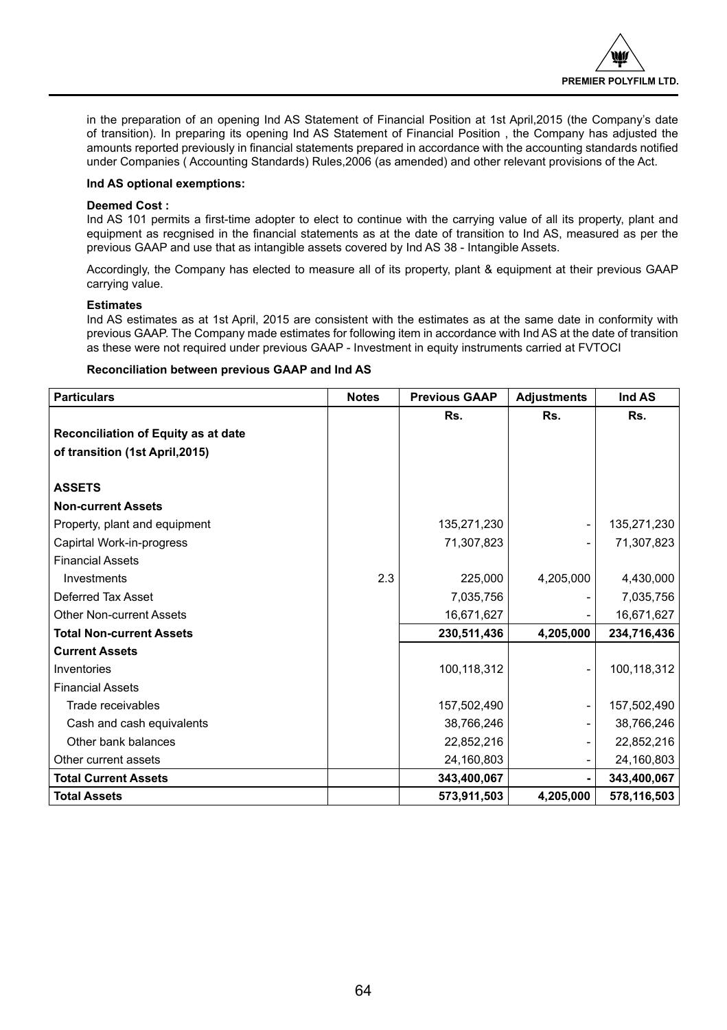in the preparation of an opening Ind AS Statement of Financial Position at 1st April,2015 (the Company's date of transition). In preparing its opening Ind AS Statement of Financial Position , the Company has adjusted the amounts reported previously in financial statements prepared in accordance with the accounting standards notified under Companies ( Accounting Standards) Rules,2006 (as amended) and other relevant provisions of the Act.

## **Ind AS optional exemptions:**

## **Deemed Cost :**

Ind AS 101 permits a first-time adopter to elect to continue with the carrying value of all its property, plant and equipment as recgnised in the financial statements as at the date of transition to Ind AS, measured as per the previous GAAP and use that as intangible assets covered by Ind AS 38 - Intangible Assets.

Accordingly, the Company has elected to measure all of its property, plant & equipment at their previous GAAP carrying value.

## **Estimates**

Ind AS estimates as at 1st April, 2015 are consistent with the estimates as at the same date in conformity with previous GAAP. The Company made estimates for following item in accordance with Ind AS at the date of transition as these were not required under previous GAAP - Investment in equity instruments carried at FVTOCI

## **Reconciliation between previous GAAP and Ind AS**

| <b>Particulars</b>                  | <b>Notes</b> | <b>Previous GAAP</b> | <b>Adjustments</b> | Ind AS      |
|-------------------------------------|--------------|----------------------|--------------------|-------------|
|                                     |              | Rs.                  | Rs.                | Rs.         |
| Reconciliation of Equity as at date |              |                      |                    |             |
| of transition (1st April, 2015)     |              |                      |                    |             |
|                                     |              |                      |                    |             |
| <b>ASSETS</b>                       |              |                      |                    |             |
| <b>Non-current Assets</b>           |              |                      |                    |             |
| Property, plant and equipment       |              | 135,271,230          |                    | 135,271,230 |
| Capirtal Work-in-progress           |              | 71,307,823           |                    | 71,307,823  |
| <b>Financial Assets</b>             |              |                      |                    |             |
| Investments                         | 2.3          | 225,000              | 4,205,000          | 4,430,000   |
| Deferred Tax Asset                  |              | 7,035,756            |                    | 7,035,756   |
| <b>Other Non-current Assets</b>     |              | 16,671,627           |                    | 16,671,627  |
| <b>Total Non-current Assets</b>     |              | 230,511,436          | 4,205,000          | 234,716,436 |
| <b>Current Assets</b>               |              |                      |                    |             |
| Inventories                         |              | 100,118,312          |                    | 100,118,312 |
| <b>Financial Assets</b>             |              |                      |                    |             |
| Trade receivables                   |              | 157,502,490          |                    | 157,502,490 |
| Cash and cash equivalents           |              | 38,766,246           |                    | 38,766,246  |
| Other bank balances                 |              | 22,852,216           |                    | 22,852,216  |
| Other current assets                |              | 24,160,803           |                    | 24,160,803  |
| <b>Total Current Assets</b>         |              | 343,400,067          |                    | 343,400,067 |
| <b>Total Assets</b>                 |              | 573,911,503          | 4,205,000          | 578,116,503 |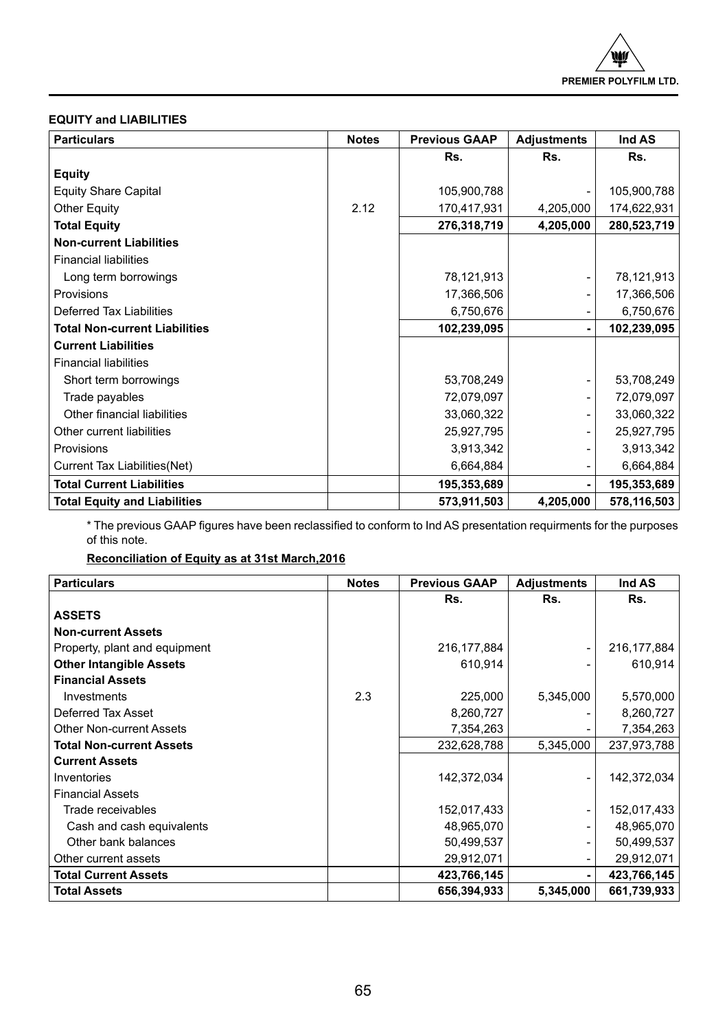## **EQUITY and LIABILITIES**

| <b>Particulars</b>                   | <b>Notes</b> | <b>Previous GAAP</b> | <b>Adjustments</b> | Ind AS      |
|--------------------------------------|--------------|----------------------|--------------------|-------------|
|                                      |              | Rs.                  | Rs.                | Rs.         |
| <b>Equity</b>                        |              |                      |                    |             |
| <b>Equity Share Capital</b>          |              | 105,900,788          |                    | 105,900,788 |
| Other Equity                         | 2.12         | 170,417,931          | 4,205,000          | 174,622,931 |
| <b>Total Equity</b>                  |              | 276,318,719          | 4,205,000          | 280,523,719 |
| <b>Non-current Liabilities</b>       |              |                      |                    |             |
| <b>Financial liabilities</b>         |              |                      |                    |             |
| Long term borrowings                 |              | 78,121,913           |                    | 78,121,913  |
| Provisions                           |              | 17,366,506           |                    | 17,366,506  |
| Deferred Tax Liabilities             |              | 6,750,676            |                    | 6,750,676   |
| <b>Total Non-current Liabilities</b> |              | 102,239,095          |                    | 102,239,095 |
| <b>Current Liabilities</b>           |              |                      |                    |             |
| <b>Financial liabilities</b>         |              |                      |                    |             |
| Short term borrowings                |              | 53,708,249           |                    | 53,708,249  |
| Trade payables                       |              | 72,079,097           |                    | 72,079,097  |
| Other financial liabilities          |              | 33,060,322           |                    | 33,060,322  |
| Other current liabilities            |              | 25,927,795           |                    | 25,927,795  |
| Provisions                           |              | 3,913,342            |                    | 3,913,342   |
| Current Tax Liabilities(Net)         |              | 6,664,884            |                    | 6,664,884   |
| <b>Total Current Liabilities</b>     |              | 195,353,689          |                    | 195,353,689 |
| <b>Total Equity and Liabilities</b>  |              | 573,911,503          | 4,205,000          | 578,116,503 |

\* The previous GAAP figures have been reclassified to conform to Ind AS presentation requirments for the purposes of this note.

## **Reconciliation of Equity as at 31st March,2016**

| <b>Particulars</b>              | <b>Notes</b> | <b>Previous GAAP</b> | <b>Adjustments</b> | Ind AS        |
|---------------------------------|--------------|----------------------|--------------------|---------------|
|                                 |              | Rs.                  | Rs.                | Rs.           |
| <b>ASSETS</b>                   |              |                      |                    |               |
| <b>Non-current Assets</b>       |              |                      |                    |               |
| Property, plant and equipment   |              | 216, 177, 884        |                    | 216, 177, 884 |
| <b>Other Intangible Assets</b>  |              | 610,914              |                    | 610,914       |
| <b>Financial Assets</b>         |              |                      |                    |               |
| Investments                     | 2.3          | 225,000              | 5,345,000          | 5,570,000     |
| Deferred Tax Asset              |              | 8,260,727            |                    | 8,260,727     |
| Other Non-current Assets        |              | 7,354,263            |                    | 7,354,263     |
| <b>Total Non-current Assets</b> |              | 232,628,788          | 5,345,000          | 237,973,788   |
| <b>Current Assets</b>           |              |                      |                    |               |
| Inventories                     |              | 142,372,034          |                    | 142,372,034   |
| <b>Financial Assets</b>         |              |                      |                    |               |
| Trade receivables               |              | 152,017,433          |                    | 152,017,433   |
| Cash and cash equivalents       |              | 48,965,070           |                    | 48,965,070    |
| Other bank balances             |              | 50,499,537           |                    | 50,499,537    |
| Other current assets            |              | 29,912,071           |                    | 29,912,071    |
| <b>Total Current Assets</b>     |              | 423,766,145          |                    | 423,766,145   |
| <b>Total Assets</b>             |              | 656,394,933          | 5,345,000          | 661,739,933   |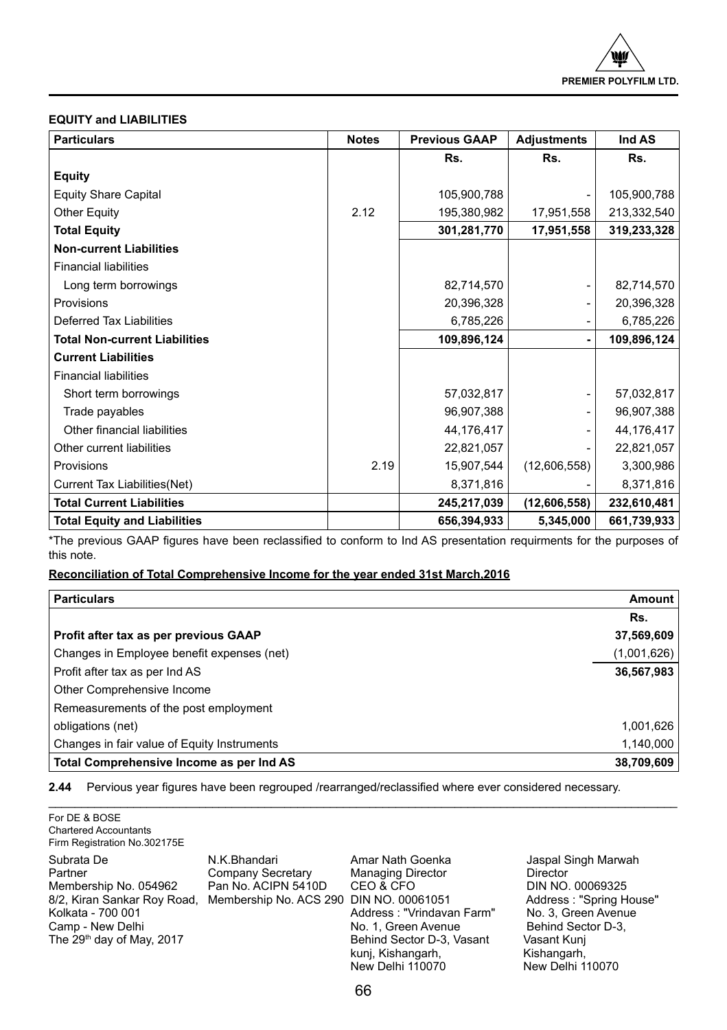## **EQUITY and LIABILITIES**

For DE & BOSE

| <b>Particulars</b>                   | <b>Notes</b> | <b>Previous GAAP</b> | <b>Adjustments</b> | Ind AS      |
|--------------------------------------|--------------|----------------------|--------------------|-------------|
|                                      |              | Rs.                  | Rs.                | Rs.         |
| <b>Equity</b>                        |              |                      |                    |             |
| <b>Equity Share Capital</b>          |              | 105,900,788          |                    | 105,900,788 |
| Other Equity                         | 2.12         | 195,380,982          | 17,951,558         | 213,332,540 |
| <b>Total Equity</b>                  |              | 301,281,770          | 17,951,558         | 319,233,328 |
| <b>Non-current Liabilities</b>       |              |                      |                    |             |
| <b>Financial liabilities</b>         |              |                      |                    |             |
| Long term borrowings                 |              | 82,714,570           |                    | 82,714,570  |
| Provisions                           |              | 20,396,328           |                    | 20,396,328  |
| <b>Deferred Tax Liabilities</b>      |              | 6,785,226            |                    | 6,785,226   |
| <b>Total Non-current Liabilities</b> |              | 109,896,124          |                    | 109,896,124 |
| <b>Current Liabilities</b>           |              |                      |                    |             |
| <b>Financial liabilities</b>         |              |                      |                    |             |
| Short term borrowings                |              | 57,032,817           |                    | 57,032,817  |
| Trade payables                       |              | 96,907,388           |                    | 96,907,388  |
| Other financial liabilities          |              | 44,176,417           |                    | 44,176,417  |
| Other current liabilities            |              | 22,821,057           |                    | 22,821,057  |
| Provisions                           | 2.19         | 15,907,544           | (12,606,558)       | 3,300,986   |
| Current Tax Liabilities(Net)         |              | 8,371,816            |                    | 8,371,816   |
| <b>Total Current Liabilities</b>     |              | 245,217,039          | (12,606,558)       | 232,610,481 |
| <b>Total Equity and Liabilities</b>  |              | 656,394,933          | 5,345,000          | 661,739,933 |

\*The previous GAAP figures have been reclassified to conform to Ind AS presentation requirments for the purposes of this note.

## **Reconciliation of Total Comprehensive Income for the year ended 31st March,2016**

| <b>Particulars</b>                          | <b>Amount</b> |
|---------------------------------------------|---------------|
|                                             | Rs.           |
| Profit after tax as per previous GAAP       | 37,569,609    |
| Changes in Employee benefit expenses (net)  | (1,001,626)   |
| Profit after tax as per Ind AS              | 36,567,983    |
| Other Comprehensive Income                  |               |
| Remeasurements of the post employment       |               |
| obligations (net)                           | 1,001,626     |
| Changes in fair value of Equity Instruments | 1,140,000     |
| Total Comprehensive Income as per Ind AS    | 38,709,609    |

\_\_\_\_\_\_\_\_\_\_\_\_\_\_\_\_\_\_\_\_\_\_\_\_\_\_\_\_\_\_\_\_\_\_\_\_\_\_\_\_\_\_\_\_\_\_\_\_\_\_\_\_\_\_\_\_\_\_\_\_\_\_\_\_\_\_\_\_\_\_\_\_\_\_\_\_\_\_\_\_\_\_\_\_\_\_\_\_\_\_\_\_\_\_\_\_

**2.44** Pervious year figures have been regrouped /rearranged/reclassified where ever considered necessary.

| <b>Chartered Accountants</b><br>Firm Registration No.302175E                                                                                                    |                                                                                                     |                                                                                                                                                                                     |                                                                                                                                                                               |
|-----------------------------------------------------------------------------------------------------------------------------------------------------------------|-----------------------------------------------------------------------------------------------------|-------------------------------------------------------------------------------------------------------------------------------------------------------------------------------------|-------------------------------------------------------------------------------------------------------------------------------------------------------------------------------|
| Subrata De<br>Partner<br>Membership No. 054962<br>8/2, Kiran Sankar Roy Road,<br>Kolkata - 700 001<br>Camp - New Delhi<br>The 29 <sup>th</sup> day of May, 2017 | N.K.Bhandari<br>Company Secretary<br>Pan No. ACIPN 5410D<br>Membership No. ACS 290 DIN NO. 00061051 | Amar Nath Goenka<br><b>Managing Director</b><br>CEO & CFO<br>Address: "Vrindavan Farm"<br>No. 1, Green Avenue<br>Behind Sector D-3, Vasant<br>kuni, Kishangarh,<br>New Delhi 110070 | Jaspal Singh Marwah<br>Director<br>DIN NO. 00069325<br>Address: "Spring House"<br>No. 3, Green Avenue<br>Behind Sector D-3,<br>Vasant Kunj<br>Kishangarh,<br>New Delhi 110070 |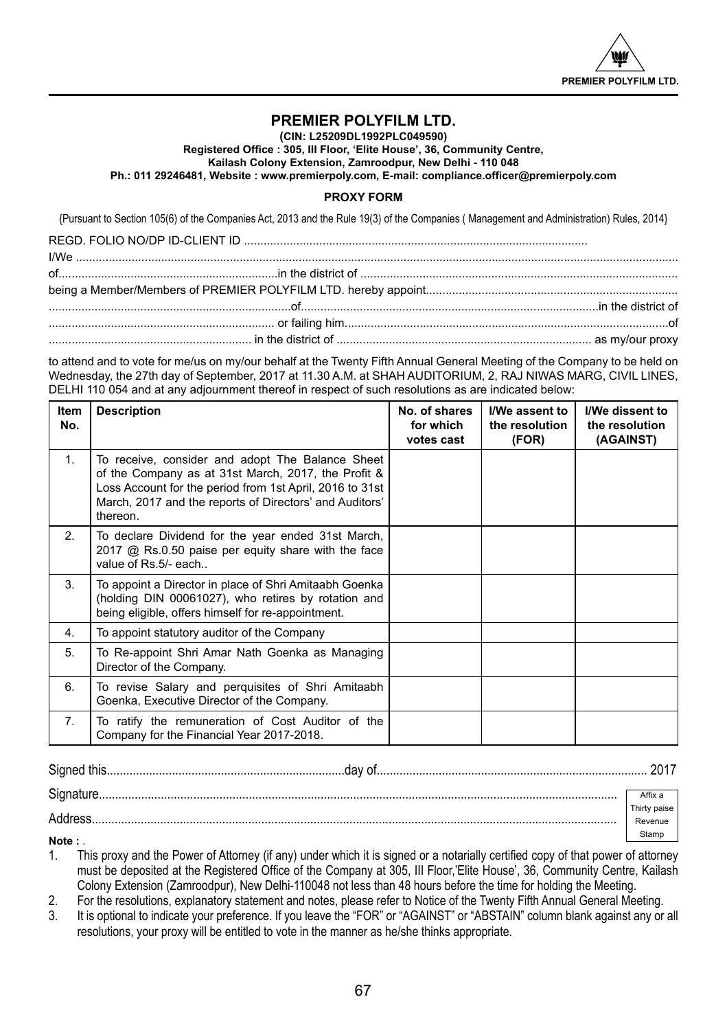

## **PREMIER POLYFILM LTD.**

**(CIN: L25209DL1992PLC049590)**

**Registered Office : 305, III Floor, 'Elite House', 36, Community Centre,** 

**Kailash Colony Extension, Zamroodpur, New Delhi - 110 048**

**Ph.: 011 29246481, Website : www.premierpoly.com, E-mail: compliance.officer@premierpoly.com**

## **PROXY FORM**

{Pursuant to Section 105(6) of the Companies Act, 2013 and the Rule 19(3) of the Companies ( Management and Administration) Rules, 2014}

to attend and to vote for me/us on my/our behalf at the Twenty Fifth Annual General Meeting of the Company to be held on Wednesday, the 27th day of September, 2017 at 11.30 A.M. at SHAH AUDITORIUM, 2, RAJ NIWAS MARG, CIVIL LINES, DELHI 110 054 and at any adjournment thereof in respect of such resolutions as are indicated below:

| ltem<br>No.    | <b>Description</b>                                                                                                                                                                                                                         | No. of shares<br>for which<br>votes cast | I/We assent to<br>the resolution<br>(FOR) | I/We dissent to<br>the resolution<br>(AGAINST) |
|----------------|--------------------------------------------------------------------------------------------------------------------------------------------------------------------------------------------------------------------------------------------|------------------------------------------|-------------------------------------------|------------------------------------------------|
| 1 <sub>1</sub> | To receive, consider and adopt The Balance Sheet<br>of the Company as at 31st March, 2017, the Profit &<br>Loss Account for the period from 1st April, 2016 to 31st<br>March, 2017 and the reports of Directors' and Auditors'<br>thereon. |                                          |                                           |                                                |
| 2 <sub>1</sub> | To declare Dividend for the year ended 31st March,<br>2017 @ Rs.0.50 paise per equity share with the face<br>value of Rs.5/- each                                                                                                          |                                          |                                           |                                                |
| 3.             | To appoint a Director in place of Shri Amitaabh Goenka<br>(holding DIN 00061027), who retires by rotation and<br>being eligible, offers himself for re-appointment.                                                                        |                                          |                                           |                                                |
| 4.             | To appoint statutory auditor of the Company                                                                                                                                                                                                |                                          |                                           |                                                |
| 5.             | To Re-appoint Shri Amar Nath Goenka as Managing<br>Director of the Company.                                                                                                                                                                |                                          |                                           |                                                |
| 6.             | To revise Salary and perquisites of Shri Amitaabh<br>Goenka, Executive Director of the Company.                                                                                                                                            |                                          |                                           |                                                |
| 7 <sub>1</sub> | To ratify the remuneration of Cost Auditor of the<br>Company for the Financial Year 2017-2018.                                                                                                                                             |                                          |                                           |                                                |

| $\sim$<br>Sianer<br>инг<br>. <b>.</b> |  |
|---------------------------------------|--|
|---------------------------------------|--|

| Signature. | Affix a      |
|------------|--------------|
|            | Thirty paise |
| Address    | Revenue      |
| Note:      | Stamp        |

**Note :** .

1. This proxy and the Power of Attorney (if any) under which it is signed or a notarially certified copy of that power of attorney must be deposited at the Registered Office of the Company at 305, III Floor,'Elite House', 36, Community Centre, Kailash Colony Extension (Zamroodpur), New Delhi-110048 not less than 48 hours before the time for holding the Meeting.

2. For the resolutions, explanatory statement and notes, please refer to Notice of the Twenty Fifth Annual General Meeting.<br>3. It is optional to indicate your preference If you leave the "FOR" or "AGAINST" or "ARSTAIN" col

It is optional to indicate your preference. If you leave the "FOR" or "AGAINST" or "ABSTAIN" column blank against any or all resolutions, your proxy will be entitled to vote in the manner as he/she thinks appropriate.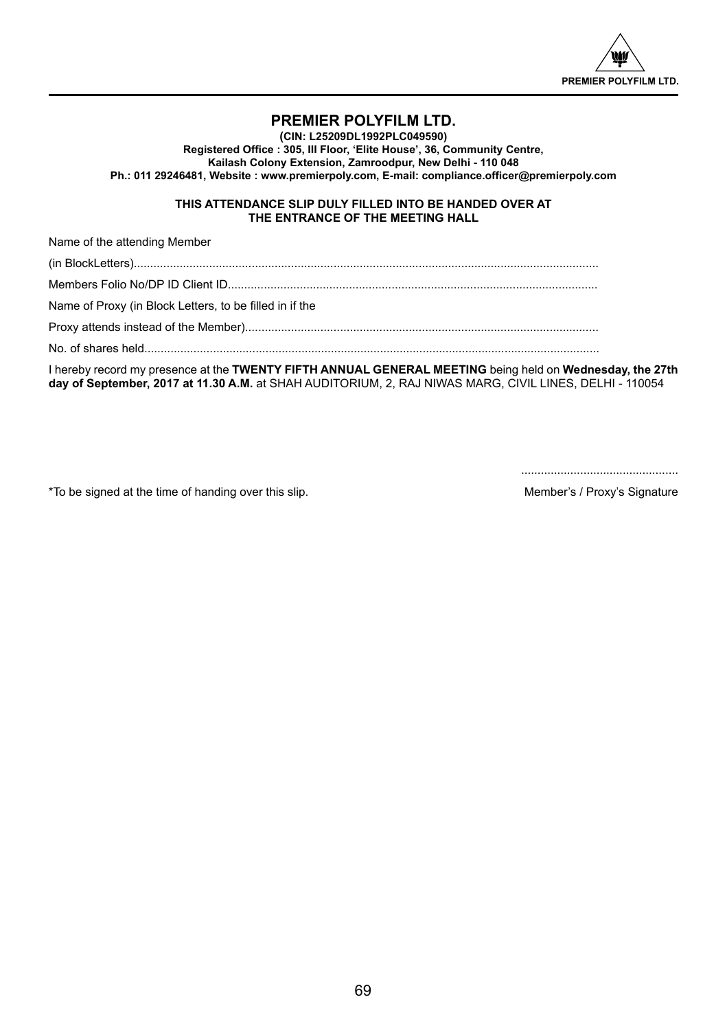

## **PREMIER POLYFILM LTD.**

**(CIN: L25209DL1992PLC049590) Registered Office : 305, III Floor, 'Elite House', 36, Community Centre, Kailash Colony Extension, Zamroodpur, New Delhi - 110 048 Ph.: 011 29246481, Website : www.premierpoly.com, E-mail: compliance.officer@premierpoly.com**

## **THIS ATTENDANCE SLIP DULY FILLED INTO BE HANDED OVER AT THE ENTRANCE OF THE MEETING HALL**

Name of the attending Member

(in BlockLetters).............................................................................................................................................. Members Folio No/DP ID Client ID................................................................................................................. Name of Proxy (in Block Letters, to be filled in if the Proxy attends instead of the Member)............................................................................................................ No. of shares held........................................................................................................................................... I hereby record my presence at the **TWENTY FIFTH ANNUAL GENERAL MEETING** being held on **Wednesday, the 27th** 

**day of September, 2017 at 11.30 A.M.** at SHAH AUDITORIUM, 2, RAJ NIWAS MARG, CIVIL LINES, DELHI - 110054

................................................

\*To be signed at the time of handing over this slip. Member's / Proxy's Signature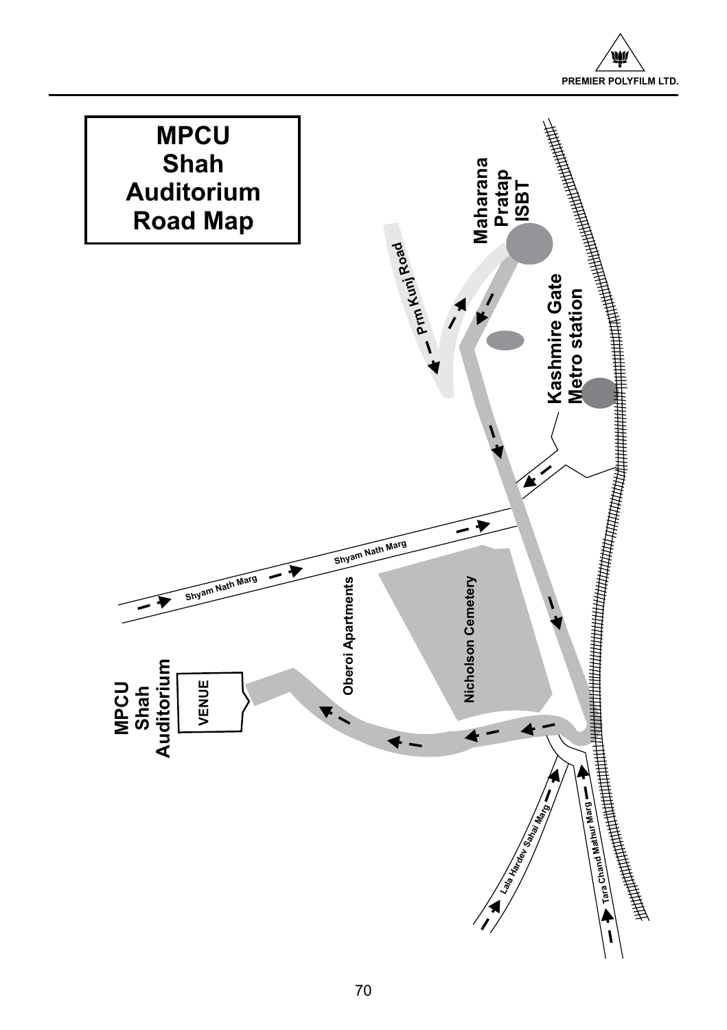